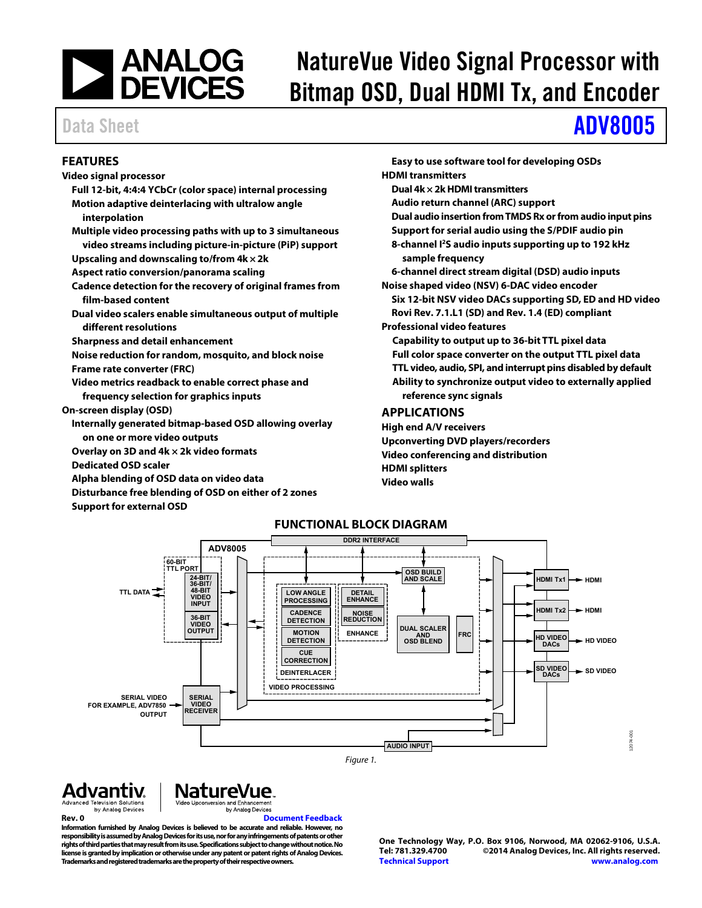# | ANALOG<br>| DEVICES

## NatureVue Video Signal Processor with Bitmap OSD, Dual HDMI Tx, and Encoder

## Data Sheet **[ADV8005](http://www.analog.com/adv8005?doc=adv8005.pdf)**

### <span id="page-0-0"></span>**FEATURES**

- **Video signal processor** 
	- **Full 12-bit, 4:4:4 YCbCr (color space) internal processing Motion adaptive deinterlacing with ultralow angle**
	- **interpolation**
	- **Multiple video processing paths with up to 3 simultaneous video streams including picture-in-picture (PiP) support Upscaling and downscaling to/from 4k × 2k**
	- **Aspect ratio conversion/panorama scaling**
	- **Cadence detection for the recovery of original frames from film-based content**
	- **Dual video scalers enable simultaneous output of multiple different resolutions**
	- **Sharpness and detail enhancement**
	- **Noise reduction for random, mosquito, and block noise Frame rate converter (FRC)**
	- **Video metrics readback to enable correct phase and frequency selection for graphics inputs**
- **On-screen display (OSD)** 
	- **Internally generated bitmap-based OSD allowing overlay on one or more video outputs**
	- **Overlay on 3D and 4k × 2k video formats**
	- **Dedicated OSD scaler**
	- **Alpha blending of OSD data on video data**
	- **Disturbance free blending of OSD on either of 2 zones**
	- **Support for external OSD**
- **Easy to use software tool for developing OSDs HDMI transmitters Dual 4k × 2k HDMI transmitters Audio return channel (ARC) support Dual audio insertion from TMDS Rx or from audio input pins Support for serial audio using the S/PDIF audio pin 8-channel I2S audio inputs supporting up to 192 kHz sample frequency 6-channel direct stream digital (DSD) audio inputs Noise shaped video (NSV) 6-DAC video encoder Six 12-bit NSV video DACs supporting SD, ED and HD video Rovi Rev. 7.1.L1 (SD) and Rev. 1.4 (ED) compliant Professional video features Capability to output up to 36-bit TTL pixel data Full color space converter on the output TTL pixel data TTL video, audio, SPI, and interrupt pins disabled by default Ability to synchronize output video to externally applied reference sync signals APPLICATIONS High end A/V receivers**
- <span id="page-0-1"></span>**Upconverting DVD players/recorders Video conferencing and distribution HDMI splitters Video walls**

<span id="page-0-2"></span>

### **NatureVue** Advantiv. **Advanced Television Solutions** Video Upconversion and Enhancemer by Analog Devices

by Analog Devices

**Rev. 0 [Document Feedback](https://form.analog.com/Form_Pages/feedback/documentfeedback.aspx?doc=ADV8005.pdf&product=ADV8005&rev=0)  Information furnished by Analog Devices is believed to be accurate and reliable. However, no responsibility is assumed by Analog Devices for its use, nor for any infringements of patents or other rights of third parties that may result from its use. Specifications subject to change without notice. No license is granted by implication or otherwise under any patent or patent rights of Analog Devices. Trademarks and registered trademarks are the property of their respective owners.** 

**One Technology Way, P.O. Box 9106, Norwood, MA 02062-9106, U.S.A.** ©2014 Analog Devices, Inc. All rights reserved. **[Technical Support](http://www.analog.com/en/content/technical_support_page/fca.html) [www.analog.com](http://www.analog.com/)**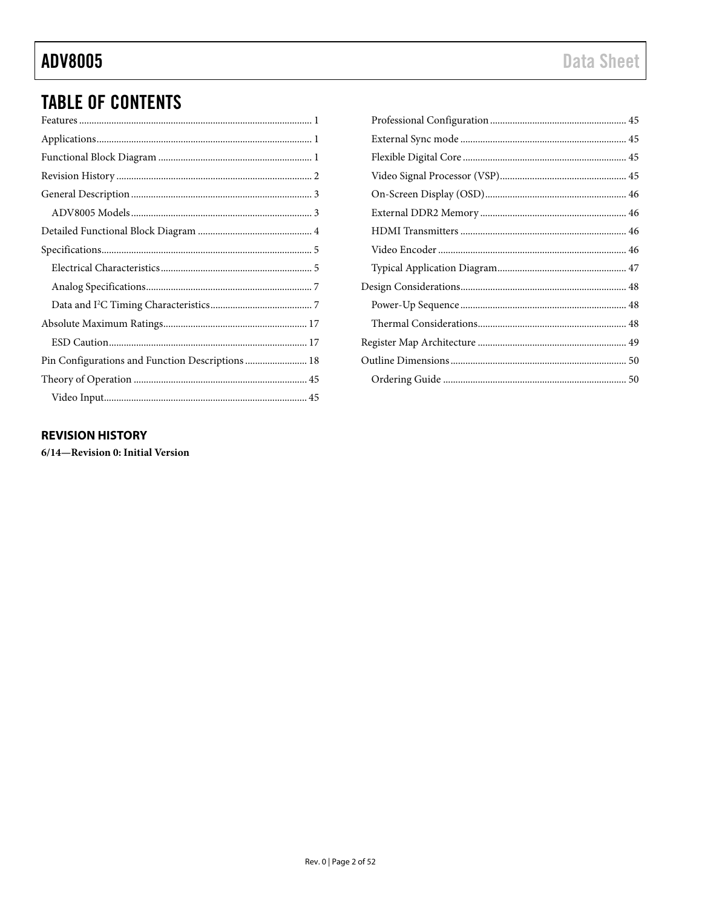## **ADV8005**

## **TABLE OF CONTENTS**

### <span id="page-1-0"></span>**REVISION HISTORY**

6/14-Revision 0: Initial Version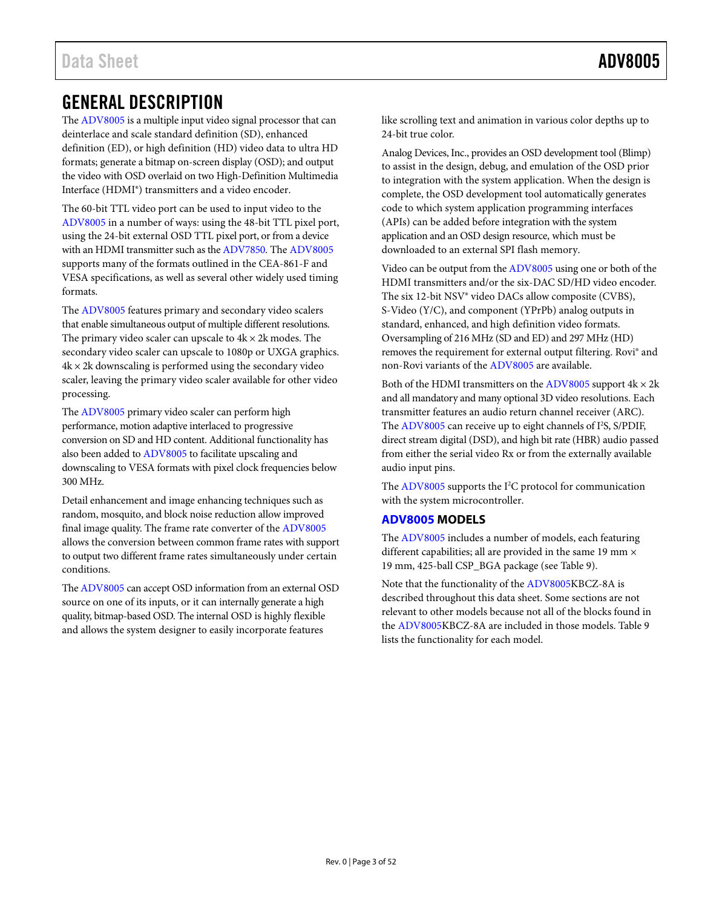## <span id="page-2-0"></span>GENERAL DESCRIPTION

Th[e ADV8005](http://www.analog.com/adv8005?doc=adv8005.pdf) is a multiple input video signal processor that can deinterlace and scale standard definition (SD), enhanced definition (ED), or high definition (HD) video data to ultra HD formats; generate a bitmap on-screen display (OSD); and output the video with OSD overlaid on two High-Definition Multimedia Interface (HDMI®) transmitters and a video encoder.

The 60-bit TTL video port can be used to input video to the [ADV8005 i](http://www.analog.com/adv8005?doc=adv8005.pdf)n a number of ways: using the 48-bit TTL pixel port, using the 24-bit external OSD TTL pixel port, or from a device with an HDMI transmitter such as th[e ADV7850.](http://www.analog.com/adv7850?doc=adv8005.pdf) The [ADV8005](http://www.analog.com/adv8005?doc=adv8005.pdf) supports many of the formats outlined in the CEA-861-F and VESA specifications, as well as several other widely used timing formats.

The [ADV8005 f](http://www.analog.com/adv8005?doc=adv8005.pdf)eatures primary and secondary video scalers that enable simultaneous output of multiple different resolutions. The primary video scaler can upscale to  $4k \times 2k$  modes. The secondary video scaler can upscale to 1080p or UXGA graphics.  $4k \times 2k$  downscaling is performed using the secondary video scaler, leaving the primary video scaler available for other video processing.

Th[e ADV8005](http://www.analog.com/adv8005?doc=adv8005.pdf) primary video scaler can perform high performance, motion adaptive interlaced to progressive conversion on SD and HD content. Additional functionality has also been added to [ADV8005](http://www.analog.com/adv8005?doc=adv8005.pdf) to facilitate upscaling and downscaling to VESA formats with pixel clock frequencies below 300 MHz.

Detail enhancement and image enhancing techniques such as random, mosquito, and block noise reduction allow improved final image quality. The frame rate converter of th[e ADV8005](http://www.analog.com/adv8005?doc=adv8005.pdf) allows the conversion between common frame rates with support to output two different frame rates simultaneously under certain conditions.

Th[e ADV8005 c](http://www.analog.com/adv8005?doc=adv8005.pdf)an accept OSD information from an external OSD source on one of its inputs, or it can internally generate a high quality, bitmap-based OSD. The internal OSD is highly flexible and allows the system designer to easily incorporate features

like scrolling text and animation in various color depths up to 24-bit true color.

Analog Devices, Inc., provides an OSD development tool (Blimp) to assist in the design, debug, and emulation of the OSD prior to integration with the system application. When the design is complete, the OSD development tool automatically generates code to which system application programming interfaces (APIs) can be added before integration with the system application and an OSD design resource, which must be downloaded to an external SPI flash memory.

Video can be output from th[e ADV8005 u](http://www.analog.com/adv8005?doc=adv8005.pdf)sing one or both of the HDMI transmitters and/or the six-DAC SD/HD video encoder. The six 12-bit NSV® video DACs allow composite (CVBS), S-Video (Y/C), and component (YPrPb) analog outputs in standard, enhanced, and high definition video formats. Oversampling of 216 MHz (SD and ED) and 297 MHz (HD) removes the requirement for external output filtering. Rovi® and non-Rovi variants of th[e ADV8005 a](http://www.analog.com/adv8005?doc=adv8005.pdf)re available.

Both of the HDMI transmitters on th[e ADV8005 s](http://www.analog.com/adv8005?doc=adv8005.pdf)upport  $4k \times 2k$ and all mandatory and many optional 3D video resolutions. Each transmitter features an audio return channel receiver (ARC). The [ADV8005 c](http://www.analog.com/adv8005?doc=adv8005.pdf)an receive up to eight channels of I<sup>2</sup>S, S/PDIF, direct stream digital (DSD), and high bit rate (HBR) audio passed from either the serial video Rx or from the externally available audio input pins.

The [ADV8005 s](http://www.analog.com/adv8005?doc=adv8005.pdf)upports the I<sup>2</sup>C protocol for communication with the system microcontroller.

### <span id="page-2-1"></span>**[ADV8005 M](http://www.analog.com/adv8005?doc=adv8005.pdf)ODELS**

The [ADV8005 i](http://www.analog.com/adv8005?doc=adv8005.pdf)ncludes a number of models, each featuring different capabilities; all are provided in the same 19 mm × 19 mm, 425-ball CSP\_BGA package (see [Table 9\)](#page-49-2).

Note that the functionality of th[e ADV8005K](http://www.analog.com/adv8005?doc=adv8005.pdf)BCZ-8A is described throughout this data sheet. Some sections are not relevant to other models because not all of the blocks found in the [ADV8005K](http://www.analog.com/adv8005?doc=adv8005.pdf)BCZ-8A are included in those models[. Table 9](#page-49-2)  lists the functionality for each model.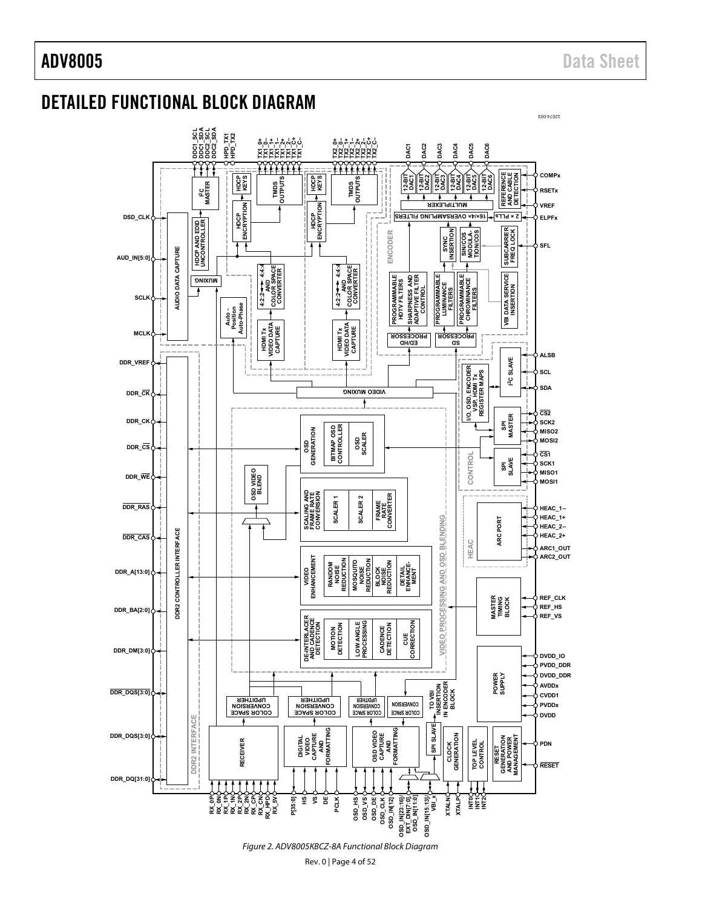12074-003

## <span id="page-3-0"></span>DETAILED FUNCTIONAL BLOCK DIAGRAM

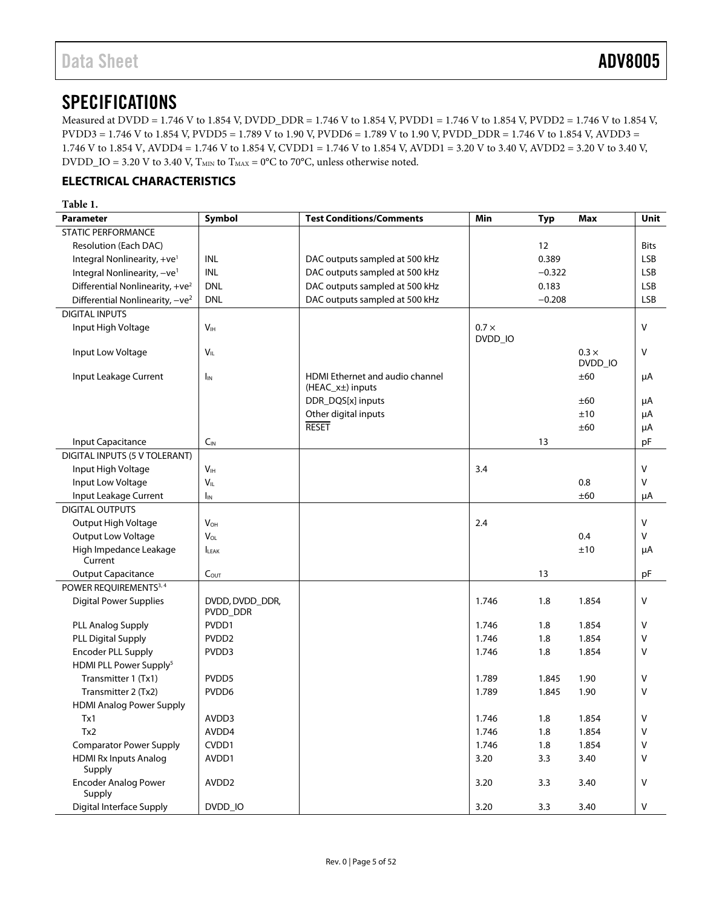## <span id="page-4-0"></span>**SPECIFICATIONS**

Measured at DVDD = 1.746 V to 1.854 V, DVDD\_DDR = 1.746 V to 1.854 V, PVDD1 = 1.746 V to 1.854 V, PVDD2 = 1.746 V to 1.854 V, PVDD3 = 1.746 V to 1.854 V, PVDD5 = 1.789 V to 1.90 V, PVDD6 = 1.789 V to 1.90 V, PVDD\_DDR = 1.746 V to 1.854 V, AVDD3 = 1.746 V to 1.854 V, AVDD4 = 1.746 V to 1.854 V, CVDD1 = 1.746 V to 1.854 V, AVDD1 = 3.20 V to 3.40 V, AVDD2 = 3.20 V to 3.40 V, DVDD\_IO = 3.20 V to 3.40 V,  $T_{\text{MIN}}$  to  $T_{\text{MAX}}$  = 0°C to 70°C, unless otherwise noted.

### <span id="page-4-1"></span>**ELECTRICAL CHARACTERISTICS**

### <span id="page-4-3"></span><span id="page-4-2"></span>**Table 1.**

| <b>Parameter</b>                            | Symbol                      | <b>Test Conditions/Comments</b>                            | Min          | <b>Typ</b> | Max          | <b>Unit</b> |
|---------------------------------------------|-----------------------------|------------------------------------------------------------|--------------|------------|--------------|-------------|
| <b>STATIC PERFORMANCE</b>                   |                             |                                                            |              |            |              |             |
| Resolution (Each DAC)                       |                             |                                                            |              | 12         |              | <b>Bits</b> |
| Integral Nonlinearity, +ve <sup>1</sup>     | INL                         | DAC outputs sampled at 500 kHz                             |              | 0.389      |              | <b>LSB</b>  |
| Integral Nonlinearity, -ve <sup>1</sup>     | <b>INL</b>                  | DAC outputs sampled at 500 kHz                             |              | $-0.322$   |              | <b>LSB</b>  |
| Differential Nonlinearity, +ve <sup>2</sup> | <b>DNL</b>                  | DAC outputs sampled at 500 kHz                             |              | 0.183      |              | <b>LSB</b>  |
| Differential Nonlinearity, $-ve^2$          | <b>DNL</b>                  | DAC outputs sampled at 500 kHz                             |              | $-0.208$   |              | <b>LSB</b>  |
| <b>DIGITAL INPUTS</b>                       |                             |                                                            |              |            |              |             |
| Input High Voltage                          | V <sub>IH</sub>             |                                                            | $0.7 \times$ |            |              | $\vee$      |
|                                             |                             |                                                            | DVDD_IO      |            |              |             |
| Input Low Voltage                           | $V_{IL}$                    |                                                            |              |            | $0.3 \times$ | V           |
|                                             |                             |                                                            |              |            | DVDD_IO      |             |
| Input Leakage Current                       | I <sub>IN</sub>             | <b>HDMI Ethernet and audio channel</b><br>(HEAC_x±) inputs |              |            | ±60          | μA          |
|                                             |                             | DDR_DQS[x] inputs                                          |              |            | ±60          | μA          |
|                                             |                             | Other digital inputs                                       |              |            | ±10          | μA          |
|                                             |                             | <b>RESET</b>                                               |              |            | ±60          | μA          |
| Input Capacitance                           | $C_{\text{IN}}$             |                                                            |              | 13         |              | pF          |
| DIGITAL INPUTS (5 V TOLERANT)               |                             |                                                            |              |            |              |             |
| Input High Voltage                          | V <sub>IH</sub>             |                                                            | 3.4          |            |              | V           |
| Input Low Voltage                           | $V_{IL}$                    |                                                            |              |            | 0.8          | V           |
| Input Leakage Current                       | IM                          |                                                            |              |            | ±60          | μA          |
| <b>DIGITAL OUTPUTS</b>                      |                             |                                                            |              |            |              |             |
| Output High Voltage                         | $V_{OH}$                    |                                                            | 2.4          |            |              | v           |
| <b>Output Low Voltage</b>                   | $V_{OL}$                    |                                                            |              |            | 0.4          | v           |
| High Impedance Leakage                      | <b>ILEAK</b>                |                                                            |              |            | ±10          | μA          |
| Current                                     |                             |                                                            |              |            |              |             |
| <b>Output Capacitance</b>                   | $C_{OUT}$                   |                                                            |              | 13         |              | рF          |
| POWER REQUIREMENTS <sup>3,4</sup>           |                             |                                                            |              |            |              |             |
| <b>Digital Power Supplies</b>               | DVDD, DVDD_DDR,<br>PVDD_DDR |                                                            | 1.746        | 1.8        | 1.854        | V           |
| PLL Analog Supply                           | PVDD1                       |                                                            | 1.746        | 1.8        | 1.854        | V           |
| <b>PLL Digital Supply</b>                   | PVDD <sub>2</sub>           |                                                            | 1.746        | 1.8        | 1.854        | v           |
| <b>Encoder PLL Supply</b>                   | PVDD3                       |                                                            | 1.746        | 1.8        | 1.854        | v           |
| HDMI PLL Power Supply <sup>5</sup>          |                             |                                                            |              |            |              |             |
| Transmitter 1 (Tx1)                         | PVDD5                       |                                                            | 1.789        | 1.845      | 1.90         | v           |
| Transmitter 2 (Tx2)                         | PVDD6                       |                                                            | 1.789        | 1.845      | 1.90         | V           |
| <b>HDMI Analog Power Supply</b>             |                             |                                                            |              |            |              |             |
| Tx1                                         | AVDD3                       |                                                            | 1.746        | 1.8        | 1.854        | V           |
| Tx2                                         | AVDD4                       |                                                            | 1.746        | 1.8        | 1.854        | V           |
| <b>Comparator Power Supply</b>              | CVDD1                       |                                                            | 1.746        | 1.8        | 1.854        | $\vee$      |
| <b>HDMI Rx Inputs Analog</b>                | AVDD1                       |                                                            | 3.20         | 3.3        | 3.40         | V           |
| Supply                                      |                             |                                                            |              |            |              |             |
| <b>Encoder Analog Power</b><br>Supply       | AVDD <sub>2</sub>           |                                                            | 3.20         | 3.3        | 3.40         | v           |
| Digital Interface Supply                    | DVDD_IO                     |                                                            | 3.20         | 3.3        | 3.40         | v           |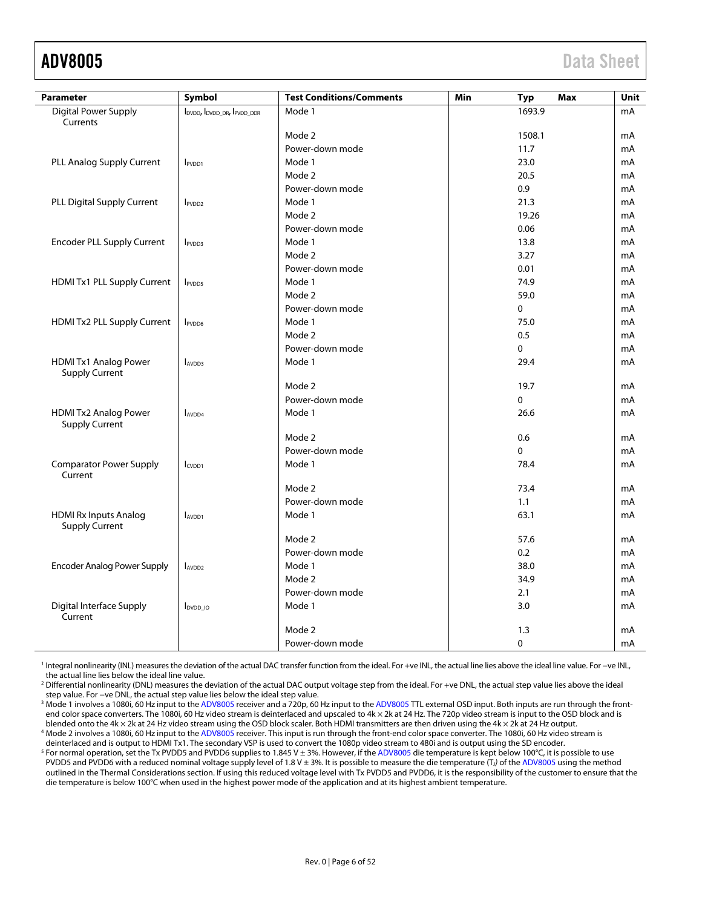<span id="page-5-0"></span>

| <b>Parameter</b>                                      | Symbol                     | <b>Test Conditions/Comments</b> | Min | Max<br>Typ | Unit |
|-------------------------------------------------------|----------------------------|---------------------------------|-----|------------|------|
| <b>Digital Power Supply</b><br>Currents               | IDVDD, IDVDD DR, IPVDD DDR | Mode 1                          |     | 1693.9     | mA   |
|                                                       |                            | Mode 2                          |     | 1508.1     | mA   |
|                                                       |                            | Power-down mode                 |     | 11.7       | mA   |
| PLL Analog Supply Current                             | PVDD1                      | Mode 1                          |     | 23.0       | mA   |
|                                                       |                            | Mode 2                          |     | 20.5       | mA   |
|                                                       |                            | Power-down mode                 |     | 0.9        | mA   |
| PLL Digital Supply Current                            | PVDD <sub>2</sub>          | Mode 1                          |     | 21.3       | mA   |
|                                                       |                            | Mode 2                          |     | 19.26      | mA   |
|                                                       |                            | Power-down mode                 |     | 0.06       | mA   |
| <b>Encoder PLL Supply Current</b>                     | PVDD3                      | Mode 1                          |     | 13.8       | mA   |
|                                                       |                            | Mode 2                          |     | 3.27       | mA   |
|                                                       |                            | Power-down mode                 |     | 0.01       | mA   |
| HDMI Tx1 PLL Supply Current                           | <b>IPVDD5</b>              | Mode 1                          |     | 74.9       | mA   |
|                                                       |                            | Mode 2                          |     | 59.0       | mA   |
|                                                       |                            | Power-down mode                 |     | $\Omega$   | mA   |
| HDMI Tx2 PLL Supply Current                           | <b>IPVDD6</b>              | Mode 1                          |     | 75.0       | mA   |
|                                                       |                            | Mode 2                          |     | 0.5        | mA   |
|                                                       |                            | Power-down mode                 |     | $\Omega$   | mA   |
| HDMI Tx1 Analog Power<br><b>Supply Current</b>        | $I_{AVDD3}$                | Mode 1                          |     | 29.4       | mA   |
|                                                       |                            | Mode 2                          |     | 19.7       | mA   |
|                                                       |                            | Power-down mode                 |     | $\Omega$   | mA   |
| <b>HDMI Tx2 Analog Power</b><br><b>Supply Current</b> | AVDD4                      | Mode 1                          |     | 26.6       | mA   |
|                                                       |                            | Mode 2                          |     | 0.6        | mA   |
|                                                       |                            | Power-down mode                 |     | $\Omega$   | mA   |
| <b>Comparator Power Supply</b><br>Current             | I <sub>CVDD1</sub>         | Mode 1                          |     | 78.4       | mA   |
|                                                       |                            | Mode 2                          |     | 73.4       | mA   |
|                                                       |                            | Power-down mode                 |     | 1.1        | mA   |
| <b>HDMI Rx Inputs Analog</b><br><b>Supply Current</b> | AVDD1                      | Mode 1                          |     | 63.1       | mA   |
|                                                       |                            | Mode 2                          |     | 57.6       | mA   |
|                                                       |                            | Power-down mode                 |     | 0.2        | mA   |
| <b>Encoder Analog Power Supply</b>                    | AVDD <sub>2</sub>          | Mode 1                          |     | 38.0       | mA   |
|                                                       |                            | Mode 2                          |     | 34.9       | mA   |
|                                                       |                            | Power-down mode                 |     | 2.1        | mA   |
| <b>Digital Interface Supply</b><br>Current            | <b>IDVDD</b> IO            | Mode 1                          |     | 3.0        | mA   |
|                                                       |                            | Mode 2                          |     | 1.3        | mA   |
|                                                       |                            | Power-down mode                 |     | 0          | mA   |

1 Integral nonlinearity (INL) measures the deviation of the actual DAC transfer function from the ideal. For +ve INL, the actual line lies above the ideal line value. For −ve INL, the actual line lies below the ideal line value.

2 Differential nonlinearity (DNL) measures the deviation of the actual DAC output voltage step from the ideal. For +ve DNL, the actual step value lies above the ideal step value. For −ve DNL, the actual step value lies below the ideal step value.

 $^3$  Mode 1 involves a 1080i, 60 Hz input to the [ADV8005](http://www.analog.com/adv8005?doc=adv8005.pdf) receiver and a 720p, 60 Hz input to the [ADV8005 T](http://www.analog.com/adv8005?doc=adv8005.pdf)TL external OSD input. Both inputs are run through the frontend color space converters. The 1080i, 60 Hz video stream is deinterlaced and upscaled to 4k × 2k at 24 Hz. The 720p video stream is input to the OSD block and is blended onto the 4k × 2k at 24 Hz video stream using the OSD block scaler. Both HDMI transmitters are then driven using the 4k × 2k at 24 Hz output. <sup>4</sup> Mode 2 involves a 1080i, 60 Hz input to the [ADV8005](http://www.analog.com/adv8005?doc=adv8005.pdf) receiver. This input is run through the front-end color space converter. The 1080i, 60 Hz video stream is

deinterlaced and is output to HDMI Tx1. The secondary VSP is used to convert the 1080p video stream to 480i and is output using the SD encoder. <sup>5</sup> For normal operation, set the Tx PVDD5 and PVDD6 supplies to 1.845 V ± 3%. However, if the [ADV8005 d](http://www.analog.com/adv8005?doc=adv8005.pdf)ie temperature is kept below 100°C, it is possible to use PVDD5 and PVDD6 with a reduced nominal voltage supply level of 1.8 V ± 3%. It is possible to measure the die temperature (T<sub>J</sub>) of th[e ADV8005](http://www.analog.com/adv8005?doc=adv8005.pdf) using the method outlined in the Thermal Considerations section. If using this reduced voltage level with Tx PVDD5 and PVDD6, it is the responsibility of the customer to ensure that the die temperature is below 100°C when used in the highest power mode of the application and at its highest ambient temperature.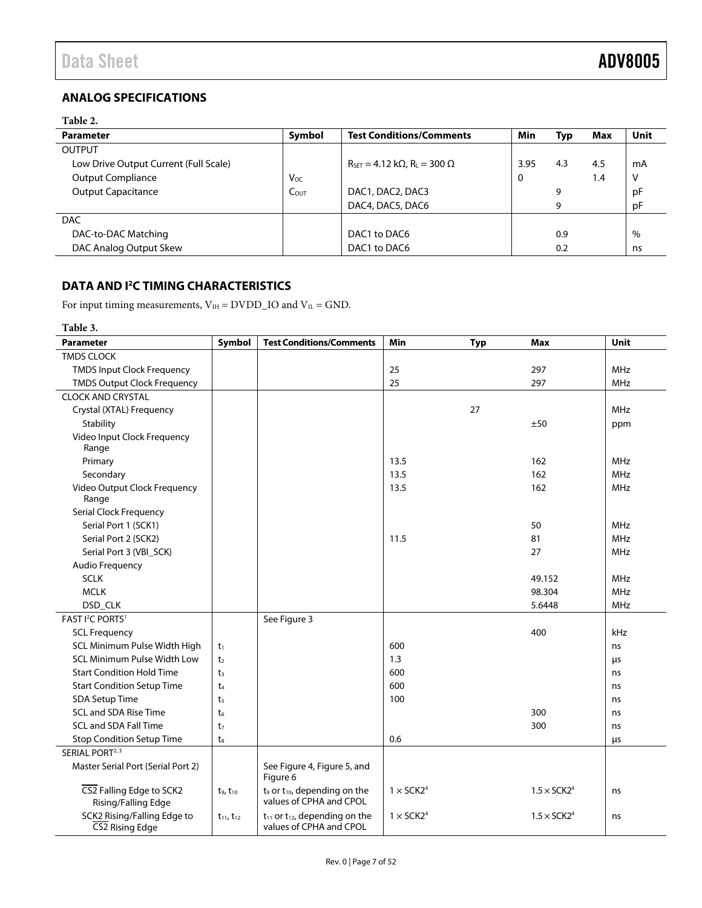## <span id="page-6-0"></span>**ANALOG SPECIFICATIONS**

### **Table 2.**

| <b>Parameter</b>                      | Symbol           | <b>Test Conditions/Comments</b>                                       | Min  | Typ | Max | Unit |
|---------------------------------------|------------------|-----------------------------------------------------------------------|------|-----|-----|------|
| <b>OUTPUT</b>                         |                  |                                                                       |      |     |     |      |
| Low Drive Output Current (Full Scale) |                  | $R_{\text{SET}} = 4.12 \text{ k}\Omega$ , $R_{\text{L}} = 300 \Omega$ | 3.95 | 4.3 | 4.5 | mA   |
| <b>Output Compliance</b>              | Voc              |                                                                       |      |     | 1.4 |      |
| <b>Output Capacitance</b>             | $C_{\text{OUT}}$ | DAC1, DAC2, DAC3                                                      |      | 9   |     | рF   |
|                                       |                  | DAC4, DAC5, DAC6                                                      |      | 9   |     | pF   |
| <b>DAC</b>                            |                  |                                                                       |      |     |     |      |
| DAC-to-DAC Matching                   |                  | DAC1 to DAC6                                                          |      | 0.9 |     | %    |
| DAC Analog Output Skew                |                  | DAC1 to DAC6                                                          |      | 0.2 |     | ns   |

### <span id="page-6-1"></span>**DATA AND I2 C TIMING CHARACTERISTICS**

For input timing measurements,  $V_{IH} = DVDD$  and  $V_{IL} = GND$ .

<span id="page-6-7"></span><span id="page-6-6"></span><span id="page-6-5"></span><span id="page-6-4"></span><span id="page-6-3"></span><span id="page-6-2"></span>

| Table 3.                                        |                     |                                                                    |                              |            |                                |             |
|-------------------------------------------------|---------------------|--------------------------------------------------------------------|------------------------------|------------|--------------------------------|-------------|
| <b>Parameter</b>                                | Symbol              | <b>Test Conditions/Comments</b>                                    | Min                          | <b>Typ</b> | Max                            | <b>Unit</b> |
| <b>TMDS CLOCK</b>                               |                     |                                                                    |                              |            |                                |             |
| <b>TMDS Input Clock Frequency</b>               |                     |                                                                    | 25                           |            | 297                            | <b>MHz</b>  |
| <b>TMDS Output Clock Frequency</b>              |                     |                                                                    | 25                           |            | 297                            | <b>MHz</b>  |
| <b>CLOCK AND CRYSTAL</b>                        |                     |                                                                    |                              |            |                                |             |
| Crystal (XTAL) Frequency                        |                     |                                                                    |                              | 27         |                                | <b>MHz</b>  |
| Stability                                       |                     |                                                                    |                              |            | ±50                            | ppm         |
| Video Input Clock Frequency<br>Range            |                     |                                                                    |                              |            |                                |             |
| Primary                                         |                     |                                                                    | 13.5                         |            | 162                            | <b>MHz</b>  |
| Secondary                                       |                     |                                                                    | 13.5                         |            | 162                            | <b>MHz</b>  |
| Video Output Clock Frequency                    |                     |                                                                    | 13.5                         |            | 162                            | <b>MHz</b>  |
| Range                                           |                     |                                                                    |                              |            |                                |             |
| Serial Clock Frequency                          |                     |                                                                    |                              |            |                                |             |
| Serial Port 1 (SCK1)                            |                     |                                                                    |                              |            | 50                             | <b>MHz</b>  |
| Serial Port 2 (SCK2)                            |                     |                                                                    | 11.5                         |            | 81                             | <b>MHz</b>  |
| Serial Port 3 (VBI SCK)                         |                     |                                                                    |                              |            | 27                             | <b>MHz</b>  |
| <b>Audio Frequency</b>                          |                     |                                                                    |                              |            |                                |             |
| <b>SCLK</b>                                     |                     |                                                                    |                              |            | 49.152                         | <b>MHz</b>  |
| <b>MCLK</b>                                     |                     |                                                                    |                              |            | 98.304                         | <b>MHz</b>  |
| DSD_CLK                                         |                     |                                                                    |                              |            | 5.6448                         | MHz         |
| FAST I <sup>2</sup> C PORTS <sup>1</sup>        |                     | See Figure 3                                                       |                              |            |                                |             |
| <b>SCL Frequency</b>                            |                     |                                                                    |                              |            | 400                            | kHz         |
| SCL Minimum Pulse Width High                    | $t_1$               |                                                                    | 600                          |            |                                | ns          |
| <b>SCL Minimum Pulse Width Low</b>              | t <sub>2</sub>      |                                                                    | 1.3                          |            |                                | μs          |
| <b>Start Condition Hold Time</b>                | t <sub>3</sub>      |                                                                    | 600                          |            |                                | ns          |
| <b>Start Condition Setup Time</b>               | t <sub>4</sub>      |                                                                    | 600                          |            |                                | ns          |
| SDA Setup Time                                  | t <sub>5</sub>      |                                                                    | 100                          |            |                                | ns          |
| <b>SCL and SDA Rise Time</b>                    | t <sub>6</sub>      |                                                                    |                              |            | 300                            | ns          |
| <b>SCL and SDA Fall Time</b>                    | t <sub>7</sub>      |                                                                    |                              |            | 300                            | ns          |
| <b>Stop Condition Setup Time</b>                | $t_{8}$             |                                                                    | 0.6                          |            |                                | μs          |
| SERIAL PORT <sup>2, 3</sup>                     |                     |                                                                    |                              |            |                                |             |
| Master Serial Port (Serial Port 2)              |                     | See Figure 4, Figure 5, and<br>Figure 6                            |                              |            |                                |             |
| CS2 Falling Edge to SCK2<br>Rising/Falling Edge | $t_9, t_{10}$       | $t_9$ or $t_{10}$ , depending on the<br>values of CPHA and CPOL    | $1 \times$ SCK2 <sup>4</sup> |            | $1.5 \times$ SCK2 <sup>4</sup> | ns          |
| SCK2 Rising/Falling Edge to<br>CS2 Rising Edge  | $t_{11}$ , $t_{12}$ | $t_{11}$ or $t_{12}$ , depending on the<br>values of CPHA and CPOL | $1 \times$ SCK2 <sup>4</sup> |            | $1.5 \times$ SCK2 <sup>4</sup> | ns          |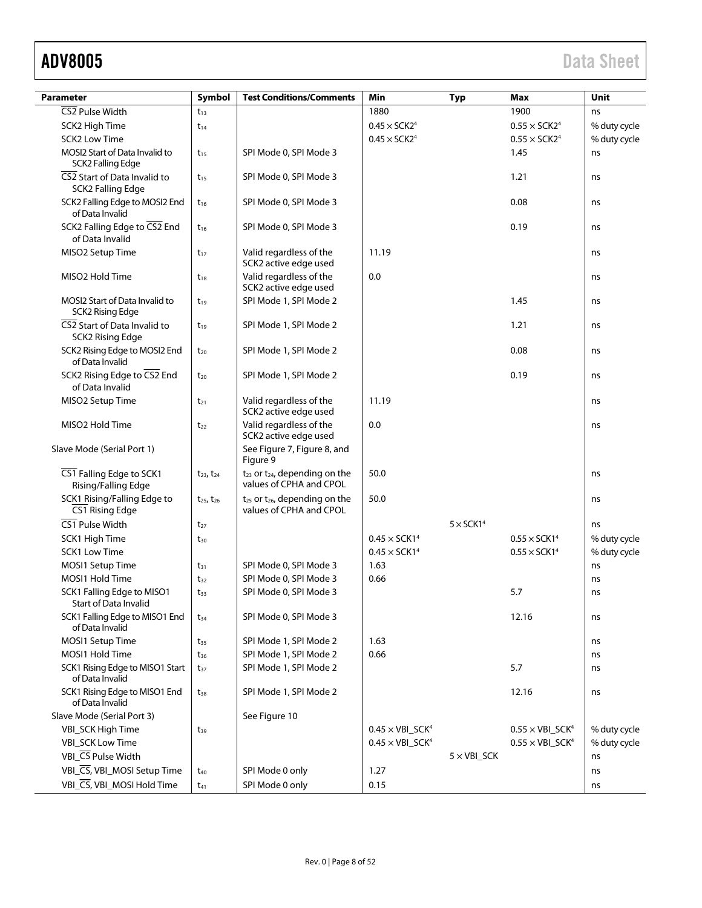## ADV8005 Data Sheet

| <b>Parameter</b>                                           | Symbol              | <b>Test Conditions/Comments</b>                                    | Min                             | <b>Typ</b>                   | Max                             | <b>Unit</b>  |
|------------------------------------------------------------|---------------------|--------------------------------------------------------------------|---------------------------------|------------------------------|---------------------------------|--------------|
| CS2 Pulse Width                                            | $t_{13}$            |                                                                    | 1880                            |                              | 1900                            | ns           |
| SCK2 High Time                                             | $t_{14}$            |                                                                    | $0.45 \times$ SCK2 <sup>4</sup> |                              | $0.55 \times SCK24$             | % duty cycle |
| <b>SCK2 Low Time</b>                                       |                     |                                                                    | $0.45 \times$ SCK2 <sup>4</sup> |                              | $0.55 \times$ SCK2 <sup>4</sup> | % duty cycle |
| MOSI2 Start of Data Invalid to<br><b>SCK2 Falling Edge</b> | $t_{15}$            | SPI Mode 0, SPI Mode 3                                             |                                 |                              | 1.45                            | ns           |
| CS2 Start of Data Invalid to<br>SCK2 Falling Edge          | $t_{15}$            | SPI Mode 0, SPI Mode 3                                             |                                 |                              | 1.21                            | ns           |
| SCK2 Falling Edge to MOSI2 End<br>of Data Invalid          | $t_{16}$            | SPI Mode 0, SPI Mode 3                                             |                                 |                              | 0.08                            | ns           |
| SCK2 Falling Edge to CS2 End<br>of Data Invalid            | $t_{16}$            | SPI Mode 0, SPI Mode 3                                             |                                 |                              | 0.19                            | ns           |
| MISO2 Setup Time                                           | $t_{17}$            | Valid regardless of the<br>SCK2 active edge used                   | 11.19                           |                              |                                 | ns           |
| MISO2 Hold Time                                            | $t_{18}$            | Valid regardless of the<br>SCK2 active edge used                   | 0.0                             |                              |                                 | ns           |
| MOSI2 Start of Data Invalid to<br><b>SCK2 Rising Edge</b>  | $t_{19}$            | SPI Mode 1, SPI Mode 2                                             |                                 |                              | 1.45                            | ns           |
| CS2 Start of Data Invalid to<br><b>SCK2 Rising Edge</b>    | $t_{19}$            | SPI Mode 1, SPI Mode 2                                             |                                 |                              | 1.21                            | ns           |
| SCK2 Rising Edge to MOSI2 End<br>of Data Invalid           | $t_{20}$            | SPI Mode 1, SPI Mode 2                                             |                                 |                              | 0.08                            | ns           |
| SCK2 Rising Edge to CS2 End<br>of Data Invalid             | $t_{20}$            | SPI Mode 1, SPI Mode 2                                             |                                 |                              | 0.19                            | ns           |
| MISO2 Setup Time                                           | $t_{21}$            | Valid regardless of the<br>SCK2 active edge used                   | 11.19                           |                              |                                 | ns           |
| MISO2 Hold Time                                            | $t_{22}$            | Valid regardless of the<br>SCK2 active edge used                   | 0.0                             |                              |                                 | ns           |
| Slave Mode (Serial Port 1)                                 |                     | See Figure 7, Figure 8, and<br>Figure 9                            |                                 |                              |                                 |              |
| CS1 Falling Edge to SCK1<br>Rising/Falling Edge            | $t_{23}$ , $t_{24}$ | $t_{23}$ or $t_{24}$ , depending on the<br>values of CPHA and CPOL | 50.0                            |                              |                                 | ns           |
| SCK1 Rising/Falling Edge to<br>CS1 Rising Edge             | $t_{25}$ , $t_{26}$ | $t_{25}$ or $t_{26}$ , depending on the<br>values of CPHA and CPOL | 50.0                            |                              |                                 | ns           |
| CS1 Pulse Width                                            | $t_{27}$            |                                                                    |                                 | $5 \times$ SCK1 <sup>4</sup> |                                 | ns           |
| SCK1 High Time                                             | $t_{30}$            |                                                                    | $0.45 \times$ SCK1 <sup>4</sup> |                              | $0.55 \times SCK14$             | % duty cycle |
| <b>SCK1 Low Time</b>                                       |                     |                                                                    | $0.45 \times SCK14$             |                              | $0.55 \times SCK14$             | % duty cycle |
| MOSI1 Setup Time                                           | $t_{31}$            | SPI Mode 0, SPI Mode 3                                             | 1.63                            |                              |                                 | ns           |
| MOSI1 Hold Time                                            | $t_{32}$            | SPI Mode 0, SPI Mode 3                                             | 0.66                            |                              |                                 | ns           |
| SCK1 Falling Edge to MISO1<br><b>Start of Data Invalid</b> | $t_{33}$            | SPI Mode 0, SPI Mode 3                                             |                                 |                              | 5.7                             | ns           |
| SCK1 Falling Edge to MISO1 End<br>of Data Invalid          | $t_{34}$            | SPI Mode 0, SPI Mode 3                                             |                                 |                              | 12.16                           | ns           |
| MOSI1 Setup Time                                           | $t_{35}$            | SPI Mode 1, SPI Mode 2                                             | 1.63                            |                              |                                 | ns           |
| MOSI1 Hold Time                                            | $t_{36}$            | SPI Mode 1, SPI Mode 2                                             | 0.66                            |                              |                                 | ns           |
| SCK1 Rising Edge to MISO1 Start<br>of Data Invalid         | $t_{37}$            | SPI Mode 1, SPI Mode 2                                             |                                 |                              | 5.7                             | ns           |
| SCK1 Rising Edge to MISO1 End<br>of Data Invalid           | $t_{38}$            | SPI Mode 1, SPI Mode 2                                             |                                 |                              | 12.16                           | ns           |
| Slave Mode (Serial Port 3)                                 |                     | See Figure 10                                                      |                                 |                              |                                 |              |
| VBI_SCK High Time                                          | $t_{39}$            |                                                                    | $0.45 \times VBI\_SCK4$         |                              | $0.55 \times VBI\_SCK4$         | % duty cycle |
| <b>VBI_SCK Low Time</b>                                    |                     |                                                                    | $0.45 \times VBI\_SCK4$         |                              | $0.55 \times VBI\_SCK4$         | % duty cycle |
| VBI_CS Pulse Width                                         |                     |                                                                    |                                 | $5 \times VBI\_SCK$          |                                 | ns           |
| VBI_CS, VBI_MOSI Setup Time                                | $t_{40}$            | SPI Mode 0 only                                                    | 1.27                            |                              |                                 | ns           |
| VBI_CS, VBI_MOSI Hold Time                                 | $t_{41}$            | SPI Mode 0 only                                                    | 0.15                            |                              |                                 | ns           |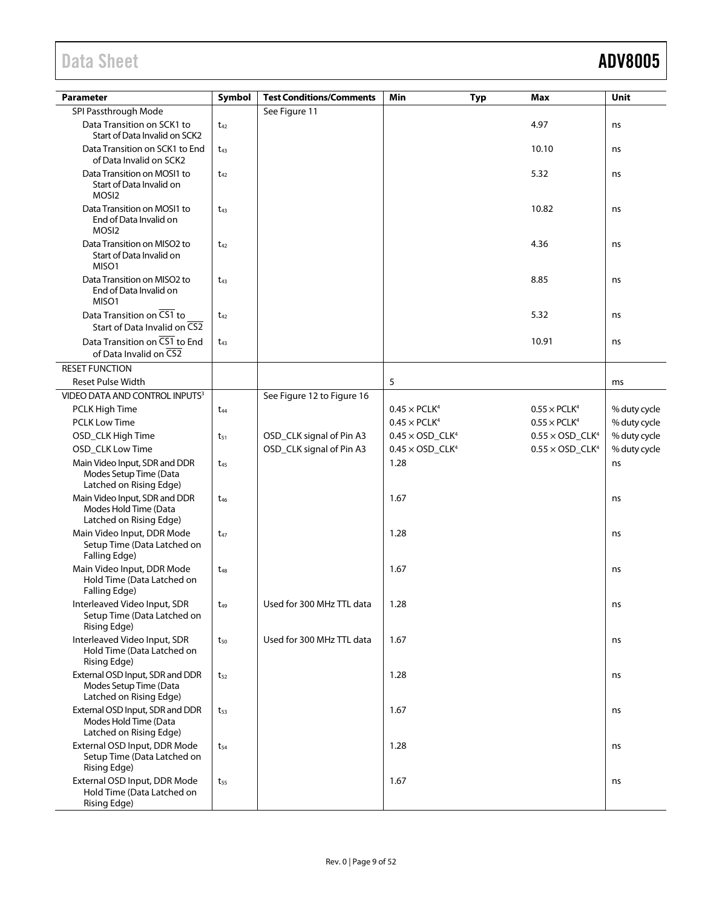| <b>Parameter</b>                                                                     | Symbol   | <b>Test Conditions/Comments</b> | Min<br><b>Typ</b>                  | Max                                | Unit         |
|--------------------------------------------------------------------------------------|----------|---------------------------------|------------------------------------|------------------------------------|--------------|
| SPI Passthrough Mode                                                                 |          | See Figure 11                   |                                    |                                    |              |
| Data Transition on SCK1 to<br>Start of Data Invalid on SCK2                          | $t_{42}$ |                                 |                                    | 4.97                               | ns           |
| Data Transition on SCK1 to End<br>of Data Invalid on SCK2                            | $t_{43}$ |                                 |                                    | 10.10                              | ns           |
| Data Transition on MOSI1 to<br>Start of Data Invalid on<br>MOSI <sub>2</sub>         | $t_{42}$ |                                 |                                    | 5.32                               | ns           |
| Data Transition on MOSI1 to<br>End of Data Invalid on<br>MOSI <sub>2</sub>           | $t_{43}$ |                                 |                                    | 10.82                              | ns           |
| Data Transition on MISO2 to<br>Start of Data Invalid on<br>MISO1                     | $t_{42}$ |                                 |                                    | 4.36                               | ns           |
| Data Transition on MISO2 to<br>End of Data Invalid on<br>MISO1                       | $t_{43}$ |                                 |                                    | 8.85                               | ns           |
| Data Transition on CS1 to<br>Start of Data Invalid on CS2                            | $t_{42}$ |                                 |                                    | 5.32                               | ns           |
| Data Transition on CS1 to End<br>of Data Invalid on CS2                              | $t_{43}$ |                                 |                                    | 10.91                              | ns           |
| <b>RESET FUNCTION</b>                                                                |          |                                 |                                    |                                    |              |
| <b>Reset Pulse Width</b>                                                             |          |                                 | 5                                  |                                    | ms           |
| VIDEO DATA AND CONTROL INPUTS <sup>3</sup>                                           |          | See Figure 12 to Figure 16      |                                    |                                    |              |
| PCLK High Time                                                                       | $t_{44}$ |                                 | $0.45 \times PCLK4$                | $0.55 \times PCLK4$                | % duty cycle |
| <b>PCLK Low Time</b>                                                                 |          |                                 | $0.45 \times PCLK4$                | $0.55 \times PCLK4$                | % duty cycle |
| OSD_CLK High Time                                                                    | $t_{51}$ | OSD_CLK signal of Pin A3        | $0.45 \times$ OSD_CLK <sup>4</sup> | $0.55 \times$ OSD_CLK <sup>4</sup> | % duty cycle |
| OSD_CLK Low Time                                                                     |          | OSD_CLK signal of Pin A3        | $0.45 \times$ OSD_CLK <sup>4</sup> | $0.55 \times$ OSD_CLK <sup>4</sup> | % duty cycle |
| Main Video Input, SDR and DDR<br>Modes Setup Time (Data<br>Latched on Rising Edge)   | $t_{45}$ |                                 | 1.28                               |                                    | ns           |
| Main Video Input, SDR and DDR<br>Modes Hold Time (Data<br>Latched on Rising Edge)    | $t_{46}$ |                                 | 1.67                               |                                    | ns           |
| Main Video Input, DDR Mode<br>Setup Time (Data Latched on<br>Falling Edge)           | $t_{47}$ |                                 | 1.28                               |                                    | ns           |
| Main Video Input, DDR Mode<br>Hold Time (Data Latched on<br>Falling Edge)            | $t_{48}$ |                                 | 1.67                               |                                    | ns           |
| Interleaved Video Input, SDR<br>Setup Time (Data Latched on<br><b>Rising Edge)</b>   | $t_{49}$ | Used for 300 MHz TTL data       | 1.28                               |                                    | ns           |
| Interleaved Video Input, SDR<br>Hold Time (Data Latched on<br><b>Rising Edge)</b>    | $t_{50}$ | Used for 300 MHz TTL data       | 1.67                               |                                    | ns           |
| External OSD Input, SDR and DDR<br>Modes Setup Time (Data<br>Latched on Rising Edge) | $t_{52}$ |                                 | 1.28                               |                                    | ns           |
| External OSD Input, SDR and DDR<br>Modes Hold Time (Data<br>Latched on Rising Edge)  | $t_{53}$ |                                 | 1.67                               |                                    | ns           |
| External OSD Input, DDR Mode<br>Setup Time (Data Latched on<br><b>Rising Edge)</b>   | $t_{54}$ |                                 | 1.28                               |                                    | ns           |
| External OSD Input, DDR Mode<br>Hold Time (Data Latched on<br><b>Rising Edge)</b>    | $t_{55}$ |                                 | 1.67                               |                                    | ns           |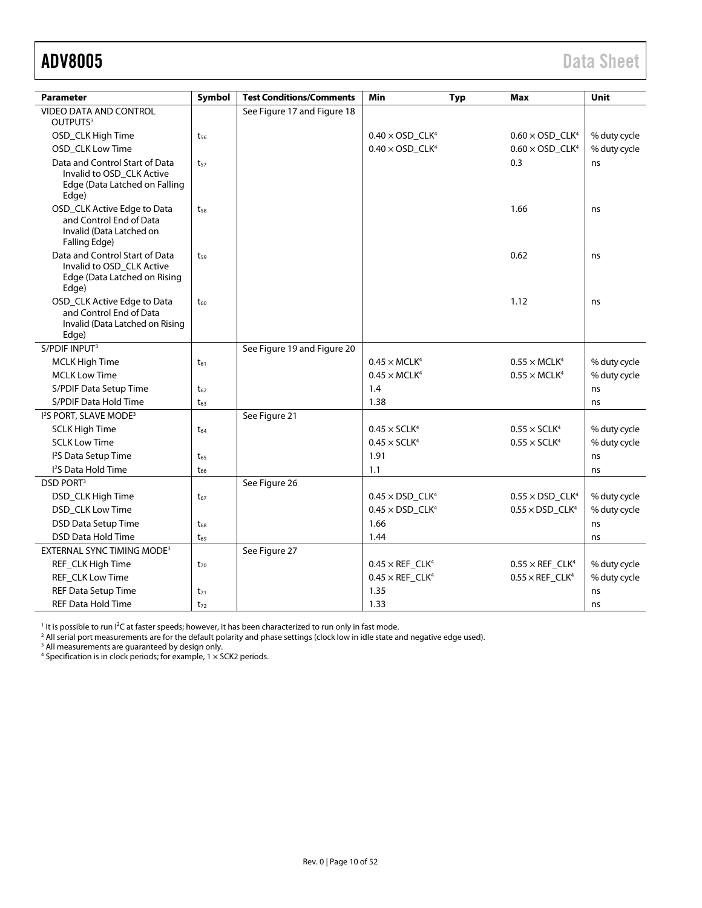<span id="page-9-0"></span>ADV8005 Data Sheet

| <b>Parameter</b>                                                                                      | Symbol   | <b>Test Conditions/Comments</b> | Min                                | <b>Typ</b> | Max                                | Unit         |
|-------------------------------------------------------------------------------------------------------|----------|---------------------------------|------------------------------------|------------|------------------------------------|--------------|
| VIDEO DATA AND CONTROL<br>OUTPUTS <sup>3</sup>                                                        |          | See Figure 17 and Figure 18     |                                    |            |                                    |              |
| OSD_CLK High Time                                                                                     | $t_{56}$ |                                 | $0.40 \times$ OSD_CLK <sup>4</sup> |            | $0.60 \times$ OSD CLK <sup>4</sup> | % duty cycle |
| OSD_CLK Low Time                                                                                      |          |                                 | $0.40 \times$ OSD_CLK <sup>4</sup> |            | $0.60 \times$ OSD_CLK <sup>4</sup> | % duty cycle |
| Data and Control Start of Data<br>Invalid to OSD CLK Active<br>Edge (Data Latched on Falling<br>Edge) | $t_{57}$ |                                 |                                    |            | 0.3                                | ns           |
| OSD_CLK Active Edge to Data<br>and Control End of Data<br>Invalid (Data Latched on<br>Falling Edge)   | $t_{58}$ |                                 |                                    |            | 1.66                               | ns           |
| Data and Control Start of Data<br>Invalid to OSD CLK Active<br>Edge (Data Latched on Rising<br>Edge)  | $t_{59}$ |                                 |                                    |            | 0.62                               | ns           |
| OSD_CLK Active Edge to Data<br>and Control End of Data<br>Invalid (Data Latched on Rising<br>Edge)    | $t_{60}$ |                                 |                                    |            | 1.12                               | ns           |
| S/PDIF INPUT <sup>3</sup>                                                                             |          | See Figure 19 and Figure 20     |                                    |            |                                    |              |
| <b>MCLK High Time</b>                                                                                 | $t_{61}$ |                                 | $0.45 \times MCLK4$                |            | $0.55 \times MCLK4$                | % duty cycle |
| <b>MCLK Low Time</b>                                                                                  |          |                                 | $0.45 \times MCLK4$                |            | $0.55 \times MCLK4$                | % duty cycle |
| S/PDIF Data Setup Time                                                                                | $t_{62}$ |                                 | 1.4                                |            |                                    | ns           |
| S/PDIF Data Hold Time                                                                                 | $t_{63}$ |                                 | 1.38                               |            |                                    | ns           |
| I <sup>2</sup> S PORT, SLAVE MODE <sup>3</sup>                                                        |          | See Figure 21                   |                                    |            |                                    |              |
| <b>SCLK High Time</b>                                                                                 | $t_{64}$ |                                 | $0.45 \times \text{SCLK}^4$        |            | $0.55 \times \text{SCLK}^4$        | % duty cycle |
| <b>SCLK Low Time</b>                                                                                  |          |                                 | $0.45 \times \text{SCLK}^4$        |            | $0.55 \times \text{SCLK}^4$        | % duty cycle |
| I <sup>2</sup> S Data Setup Time                                                                      | $t_{65}$ |                                 | 1.91                               |            |                                    | ns           |
| <sup>12</sup> S Data Hold Time                                                                        | $t_{66}$ |                                 | 1.1                                |            |                                    | ns           |
| <b>DSD PORT3</b>                                                                                      |          | See Figure 26                   |                                    |            |                                    |              |
| DSD_CLK High Time                                                                                     | $t_{67}$ |                                 | $0.45 \times$ DSD_CLK <sup>4</sup> |            | $0.55 \times$ DSD CLK <sup>4</sup> | % duty cycle |
| DSD_CLK Low Time                                                                                      |          |                                 | $0.45 \times$ DSD_CLK <sup>4</sup> |            | $0.55 \times$ DSD_CLK <sup>4</sup> | % duty cycle |
| <b>DSD Data Setup Time</b>                                                                            | $t_{68}$ |                                 | 1.66                               |            |                                    | ns           |
| <b>DSD Data Hold Time</b>                                                                             | $t_{69}$ |                                 | 1.44                               |            |                                    | ns           |
| EXTERNAL SYNC TIMING MODE <sup>3</sup>                                                                |          | See Figure 27                   |                                    |            |                                    |              |
| REF_CLK High Time                                                                                     | $t_{70}$ |                                 | $0.45 \times$ REF_CLK <sup>4</sup> |            | $0.55 \times$ REF_CLK <sup>4</sup> | % duty cycle |
| REF_CLK Low Time                                                                                      |          |                                 | $0.45 \times$ REF_CLK <sup>4</sup> |            | $0.55 \times$ REF_CLK <sup>4</sup> | % duty cycle |
| REF Data Setup Time                                                                                   | $t_{71}$ |                                 | 1.35                               |            |                                    | ns           |
| <b>REF Data Hold Time</b>                                                                             | $t_{72}$ |                                 | 1.33                               |            |                                    | ns           |

<sup>1</sup> It is possible to run I<sup>2</sup>C at faster speeds; however, it has been characterized to run only in fast mode.<br><sup>2</sup> All serial port measurements are for the default polarity and phase settings (clock low in idle state and n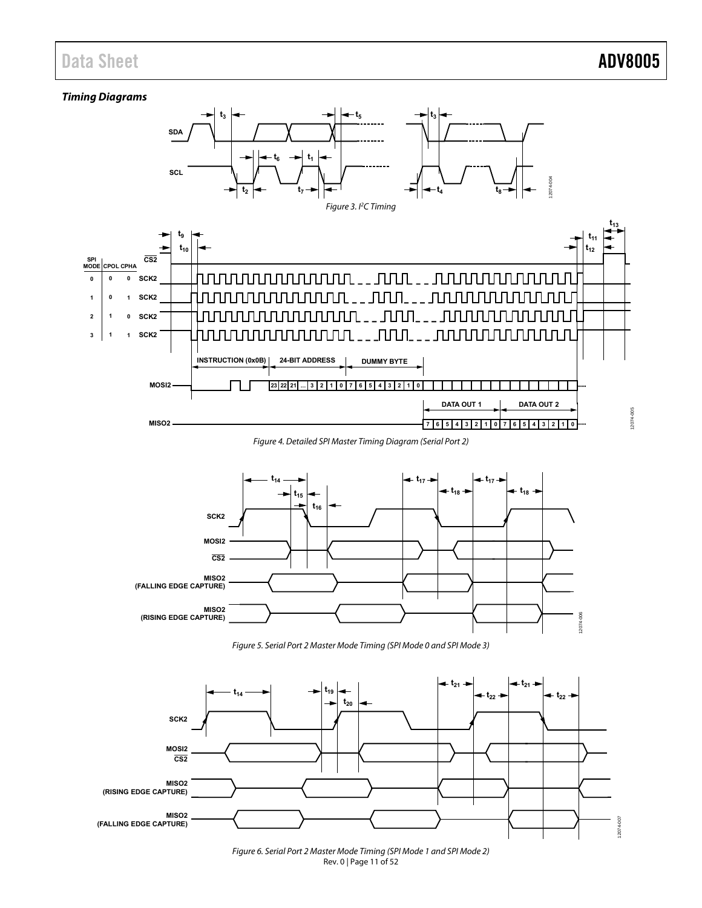### **Timing Diagrams**

<span id="page-10-0"></span>

Figure 4. Detailed SPI Master Timing Diagram (Serial Port 2)

<span id="page-10-1"></span>

Figure 5. Serial Port 2 Master Mode Timing (SPI Mode 0 and SPI Mode 3)

<span id="page-10-7"></span><span id="page-10-6"></span><span id="page-10-5"></span><span id="page-10-4"></span><span id="page-10-2"></span>

<span id="page-10-3"></span>Rev. 0 | Page 11 of 52 Figure 6. Serial Port 2 Master Mode Timing (SPI Mode 1 and SPI Mode 2)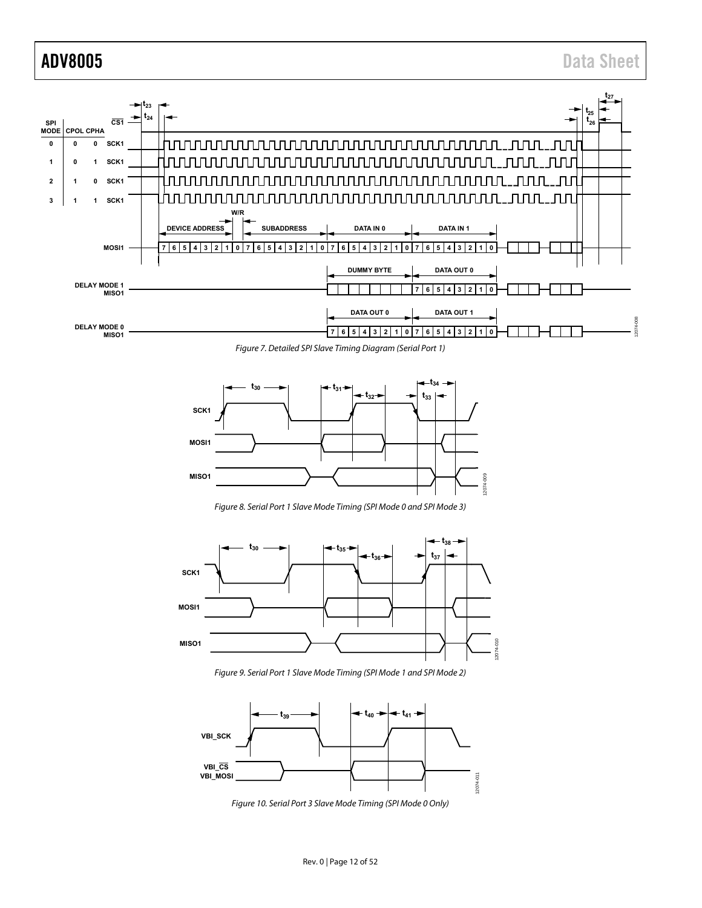

<span id="page-11-0"></span>

Figure 8. Serial Port 1 Slave Mode Timing (SPI Mode 0 and SPI Mode 3)

<span id="page-11-1"></span>

Figure 9. Serial Port 1 Slave Mode Timing (SPI Mode 1 and SPI Mode 2)

<span id="page-11-3"></span><span id="page-11-2"></span>

Figure 10. Serial Port 3 Slave Mode Timing (SPI Mode 0 Only)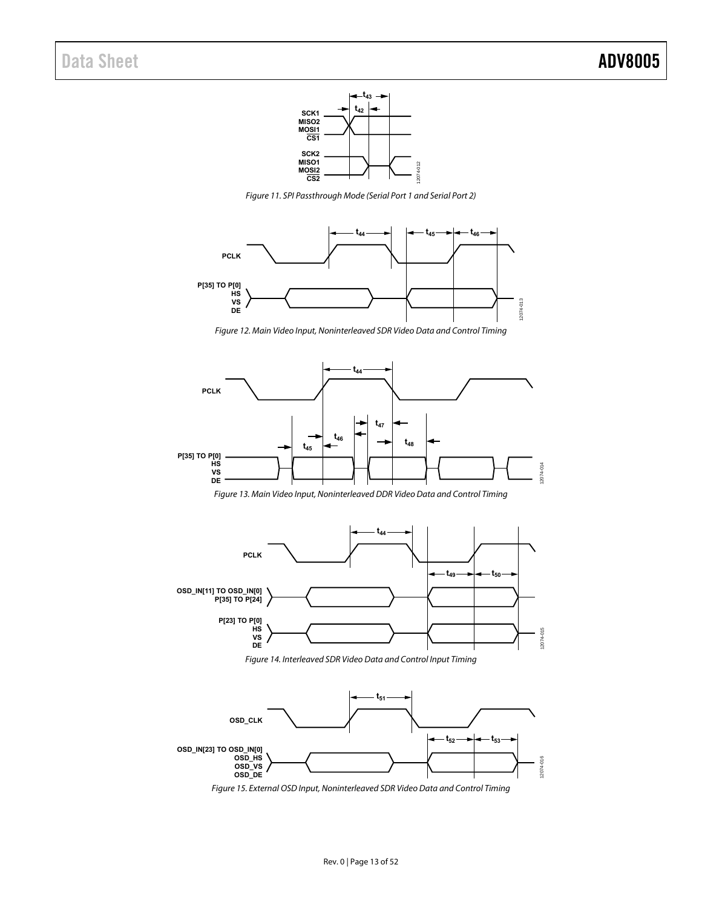

Figure 11. SPI Passthrough Mode (Serial Port 1 and Serial Port 2)



Figure 12. Main Video Input, Noninterleaved SDR Video Data and Control Timing

<span id="page-12-1"></span>

<span id="page-12-0"></span>

Figure 14. Interleaved SDR Video Data and Control Input Timing

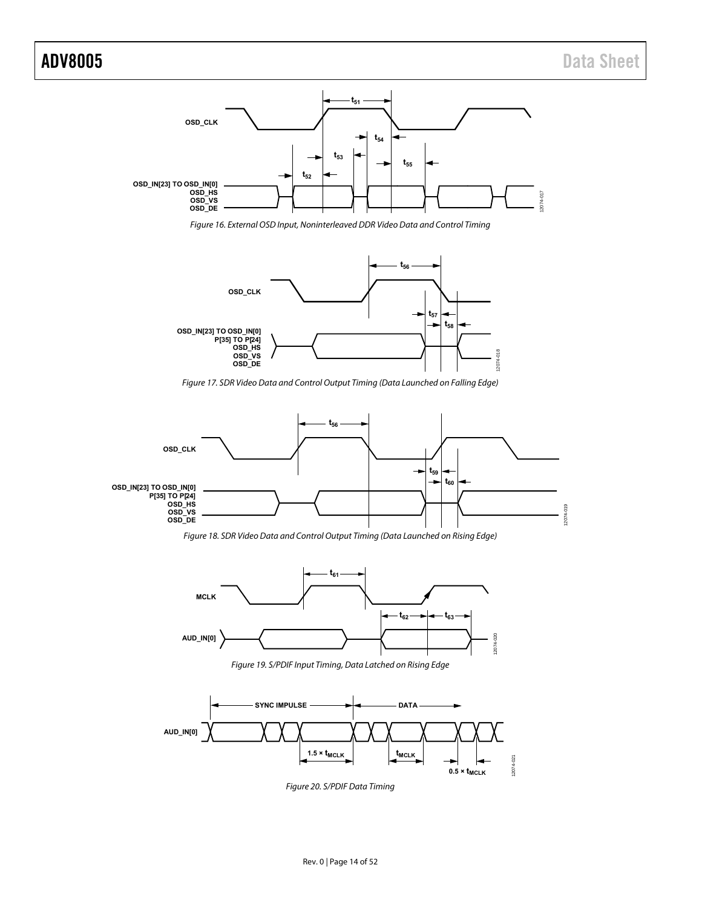

Figure 16. External OSD Input, Noninterleaved DDR Video Data and Control Timing

<span id="page-13-0"></span>

Figure 17. SDR Video Data and Control Output Timing (Data Launched on Falling Edge)

<span id="page-13-2"></span><span id="page-13-1"></span>

Figure 18. SDR Video Data and Control Output Timing (Data Launched on Rising Edge)



Figure 19. S/PDIF Input Timing, Data Latched on Rising Edge

<span id="page-13-4"></span><span id="page-13-3"></span>

Figure 20. S/PDIF Data Timing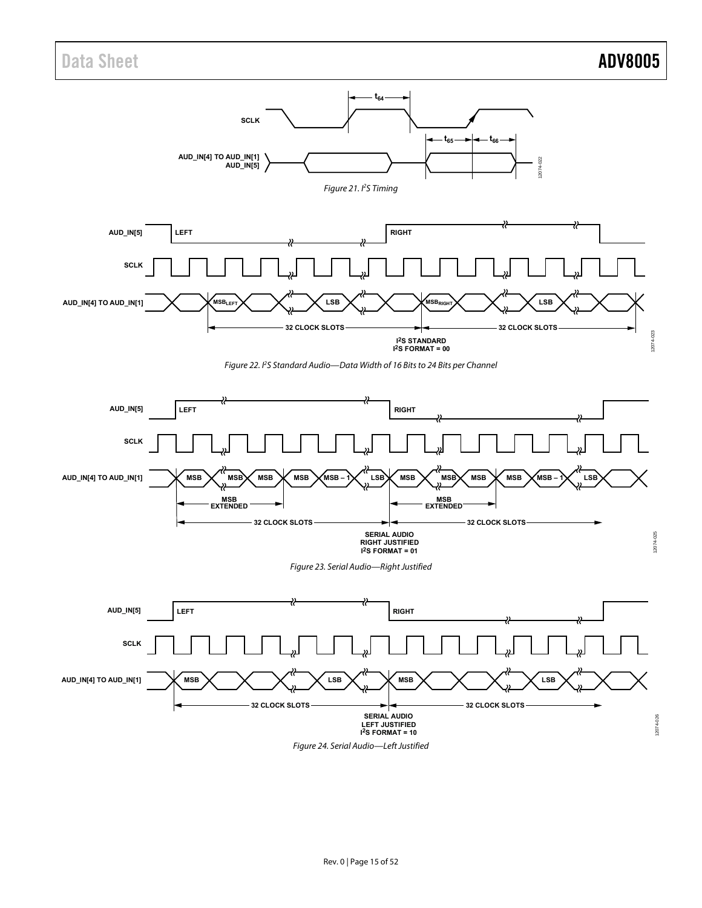<span id="page-14-0"></span>





Figure 24. Serial Audio—Left Justified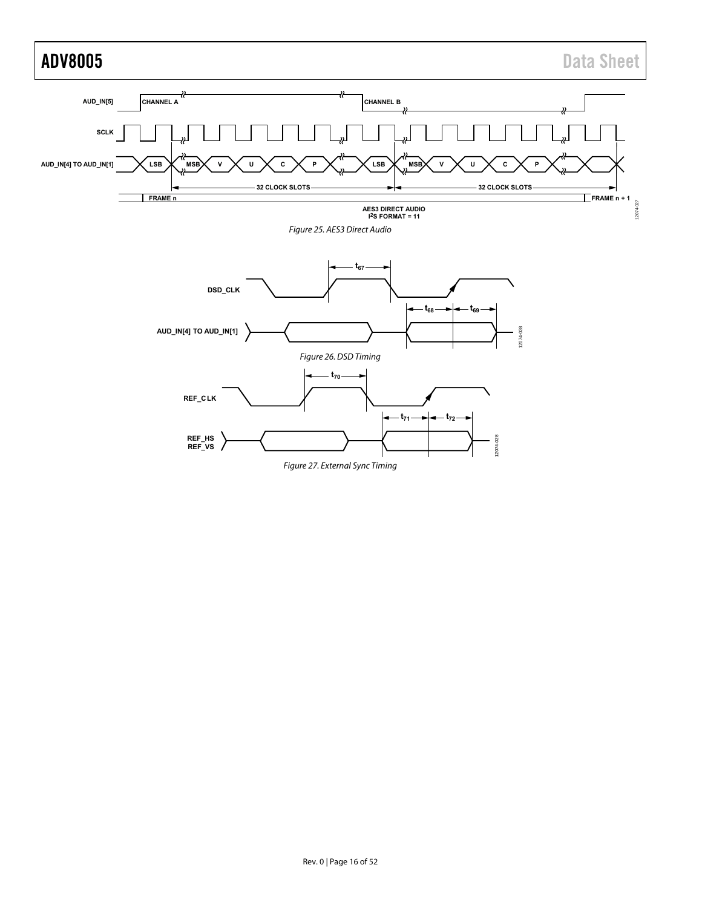<span id="page-15-1"></span><span id="page-15-0"></span>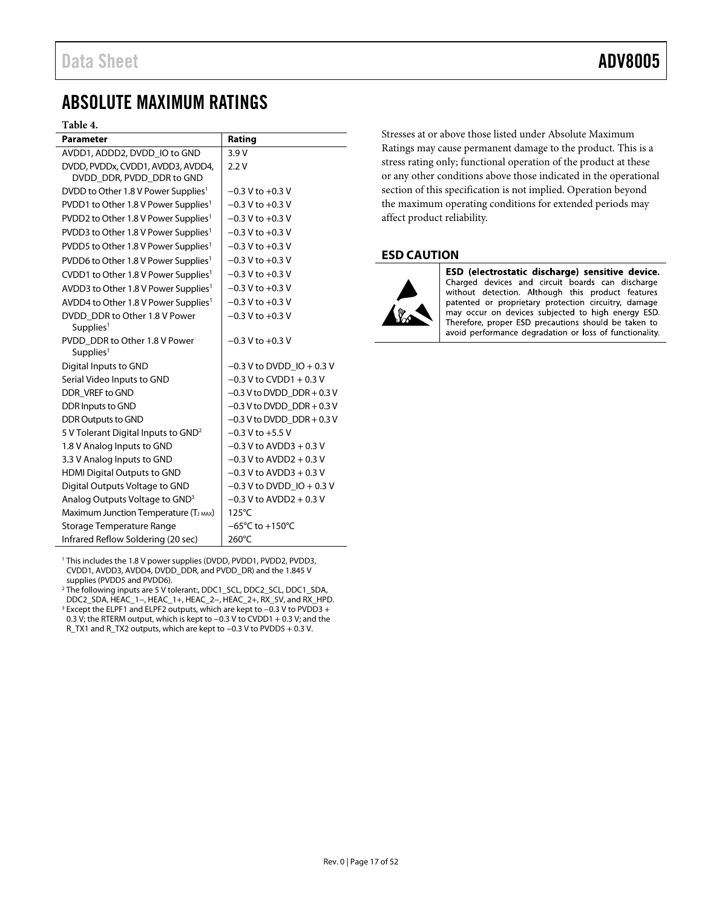## <span id="page-16-0"></span>ABSOLUTE MAXIMUM RATINGS

### **Table 4.**

| <b>Parameter</b>                                               | Rating                              |
|----------------------------------------------------------------|-------------------------------------|
| AVDD1, ADDD2, DVDD_IO to GND                                   | 3.9V                                |
| DVDD, PVDDx, CVDD1, AVDD3, AVDD4,<br>DVDD DDR, PVDD DDR to GND | 2.2V                                |
| DVDD to Other 1.8 V Power Supplies <sup>1</sup>                | $-0.3$ V to $+0.3$ V                |
| PVDD1 to Other 1.8 V Power Supplies <sup>1</sup>               | $-0.3$ V to $+0.3$ V                |
| PVDD2 to Other 1.8 V Power Supplies <sup>1</sup>               | $-0.3$ V to $+0.3$ V                |
| PVDD3 to Other 1.8 V Power Supplies <sup>1</sup>               | $-0.3$ V to $+0.3$ V                |
| PVDD5 to Other 1.8 V Power Supplies <sup>1</sup>               | $-0.3$ V to $+0.3$ V                |
| PVDD6 to Other 1.8 V Power Supplies <sup>1</sup>               | $-0.3$ V to $+0.3$ V                |
| CVDD1 to Other 1.8 V Power Supplies <sup>1</sup>               | $-0.3$ V to $+0.3$ V                |
| AVDD3 to Other 1.8 V Power Supplies <sup>1</sup>               | $-0.3$ V to $+0.3$ V                |
| AVDD4 to Other 1.8 V Power Supplies <sup>1</sup>               | $-0.3$ V to $+0.3$ V                |
| DVDD DDR to Other 1.8 V Power<br>Supplies <sup>1</sup>         | $-0.3$ V to $+0.3$ V                |
| PVDD DDR to Other 1.8 V Power<br>Supplies <sup>1</sup>         | $-0.3$ V to $+0.3$ V                |
| Digital Inputs to GND                                          | $-0.3$ V to DVDD IO + 0.3 V         |
| Serial Video Inputs to GND                                     | $-0.3$ V to CVDD1 + 0.3 V           |
| DDR VREF to GND                                                | $-0.3$ V to DVDD DDR + 0.3 V        |
| DDR Inputs to GND                                              | $-0.3$ V to DVDD DDR + 0.3 V        |
| <b>DDR Outputs to GND</b>                                      | $-0.3$ V to DVDD DDR + 0.3 V        |
| 5 V Tolerant Digital Inputs to GND <sup>2</sup>                | $-0.3$ V to $+5.5$ V                |
| 1.8 V Analog Inputs to GND                                     | $-0.3$ V to AVDD3 + 0.3 V           |
| 3.3 V Analog Inputs to GND                                     | $-0.3$ V to AVDD2 + 0.3 V           |
| <b>HDMI Digital Outputs to GND</b>                             | $-0.3$ V to AVDD3 + 0.3 V           |
| Digital Outputs Voltage to GND                                 | $-0.3$ V to DVDD IO + 0.3 V         |
| Analog Outputs Voltage to GND <sup>3</sup>                     | $-0.3$ V to AVDD2 + 0.3 V           |
| Maximum Junction Temperature (TJ MAX)                          | 125°C                               |
| Storage Temperature Range                                      | $-65^{\circ}$ C to $+150^{\circ}$ C |
| Infrared Reflow Soldering (20 sec)                             | 260°C                               |

<span id="page-16-2"></span><sup>1</sup> This includes the 1.8 V power supplies (DVDD, PVDD1, PVDD2, PVDD3, CVDD1, AVDD3, AVDD4, DVDD\_DDR, and PVDD\_DR) and the 1.845 V supplies (PVDD5 and PVDD6).

<span id="page-16-4"></span><span id="page-16-3"></span><sup>2</sup> The following inputs are 5 V tolerant:, DDC1\_SCL, DDC2\_SCL, DDC1\_SDA, DDC2\_SDA, HEAC\_1−, HEAC\_1+, HEAC\_2−, HEAC\_2+, RX\_5V, and RX\_HPD. <sup>3</sup> Except the ELPF1 and ELPF2 outputs, which are kept to −0.3 V to PVDD3 + 0.3 V; the RTERM output, which is kept to −0.3 V to CVDD1 + 0.3 V; and the R\_TX1 and R\_TX2 outputs, which are kept to −0.3 V to PVDD5 + 0.3 V.

Stresses at or above those listed under Absolute Maximum Ratings may cause permanent damage to the product. This is a stress rating only; functional operation of the product at these or any other conditions above those indicated in the operational section of this specification is not implied. Operation beyond the maximum operating conditions for extended periods may affect product reliability.

### <span id="page-16-1"></span>**ESD CAUTION**



ESD (electrostatic discharge) sensitive device. Charged devices and circuit boards can discharge without detection. Although this product features patented or proprietary protection circuitry, damage may occur on devices subjected to high energy ESD. Therefore, proper ESD precautions should be taken to avoid performance degradation or loss of functionality.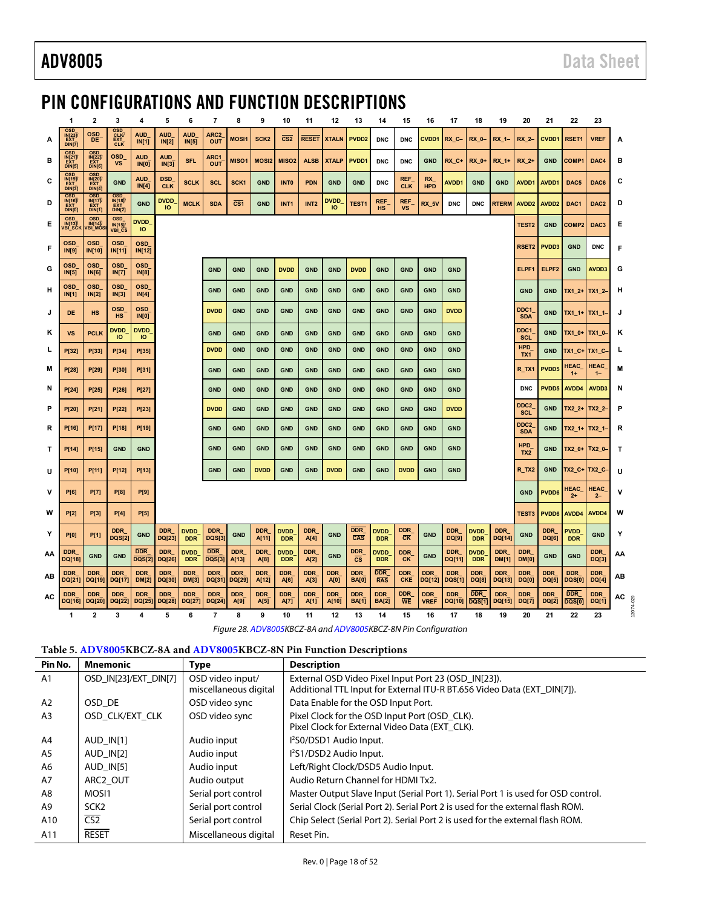## <span id="page-17-0"></span>PIN CONFIGURATIONS AND FUNCTION DESCRIPTIONS

|    | 1                                                         | $\mathbf{2}$                                             | 3                                             | 4                                | 5                              | 6                         | $\overline{7}$              | 8                       | 9                   | 10                        | 11                 | 12                             | 13                            | 14                         | 15                            | 16                        | 17                          | 18                        | 19                         | 20                             | 21                         | 22                          | 23                   |       |
|----|-----------------------------------------------------------|----------------------------------------------------------|-----------------------------------------------|----------------------------------|--------------------------------|---------------------------|-----------------------------|-------------------------|---------------------|---------------------------|--------------------|--------------------------------|-------------------------------|----------------------------|-------------------------------|---------------------------|-----------------------------|---------------------------|----------------------------|--------------------------------|----------------------------|-----------------------------|----------------------|-------|
| A  | OSD<br><b>INF231</b><br><b>FYT</b><br>DIN <sub>[7]</sub>  | <b>OSD</b><br>DE                                         | OSD <sub>CLK</sub><br><b>EXT</b><br>CLK       | <b>AUD</b><br>IN[1]              | <b>AUD</b><br>IN[2]            | <b>AUD</b><br>IN[5]       | ARC <sub>2</sub><br>OUT     | <b>MOSI1</b>            | SCK <sub>2</sub>    | CS <sub>2</sub>           | <b>RESET</b>       | <b>XTALN</b>                   | PVDD <sub>2</sub>             | <b>DNC</b>                 | <b>DNC</b>                    | <b>CVDD1</b>              | RX C-                       | RX 0-                     | RX 1-                      | RX 2-                          | CVDD1                      | RSET1                       | <b>VREF</b>          | A     |
| в  | <b>OSD</b><br>IN[21]/<br><b>FYT</b><br>DIN[5]             | <b>OSD</b><br>$IN[22]\overline{V}$<br>DIN <sub>[6]</sub> | OSD<br><b>VS</b>                              | AUD <sub>.</sub><br><b>IN[0]</b> | AUD<br>IN[3]                   | <b>SFL</b>                | ARC1<br><b>OUT</b>          | MISO <sub>1</sub>       | <b>MOSI2</b>        | MISO <sub>2</sub>         | <b>ALSB</b>        | <b>XTALP</b>                   | PVDD <sub>1</sub>             | <b>DNC</b>                 | <b>DNC</b>                    | <b>GND</b>                | RX C+                       | <b>RX 0+</b>              | RX 1+                      | RX 2+                          | <b>GND</b>                 | COMP <sub>1</sub>           | DAC4                 | в     |
| С  | <b>OSD</b><br><b>IN[19]</b><br>DIN(3)                     | <b>OSD</b><br>N(20)<br>DIN[4]                            | <b>GND</b>                                    | AUD <sub>.</sub><br>IN[4]        | DSD <sub>.</sub><br><b>CLK</b> | <b>SCLK</b>               | <b>SCL</b>                  | SCK <sub>1</sub>        | <b>GND</b>          | <b>INTO</b>               | <b>PDN</b>         | <b>GND</b>                     | <b>GND</b>                    | <b>DNC</b>                 | <b>REF</b><br><b>CLK</b>      | RX<br><b>HPD</b>          | <b>AVDD1</b>                | <b>GND</b>                | <b>GND</b>                 | AVDD1                          | AVDD1                      | DAC <sub>5</sub>            | DAC6                 | С     |
| D  | OSD <sub>.</sub><br>IN[16]<br><b>EXT</b><br><b>DIN[0]</b> | OSD_<br>IN[17]<br>DIN[1]                                 | <b>OSD</b><br>IN[18]<br>DIN[2]                | <b>GND</b>                       | DVDD <sub>.</sub><br><b>IO</b> | <b>MCLK</b>               | <b>SDA</b>                  | $\overline{\text{CS1}}$ | <b>GND</b>          | INT <sub>1</sub>          | INT <sub>2</sub>   | DVDD <sub>.</sub><br><b>IO</b> | TEST <sub>1</sub>             | <b>REF</b><br><b>HS</b>    | <b>REF</b><br><b>VS</b>       | RX_5V                     | <b>DNC</b>                  | <b>DNC</b>                | <b>RTERM</b>               | AVDD <sub>2</sub>              | AVDD <sub>2</sub>          | DAC1                        | DAC <sub>2</sub>     | D     |
| Е  | <b>OSD</b><br>IN[13]/<br>VBI_SCK                          | <b>OSD</b><br>IN[14]/<br>VBI_MOS                         | <b>OSD</b><br><b>IN[15]/</b><br><b>VBI CS</b> | <b>DVDD</b><br>ю                 |                                |                           |                             |                         |                     |                           |                    |                                |                               |                            |                               |                           |                             |                           |                            | TEST <sub>2</sub>              | <b>GND</b>                 | COMP <sub>2</sub>           | DAC <sub>3</sub>     | Е     |
| F  | <b>OSD</b><br><b>IN[9]</b>                                | <b>OSD</b><br>IN[10]                                     | <b>OSD</b><br>IN[11]                          | <b>OSD</b><br>IN[12]             |                                |                           |                             |                         |                     |                           |                    |                                |                               |                            |                               |                           |                             |                           |                            | RSET <sub>2</sub>              | PVDD3                      | <b>GND</b>                  | <b>DNC</b>           | F     |
| G  | <b>OSD</b><br><b>IN[5]</b>                                | <b>OSD</b><br><b>IN[6]</b>                               | <b>OSD</b><br><b>IN[7]</b>                    | <b>OSD</b><br>IN[8]              |                                |                           | <b>GND</b>                  | <b>GND</b>              | <b>GND</b>          | <b>DVDD</b>               | <b>GND</b>         | <b>GND</b>                     | <b>DVDD</b>                   | <b>GND</b>                 | <b>GND</b>                    | <b>GND</b>                | <b>GND</b>                  |                           |                            | ELPF1                          | ELPF <sub>2</sub>          | <b>GND</b>                  | AVDD3                | G     |
| н  | <b>OSD</b><br><b>IN[1]</b>                                | <b>OSD</b><br>IN[2]                                      | <b>OSD</b><br><b>IN[3]</b>                    | <b>OSD</b><br>IN[4]              |                                |                           | <b>GND</b>                  | <b>GND</b>              | <b>GND</b>          | <b>GND</b>                | <b>GND</b>         | <b>GND</b>                     | <b>GND</b>                    | <b>GND</b>                 | <b>GND</b>                    | <b>GND</b>                | <b>GND</b>                  |                           |                            | <b>GND</b>                     | <b>GND</b>                 | $TX1_2+$                    | $TX1_2$ -            | н     |
|    | DE                                                        | <b>HS</b>                                                | <b>OSD</b><br><b>HS</b>                       | <b>OSD</b><br><b>IN[0]</b>       |                                |                           | <b>DVDD</b>                 | <b>GND</b>              | <b>GND</b>          | <b>GND</b>                | <b>GND</b>         | <b>GND</b>                     | <b>GND</b>                    | <b>GND</b>                 | <b>GND</b>                    | <b>GND</b>                | <b>DVDD</b>                 |                           |                            | DDC1<br><b>SDA</b>             | <b>GND</b>                 | TX1_1+ TX1_1-               |                      | J     |
| κ  | <b>VS</b>                                                 | <b>PCLK</b>                                              | <b>DVDD</b><br>IO                             | <b>DVDD</b><br>IO                |                                |                           | <b>GND</b>                  | <b>GND</b>              | <b>GND</b>          | <b>GND</b>                | <b>GND</b>         | <b>GND</b>                     | <b>GND</b>                    | <b>GND</b>                 | <b>GND</b>                    | <b>GND</b>                | <b>GND</b>                  |                           |                            | DDC1<br><b>SCL</b>             | <b>GND</b>                 | TX1_0+                      | TX1 0-               | κ     |
| L  | P[32]                                                     | P[33]                                                    | P[34]                                         | P[35]                            |                                |                           | <b>DVDD</b>                 | <b>GND</b>              | <b>GND</b>          | <b>GND</b>                | <b>GND</b>         | <b>GND</b>                     | <b>GND</b>                    | <b>GND</b>                 | <b>GND</b>                    | <b>GND</b>                | <b>GND</b>                  |                           |                            | <b>HPD</b><br>TX <sub>1</sub>  | <b>GND</b>                 | <b>TX1 C+</b>               | <b>TX1_C-</b>        |       |
| м  | P[28]                                                     | P[29]                                                    | P[30]                                         | P[31]                            |                                |                           | <b>GND</b>                  | <b>GND</b>              | <b>GND</b>          | <b>GND</b>                | <b>GND</b>         | <b>GND</b>                     | <b>GND</b>                    | <b>GND</b>                 | <b>GND</b>                    | <b>GND</b>                | <b>GND</b>                  |                           |                            | R_TX1                          | PVDD5                      | HEAC_<br>$1+$               | HEAC<br>$1 -$        | М     |
| N  | P[24]                                                     | P[25]                                                    | P[26]                                         | P[27]                            |                                |                           | <b>GND</b>                  | <b>GND</b>              | <b>GND</b>          | <b>GND</b>                | <b>GND</b>         | <b>GND</b>                     | <b>GND</b>                    | <b>GND</b>                 | <b>GND</b>                    | <b>GND</b>                | <b>GND</b>                  |                           |                            | <b>DNC</b>                     | PVDD5                      | AVDD4                       | AVDD3                | N     |
| Р  | P[20]                                                     | P[21]                                                    | P[22]                                         | P[23]                            |                                |                           | <b>DVDD</b>                 | <b>GND</b>              | <b>GND</b>          | <b>GND</b>                | <b>GND</b>         | <b>GND</b>                     | <b>GND</b>                    | <b>GND</b>                 | <b>GND</b>                    | <b>GND</b>                | <b>DVDD</b>                 |                           |                            | DDC <sub>2</sub><br><b>SCL</b> | <b>GND</b>                 | $TX2$ 2+                    | $TX2_2$              | P     |
| R  | P[16]                                                     | <b>P[17]</b>                                             | <b>P[18]</b>                                  | <b>P[19]</b>                     |                                |                           | <b>GND</b>                  | <b>GND</b>              | <b>GND</b>          | <b>GND</b>                | <b>GND</b>         | <b>GND</b>                     | <b>GND</b>                    | <b>GND</b>                 | <b>GND</b>                    | <b>GND</b>                | <b>GND</b>                  |                           |                            | DDC <sub>2</sub><br><b>SDA</b> | <b>GND</b>                 | $TX2_1+$                    | $TX2_1$              | R     |
| Т  | P[14]                                                     | P[15]                                                    | <b>GND</b>                                    | <b>GND</b>                       |                                |                           | <b>GND</b>                  | <b>GND</b>              | <b>GND</b>          | <b>GND</b>                | <b>GND</b>         | <b>GND</b>                     | <b>GND</b>                    | <b>GND</b>                 | <b>GND</b>                    | <b>GND</b>                | <b>GND</b>                  |                           |                            | <b>HPD</b><br>TX <sub>2</sub>  | <b>GND</b>                 | $TX2_0+$                    | $TX2_0$ -            | т     |
| U  | <b>P[10]</b>                                              | P[11]                                                    | P[12]                                         | P[13]                            |                                |                           | <b>GND</b>                  | <b>GND</b>              | <b>DVDD</b>         | <b>GND</b>                | <b>GND</b>         | <b>DVDD</b>                    | <b>GND</b>                    | <b>GND</b>                 | <b>DVDD</b>                   | <b>GND</b>                | <b>GND</b>                  |                           |                            | R_TX2                          | <b>GND</b>                 | TX2_C+                      | TX2_C-               | U     |
| ۷  | <b>P[6]</b>                                               | <b>P[7]</b>                                              | <b>P[8]</b>                                   | <b>P[9]</b>                      |                                |                           |                             |                         |                     |                           |                    |                                |                               |                            |                               |                           |                             |                           |                            | <b>GND</b>                     | PVDD6                      | <b>HEAC</b><br>$2+$         | <b>HEAC</b><br>$2 -$ | v     |
| W  | <b>P[2]</b>                                               | <b>P[3]</b>                                              | <b>P[4]</b>                                   | <b>P[5]</b>                      |                                |                           |                             |                         |                     |                           |                    |                                |                               |                            |                               |                           |                             |                           |                            | TEST3                          | PVDD6                      | AVDD4                       | AVDD4                | w     |
| Y  | <b>P[0]</b>                                               | <b>P[1]</b>                                              | <b>DDR</b><br><b>DQS[2]</b>                   | <b>GND</b>                       | <b>DDR</b><br>DQ[23]           | <b>DVDD</b><br><b>DDR</b> | <b>DDR</b><br>DQS[3]        | <b>GND</b>              | <b>DDR</b><br>A[11] | <b>DVDD</b><br><b>DDR</b> | <b>DDR</b><br>A[4] | <b>GND</b>                     | DDR_<br>CAS                   | <b>DVDD</b><br><b>DDR</b>  | DDR<br>$\overline{\text{CK}}$ | <b>GND</b>                | <b>DDR</b><br>DQ[9]         | <b>DVDD</b><br><b>DDR</b> | <b>DDR</b><br>DQ[14]       | <b>GND</b>                     | <b>DDR</b><br>DQ[6]        | <b>PVDD</b><br><b>DDR</b>   | <b>GND</b>           | Y     |
| AA | <b>DDR</b><br>DQ[18]                                      | <b>GND</b>                                               | <b>GND</b>                                    | <b>DDR</b><br><b>DQS[2]</b>      | <b>DDR</b><br>DQ[26]           | <b>DVDD</b><br><b>DDR</b> | <b>DDR</b><br><b>DQS[3]</b> | <b>DDR</b><br>A[13]     | <b>DDR</b><br>A[8]  | <b>DVDD</b><br><b>DDR</b> | <b>DDR</b><br>A[2] | <b>GND</b>                     | DDR<br>$\overline{\text{cs}}$ | <b>DVDD</b><br><b>DDR</b>  | <b>DDR</b><br><b>CK</b>       | <b>GND</b>                | <b>DDR</b><br>DQ[11]        | <b>DVDD</b><br><b>DDR</b> | <b>DDR</b><br><b>DM[1]</b> | <b>DDR</b><br>DM[0]            | <b>GND</b>                 | <b>GND</b>                  | <b>DDR</b><br>DQ[3]  | ΑА    |
| AВ | <b>DDR</b><br>DQ[21]                                      | <b>DDR</b><br>DQ[19]                                     | <b>DDR</b><br>DQ[17]                          | <b>DDR</b><br><b>DM[2]</b>       | <b>DDR</b><br>DQ[30]           | <b>DDR</b><br>DM[3]       | <b>DDR</b><br>DQ[31]        | <b>DDR</b><br>DQ[29]    | <b>DDR</b><br>A[12] | <b>DDR</b><br>A[6]        | <b>DDR</b><br>A[3] | <b>DDR</b><br>A[0]             | <b>DDR</b><br><b>BA[0]</b>    | <b>DDR</b><br><b>RAS</b>   | <b>DDR</b><br><b>CKE</b>      | <b>DDR</b><br>DQ[12]      | <b>DDR</b><br><b>DQS[1]</b> | <b>DDR</b><br>DQ[8]       | <b>DDR</b><br>DQ[13]       | <b>DDR</b><br>DQ[0]            | <b>DDR</b><br>DQ[5]        | <b>DDR</b><br>DQS[0]        | <b>DDR</b><br>DQ[4]  | AB    |
| AC | <b>DDR</b><br>DQ[16]                                      | <b>DDR</b><br>DQ[20]                                     | <b>DDR</b><br>DQ[22]                          | <b>DDR</b><br>DQ[25]             | <b>DDR</b><br>DQ[28]           | <b>DDR</b><br>DQ[27]      | <b>DDR</b><br>DQ[24]        | <b>DDR</b><br>A[9]      | <b>DDR</b><br>A[5]  | <b>DDR</b><br>A[7]        | <b>DDR</b><br>A[1] | <b>DDR</b><br>A[10]            | <b>DDR</b><br><b>BA[1]</b>    | <b>DDR</b><br><b>BA[2]</b> | <b>DDR</b><br>WE              | <b>DDR</b><br><b>VREF</b> | <b>DDR</b><br>DQ[10]        | <b>DDR</b><br>DQS[1]      | <b>DDR</b><br>DQ[15]       | <b>DDR</b><br><b>DQ[7]</b>     | <b>DDR</b><br><b>DQ[2]</b> | <b>DDR</b><br><b>DQS[0]</b> | <b>DDR</b><br>DQ[1]  | AC    |
|    | 1                                                         | $\overline{\mathbf{c}}$                                  | 3                                             | 4                                | 5                              | 6                         | 7                           | 8                       | 9                   | 10                        | 11                 | 12                             | 13                            | 14                         | 15                            | 16                        | 17                          | 18                        | 19                         | 20                             | 21                         | 22                          | 23                   | 12074 |

<span id="page-17-1"></span>Figure 28[. ADV8005K](http://www.analog.com/adv8005?doc=adv8005.pdf)BCZ-8A an[d ADV8005K](http://www.analog.com/adv8005?doc=adv8005.pdf)BCZ-8N Pin Configuration

### **Table 5[. ADV8005K](http://www.analog.com/adv8005?doc=adv8005.pdf)BCZ-8A an[d ADV8005K](http://www.analog.com/adv8005?doc=adv8005.pdf)BCZ-8N Pin Function Descriptions**

| Pin No.        | Mnemonic              | Type                                      | <b>Description</b>                                                                                                              |
|----------------|-----------------------|-------------------------------------------|---------------------------------------------------------------------------------------------------------------------------------|
| A <sub>1</sub> | OSD IN[23]/EXT DIN[7] | OSD video input/<br>miscellaneous digital | External OSD Video Pixel Input Port 23 (OSD IN[23]).<br>Additional TTL Input for External ITU-R BT.656 Video Data (EXT DIN[7]). |
| A2             | OSD DE                | OSD video sync                            | Data Enable for the OSD Input Port.                                                                                             |
| A <sub>3</sub> | OSD CLK/EXT CLK       | OSD video sync                            | Pixel Clock for the OSD Input Port (OSD CLK).<br>Pixel Clock for External Video Data (EXT CLK).                                 |
| A4             | AUD IN[1]             | Audio input                               | 1 <sup>2</sup> S0/DSD1 Audio Input.                                                                                             |
| A5             | AUD IN[2]             | Audio input                               | I <sup>2</sup> S1/DSD2 Audio Input.                                                                                             |
| A6             | AUD IN[5]             | Audio input                               | Left/Right Clock/DSD5 Audio Input.                                                                                              |
| A7             | ARC2 OUT              | Audio output                              | Audio Return Channel for HDMI Tx2.                                                                                              |
| A8             | MOSI1                 | Serial port control                       | Master Output Slave Input (Serial Port 1). Serial Port 1 is used for OSD control.                                               |
| A9             | SCK <sub>2</sub>      | Serial port control                       | Serial Clock (Serial Port 2). Serial Port 2 is used for the external flash ROM.                                                 |
| A10            | CS <sub>2</sub>       | Serial port control                       | Chip Select (Serial Port 2). Serial Port 2 is used for the external flash ROM.                                                  |
| A11            | <b>RESET</b>          | Miscellaneous digital                     | Reset Pin.                                                                                                                      |
|                |                       |                                           |                                                                                                                                 |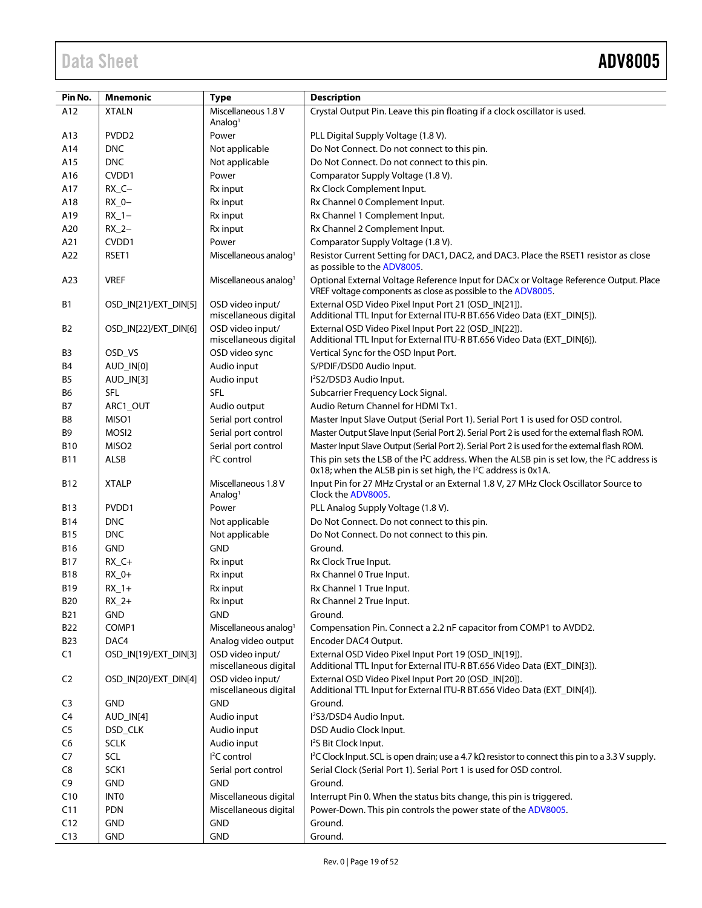| Pin No.        | <b>Mnemonic</b>       | <b>Type</b>                                | <b>Description</b>                                                                                                                                                                                 |
|----------------|-----------------------|--------------------------------------------|----------------------------------------------------------------------------------------------------------------------------------------------------------------------------------------------------|
| A12            | <b>XTALN</b>          | Miscellaneous 1.8 V                        | Crystal Output Pin. Leave this pin floating if a clock oscillator is used.                                                                                                                         |
|                |                       | Analog <sup>1</sup>                        |                                                                                                                                                                                                    |
| A13            | PVDD <sub>2</sub>     | Power                                      | PLL Digital Supply Voltage (1.8 V).                                                                                                                                                                |
| A14            | <b>DNC</b>            | Not applicable                             | Do Not Connect. Do not connect to this pin.                                                                                                                                                        |
| A15            | <b>DNC</b>            | Not applicable                             | Do Not Connect. Do not connect to this pin.                                                                                                                                                        |
| A16            | CVDD1                 | Power                                      | Comparator Supply Voltage (1.8 V).                                                                                                                                                                 |
| A17            | $RX_C -$              | Rx input                                   | Rx Clock Complement Input.                                                                                                                                                                         |
| A18            | $RX_0 -$              | Rx input                                   | Rx Channel 0 Complement Input.                                                                                                                                                                     |
| A19            | $RX_1$ -              | Rx input                                   | Rx Channel 1 Complement Input.                                                                                                                                                                     |
| A20            | $RX_2-$               | Rx input                                   | Rx Channel 2 Complement Input.                                                                                                                                                                     |
| A21            | CVDD1                 | Power                                      | Comparator Supply Voltage (1.8 V).                                                                                                                                                                 |
| A22            | RSET1                 | Miscellaneous analog <sup>1</sup>          | Resistor Current Setting for DAC1, DAC2, and DAC3. Place the RSET1 resistor as close<br>as possible to the ADV8005.                                                                                |
| A23            | <b>VREF</b>           | Miscellaneous analog <sup>1</sup>          | Optional External Voltage Reference Input for DACx or Voltage Reference Output. Place<br>VREF voltage components as close as possible to the ADV8005.                                              |
| В1             | OSD_IN[21]/EXT_DIN[5] | OSD video input/<br>miscellaneous digital  | External OSD Video Pixel Input Port 21 (OSD_IN[21]).<br>Additional TTL Input for External ITU-R BT.656 Video Data (EXT_DIN[5]).                                                                    |
| <b>B2</b>      | OSD IN[22]/EXT DIN[6] | OSD video input/<br>miscellaneous digital  | External OSD Video Pixel Input Port 22 (OSD_IN[22]).<br>Additional TTL Input for External ITU-R BT.656 Video Data (EXT_DIN[6]).                                                                    |
| B3             | OSD_VS                | OSD video sync                             | Vertical Sync for the OSD Input Port.                                                                                                                                                              |
| B4             | AUD_IN[0]             | Audio input                                | S/PDIF/DSD0 Audio Input.                                                                                                                                                                           |
| B5             | AUD_IN[3]             | Audio input                                | l <sup>2</sup> S2/DSD3 Audio Input.                                                                                                                                                                |
| В6             | <b>SFL</b>            | <b>SFL</b>                                 | Subcarrier Frequency Lock Signal.                                                                                                                                                                  |
| В7             | ARC1_OUT              | Audio output                               | Audio Return Channel for HDMI Tx1.                                                                                                                                                                 |
| B8             | MISO1                 | Serial port control                        | Master Input Slave Output (Serial Port 1). Serial Port 1 is used for OSD control.                                                                                                                  |
| B9             | MOSI2                 | Serial port control                        | Master Output Slave Input (Serial Port 2). Serial Port 2 is used for the external flash ROM.                                                                                                       |
| B10            | MISO <sub>2</sub>     | Serial port control                        | Master Input Slave Output (Serial Port 2). Serial Port 2 is used for the external flash ROM.                                                                                                       |
| B11            | ALSB                  | <sup>2</sup> C control                     | This pin sets the LSB of the I <sup>2</sup> C address. When the ALSB pin is set low, the I <sup>2</sup> C address is<br>0x18; when the ALSB pin is set high, the I <sup>2</sup> C address is 0x1A. |
| B12            | <b>XTALP</b>          | Miscellaneous 1.8 V<br>Analog <sup>1</sup> | Input Pin for 27 MHz Crystal or an External 1.8 V, 27 MHz Clock Oscillator Source to<br>Clock the ADV8005.                                                                                         |
| B13            | PVDD1                 | Power                                      | PLL Analog Supply Voltage (1.8 V).                                                                                                                                                                 |
| B14            | <b>DNC</b>            | Not applicable                             | Do Not Connect. Do not connect to this pin.                                                                                                                                                        |
| B15            | <b>DNC</b>            | Not applicable                             | Do Not Connect. Do not connect to this pin.                                                                                                                                                        |
| B16            | <b>GND</b>            | <b>GND</b>                                 | Ground.                                                                                                                                                                                            |
| B17            | $RX_C +$              | Rx input                                   | Rx Clock True Input.                                                                                                                                                                               |
| <b>B18</b>     | $RX_0+$               | Rx input                                   | Rx Channel 0 True Input.                                                                                                                                                                           |
| B19            | $RX_1+$               | Rx input                                   | Rx Channel 1 True Input.                                                                                                                                                                           |
| <b>B20</b>     | $RX_2+$               | Rx input                                   | Rx Channel 2 True Input.                                                                                                                                                                           |
| <b>B21</b>     | <b>GND</b>            | GND                                        | Ground.                                                                                                                                                                                            |
| <b>B22</b>     | COMP1                 | Miscellaneous analog <sup>1</sup>          | Compensation Pin. Connect a 2.2 nF capacitor from COMP1 to AVDD2.                                                                                                                                  |
| <b>B23</b>     | DAC4                  | Analog video output                        | Encoder DAC4 Output.                                                                                                                                                                               |
| C1             | OSD_IN[19]/EXT_DIN[3] | OSD video input/<br>miscellaneous digital  | External OSD Video Pixel Input Port 19 (OSD_IN[19]).<br>Additional TTL Input for External ITU-R BT.656 Video Data (EXT_DIN[3]).                                                                    |
| C <sub>2</sub> | OSD_IN[20]/EXT_DIN[4] | OSD video input/<br>miscellaneous digital  | External OSD Video Pixel Input Port 20 (OSD_IN[20]).<br>Additional TTL Input for External ITU-R BT.656 Video Data (EXT_DIN[4]).                                                                    |
| C3             | <b>GND</b>            | <b>GND</b>                                 | Ground.                                                                                                                                                                                            |
| C <sub>4</sub> | AUD_IN[4]             | Audio input                                | l <sup>2</sup> S3/DSD4 Audio Input.                                                                                                                                                                |
| C <sub>5</sub> | DSD_CLK               | Audio input                                | DSD Audio Clock Input.                                                                                                                                                                             |
| C <sub>6</sub> | <b>SCLK</b>           | Audio input                                | 1 <sup>2</sup> S Bit Clock Input.                                                                                                                                                                  |
| C7             | SCL                   | $I2C$ control                              | $l^2C$ Clock Input. SCL is open drain; use a 4.7 k $\Omega$ resistor to connect this pin to a 3.3 V supply.                                                                                        |
| C8             | SCK1                  | Serial port control                        | Serial Clock (Serial Port 1). Serial Port 1 is used for OSD control.                                                                                                                               |
| C <sub>9</sub> | <b>GND</b>            | <b>GND</b>                                 | Ground.                                                                                                                                                                                            |
| C10            | <b>INTO</b>           | Miscellaneous digital                      | Interrupt Pin 0. When the status bits change, this pin is triggered.                                                                                                                               |
| C11            | PDN                   | Miscellaneous digital                      | Power-Down. This pin controls the power state of the ADV8005.                                                                                                                                      |
| C12            | <b>GND</b>            | <b>GND</b>                                 | Ground.                                                                                                                                                                                            |
| C13            | <b>GND</b>            | <b>GND</b>                                 | Ground.                                                                                                                                                                                            |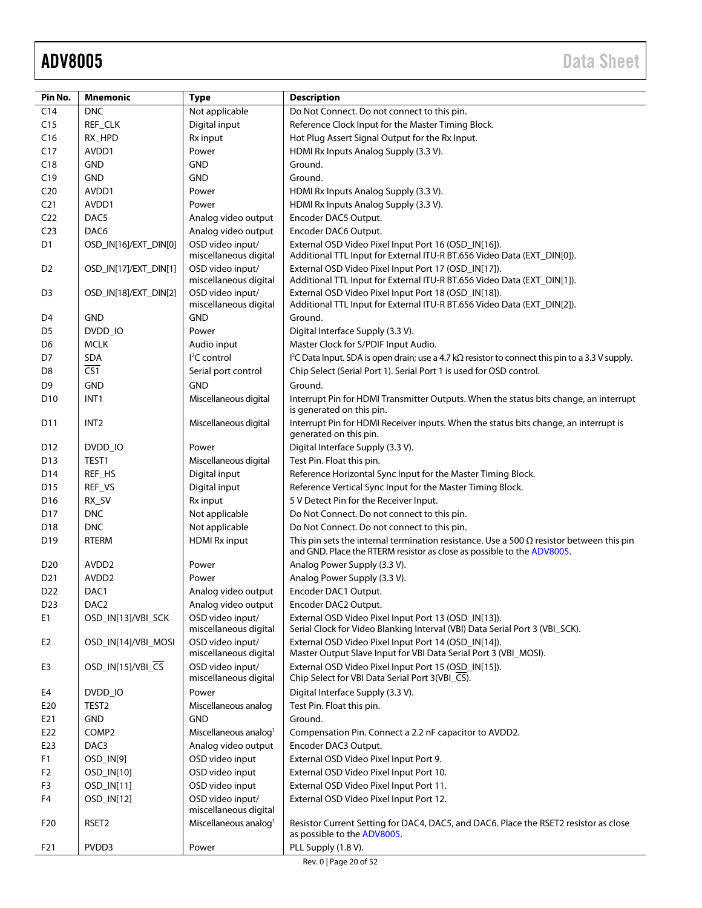| Pin No.         | <b>Mnemonic</b>       | <b>Type</b>                               | <b>Description</b>                                                                                                                                                        |  |  |  |  |
|-----------------|-----------------------|-------------------------------------------|---------------------------------------------------------------------------------------------------------------------------------------------------------------------------|--|--|--|--|
| C <sub>14</sub> | <b>DNC</b>            | Not applicable                            | Do Not Connect. Do not connect to this pin.                                                                                                                               |  |  |  |  |
| C15             | REF_CLK               | Digital input                             | Reference Clock Input for the Master Timing Block.                                                                                                                        |  |  |  |  |
| C16             | RX_HPD                | Rx input                                  | Hot Plug Assert Signal Output for the Rx Input.                                                                                                                           |  |  |  |  |
| C17             | AVDD1                 | Power                                     | HDMI Rx Inputs Analog Supply (3.3 V).                                                                                                                                     |  |  |  |  |
| C18             | <b>GND</b>            | <b>GND</b>                                | Ground.                                                                                                                                                                   |  |  |  |  |
| C19             | <b>GND</b>            | <b>GND</b>                                | Ground.                                                                                                                                                                   |  |  |  |  |
| C <sub>20</sub> | AVDD1                 | Power                                     | HDMI Rx Inputs Analog Supply (3.3 V).                                                                                                                                     |  |  |  |  |
| C <sub>21</sub> | AVDD1                 | Power                                     | HDMI Rx Inputs Analog Supply (3.3 V).                                                                                                                                     |  |  |  |  |
| C <sub>22</sub> | DAC5                  | Analog video output                       | Encoder DAC5 Output.                                                                                                                                                      |  |  |  |  |
| C <sub>23</sub> | DAC6                  | Analog video output                       | Encoder DAC6 Output.                                                                                                                                                      |  |  |  |  |
| D <sub>1</sub>  | OSD_IN[16]/EXT_DIN[0] | OSD video input/<br>miscellaneous digital | External OSD Video Pixel Input Port 16 (OSD_IN[16]).<br>Additional TTL Input for External ITU-R BT.656 Video Data (EXT_DIN[0]).                                           |  |  |  |  |
| D <sub>2</sub>  | OSD_IN[17]/EXT_DIN[1] | OSD video input/<br>miscellaneous digital | External OSD Video Pixel Input Port 17 (OSD_IN[17]).<br>Additional TTL Input for External ITU-R BT.656 Video Data (EXT_DIN[1]).                                           |  |  |  |  |
| D <sub>3</sub>  | OSD_IN[18]/EXT_DIN[2] | OSD video input/<br>miscellaneous digital | External OSD Video Pixel Input Port 18 (OSD_IN[18]).<br>Additional TTL Input for External ITU-R BT.656 Video Data (EXT_DIN[2]).                                           |  |  |  |  |
| D4              | <b>GND</b>            | <b>GND</b>                                | Ground.                                                                                                                                                                   |  |  |  |  |
| D <sub>5</sub>  | DVDD_IO               | Power                                     | Digital Interface Supply (3.3 V).                                                                                                                                         |  |  |  |  |
| D6              | <b>MCLK</b>           | Audio input                               | Master Clock for S/PDIF Input Audio.                                                                                                                                      |  |  |  |  |
| D7              | SDA                   | <sup>2</sup> C control                    | I <sup>2</sup> C Data Input. SDA is open drain; use a 4.7 k $\Omega$ resistor to connect this pin to a 3.3 V supply.                                                      |  |  |  |  |
| D8              | $\overline{CS1}$      | Serial port control                       | Chip Select (Serial Port 1). Serial Port 1 is used for OSD control.                                                                                                       |  |  |  |  |
| D <sub>9</sub>  | <b>GND</b>            | <b>GND</b>                                | Ground.                                                                                                                                                                   |  |  |  |  |
| D <sub>10</sub> | INT1                  | Miscellaneous digital                     | Interrupt Pin for HDMI Transmitter Outputs. When the status bits change, an interrupt                                                                                     |  |  |  |  |
| D11             | INT <sub>2</sub>      | Miscellaneous digital                     | is generated on this pin.<br>Interrupt Pin for HDMI Receiver Inputs. When the status bits change, an interrupt is                                                         |  |  |  |  |
|                 |                       |                                           | generated on this pin.                                                                                                                                                    |  |  |  |  |
| D <sub>12</sub> | DVDD_IO               | Power                                     | Digital Interface Supply (3.3 V).                                                                                                                                         |  |  |  |  |
| D <sub>13</sub> | TEST1                 | Miscellaneous digital                     | Test Pin. Float this pin.                                                                                                                                                 |  |  |  |  |
| D14             | REF_HS                | Digital input                             | Reference Horizontal Sync Input for the Master Timing Block.                                                                                                              |  |  |  |  |
| D15             | REF_VS                | Digital input                             | Reference Vertical Sync Input for the Master Timing Block.                                                                                                                |  |  |  |  |
| D <sub>16</sub> | <b>RX_5V</b>          | Rx input                                  | 5 V Detect Pin for the Receiver Input.                                                                                                                                    |  |  |  |  |
| D17             | <b>DNC</b>            | Not applicable                            | Do Not Connect. Do not connect to this pin.                                                                                                                               |  |  |  |  |
| D18             | <b>DNC</b>            | Not applicable                            | Do Not Connect. Do not connect to this pin.                                                                                                                               |  |  |  |  |
| D19             | <b>RTERM</b>          | <b>HDMI Rx input</b>                      | This pin sets the internal termination resistance. Use a 500 $\Omega$ resistor between this pin<br>and GND. Place the RTERM resistor as close as possible to the ADV8005. |  |  |  |  |
| D <sub>20</sub> | AVDD <sub>2</sub>     | Power                                     | Analog Power Supply (3.3 V).                                                                                                                                              |  |  |  |  |
| D <sub>21</sub> | AVDD <sub>2</sub>     | Power                                     | Analog Power Supply (3.3 V).                                                                                                                                              |  |  |  |  |
| D <sub>22</sub> | DAC1                  | Analog video output                       | Encoder DAC1 Output.                                                                                                                                                      |  |  |  |  |
| D <sub>23</sub> | DAC <sub>2</sub>      | Analog video output                       | Encoder DAC2 Output.                                                                                                                                                      |  |  |  |  |
| E1              | OSD_IN[13]/VBI_SCK    | OSD video input/<br>miscellaneous digital | External OSD Video Pixel Input Port 13 (OSD_IN[13]).<br>Serial Clock for Video Blanking Interval (VBI) Data Serial Port 3 (VBI_SCK).                                      |  |  |  |  |
| E <sub>2</sub>  | OSD_IN[14]/VBI_MOSI   | OSD video input/<br>miscellaneous digital | External OSD Video Pixel Input Port 14 (OSD_IN[14]).<br>Master Output Slave Input for VBI Data Serial Port 3 (VBI_MOSI).                                                  |  |  |  |  |
| E3              | OSD_IN[15]/VBI_CS     | OSD video input/<br>miscellaneous digital | External OSD Video Pixel Input Port 15 (OSD_IN[15]).<br>Chip Select for VBI Data Serial Port 3(VBI_CS).                                                                   |  |  |  |  |
| E4              | DVDD_IO               | Power                                     | Digital Interface Supply (3.3 V).                                                                                                                                         |  |  |  |  |
| E20             | TEST <sub>2</sub>     | Miscellaneous analog                      | Test Pin. Float this pin.                                                                                                                                                 |  |  |  |  |
| E21             | <b>GND</b>            | <b>GND</b>                                | Ground.                                                                                                                                                                   |  |  |  |  |
| E22             | COMP <sub>2</sub>     | Miscellaneous analog <sup>1</sup>         | Compensation Pin. Connect a 2.2 nF capacitor to AVDD2.                                                                                                                    |  |  |  |  |
| E23             | DAC <sub>3</sub>      | Analog video output                       | Encoder DAC3 Output.                                                                                                                                                      |  |  |  |  |
| F1              | OSD_IN[9]             | OSD video input                           | External OSD Video Pixel Input Port 9.                                                                                                                                    |  |  |  |  |
| F <sub>2</sub>  | OSD_IN[10]            | OSD video input                           | External OSD Video Pixel Input Port 10.                                                                                                                                   |  |  |  |  |
| F <sub>3</sub>  | OSD_IN[11]            | OSD video input                           | External OSD Video Pixel Input Port 11.                                                                                                                                   |  |  |  |  |
| F4              | OSD_IN[12]            | OSD video input/<br>miscellaneous digital | External OSD Video Pixel Input Port 12.                                                                                                                                   |  |  |  |  |
| F <sub>20</sub> | RSET <sub>2</sub>     | Miscellaneous analog <sup>1</sup>         | Resistor Current Setting for DAC4, DAC5, and DAC6. Place the RSET2 resistor as close<br>as possible to the ADV8005.                                                       |  |  |  |  |
| F21             | PVDD3                 | Power                                     | PLL Supply (1.8 V).                                                                                                                                                       |  |  |  |  |

Rev. 0 | Page 20 of 52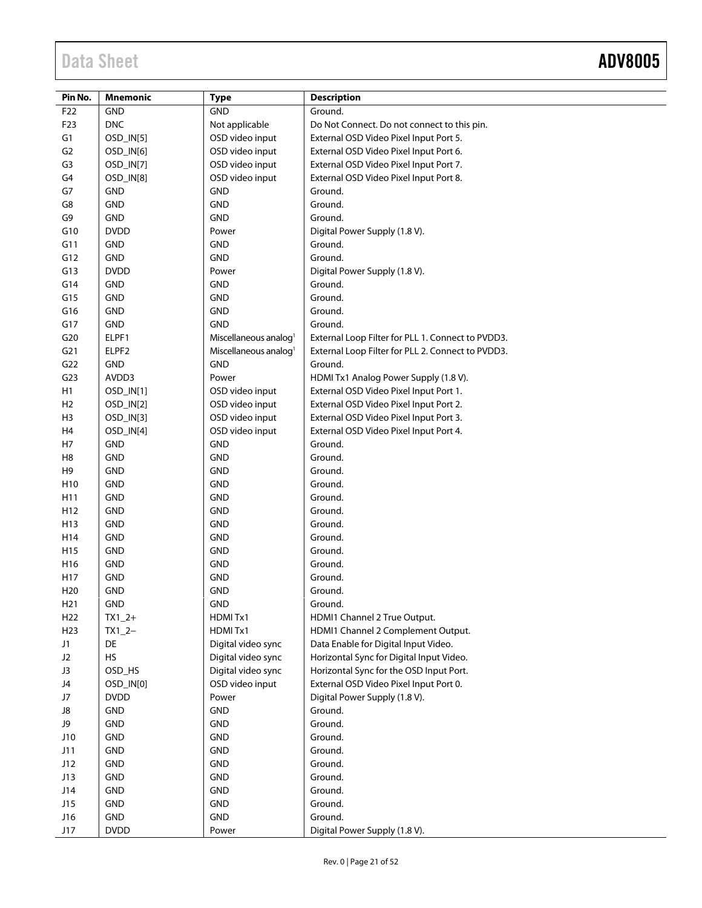Ξ

| Pin No.         | <b>Mnemonic</b> | <b>Type</b>                       | <b>Description</b>                                |
|-----------------|-----------------|-----------------------------------|---------------------------------------------------|
| F22             | <b>GND</b>      | GND                               | Ground.                                           |
| F23             | <b>DNC</b>      | Not applicable                    | Do Not Connect. Do not connect to this pin.       |
| G1              | OSD_IN[5]       | OSD video input                   | External OSD Video Pixel Input Port 5.            |
| G <sub>2</sub>  | OSD_IN[6]       | OSD video input                   | External OSD Video Pixel Input Port 6.            |
| G3              | OSD_IN[7]       | OSD video input                   | External OSD Video Pixel Input Port 7.            |
| G <sub>4</sub>  | OSD_IN[8]       | OSD video input                   | External OSD Video Pixel Input Port 8.            |
| G7              | <b>GND</b>      | <b>GND</b>                        | Ground.                                           |
| G8              | <b>GND</b>      | GND                               | Ground.                                           |
| G9              | GND             | <b>GND</b>                        | Ground.                                           |
| G10             | <b>DVDD</b>     | Power                             | Digital Power Supply (1.8 V).                     |
| G11             | <b>GND</b>      | <b>GND</b>                        | Ground.                                           |
| G12             | <b>GND</b>      | <b>GND</b>                        | Ground.                                           |
| G13             | <b>DVDD</b>     | Power                             | Digital Power Supply (1.8 V).                     |
| G14             | <b>GND</b>      | <b>GND</b>                        | Ground.                                           |
| G15             | <b>GND</b>      | <b>GND</b>                        | Ground.                                           |
| G16             | <b>GND</b>      | <b>GND</b>                        | Ground.                                           |
| G17             | <b>GND</b>      | <b>GND</b>                        | Ground.                                           |
| G20             | ELPF1           | Miscellaneous analog <sup>1</sup> | External Loop Filter for PLL 1. Connect to PVDD3. |
| G <sub>21</sub> | ELPF2           | Miscellaneous analog <sup>1</sup> | External Loop Filter for PLL 2. Connect to PVDD3. |
| G22             | <b>GND</b>      | <b>GND</b>                        | Ground.                                           |
| G <sub>23</sub> | AVDD3           | Power                             | HDMI Tx1 Analog Power Supply (1.8 V).             |
| H1              | OSD_IN[1]       | OSD video input                   | External OSD Video Pixel Input Port 1.            |
| H <sub>2</sub>  | OSD_IN[2]       | OSD video input                   | External OSD Video Pixel Input Port 2.            |
| H3              | OSD_IN[3]       | OSD video input                   | External OSD Video Pixel Input Port 3.            |
| H <sub>4</sub>  | OSD_IN[4]       | OSD video input                   | External OSD Video Pixel Input Port 4.            |
| H7              | GND             | <b>GND</b>                        | Ground.                                           |
| H <sub>8</sub>  | <b>GND</b>      | GND                               | Ground.                                           |
| H <sub>9</sub>  | <b>GND</b>      | <b>GND</b>                        | Ground.                                           |
| H <sub>10</sub> | <b>GND</b>      | <b>GND</b>                        | Ground.                                           |
| H11             | <b>GND</b>      | <b>GND</b>                        | Ground.                                           |
| H <sub>12</sub> | <b>GND</b>      | <b>GND</b>                        | Ground.                                           |
| H13             | <b>GND</b>      | <b>GND</b>                        | Ground.                                           |
| H14             | <b>GND</b>      | <b>GND</b>                        | Ground.                                           |
| H <sub>15</sub> | <b>GND</b>      | <b>GND</b>                        | Ground.                                           |
| H16             | <b>GND</b>      | GND                               | Ground.                                           |
| H17             | <b>GND</b>      | <b>GND</b>                        | Ground.                                           |
| H <sub>20</sub> | <b>GND</b>      | GND                               | Ground.                                           |
| H21             | <b>GND</b>      | GND                               | Ground.                                           |
| H <sub>22</sub> | $TX1_2+$        | HDMITx1                           | HDMI1 Channel 2 True Output.                      |
| H <sub>23</sub> | $TX1_2-$        | HDMITx1                           | HDMI1 Channel 2 Complement Output.                |
| J1              | DE              | Digital video sync                | Data Enable for Digital Input Video.              |
| J2              | HS              | Digital video sync                | Horizontal Sync for Digital Input Video.          |
| J3              | OSD_HS          | Digital video sync                | Horizontal Sync for the OSD Input Port.           |
| J4              | OSD_IN[0]       | OSD video input                   | External OSD Video Pixel Input Port 0.            |
| J7              | <b>DVDD</b>     | Power                             | Digital Power Supply (1.8 V).                     |
| J8              | <b>GND</b>      | GND                               | Ground.                                           |
| J9              | <b>GND</b>      | <b>GND</b>                        | Ground.                                           |
| J10             | <b>GND</b>      | <b>GND</b>                        | Ground.                                           |
| J11             | GND             | <b>GND</b>                        | Ground.                                           |
| J12             | GND             | GND                               | Ground.                                           |
| J13             | <b>GND</b>      | <b>GND</b>                        | Ground.                                           |
| J14             | GND             | <b>GND</b>                        | Ground.                                           |
| J15             | GND             | GND                               | Ground.                                           |
| J16             | GND             | <b>GND</b>                        | Ground.                                           |
| J17             | <b>DVDD</b>     | Power                             | Digital Power Supply (1.8 V).                     |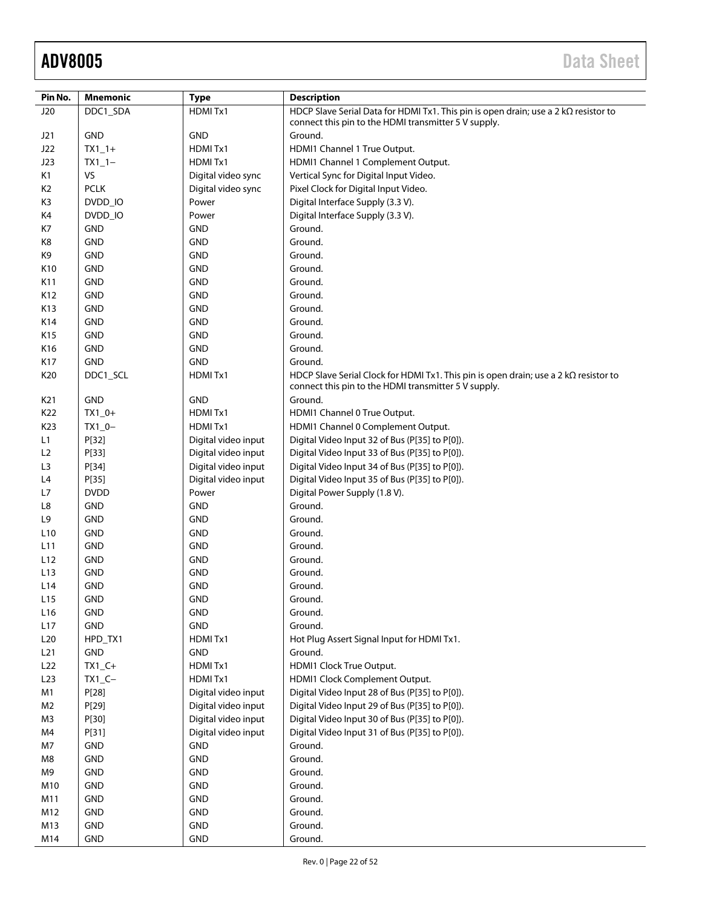| Pin No.         | <b>Mnemonic</b> | <b>Type</b>         | <b>Description</b>                                                                                                                                  |
|-----------------|-----------------|---------------------|-----------------------------------------------------------------------------------------------------------------------------------------------------|
| J20             | DDC1_SDA        | HDMITx1             | HDCP Slave Serial Data for HDMI Tx1. This pin is open drain; use a 2 kΩ resistor to                                                                 |
|                 |                 |                     | connect this pin to the HDMI transmitter 5 V supply.                                                                                                |
| J21             | <b>GND</b>      | <b>GND</b>          | Ground.                                                                                                                                             |
| J22             | $TX1_1+$        | HDMITx1             | HDMI1 Channel 1 True Output.                                                                                                                        |
| J23             | $TX1_1-$        | HDMITx1             | HDMI1 Channel 1 Complement Output.                                                                                                                  |
| K1              | VS              | Digital video sync  | Vertical Sync for Digital Input Video.                                                                                                              |
| K <sub>2</sub>  | <b>PCLK</b>     | Digital video sync  | Pixel Clock for Digital Input Video.                                                                                                                |
| K3              | DVDD_IO         | Power               | Digital Interface Supply (3.3 V).                                                                                                                   |
| K4              | DVDD IO         | Power               | Digital Interface Supply (3.3 V).                                                                                                                   |
| K7              | GND             | <b>GND</b>          | Ground.                                                                                                                                             |
| K8              | <b>GND</b>      | <b>GND</b>          | Ground.                                                                                                                                             |
| K9              | <b>GND</b>      | <b>GND</b>          | Ground.                                                                                                                                             |
| K10             | <b>GND</b>      | <b>GND</b>          | Ground.                                                                                                                                             |
| K11             | <b>GND</b>      | <b>GND</b>          | Ground.                                                                                                                                             |
| K12             | <b>GND</b>      | <b>GND</b>          | Ground.                                                                                                                                             |
| K13             | <b>GND</b>      | <b>GND</b>          | Ground.                                                                                                                                             |
| K14             | <b>GND</b>      | <b>GND</b>          | Ground.                                                                                                                                             |
| K15             | <b>GND</b>      | <b>GND</b>          | Ground.                                                                                                                                             |
| K16             | <b>GND</b>      | <b>GND</b>          | Ground.                                                                                                                                             |
| K17             | <b>GND</b>      | <b>GND</b>          | Ground.                                                                                                                                             |
| K20             | DDC1_SCL        | HDMITx1             | HDCP Slave Serial Clock for HDMI Tx1. This pin is open drain; use a 2 $k\Omega$ resistor to<br>connect this pin to the HDMI transmitter 5 V supply. |
| K <sub>21</sub> | GND             | <b>GND</b>          | Ground.                                                                                                                                             |
| K22             | $TX1_0+$        | HDMITx1             | HDMI1 Channel 0 True Output.                                                                                                                        |
| K23             | $TX1_0 -$       | HDMITx1             | HDMI1 Channel 0 Complement Output.                                                                                                                  |
| L1              | P[32]           | Digital video input | Digital Video Input 32 of Bus (P[35] to P[0]).                                                                                                      |
| L2              | P[33]           | Digital video input | Digital Video Input 33 of Bus (P[35] to P[0]).                                                                                                      |
| L3              | P[34]           | Digital video input | Digital Video Input 34 of Bus (P[35] to P[0]).                                                                                                      |
| L4              | P[35]           | Digital video input | Digital Video Input 35 of Bus (P[35] to P[0]).                                                                                                      |
| L7              | <b>DVDD</b>     | Power               | Digital Power Supply (1.8 V).                                                                                                                       |
| L8              | <b>GND</b>      | <b>GND</b>          | Ground.                                                                                                                                             |
| L9              | <b>GND</b>      | <b>GND</b>          | Ground.                                                                                                                                             |
| L10             | <b>GND</b>      | <b>GND</b>          | Ground.                                                                                                                                             |
| L11             | <b>GND</b>      | <b>GND</b>          | Ground.                                                                                                                                             |
| L12             | <b>GND</b>      | <b>GND</b>          | Ground.                                                                                                                                             |
| L13             | <b>GND</b>      | <b>GND</b>          | Ground.                                                                                                                                             |
| L14             | <b>GND</b>      | <b>GND</b>          | Ground.                                                                                                                                             |
| L15             | <b>GND</b>      | <b>GND</b>          | Ground.                                                                                                                                             |
| L <sub>16</sub> | GND             | <b>GND</b>          | Ground.                                                                                                                                             |
| L17             | GND             | GND                 | Ground.                                                                                                                                             |
| L20             | HPD_TX1         | HDMITx1             | Hot Plug Assert Signal Input for HDMI Tx1.                                                                                                          |
| L21             | GND             | <b>GND</b>          | Ground.                                                                                                                                             |
| L22             | $TX1_C+$        | HDMITx1             | HDMI1 Clock True Output.                                                                                                                            |
| L23             | $TX1_C -$       | HDMITx1             | HDMI1 Clock Complement Output.                                                                                                                      |
| M1              | P[28]           | Digital video input | Digital Video Input 28 of Bus (P[35] to P[0]).                                                                                                      |
| M <sub>2</sub>  | P[29]           | Digital video input | Digital Video Input 29 of Bus (P[35] to P[0]).                                                                                                      |
| M3              | P[30]           | Digital video input | Digital Video Input 30 of Bus (P[35] to P[0]).                                                                                                      |
| M4              | P[31]           | Digital video input | Digital Video Input 31 of Bus (P[35] to P[0]).                                                                                                      |
| M7              | GND             | <b>GND</b>          | Ground.                                                                                                                                             |
| M8              | GND             | <b>GND</b>          | Ground.                                                                                                                                             |
| M9              | GND             | <b>GND</b>          | Ground.                                                                                                                                             |
| M10             | GND             | GND                 | Ground.                                                                                                                                             |
| M11             | GND             | <b>GND</b>          | Ground.                                                                                                                                             |
| M12             | GND             | <b>GND</b>          | Ground.                                                                                                                                             |
| M13             | GND             | <b>GND</b>          | Ground.                                                                                                                                             |
| M14             | <b>GND</b>      | GND                 | Ground.                                                                                                                                             |
|                 |                 |                     |                                                                                                                                                     |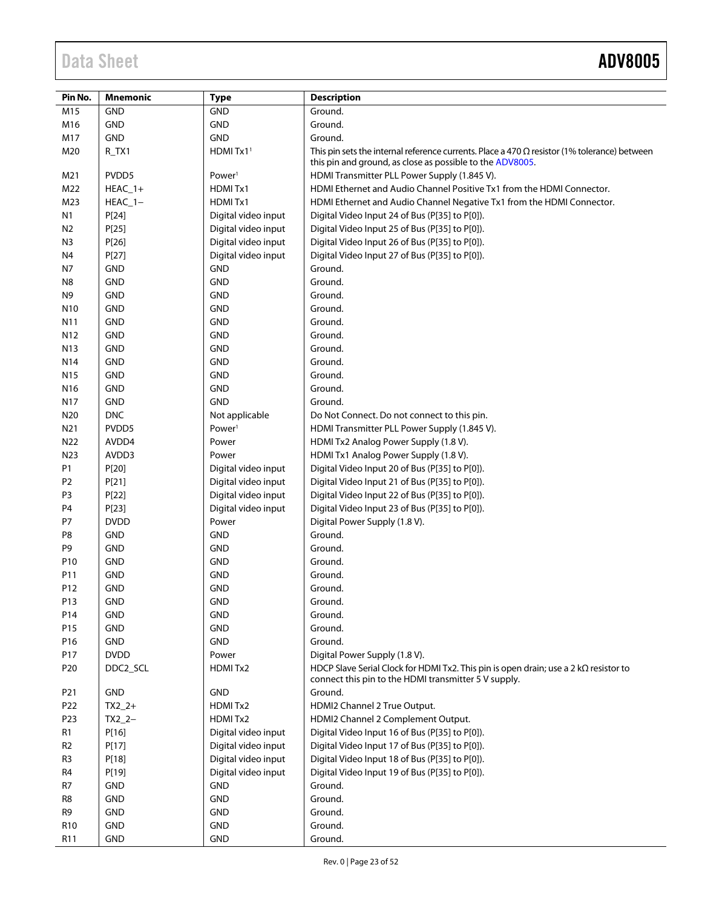| Pin No.         | <b>Mnemonic</b> | <b>Type</b>         | <b>Description</b>                                                                                                                                               |
|-----------------|-----------------|---------------------|------------------------------------------------------------------------------------------------------------------------------------------------------------------|
| M15             | <b>GND</b>      | <b>GND</b>          | Ground.                                                                                                                                                          |
| M16             | <b>GND</b>      | <b>GND</b>          | Ground.                                                                                                                                                          |
| M17             | <b>GND</b>      | <b>GND</b>          | Ground.                                                                                                                                                          |
| M20             | R_TX1           | HDMI Tx11           | This pin sets the internal reference currents. Place a 470 $\Omega$ resistor (1% tolerance) between<br>this pin and ground, as close as possible to the ADV8005. |
| M21             | PVDD5           | Power <sup>1</sup>  | HDMI Transmitter PLL Power Supply (1.845 V).                                                                                                                     |
| M22             | $HEAC_1+$       | HDMITx1             | HDMI Ethernet and Audio Channel Positive Tx1 from the HDMI Connector.                                                                                            |
| M23             | $HEAC$ 1-       | HDMITx1             | HDMI Ethernet and Audio Channel Negative Tx1 from the HDMI Connector.                                                                                            |
| N <sub>1</sub>  | P[24]           | Digital video input | Digital Video Input 24 of Bus (P[35] to P[0]).                                                                                                                   |
| N <sub>2</sub>  | P[25]           | Digital video input | Digital Video Input 25 of Bus (P[35] to P[0]).                                                                                                                   |
| N <sub>3</sub>  | P[26]           | Digital video input | Digital Video Input 26 of Bus (P[35] to P[0]).                                                                                                                   |
| N4              | P[27]           | Digital video input | Digital Video Input 27 of Bus (P[35] to P[0]).                                                                                                                   |
| N7              | <b>GND</b>      | <b>GND</b>          | Ground.                                                                                                                                                          |
| N <sub>8</sub>  | <b>GND</b>      | <b>GND</b>          | Ground.                                                                                                                                                          |
| N <sub>9</sub>  | <b>GND</b>      | <b>GND</b>          | Ground.                                                                                                                                                          |
| N <sub>10</sub> | <b>GND</b>      | <b>GND</b>          | Ground.                                                                                                                                                          |
| N11             | <b>GND</b>      | <b>GND</b>          | Ground.                                                                                                                                                          |
| N12             | <b>GND</b>      | <b>GND</b>          | Ground.                                                                                                                                                          |
| N <sub>13</sub> | <b>GND</b>      | <b>GND</b>          | Ground.                                                                                                                                                          |
| N14             | <b>GND</b>      | <b>GND</b>          | Ground.                                                                                                                                                          |
| N <sub>15</sub> | <b>GND</b>      | <b>GND</b>          | Ground.                                                                                                                                                          |
| N <sub>16</sub> | <b>GND</b>      | <b>GND</b>          | Ground.                                                                                                                                                          |
| N17             | <b>GND</b>      | <b>GND</b>          | Ground.                                                                                                                                                          |
| N20             | <b>DNC</b>      | Not applicable      | Do Not Connect. Do not connect to this pin.                                                                                                                      |
| N21             | PVDD5           | Power <sup>1</sup>  | HDMI Transmitter PLL Power Supply (1.845 V).                                                                                                                     |
| N22             | AVDD4           | Power               | HDMI Tx2 Analog Power Supply (1.8 V).                                                                                                                            |
| N23             | AVDD3           | Power               | HDMI Tx1 Analog Power Supply (1.8 V).                                                                                                                            |
| P1              | P[20]           | Digital video input | Digital Video Input 20 of Bus (P[35] to P[0]).                                                                                                                   |
| P2              | P[21]           | Digital video input | Digital Video Input 21 of Bus (P[35] to P[0]).                                                                                                                   |
| P <sub>3</sub>  | P[22]           | Digital video input | Digital Video Input 22 of Bus (P[35] to P[0]).                                                                                                                   |
| P <sub>4</sub>  | P[23]           | Digital video input | Digital Video Input 23 of Bus (P[35] to P[0]).                                                                                                                   |
| P7              | <b>DVDD</b>     | Power               | Digital Power Supply (1.8 V).                                                                                                                                    |
| P8              | <b>GND</b>      | <b>GND</b>          | Ground.                                                                                                                                                          |
| P <sub>9</sub>  | <b>GND</b>      | <b>GND</b>          | Ground.                                                                                                                                                          |
| P10             | <b>GND</b>      | <b>GND</b>          | Ground.                                                                                                                                                          |
| P11             | <b>GND</b>      | <b>GND</b>          | Ground.                                                                                                                                                          |
| P12             | <b>GND</b>      | <b>GND</b>          | Ground.                                                                                                                                                          |
| P13             | <b>GND</b>      | <b>GND</b>          | Ground.                                                                                                                                                          |
| P14             | <b>GND</b>      | <b>GND</b>          | Ground.                                                                                                                                                          |
| P15             | <b>GND</b>      | <b>GND</b>          | Ground.                                                                                                                                                          |
| P16             | GND             | <b>GND</b>          | Ground.                                                                                                                                                          |
| P17             | <b>DVDD</b>     | Power               | Digital Power Supply (1.8 V).                                                                                                                                    |
| P <sub>20</sub> | DDC2_SCL        | HDMITx2             | HDCP Slave Serial Clock for HDMI Tx2. This pin is open drain; use a 2 $k\Omega$ resistor to<br>connect this pin to the HDMI transmitter 5 V supply.              |
| P21             | <b>GND</b>      | <b>GND</b>          | Ground.                                                                                                                                                          |
| P <sub>22</sub> | $TX2_2+$        | HDMITx2             | HDMI2 Channel 2 True Output.                                                                                                                                     |
| P23             | $TX2_2-$        | HDMITx2             | HDMI2 Channel 2 Complement Output.                                                                                                                               |
| R <sub>1</sub>  | P[16]           | Digital video input | Digital Video Input 16 of Bus (P[35] to P[0]).                                                                                                                   |
| R <sub>2</sub>  | P[17]           | Digital video input | Digital Video Input 17 of Bus (P[35] to P[0]).                                                                                                                   |
| R <sub>3</sub>  | P[18]           | Digital video input | Digital Video Input 18 of Bus (P[35] to P[0]).                                                                                                                   |
| R4              | P[19]           | Digital video input | Digital Video Input 19 of Bus (P[35] to P[0]).                                                                                                                   |
| R7              | <b>GND</b>      | <b>GND</b>          | Ground.                                                                                                                                                          |
| R8              | <b>GND</b>      | <b>GND</b>          | Ground.                                                                                                                                                          |
| R9              | <b>GND</b>      | <b>GND</b>          | Ground.                                                                                                                                                          |
| R <sub>10</sub> | GND             | <b>GND</b>          | Ground.                                                                                                                                                          |
| R <sub>11</sub> | <b>GND</b>      | <b>GND</b>          | Ground.                                                                                                                                                          |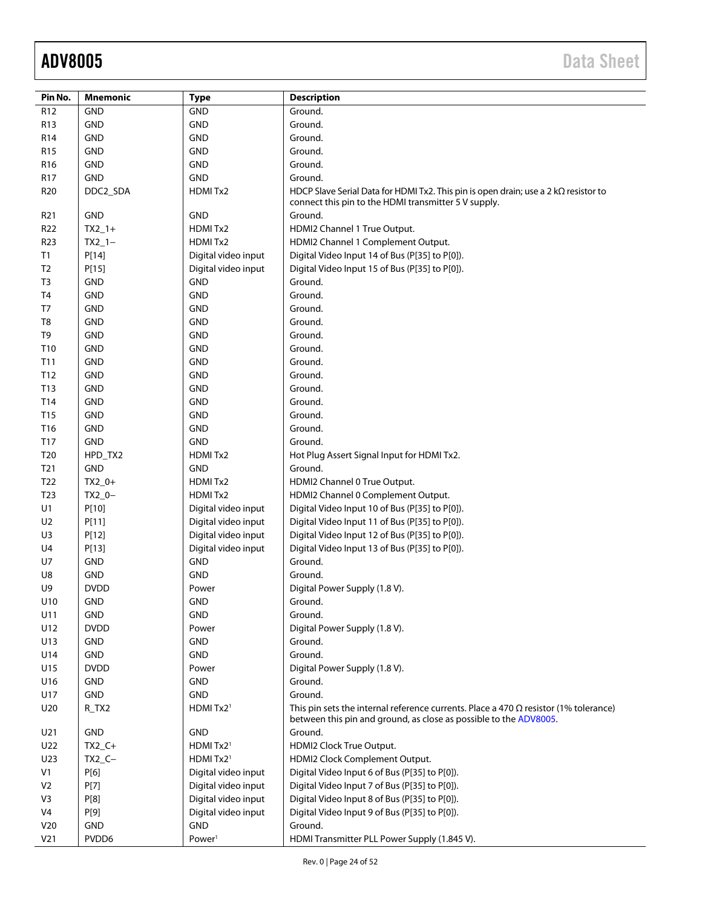| Pin No.         | <b>Mnemonic</b> | <b>Type</b>           | <b>Description</b>                                                                                                                                               |
|-----------------|-----------------|-----------------------|------------------------------------------------------------------------------------------------------------------------------------------------------------------|
| R12             | <b>GND</b>      | <b>GND</b>            | Ground.                                                                                                                                                          |
| R <sub>13</sub> | <b>GND</b>      | <b>GND</b>            | Ground.                                                                                                                                                          |
| R <sub>14</sub> | <b>GND</b>      | <b>GND</b>            | Ground.                                                                                                                                                          |
| <b>R15</b>      | <b>GND</b>      | <b>GND</b>            | Ground.                                                                                                                                                          |
| R <sub>16</sub> | <b>GND</b>      | <b>GND</b>            | Ground.                                                                                                                                                          |
| <b>R17</b>      | <b>GND</b>      | <b>GND</b>            | Ground.                                                                                                                                                          |
| R <sub>20</sub> | DDC2_SDA        | HDMITx2               | HDCP Slave Serial Data for HDMI Tx2. This pin is open drain; use a 2 $k\Omega$ resistor to                                                                       |
|                 |                 |                       | connect this pin to the HDMI transmitter 5 V supply.                                                                                                             |
| R <sub>21</sub> | <b>GND</b>      | <b>GND</b>            | Ground.                                                                                                                                                          |
| R <sub>22</sub> | $TX2_1+$        | HDMITx2               | HDMI2 Channel 1 True Output.                                                                                                                                     |
| R <sub>23</sub> | $TX2_1-$        | HDMITx2               | HDMI2 Channel 1 Complement Output.                                                                                                                               |
| T1              | P[14]           | Digital video input   | Digital Video Input 14 of Bus (P[35] to P[0]).                                                                                                                   |
| T <sub>2</sub>  | P[15]           | Digital video input   | Digital Video Input 15 of Bus (P[35] to P[0]).                                                                                                                   |
| T <sub>3</sub>  | <b>GND</b>      | <b>GND</b>            | Ground.                                                                                                                                                          |
| T <sub>4</sub>  | <b>GND</b>      | <b>GND</b>            | Ground.                                                                                                                                                          |
| T7              | <b>GND</b>      | <b>GND</b>            | Ground.                                                                                                                                                          |
| T <sub>8</sub>  | <b>GND</b>      | <b>GND</b>            | Ground.                                                                                                                                                          |
| T <sub>9</sub>  | <b>GND</b>      | <b>GND</b>            | Ground.                                                                                                                                                          |
| T10             | <b>GND</b>      | <b>GND</b>            | Ground.                                                                                                                                                          |
| T11             | <b>GND</b>      | <b>GND</b>            | Ground.                                                                                                                                                          |
| T12             | <b>GND</b>      | <b>GND</b>            | Ground.                                                                                                                                                          |
| T13             | <b>GND</b>      | <b>GND</b>            | Ground.                                                                                                                                                          |
| T14             | <b>GND</b>      | <b>GND</b>            | Ground.                                                                                                                                                          |
| T15             | <b>GND</b>      | <b>GND</b>            | Ground.                                                                                                                                                          |
| T16             | <b>GND</b>      | <b>GND</b>            | Ground.                                                                                                                                                          |
| T17             | <b>GND</b>      | <b>GND</b>            | Ground.                                                                                                                                                          |
| T <sub>20</sub> | HPD_TX2         | HDMITx2               | Hot Plug Assert Signal Input for HDMI Tx2.                                                                                                                       |
| T <sub>21</sub> | <b>GND</b>      | <b>GND</b>            | Ground.                                                                                                                                                          |
| T <sub>22</sub> | $TX2_0+$        | HDMITx2               | HDMI2 Channel 0 True Output.                                                                                                                                     |
| T <sub>23</sub> | $TX2_0-$        | HDMITx2               | HDMI2 Channel 0 Complement Output.                                                                                                                               |
| U1              | P[10]           | Digital video input   | Digital Video Input 10 of Bus (P[35] to P[0]).                                                                                                                   |
| U <sub>2</sub>  | P[11]           | Digital video input   | Digital Video Input 11 of Bus (P[35] to P[0]).                                                                                                                   |
| U3              | P[12]           | Digital video input   | Digital Video Input 12 of Bus (P[35] to P[0]).                                                                                                                   |
| U4              | P[13]           | Digital video input   | Digital Video Input 13 of Bus (P[35] to P[0]).                                                                                                                   |
| U7              | <b>GND</b>      | <b>GND</b>            | Ground.                                                                                                                                                          |
| U8              | <b>GND</b>      | <b>GND</b>            | Ground.                                                                                                                                                          |
| U9              | <b>DVDD</b>     | Power                 | Digital Power Supply (1.8 V).                                                                                                                                    |
| U10             | <b>GND</b>      | <b>GND</b>            | Ground.                                                                                                                                                          |
| U11             | <b>GND</b>      | <b>GND</b>            | Ground.                                                                                                                                                          |
| U12             | <b>DVDD</b>     | Power                 | Digital Power Supply (1.8 V).                                                                                                                                    |
| U13             | <b>GND</b>      | <b>GND</b>            | Ground.                                                                                                                                                          |
| U14             | <b>GND</b>      | <b>GND</b>            | Ground.                                                                                                                                                          |
| U15             | <b>DVDD</b>     | Power                 | Digital Power Supply (1.8 V).                                                                                                                                    |
| U16             | <b>GND</b>      | GND                   | Ground.                                                                                                                                                          |
| U17             | <b>GND</b>      | GND                   | Ground.                                                                                                                                                          |
| U20             | $R_TX2$         | HDMI Tx2 <sup>1</sup> | This pin sets the internal reference currents. Place a 470 $\Omega$ resistor (1% tolerance)<br>between this pin and ground, as close as possible to the ADV8005. |
| U21             | <b>GND</b>      | <b>GND</b>            | Ground.                                                                                                                                                          |
| U22             | $TX2C+$         | HDMITx2 <sup>1</sup>  | HDMI2 Clock True Output.                                                                                                                                         |
| U23             | $TX2_C -$       | HDMITx2 <sup>1</sup>  | HDMI2 Clock Complement Output.                                                                                                                                   |
| V <sub>1</sub>  | P[6]            | Digital video input   | Digital Video Input 6 of Bus (P[35] to P[0]).                                                                                                                    |
| V <sub>2</sub>  | P[7]            | Digital video input   | Digital Video Input 7 of Bus (P[35] to P[0]).                                                                                                                    |
| V3              | P[8]            | Digital video input   | Digital Video Input 8 of Bus (P[35] to P[0]).                                                                                                                    |
| V <sub>4</sub>  | P[9]            | Digital video input   | Digital Video Input 9 of Bus (P[35] to P[0]).                                                                                                                    |
| V20             | <b>GND</b>      | <b>GND</b>            | Ground.                                                                                                                                                          |
| V <sub>21</sub> | PVDD6           | Power <sup>1</sup>    | HDMI Transmitter PLL Power Supply (1.845 V).                                                                                                                     |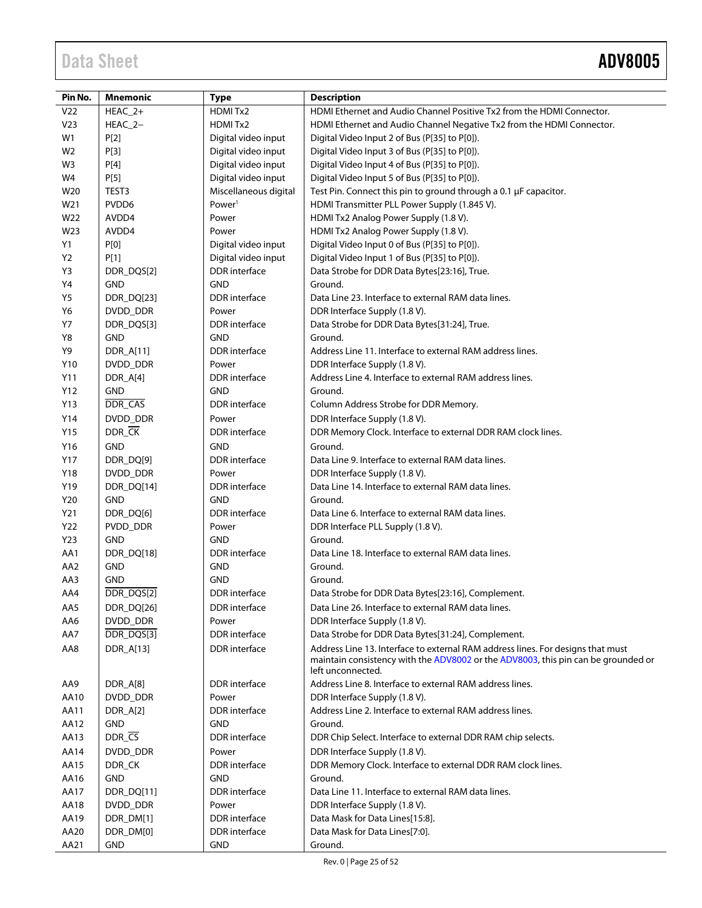| Pin No.         | <b>Mnemonic</b>       | <b>Type</b>                        | <b>Description</b>                                                                                                                                                                        |
|-----------------|-----------------------|------------------------------------|-------------------------------------------------------------------------------------------------------------------------------------------------------------------------------------------|
| V22             | HEAC_2+               | HDMITx2                            | HDMI Ethernet and Audio Channel Positive Tx2 from the HDMI Connector.                                                                                                                     |
| V <sub>23</sub> | HEAC_2-               | HDMITx2                            | HDMI Ethernet and Audio Channel Negative Tx2 from the HDMI Connector.                                                                                                                     |
| W1              | P[2]                  | Digital video input                | Digital Video Input 2 of Bus (P[35] to P[0]).                                                                                                                                             |
| W <sub>2</sub>  | P[3]                  | Digital video input                | Digital Video Input 3 of Bus (P[35] to P[0]).                                                                                                                                             |
| W3              | P[4]                  | Digital video input                | Digital Video Input 4 of Bus (P[35] to P[0]).                                                                                                                                             |
| W4              | P[5]                  | Digital video input                | Digital Video Input 5 of Bus (P[35] to P[0]).                                                                                                                                             |
| W20             | TEST3                 | Miscellaneous digital              | Test Pin. Connect this pin to ground through a 0.1 µF capacitor.                                                                                                                          |
| W21             | PVDD6                 | Power <sup>1</sup>                 | HDMI Transmitter PLL Power Supply (1.845 V).                                                                                                                                              |
| W22             | AVDD4                 | Power                              | HDMI Tx2 Analog Power Supply (1.8 V).                                                                                                                                                     |
| W23             | AVDD4                 | Power                              | HDMI Tx2 Analog Power Supply (1.8 V).                                                                                                                                                     |
| Y1              | P[0]                  | Digital video input                | Digital Video Input 0 of Bus (P[35] to P[0]).                                                                                                                                             |
| Y2              | P[1]                  | Digital video input                | Digital Video Input 1 of Bus (P[35] to P[0]).                                                                                                                                             |
| Y3              | DDR_DQS[2]            | <b>DDR</b> interface               | Data Strobe for DDR Data Bytes[23:16], True.                                                                                                                                              |
| Υ4              | <b>GND</b>            | <b>GND</b>                         | Ground.                                                                                                                                                                                   |
| Y5              | DDR_DQ[23]            | <b>DDR</b> interface               | Data Line 23. Interface to external RAM data lines.                                                                                                                                       |
| Y6              | DVDD DDR              | Power                              | DDR Interface Supply (1.8 V).                                                                                                                                                             |
| <b>Y7</b>       | DDR_DQS[3]            | DDR interface                      | Data Strobe for DDR Data Bytes[31:24], True.                                                                                                                                              |
| Y8<br>Y9        | <b>GND</b>            | <b>GND</b><br><b>DDR</b> interface | Ground.<br>Address Line 11. Interface to external RAM address lines.                                                                                                                      |
|                 | DDR_A[11]             |                                    |                                                                                                                                                                                           |
| Y10<br>Y11      | DVDD_DDR<br>DDR_A[4]  | Power<br><b>DDR</b> interface      | DDR Interface Supply (1.8 V).<br>Address Line 4. Interface to external RAM address lines.                                                                                                 |
| Y12             | <b>GND</b>            | <b>GND</b>                         | Ground.                                                                                                                                                                                   |
| Y13             | <b>DDR_CAS</b>        | <b>DDR</b> interface               | Column Address Strobe for DDR Memory.                                                                                                                                                     |
| Y14             | DVDD_DDR              | Power                              | DDR Interface Supply (1.8 V).                                                                                                                                                             |
| Y15             | DDR_CK                | <b>DDR</b> interface               | DDR Memory Clock. Interface to external DDR RAM clock lines.                                                                                                                              |
|                 |                       |                                    |                                                                                                                                                                                           |
| Y16             | <b>GND</b>            | <b>GND</b><br><b>DDR</b> interface | Ground.<br>Data Line 9. Interface to external RAM data lines.                                                                                                                             |
| Y17<br>Y18      | DDR_DQ[9]<br>DVDD_DDR | Power                              | DDR Interface Supply (1.8 V).                                                                                                                                                             |
| Y19             | DDR_DQ[14]            | <b>DDR</b> interface               | Data Line 14. Interface to external RAM data lines.                                                                                                                                       |
| Y20             | <b>GND</b>            | <b>GND</b>                         | Ground.                                                                                                                                                                                   |
| Y21             | DDR_DQ[6]             | <b>DDR</b> interface               | Data Line 6. Interface to external RAM data lines.                                                                                                                                        |
| Y22             | PVDD_DDR              | Power                              | DDR Interface PLL Supply (1.8 V).                                                                                                                                                         |
| Y23             | <b>GND</b>            | <b>GND</b>                         | Ground.                                                                                                                                                                                   |
| AA1             | DDR_DQ[18]            | DDR interface                      | Data Line 18. Interface to external RAM data lines.                                                                                                                                       |
| AA2             | <b>GND</b>            | <b>GND</b>                         | Ground.                                                                                                                                                                                   |
| AA3             | <b>GND</b>            | <b>GND</b>                         | Ground.                                                                                                                                                                                   |
| AA4             | DDR_DQS[2]            | <b>DDR</b> interface               | Data Strobe for DDR Data Bytes[23:16], Complement.                                                                                                                                        |
| AA5             | DDR_DQ[26]            | <b>DDR</b> interface               | Data Line 26. Interface to external RAM data lines.                                                                                                                                       |
| AA6             | DVDD_DDR              | Power                              | DDR Interface Supply (1.8 V).                                                                                                                                                             |
| AA7             | DDR_DQS[3]            | DDR interface                      | Data Strobe for DDR Data Bytes[31:24], Complement.                                                                                                                                        |
| AA8             | <b>DDR A[13]</b>      | <b>DDR</b> interface               | Address Line 13. Interface to external RAM address lines. For designs that must<br>maintain consistency with the ADV8002 or the ADV8003, this pin can be grounded or<br>left unconnected. |
| AA9             | DDR_A[8]              | DDR interface                      | Address Line 8. Interface to external RAM address lines.                                                                                                                                  |
| AA10            | DVDD_DDR              | Power                              | DDR Interface Supply (1.8 V).                                                                                                                                                             |
| AA11            | DDR_A[2]              | DDR interface                      | Address Line 2. Interface to external RAM address lines.                                                                                                                                  |
| AA12            | <b>GND</b>            | <b>GND</b>                         | Ground.                                                                                                                                                                                   |
| AA13            | DDR_CS                | DDR interface                      | DDR Chip Select. Interface to external DDR RAM chip selects.                                                                                                                              |
| AA14            | DVDD_DDR              | Power                              | DDR Interface Supply (1.8 V).                                                                                                                                                             |
| AA15            | DDR_CK                | DDR interface                      | DDR Memory Clock. Interface to external DDR RAM clock lines.                                                                                                                              |
| AA16            | <b>GND</b>            | <b>GND</b>                         | Ground.                                                                                                                                                                                   |
| AA17            | DDR_DQ[11]            | <b>DDR</b> interface               | Data Line 11. Interface to external RAM data lines.                                                                                                                                       |
| AA18            | DVDD_DDR              | Power                              | DDR Interface Supply (1.8 V).                                                                                                                                                             |
| AA19            | DDR_DM[1]             | DDR interface                      | Data Mask for Data Lines[15:8].                                                                                                                                                           |
| AA20            | DDR_DM[0]             | <b>DDR</b> interface               | Data Mask for Data Lines[7:0].                                                                                                                                                            |
| AA21            | <b>GND</b>            | GND                                | Ground.                                                                                                                                                                                   |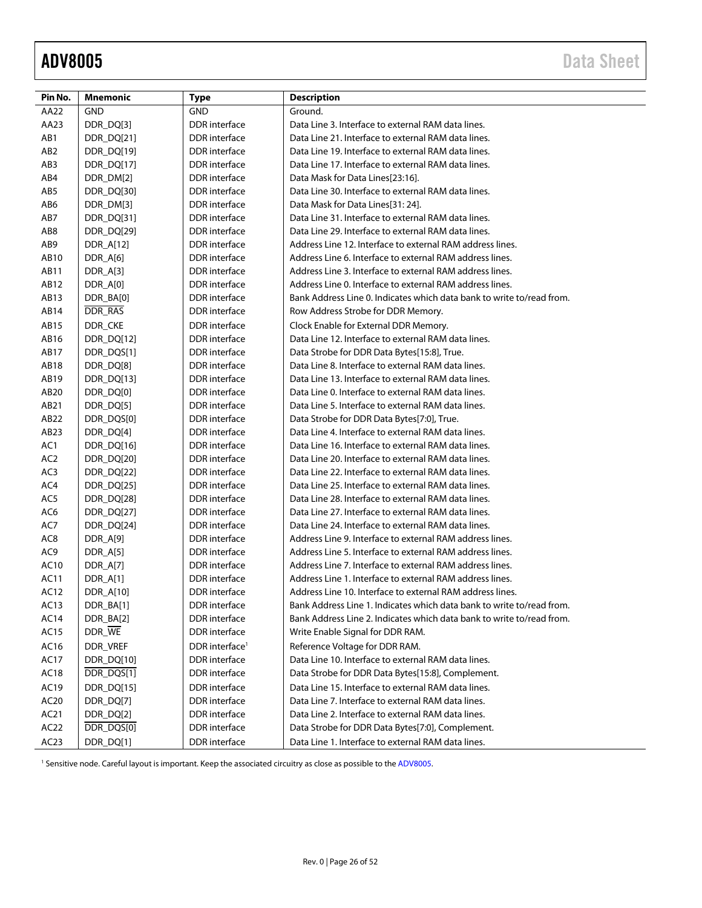<span id="page-25-0"></span>

| Pin No.          | <b>Mnemonic</b> | <b>Type</b>                | <b>Description</b>                                                    |
|------------------|-----------------|----------------------------|-----------------------------------------------------------------------|
| AA22             | <b>GND</b>      | <b>GND</b>                 | Ground.                                                               |
| AA23             | DDR_DQ[3]       | <b>DDR</b> interface       | Data Line 3. Interface to external RAM data lines.                    |
| AB1              | DDR_DQ[21]      | <b>DDR</b> interface       | Data Line 21. Interface to external RAM data lines.                   |
| AB <sub>2</sub>  | DDR_DQ[19]      | DDR interface              | Data Line 19. Interface to external RAM data lines.                   |
| AB <sub>3</sub>  | DDR_DQ[17]      | DDR interface              | Data Line 17. Interface to external RAM data lines.                   |
| AB4              | DDR_DM[2]       | <b>DDR</b> interface       | Data Mask for Data Lines[23:16].                                      |
| AB5              | DDR_DQ[30]      | <b>DDR</b> interface       | Data Line 30. Interface to external RAM data lines.                   |
| AB6              | DDR_DM[3]       | DDR interface              | Data Mask for Data Lines[31: 24].                                     |
| AB7              | DDR_DQ[31]      | DDR interface              | Data Line 31. Interface to external RAM data lines.                   |
| AB8              | DDR_DQ[29]      | DDR interface              | Data Line 29. Interface to external RAM data lines.                   |
| AB9              | DDR_A[12]       | <b>DDR</b> interface       | Address Line 12. Interface to external RAM address lines.             |
| AB10             | DDR_A[6]        | DDR interface              | Address Line 6. Interface to external RAM address lines.              |
| AB11             | DDR_A[3]        | DDR interface              | Address Line 3. Interface to external RAM address lines.              |
| AB12             | DDR_A[0]        | <b>DDR</b> interface       | Address Line 0. Interface to external RAM address lines.              |
| AB13             | DDR_BA[0]       | <b>DDR</b> interface       | Bank Address Line 0. Indicates which data bank to write to/read from. |
| AB14             | DDR_RAS         | <b>DDR</b> interface       | Row Address Strobe for DDR Memory.                                    |
| AB15             | DDR_CKE         | <b>DDR</b> interface       | Clock Enable for External DDR Memory.                                 |
| AB16             | DDR_DQ[12]      | <b>DDR</b> interface       | Data Line 12. Interface to external RAM data lines.                   |
| AB17             | DDR_DQS[1]      | <b>DDR</b> interface       | Data Strobe for DDR Data Bytes[15:8], True.                           |
| AB18             | DDR_DQ[8]       | <b>DDR</b> interface       | Data Line 8. Interface to external RAM data lines.                    |
| AB19             | DDR_DQ[13]      | <b>DDR</b> interface       | Data Line 13. Interface to external RAM data lines.                   |
| AB20             | DDR_DQ[0]       | DDR interface              | Data Line 0. Interface to external RAM data lines.                    |
| AB21             | DDR_DQ[5]       | DDR interface              | Data Line 5. Interface to external RAM data lines.                    |
| AB22             | DDR_DQS[0]      | <b>DDR</b> interface       | Data Strobe for DDR Data Bytes[7:0], True.                            |
| AB <sub>23</sub> | DDR_DQ[4]       | <b>DDR</b> interface       | Data Line 4. Interface to external RAM data lines.                    |
| AC1              | DDR_DQ[16]      | DDR interface              | Data Line 16. Interface to external RAM data lines.                   |
| AC <sub>2</sub>  | DDR_DQ[20]      | DDR interface              | Data Line 20. Interface to external RAM data lines.                   |
| AC3              | DDR_DQ[22]      | DDR interface              | Data Line 22. Interface to external RAM data lines.                   |
| AC4              | DDR_DQ[25]      | <b>DDR</b> interface       | Data Line 25. Interface to external RAM data lines.                   |
| AC5              | DDR_DQ[28]      | DDR interface              | Data Line 28. Interface to external RAM data lines.                   |
| AC6              | DDR_DQ[27]      | DDR interface              | Data Line 27. Interface to external RAM data lines.                   |
| AC7              | DDR_DQ[24]      | <b>DDR</b> interface       | Data Line 24. Interface to external RAM data lines.                   |
| AC <sub>8</sub>  | DDR_A[9]        | <b>DDR</b> interface       | Address Line 9. Interface to external RAM address lines.              |
| AC9              | DDR_A[5]        | <b>DDR</b> interface       | Address Line 5. Interface to external RAM address lines.              |
| AC10             | DDR_A[7]        | <b>DDR</b> interface       | Address Line 7. Interface to external RAM address lines.              |
| AC11             | DDR_A[1]        | <b>DDR</b> interface       | Address Line 1. Interface to external RAM address lines.              |
| AC12             | DDR_A[10]       | <b>DDR</b> interface       | Address Line 10. Interface to external RAM address lines.             |
| AC13             | DDR_BA[1]       | DDR interface              | Bank Address Line 1. Indicates which data bank to write to/read from. |
| AC14             | DDR_BA[2]       | DDR interface              | Bank Address Line 2. Indicates which data bank to write to/read from. |
| AC15             | DDR_WE          | <b>DDR</b> interface       | Write Enable Signal for DDR RAM.                                      |
| AC16             | <b>DDR VREF</b> | DDR interface <sup>1</sup> | Reference Voltage for DDR RAM.                                        |
| AC17             | DDR_DQ[10]      | <b>DDR</b> interface       | Data Line 10. Interface to external RAM data lines.                   |
| AC18             | DDR_DQS[1]      | DDR interface              | Data Strobe for DDR Data Bytes[15:8], Complement.                     |
| AC19             | DDR_DQ[15]      | <b>DDR</b> interface       | Data Line 15. Interface to external RAM data lines.                   |
| AC20             | DDR_DQ[7]       | <b>DDR</b> interface       | Data Line 7. Interface to external RAM data lines.                    |
| AC21             | DDR_DQ[2]       | <b>DDR</b> interface       | Data Line 2. Interface to external RAM data lines.                    |
| AC <sub>22</sub> | DDR_DQS[0]      | DDR interface              | Data Strobe for DDR Data Bytes[7:0], Complement.                      |
| AC <sub>23</sub> | DDR_DQ[1]       | <b>DDR</b> interface       | Data Line 1. Interface to external RAM data lines.                    |

<sup>1</sup> Sensitive node. Careful layout is important. Keep the associated circuitry as close as possible to the ADV8005.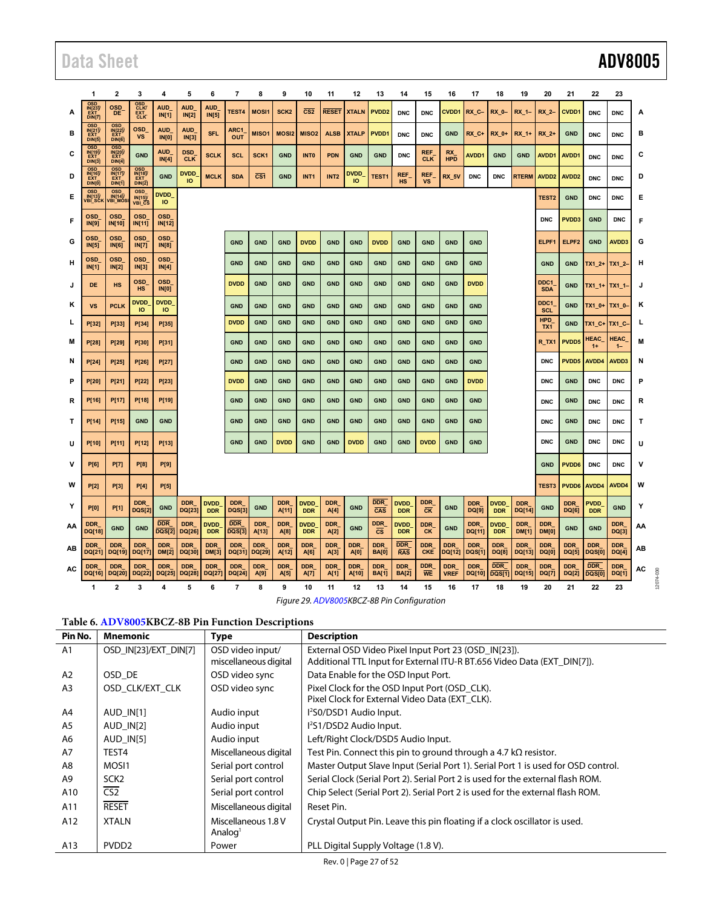|    | 1                                                           | 2                                                                          | 3                                 | 4                           | 5                        | 6                          | 7                           | 8                       | 9                   | 10                        | 11                 | 12                                          | 13                                    | 14                         | 15                                                     | 16                        | 17                   | 18                         | 19                         | 20                         | 21                  | 22                          | 23                         |    |  |
|----|-------------------------------------------------------------|----------------------------------------------------------------------------|-----------------------------------|-----------------------------|--------------------------|----------------------------|-----------------------------|-------------------------|---------------------|---------------------------|--------------------|---------------------------------------------|---------------------------------------|----------------------------|--------------------------------------------------------|---------------------------|----------------------|----------------------------|----------------------------|----------------------------|---------------------|-----------------------------|----------------------------|----|--|
| A  | <b>OSD</b><br><b>IN</b> <sub>23</sub><br>DIN <sub>[7]</sub> | <b>OSD</b><br><b>DE</b>                                                    | OSD<br>CLK/<br>EXT <sub>CLK</sub> | <b>AUD</b><br><b>IN[1]</b>  | <b>AUD</b><br>IN[2]      | <b>AUD</b><br>IN[5]        | TEST4                       | <b>MOSI1</b>            | SCK <sub>2</sub>    | CS <sub>2</sub>           | <b>RESET</b>       | <b>XTALN</b>                                | PVDD <sub>2</sub>                     | <b>DNC</b>                 | <b>DNC</b>                                             | CVDD1                     | RX C-                | <b>RX 0-</b>               | RX 1-                      | RX 2-                      | CVDD1               | <b>DNC</b>                  | <b>DNC</b>                 | A  |  |
| в  | <b>OSD</b><br>IN[21]<br>EXT<br>DIN[5]                       | OSD<br>$\frac{\text{IN}[\overline{22}]}{\text{EXT}}$<br>DIN <sub>[6]</sub> | <b>OSD</b><br><b>VS</b>           | <b>AUD</b><br><b>IN[0]</b>  | <b>AUD</b><br>IN[3]      | <b>SFL</b>                 | ARC1<br><b>OUT</b>          | MISO <sub>1</sub>       | <b>MOSI2</b>        | MISO <sub>2</sub>         | <b>ALSB</b>        | <b>XTALP</b>                                | PVDD1                                 | <b>DNC</b>                 | <b>DNC</b>                                             | <b>GND</b>                | RX C+                | RX 0+                      | RX_1+                      | RX 2+                      | <b>GND</b>          | <b>DNC</b>                  | <b>DNC</b>                 | в  |  |
| С  | OSD<br><b>INI191</b><br>DIN[3]                              | <b>OSD</b><br>IN[20]/<br>EXT<br>DIN[4]                                     | <b>GND</b>                        | <b>AUD</b><br>IN[4]         | <b>DSD</b><br><b>CLK</b> | <b>SCLK</b>                | <b>SCL</b>                  | SCK <sub>1</sub>        | <b>GND</b>          | <b>INTO</b>               | <b>PDN</b>         | <b>GND</b>                                  | <b>GND</b>                            | <b>DNC</b>                 | REF<br><b>CLK</b>                                      | <b>RX</b><br><b>HPD</b>   | <b>AVDD1</b>         | <b>GND</b>                 | <b>GND</b>                 | AVDD1                      | AVDD1               | <b>DNC</b>                  | <b>DNC</b>                 | С  |  |
| D  | <b>OSD</b><br>FÝT<br><b>DIN(0)</b>                          | <b>OSD</b><br>IN[17]<br>DIN[1]                                             | OSD<br>IN[18]<br>DIN[2]           | <b>GND</b>                  | <b>DVDD</b><br>IO        | <b>MCLK</b>                | <b>SDA</b>                  | $\overline{\text{CS1}}$ | <b>GND</b>          | INT <sub>1</sub>          | INT <sub>2</sub>   | <b>DVDD</b><br>IO                           | <b>TEST1</b>                          | <b>REF</b><br><b>HS</b>    | REF<br><b>VS</b>                                       | <b>RX 5V</b>              | <b>DNC</b>           | <b>DNC</b>                 | <b>RTERM</b>               | AVDD <sub>2</sub>          | AVDD <sub>2</sub>   | <b>DNC</b>                  | <b>DNC</b>                 | D  |  |
| Е  | <b>OSD</b><br>IN[13]/<br>VBI_SCK                            | <b>OSD</b><br>IN[14]/<br>VBI_MOS                                           | <b>OSD</b><br>IN[15]<br>VBI CS    | <b>DVDD</b><br>IO           |                          |                            |                             |                         |                     |                           |                    |                                             |                                       |                            |                                                        |                           |                      | TEST <sub>2</sub>          | <b>GND</b>                 | <b>DNC</b>                 | <b>DNC</b>          | Е                           |                            |    |  |
| Е  | <b>OSD</b><br><b>IN[9]</b>                                  | <b>OSD</b><br>IN[10]                                                       | <b>OSD</b><br>IN[11]              | <b>OSD</b><br>IN[12]        |                          |                            |                             |                         |                     |                           |                    |                                             |                                       |                            |                                                        |                           |                      |                            |                            | <b>DNC</b>                 | PVDD3               | <b>GND</b>                  | <b>DNC</b>                 | F  |  |
| G  | <b>OSD</b><br>IN[5]                                         | <b>OSD</b><br><b>IN[6]</b>                                                 | <b>OSD</b><br><b>IN[7]</b>        | <b>OSD</b><br><b>IN[8]</b>  |                          |                            | <b>GND</b>                  | <b>GND</b>              | <b>GND</b>          | <b>DVDD</b>               | <b>GND</b>         | <b>GND</b>                                  | <b>DVDD</b>                           | <b>GND</b>                 | <b>GND</b>                                             | <b>GND</b>                | <b>GND</b>           |                            |                            | ELPF1                      | ELPF <sub>2</sub>   | <b>GND</b>                  | AVDD3                      | G  |  |
| н  | <b>OSD</b><br>IN[1]                                         | <b>OSD</b><br>IN[2]                                                        | <b>OSD</b><br>IN[3]               | <b>OSD</b><br>IN[4]         |                          |                            | <b>GND</b>                  | <b>GND</b>              | <b>GND</b>          | <b>GND</b>                | <b>GND</b>         | <b>GND</b>                                  | <b>GND</b>                            | <b>GND</b>                 | <b>GND</b>                                             | <b>GND</b>                | <b>GND</b>           |                            |                            | <b>GND</b>                 | <b>GND</b>          | TX1_2+ TX1_2-               |                            | н  |  |
|    | DE                                                          | <b>HS</b>                                                                  | <b>OSD</b><br><b>HS</b>           | <b>OSD</b><br><b>IN[0]</b>  |                          |                            | <b>DVDD</b>                 | <b>GND</b>              | <b>GND</b>          | <b>GND</b>                | <b>GND</b>         | <b>GND</b>                                  | <b>GND</b>                            | <b>GND</b>                 | <b>GND</b>                                             | <b>GND</b>                | <b>DVDD</b>          |                            |                            | DDC1<br><b>SDA</b>         | <b>GND</b>          | TX1_1+ TX1_1-               |                            | J  |  |
| κ  | <b>VS</b>                                                   | <b>PCLK</b>                                                                | <b>DVDD</b><br>IO                 | <b>DVDD</b><br>IO           |                          |                            | <b>GND</b>                  | <b>GND</b>              | <b>GND</b>          | <b>GND</b>                | <b>GND</b>         | <b>GND</b>                                  | <b>GND</b>                            | <b>GND</b>                 | <b>GND</b>                                             | <b>GND</b>                | <b>GND</b>           |                            |                            | DDC1<br><b>SCL</b>         | <b>GND</b>          | $TX1_0+$                    | TX1 0-                     | κ  |  |
| L  | P[32]                                                       | P[33]                                                                      | P[34]                             | P[35]                       |                          |                            | <b>DVDD</b>                 | <b>GND</b>              | <b>GND</b>          | <b>GND</b>                | <b>GND</b>         | <b>GND</b>                                  | <b>GND</b>                            | <b>GND</b>                 | <b>GND</b>                                             | <b>GND</b>                | <b>GND</b>           |                            |                            | <b>HPD</b><br>TX1          | <b>GND</b>          | $TX1_C+$                    | TX1 C                      | L  |  |
| M  | P[28]                                                       | P[29]                                                                      | P[30]                             | P[31]                       |                          |                            | <b>GND</b>                  | <b>GND</b>              | <b>GND</b>          | <b>GND</b>                | <b>GND</b>         | <b>GND</b>                                  | <b>GND</b>                            | <b>GND</b>                 | <b>GND</b>                                             | <b>GND</b>                | <b>GND</b>           |                            |                            | R_TX1                      | PVDD5               | <b>HEAC</b><br>$1+$         | <b>HEAC</b><br>$1 -$       | M  |  |
| N  | <b>P[24]</b>                                                | P[25]                                                                      | P[26]                             | P[27]                       |                          |                            | <b>GND</b>                  | <b>GND</b>              | <b>GND</b>          | <b>GND</b>                | <b>GND</b>         | <b>GND</b>                                  | <b>GND</b>                            | <b>GND</b>                 | <b>GND</b>                                             | <b>GND</b>                | <b>GND</b>           |                            |                            | <b>DNC</b>                 | PVDD5               | AVDD4                       | AVDD3                      | N  |  |
| P  | P[20]                                                       | P[21]                                                                      | P[22]                             | P[23]                       |                          |                            | <b>DVDD</b>                 | <b>GND</b>              | <b>GND</b>          | <b>GND</b>                | <b>GND</b>         | <b>GND</b>                                  | <b>GND</b>                            | <b>GND</b>                 | <b>GND</b>                                             | <b>GND</b>                | <b>DVDD</b>          |                            |                            | <b>DNC</b>                 | <b>GND</b>          | <b>DNC</b>                  | <b>DNC</b>                 | P  |  |
| R  | P[16]                                                       | P[17]                                                                      | P[18]                             | P[19]                       |                          |                            | <b>GND</b>                  | <b>GND</b>              | <b>GND</b>          | <b>GND</b>                | <b>GND</b>         | <b>GND</b>                                  | <b>GND</b>                            | <b>GND</b>                 | <b>GND</b>                                             | <b>GND</b>                | <b>GND</b>           |                            |                            | <b>DNC</b>                 | <b>GND</b>          | <b>DNC</b>                  | <b>DNC</b>                 | R  |  |
| т  | P[14]                                                       | P[15]                                                                      | <b>GND</b>                        | <b>GND</b>                  |                          |                            | <b>GND</b>                  | <b>GND</b>              | <b>GND</b>          | <b>GND</b>                | <b>GND</b>         | <b>GND</b>                                  | <b>GND</b>                            | <b>GND</b>                 | <b>GND</b>                                             | <b>GND</b>                | <b>GND</b>           |                            |                            | <b>DNC</b>                 | <b>GND</b>          | <b>DNC</b>                  | <b>DNC</b>                 | т  |  |
| U  | P[10]                                                       | P[11]                                                                      | P[12]                             | P[13]                       |                          |                            | <b>GND</b>                  | <b>GND</b>              | <b>DVDD</b>         | <b>GND</b>                | <b>GND</b>         | <b>DVDD</b>                                 | <b>GND</b>                            | <b>GND</b>                 | <b>DVDD</b>                                            | <b>GND</b>                | <b>GND</b>           |                            |                            | <b>DNC</b>                 | <b>GND</b>          | <b>DNC</b>                  | <b>DNC</b>                 | U  |  |
| v  | <b>P[6]</b>                                                 | <b>P[7]</b>                                                                | <b>P[8]</b>                       | <b>P[9]</b>                 |                          |                            |                             |                         |                     |                           |                    |                                             |                                       |                            |                                                        |                           |                      |                            |                            | <b>GND</b>                 | PVDD6               | <b>DNC</b>                  | <b>DNC</b>                 | ٧  |  |
| W  | <b>P[2]</b>                                                 | <b>P[3]</b>                                                                | <b>P[4]</b>                       | <b>P[5]</b>                 |                          |                            |                             |                         |                     |                           |                    |                                             |                                       |                            |                                                        |                           |                      |                            |                            | TEST3                      | PVDD6               | AVDD4                       | AVDD4                      | W  |  |
| Y  | <b>P[0]</b>                                                 | <b>P[1]</b>                                                                | <b>DDR</b><br><b>DQS[2]</b>       | <b>GND</b>                  | <b>DDR</b><br>DQ[23]     | <b>DVDD</b><br><b>DDR</b>  | <b>DDR</b><br><b>DQS[3]</b> | <b>GND</b>              | <b>DDR</b><br>A[11] | <b>DVDD</b><br><b>DDR</b> | <b>DDR</b><br>A[4] | <b>GND</b>                                  | <b>DDR</b><br>$\overline{\text{CAS}}$ | <b>DVDD</b><br><b>DDR</b>  | <b>DDR</b><br>$\overline{\text{c}}\overline{\text{K}}$ | <b>GND</b>                | <b>DDR</b><br>DQ[9]  | <b>DVDD</b><br><b>DDR</b>  | <b>DDR</b><br>DQ[14]       | <b>GND</b>                 | <b>DDR</b><br>DQ[6] | <b>PVDD</b><br><b>DDR</b>   | <b>GND</b>                 | Υ  |  |
| AA | <b>DDR</b><br>DQ[18]                                        | <b>GND</b>                                                                 | <b>GND</b>                        | <b>DDR</b><br><b>DQS[2]</b> | <b>DDR</b><br>DQ[26]     | <b>DVDD</b><br><b>DDR</b>  | DDR<br><b>DQS[3]</b>        | <b>DDR</b><br>A[13]     | <b>DDR</b><br>A[8]  | <b>DVDD</b><br><b>DDR</b> | <b>DDR</b><br>A[2] | <b>GND</b>                                  | <b>DDR</b><br>$\overline{\text{cs}}$  | <b>DVDD</b><br><b>DDR</b>  | <b>DDR</b><br><b>CK</b>                                | <b>GND</b>                | <b>DDR</b><br>DQ[11] | <b>DVDD</b><br><b>DDR</b>  | <b>DDR</b><br><b>DM[1]</b> | <b>DDR</b><br>DM[0]        | <b>GND</b>          | <b>GND</b>                  | <b>DDR</b><br>DQ[3]        | AA |  |
| AВ | <b>DDR</b><br>DQ[21]                                        | <b>DDR</b><br>DQ[19]                                                       | <b>DDR</b><br>DQ[17]              | <b>DDR</b><br><b>DM[2]</b>  | <b>DDR</b><br>DQ[30]     | <b>DDR</b><br><b>DM[3]</b> | <b>DDR</b><br>DQ[31]        | <b>DDR</b><br>DQ[29]    | <b>DDR</b><br>A[12] | <b>DDR</b><br>A[6]        | <b>DDR</b><br>A[3] | <b>DDR</b><br>A[0]                          | <b>DDR</b><br><b>BA[0]</b>            | <b>DDR</b><br><b>RAS</b>   | <b>DDR</b><br><b>CKE</b>                               | <b>DDR</b><br>DQ[12]      | <b>DDR</b><br>DQS[1] | <b>DDR</b><br><b>DQ[8]</b> | <b>DDR</b><br>DQ[13]       | <b>DDR</b><br><b>DQ[0]</b> | <b>DDR</b><br>DQ[5] | <b>DDR</b><br><b>DQS[0]</b> | <b>DDR</b><br><b>DQ[4]</b> | AВ |  |
| AC | <b>DDR</b><br>DQ[16]                                        | <b>DDR</b><br>DQ[20]                                                       | <b>DDR</b><br>DQ[22]              | <b>DDR</b><br>DQ[25]        | <b>DDR</b><br>DQ[28]     | <b>DDR</b><br>DQ[27]       | <b>DDR</b><br>DQ[24]        | <b>DDR</b><br>A[9]      | <b>DDR</b><br>A[5]  | <b>DDR</b><br>A[7]        | <b>DDR</b><br>A[1] | <b>DDR</b><br>A[10]                         | <b>DDR</b><br><b>BA[1]</b>            | <b>DDR</b><br><b>BA[2]</b> | <b>DDR</b><br><b>WE</b>                                | <b>DDR</b><br><b>VREF</b> | <b>DDR</b><br>DQ[10] | <b>DDR</b><br>DQS[1]       | <b>DDR</b><br>DQ[15]       | <b>DDR</b><br><b>DQ[7]</b> | <b>DDR</b><br>DQ[2] | <b>DDR</b><br>DQST0         | <b>DDR</b><br>DQ[1]        | AC |  |
|    | 1                                                           | $\overline{2}$                                                             | 3                                 | 4                           | 5                        | 6                          | $\overline{\mathbf{r}}$     | 8                       | 9                   | 10                        | 11                 | 12                                          | 13                                    | 14                         | 15                                                     | 16                        | 17                   | 18                         | 19                         | 20                         | 21                  | 22                          | 23                         |    |  |
|    |                                                             |                                                                            |                                   |                             |                          |                            |                             |                         |                     |                           |                    | Figure 29. ADV8005KBCZ-8B Pin Configuration |                                       |                            |                                                        |                           |                      |                            |                            |                            |                     |                             |                            |    |  |

### **Table 6[. ADV8005K](http://www.analog.com/adv8005?doc=adv8005.pdf)BCZ-8B Pin Function Descriptions**

<span id="page-26-0"></span>

| Pin No.        | Mnemonic              | <b>Type</b>           | <b>Description</b>                                                                |
|----------------|-----------------------|-----------------------|-----------------------------------------------------------------------------------|
| A <sub>1</sub> | OSD_IN[23]/EXT_DIN[7] | OSD video input/      | External OSD Video Pixel Input Port 23 (OSD IN[23]).                              |
|                |                       | miscellaneous digital | Additional TTL Input for External ITU-R BT.656 Video Data (EXT DIN[7]).           |
| A2             | OSD DE                | OSD video sync        | Data Enable for the OSD Input Port.                                               |
| A <sub>3</sub> | OSD CLK/EXT CLK       | OSD video sync        | Pixel Clock for the OSD Input Port (OSD CLK).                                     |
|                |                       |                       | Pixel Clock for External Video Data (EXT CLK).                                    |
| A4             | AUD IN[1]             | Audio input           | l <sup>2</sup> S0/DSD1 Audio Input.                                               |
| A5             | AUD IN[2]             | Audio input           | PS1/DSD2 Audio Input.                                                             |
| A6             | $AUD$ $IN[5]$         | Audio input           | Left/Right Clock/DSD5 Audio Input.                                                |
| A7             | TEST4                 | Miscellaneous digital | Test Pin. Connect this pin to ground through a 4.7 $k\Omega$ resistor.            |
| A8             | MOSI1                 | Serial port control   | Master Output Slave Input (Serial Port 1). Serial Port 1 is used for OSD control. |
| A9             | SCK <sub>2</sub>      | Serial port control   | Serial Clock (Serial Port 2). Serial Port 2 is used for the external flash ROM.   |
| A10            | CS <sub>2</sub>       | Serial port control   | Chip Select (Serial Port 2). Serial Port 2 is used for the external flash ROM.    |
| A11            | <b>RESET</b>          | Miscellaneous digital | Reset Pin.                                                                        |
| A12            | <b>XTALN</b>          | Miscellaneous 1.8 V   | Crystal Output Pin. Leave this pin floating if a clock oscillator is used.        |
|                |                       | Analog <sup>1</sup>   |                                                                                   |
| A13            | PVDD <sub>2</sub>     | Power                 | PLL Digital Supply Voltage (1.8 V).                                               |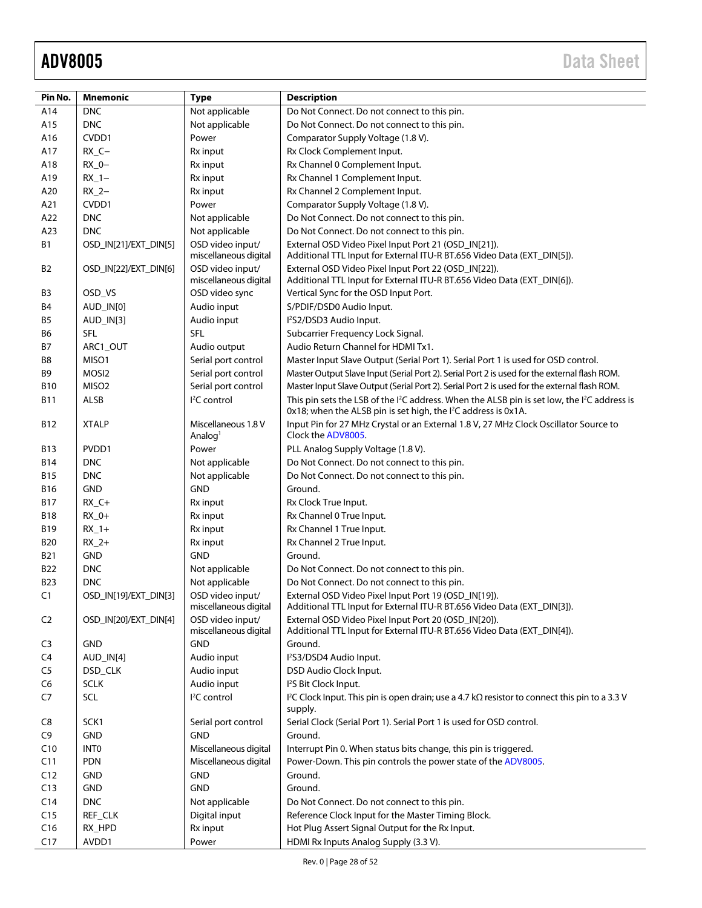| Pin No.        | <b>Mnemonic</b>       | <b>Type</b>                                | <b>Description</b>                                                                                                                                                                                 |
|----------------|-----------------------|--------------------------------------------|----------------------------------------------------------------------------------------------------------------------------------------------------------------------------------------------------|
| A14            | <b>DNC</b>            | Not applicable                             | Do Not Connect. Do not connect to this pin.                                                                                                                                                        |
| A15            | <b>DNC</b>            | Not applicable                             | Do Not Connect. Do not connect to this pin.                                                                                                                                                        |
| A16            | CVDD1                 | Power                                      | Comparator Supply Voltage (1.8 V).                                                                                                                                                                 |
| A17            | $RX_C -$              | Rx input                                   | Rx Clock Complement Input.                                                                                                                                                                         |
| A18            | $RX_0 -$              | Rx input                                   | Rx Channel 0 Complement Input.                                                                                                                                                                     |
| A19            | $RX_1$ -              | Rx input                                   | Rx Channel 1 Complement Input.                                                                                                                                                                     |
| A20            | $RX_2-$               | Rx input                                   | Rx Channel 2 Complement Input.                                                                                                                                                                     |
| A21            | CVDD1                 | Power                                      | Comparator Supply Voltage (1.8 V).                                                                                                                                                                 |
| A22            | <b>DNC</b>            | Not applicable                             | Do Not Connect. Do not connect to this pin.                                                                                                                                                        |
| A23            | <b>DNC</b>            | Not applicable                             | Do Not Connect. Do not connect to this pin.                                                                                                                                                        |
| <b>B1</b>      | OSD_IN[21]/EXT_DIN[5] | OSD video input/<br>miscellaneous digital  | External OSD Video Pixel Input Port 21 (OSD_IN[21]).<br>Additional TTL Input for External ITU-R BT.656 Video Data (EXT_DIN[5]).                                                                    |
| B <sub>2</sub> | OSD_IN[22]/EXT_DIN[6] | OSD video input/<br>miscellaneous digital  | External OSD Video Pixel Input Port 22 (OSD_IN[22]).<br>Additional TTL Input for External ITU-R BT.656 Video Data (EXT_DIN[6]).                                                                    |
| B3             | OSD_VS                | OSD video sync                             | Vertical Sync for the OSD Input Port.                                                                                                                                                              |
| B4             | AUD_IN[0]             | Audio input                                | S/PDIF/DSD0 Audio Input.                                                                                                                                                                           |
| B5             | AUD_IN[3]             | Audio input                                | l <sup>2</sup> S2/DSD3 Audio Input.                                                                                                                                                                |
| B6             | <b>SFL</b>            | <b>SFL</b>                                 | Subcarrier Frequency Lock Signal.                                                                                                                                                                  |
| B7             | ARC1_OUT              | Audio output                               | Audio Return Channel for HDMI Tx1.                                                                                                                                                                 |
| B8             | MISO1                 | Serial port control                        | Master Input Slave Output (Serial Port 1). Serial Port 1 is used for OSD control.                                                                                                                  |
| B9             | MOSI <sub>2</sub>     | Serial port control                        | Master Output Slave Input (Serial Port 2). Serial Port 2 is used for the external flash ROM.                                                                                                       |
| <b>B10</b>     | MISO <sub>2</sub>     | Serial port control                        | Master Input Slave Output (Serial Port 2). Serial Port 2 is used for the external flash ROM.                                                                                                       |
| B11            | <b>ALSB</b>           | <sup>2</sup> C control                     | This pin sets the LSB of the I <sup>2</sup> C address. When the ALSB pin is set low, the I <sup>2</sup> C address is<br>0x18; when the ALSB pin is set high, the I <sup>2</sup> C address is 0x1A. |
| B12            | <b>XTALP</b>          | Miscellaneous 1.8 V<br>Analog <sup>1</sup> | Input Pin for 27 MHz Crystal or an External 1.8 V, 27 MHz Clock Oscillator Source to<br>Clock the ADV8005.                                                                                         |
| <b>B13</b>     | PVDD1                 | Power                                      | PLL Analog Supply Voltage (1.8 V).                                                                                                                                                                 |
| <b>B14</b>     | <b>DNC</b>            | Not applicable                             | Do Not Connect. Do not connect to this pin.                                                                                                                                                        |
| <b>B15</b>     | <b>DNC</b>            | Not applicable                             | Do Not Connect. Do not connect to this pin.                                                                                                                                                        |
| <b>B16</b>     | <b>GND</b>            | <b>GND</b>                                 | Ground.                                                                                                                                                                                            |
| <b>B17</b>     | $RX_C +$              | Rx input                                   | Rx Clock True Input.                                                                                                                                                                               |
| <b>B18</b>     | $RX_0+$               | Rx input                                   | Rx Channel 0 True Input.                                                                                                                                                                           |
| B19            | $RX_1+$               | Rx input                                   | Rx Channel 1 True Input.                                                                                                                                                                           |
| <b>B20</b>     | $RX_2+$               | Rx input                                   | Rx Channel 2 True Input.                                                                                                                                                                           |
| <b>B21</b>     | <b>GND</b>            | <b>GND</b>                                 | Ground.                                                                                                                                                                                            |
| B22            | <b>DNC</b>            | Not applicable                             | Do Not Connect. Do not connect to this pin.                                                                                                                                                        |
| <b>B23</b>     | <b>DNC</b>            | Not applicable                             | Do Not Connect. Do not connect to this pin.                                                                                                                                                        |
| C <sub>1</sub> | OSD_IN[19]/EXT_DIN[3] | OSD video input/<br>miscellaneous digital  | External OSD Video Pixel Input Port 19 (OSD_IN[19]).<br>Additional TTL Input for External ITU-R BT.656 Video Data (EXT_DIN[3]).                                                                    |
| C <sub>2</sub> | OSD_IN[20]/EXT_DIN[4] | OSD video input/<br>miscellaneous digital  | External OSD Video Pixel Input Port 20 (OSD_IN[20]).<br>Additional TTL Input for External ITU-R BT.656 Video Data (EXT_DIN[4]).                                                                    |
| C3             | <b>GND</b>            | <b>GND</b>                                 | Ground.                                                                                                                                                                                            |
| C <sub>4</sub> | AUD_IN[4]             | Audio input                                | l <sup>2</sup> S3/DSD4 Audio Input.                                                                                                                                                                |
| C <sub>5</sub> | DSD_CLK               | Audio input                                | DSD Audio Clock Input.                                                                                                                                                                             |
| C <sub>6</sub> | <b>SCLK</b>           | Audio input                                | I <sup>2</sup> S Bit Clock Input.                                                                                                                                                                  |
| C7             | SCL                   | I <sup>2</sup> C control                   | I <sup>2</sup> C Clock Input. This pin is open drain; use a 4.7 k $\Omega$ resistor to connect this pin to a 3.3 V<br>supply.                                                                      |
| C8             | SCK1                  | Serial port control                        | Serial Clock (Serial Port 1). Serial Port 1 is used for OSD control.                                                                                                                               |
| C9             | <b>GND</b>            | <b>GND</b>                                 | Ground.                                                                                                                                                                                            |
| C10            | <b>INTO</b>           | Miscellaneous digital                      | Interrupt Pin 0. When status bits change, this pin is triggered.                                                                                                                                   |
| C11            | <b>PDN</b>            | Miscellaneous digital                      | Power-Down. This pin controls the power state of the ADV8005.                                                                                                                                      |
| C12            | GND                   | <b>GND</b>                                 | Ground.                                                                                                                                                                                            |
| C13            | <b>GND</b>            | <b>GND</b>                                 | Ground.                                                                                                                                                                                            |
| C14            | <b>DNC</b>            | Not applicable                             | Do Not Connect. Do not connect to this pin.                                                                                                                                                        |
| C15            | REF_CLK               | Digital input                              | Reference Clock Input for the Master Timing Block.                                                                                                                                                 |
| C16            | RX_HPD                | Rx input                                   | Hot Plug Assert Signal Output for the Rx Input.                                                                                                                                                    |
| C17            | AVDD1                 | Power                                      | HDMI Rx Inputs Analog Supply (3.3 V).                                                                                                                                                              |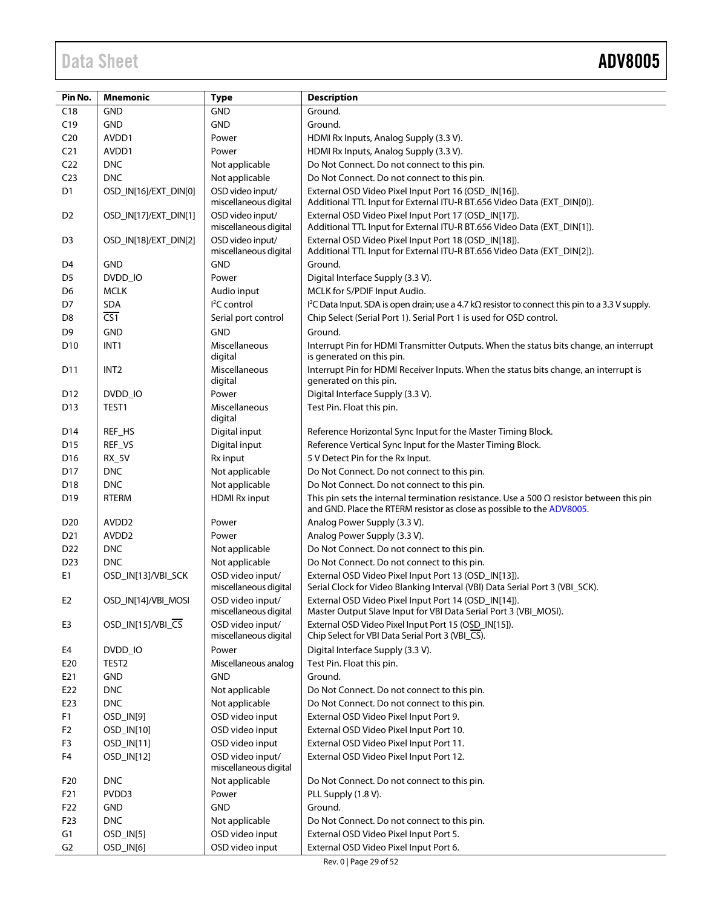| Pin No.         | <b>Mnemonic</b>       | <b>Type</b>                               | <b>Description</b>                                                                                                                                                        |
|-----------------|-----------------------|-------------------------------------------|---------------------------------------------------------------------------------------------------------------------------------------------------------------------------|
| C18             | <b>GND</b>            | <b>GND</b>                                | Ground.                                                                                                                                                                   |
| C19             | <b>GND</b>            | <b>GND</b>                                | Ground.                                                                                                                                                                   |
| C <sub>20</sub> | AVDD1                 | Power                                     | HDMI Rx Inputs, Analog Supply (3.3 V).                                                                                                                                    |
| C <sub>21</sub> | AVDD1                 | Power                                     | HDMI Rx Inputs, Analog Supply (3.3 V).                                                                                                                                    |
| C <sub>22</sub> | <b>DNC</b>            | Not applicable                            | Do Not Connect. Do not connect to this pin.                                                                                                                               |
| C <sub>23</sub> | <b>DNC</b>            | Not applicable                            | Do Not Connect. Do not connect to this pin.                                                                                                                               |
| D <sub>1</sub>  | OSD_IN[16]/EXT_DIN[0] | OSD video input/                          | External OSD Video Pixel Input Port 16 (OSD_IN[16]).                                                                                                                      |
|                 |                       | miscellaneous digital                     | Additional TTL Input for External ITU-R BT.656 Video Data (EXT_DIN[0]).                                                                                                   |
| D <sub>2</sub>  | OSD_IN[17]/EXT_DIN[1] | OSD video input/<br>miscellaneous digital | External OSD Video Pixel Input Port 17 (OSD_IN[17]).<br>Additional TTL Input for External ITU-R BT.656 Video Data (EXT_DIN[1]).                                           |
| D <sub>3</sub>  | OSD_IN[18]/EXT_DIN[2] | OSD video input/<br>miscellaneous digital | External OSD Video Pixel Input Port 18 (OSD_IN[18]).<br>Additional TTL Input for External ITU-R BT.656 Video Data (EXT_DIN[2]).                                           |
| D4              | <b>GND</b>            | <b>GND</b>                                | Ground.                                                                                                                                                                   |
| D <sub>5</sub>  | DVDD_IO               | Power                                     | Digital Interface Supply (3.3 V).                                                                                                                                         |
| D6              | <b>MCLK</b>           | Audio input                               | MCLK for S/PDIF Input Audio.                                                                                                                                              |
| D7              | <b>SDA</b>            | $I2C$ control                             | $1^2$ C Data Input. SDA is open drain; use a 4.7 k $\Omega$ resistor to connect this pin to a 3.3 V supply.                                                               |
| D8              | $\overline{CS1}$      | Serial port control                       | Chip Select (Serial Port 1). Serial Port 1 is used for OSD control.                                                                                                       |
| D9              | <b>GND</b>            | <b>GND</b>                                | Ground.                                                                                                                                                                   |
| D <sub>10</sub> | INT <sub>1</sub>      | Miscellaneous<br>digital                  | Interrupt Pin for HDMI Transmitter Outputs. When the status bits change, an interrupt<br>is generated on this pin.                                                        |
| D <sub>11</sub> | INT <sub>2</sub>      | Miscellaneous<br>digital                  | Interrupt Pin for HDMI Receiver Inputs. When the status bits change, an interrupt is<br>generated on this pin.                                                            |
| D <sub>12</sub> | DVDD IO               | Power                                     | Digital Interface Supply (3.3 V).                                                                                                                                         |
| D <sub>13</sub> | TEST1                 | Miscellaneous<br>digital                  | Test Pin. Float this pin.                                                                                                                                                 |
| D14             | REF_HS                | Digital input                             | Reference Horizontal Sync Input for the Master Timing Block.                                                                                                              |
| D <sub>15</sub> | REF_VS                | Digital input                             | Reference Vertical Sync Input for the Master Timing Block.                                                                                                                |
| D <sub>16</sub> | <b>RX_5V</b>          | Rx input                                  | 5 V Detect Pin for the Rx Input.                                                                                                                                          |
| D17             | <b>DNC</b>            | Not applicable                            | Do Not Connect. Do not connect to this pin.                                                                                                                               |
| D <sub>18</sub> | <b>DNC</b>            | Not applicable                            | Do Not Connect. Do not connect to this pin.                                                                                                                               |
| D <sub>19</sub> | <b>RTERM</b>          | <b>HDMI Rx input</b>                      | This pin sets the internal termination resistance. Use a 500 $\Omega$ resistor between this pin<br>and GND. Place the RTERM resistor as close as possible to the ADV8005. |
| D <sub>20</sub> | AVDD <sub>2</sub>     | Power                                     | Analog Power Supply (3.3 V).                                                                                                                                              |
| D <sub>21</sub> | AVDD <sub>2</sub>     | Power                                     | Analog Power Supply (3.3 V).                                                                                                                                              |
| D22             | <b>DNC</b>            | Not applicable                            | Do Not Connect. Do not connect to this pin.                                                                                                                               |
| D <sub>23</sub> | <b>DNC</b>            | Not applicable                            | Do Not Connect. Do not connect to this pin.                                                                                                                               |
| E1              | OSD_IN[13]/VBI_SCK    | OSD video input/<br>miscellaneous digital | External OSD Video Pixel Input Port 13 (OSD_IN[13]).<br>Serial Clock for Video Blanking Interval (VBI) Data Serial Port 3 (VBI_SCK).                                      |
| E <sub>2</sub>  | OSD_IN[14]/VBI_MOSI   | OSD video input/<br>miscellaneous digital | External OSD Video Pixel Input Port 14 (OSD_IN[14]).<br>Master Output Slave Input for VBI Data Serial Port 3 (VBI_MOSI).                                                  |
| E <sub>3</sub>  | OSD_IN[15]/VBI_CS     | OSD video input/<br>miscellaneous digital | External OSD Video Pixel Input Port 15 (OSD_IN[15]).<br>Chip Select for VBI Data Serial Port 3 (VBI_CS).                                                                  |
| E4              | DVDD_IO               | Power                                     | Digital Interface Supply (3.3 V).                                                                                                                                         |
| E20             | TEST <sub>2</sub>     | Miscellaneous analog                      | Test Pin. Float this pin.                                                                                                                                                 |
| E21             | GND                   | <b>GND</b>                                | Ground.                                                                                                                                                                   |
| E22             | <b>DNC</b>            | Not applicable                            | Do Not Connect. Do not connect to this pin.                                                                                                                               |
| E23             | <b>DNC</b>            | Not applicable                            | Do Not Connect. Do not connect to this pin.                                                                                                                               |
| F <sub>1</sub>  | OSD_IN[9]             | OSD video input                           | External OSD Video Pixel Input Port 9.                                                                                                                                    |
| F <sub>2</sub>  | OSD_IN[10]            | OSD video input                           | External OSD Video Pixel Input Port 10.                                                                                                                                   |
| F3              | OSD_IN[11]            | OSD video input                           | External OSD Video Pixel Input Port 11.                                                                                                                                   |
| F4              | OSD_IN[12]            | OSD video input/<br>miscellaneous digital | External OSD Video Pixel Input Port 12.                                                                                                                                   |
| F <sub>20</sub> | <b>DNC</b>            | Not applicable                            | Do Not Connect. Do not connect to this pin.                                                                                                                               |
| F21             | PVDD3                 | Power                                     | PLL Supply (1.8 V).                                                                                                                                                       |
| F22             | <b>GND</b>            | <b>GND</b>                                | Ground.                                                                                                                                                                   |
| F <sub>23</sub> | <b>DNC</b>            | Not applicable                            | Do Not Connect. Do not connect to this pin.                                                                                                                               |
| G1              | OSD_IN[5]             | OSD video input                           | External OSD Video Pixel Input Port 5.                                                                                                                                    |
| G <sub>2</sub>  | OSD_IN[6]             | OSD video input                           | External OSD Video Pixel Input Port 6.                                                                                                                                    |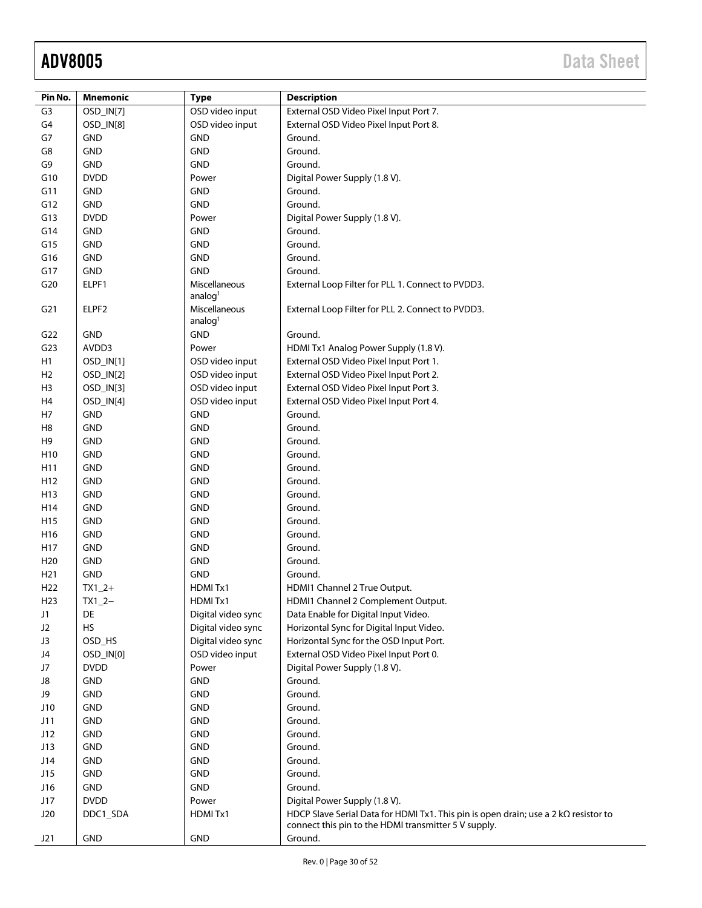| Pin No.         | <b>Mnemonic</b> | <b>Type</b>                 | <b>Description</b>                                                                  |
|-----------------|-----------------|-----------------------------|-------------------------------------------------------------------------------------|
| G <sub>3</sub>  | OSD_IN[7]       | OSD video input             | External OSD Video Pixel Input Port 7.                                              |
| G4              | OSD_IN[8]       | OSD video input             | External OSD Video Pixel Input Port 8.                                              |
| G7              | GND             | <b>GND</b>                  | Ground.                                                                             |
| G8              | <b>GND</b>      | <b>GND</b>                  | Ground.                                                                             |
| G9              | GND             | <b>GND</b>                  | Ground.                                                                             |
|                 |                 |                             |                                                                                     |
| G10             | <b>DVDD</b>     | Power                       | Digital Power Supply (1.8 V).<br>Ground.                                            |
| G11             | <b>GND</b>      | <b>GND</b>                  |                                                                                     |
| G12             | GND             | <b>GND</b>                  | Ground.                                                                             |
| G13             | <b>DVDD</b>     | Power                       | Digital Power Supply (1.8 V).                                                       |
| G14             | <b>GND</b>      | <b>GND</b>                  | Ground.                                                                             |
| G15             | <b>GND</b>      | GND                         | Ground.                                                                             |
| G16             | <b>GND</b>      | GND                         | Ground.                                                                             |
| G17             | GND             | <b>GND</b>                  | Ground.                                                                             |
| G20             | ELPF1           | Miscellaneous<br>analog $1$ | External Loop Filter for PLL 1. Connect to PVDD3.                                   |
| G <sub>21</sub> | ELPF2           | Miscellaneous<br>analog $1$ | External Loop Filter for PLL 2. Connect to PVDD3.                                   |
| G22             | <b>GND</b>      | GND                         | Ground.                                                                             |
| G <sub>23</sub> | AVDD3           | Power                       | HDMI Tx1 Analog Power Supply (1.8 V).                                               |
| H1              | OSD_IN[1]       | OSD video input             | External OSD Video Pixel Input Port 1.                                              |
| H <sub>2</sub>  | OSD_IN[2]       | OSD video input             | External OSD Video Pixel Input Port 2.                                              |
| H <sub>3</sub>  | OSD_IN[3]       | OSD video input             | External OSD Video Pixel Input Port 3.                                              |
| H4              | OSD_IN[4]       | OSD video input             | External OSD Video Pixel Input Port 4.                                              |
| H7              | <b>GND</b>      | <b>GND</b>                  | Ground.                                                                             |
| H <sub>8</sub>  | <b>GND</b>      | <b>GND</b>                  | Ground.                                                                             |
| H <sub>9</sub>  | GND             | <b>GND</b>                  | Ground.                                                                             |
| H10             | GND             | <b>GND</b>                  | Ground.                                                                             |
| H11             | <b>GND</b>      | <b>GND</b>                  | Ground.                                                                             |
| H <sub>12</sub> | GND             | <b>GND</b>                  | Ground.                                                                             |
| H <sub>13</sub> | <b>GND</b>      | GND                         | Ground.                                                                             |
| H14             | <b>GND</b>      | GND                         | Ground.                                                                             |
| H <sub>15</sub> | <b>GND</b>      | GND                         | Ground.                                                                             |
| H <sub>16</sub> | GND             | GND                         | Ground.                                                                             |
| H17             | <b>GND</b>      | GND                         | Ground.                                                                             |
| H <sub>20</sub> | <b>GND</b>      | GND                         | Ground.                                                                             |
| H <sub>21</sub> | <b>GND</b>      | <b>GND</b>                  | Ground.                                                                             |
| H <sub>22</sub> | $TX1_2+$        | HDMITx1                     | HDMI1 Channel 2 True Output.                                                        |
| H <sub>23</sub> | $TX1_2-$        | HDMITx1                     | HDMI1 Channel 2 Complement Output.                                                  |
| J1              | DE              | Digital video sync          | Data Enable for Digital Input Video.                                                |
| J2              | <b>HS</b>       | Digital video sync          | Horizontal Sync for Digital Input Video.                                            |
| J3              | OSD_HS          | Digital video sync          | Horizontal Sync for the OSD Input Port.                                             |
| J4              | OSD_IN[0]       | OSD video input             | External OSD Video Pixel Input Port 0.                                              |
| J7              | <b>DVDD</b>     | Power                       | Digital Power Supply (1.8 V).                                                       |
| J8              | GND             | <b>GND</b>                  | Ground.                                                                             |
| J9              | GND             | <b>GND</b>                  | Ground.                                                                             |
| J10             | GND             | <b>GND</b>                  | Ground.                                                                             |
| J11             | GND             | <b>GND</b>                  | Ground.                                                                             |
| J12             | GND             | <b>GND</b>                  | Ground.                                                                             |
| J13             | GND             | <b>GND</b>                  | Ground.                                                                             |
| J14             | GND             | <b>GND</b>                  | Ground.                                                                             |
| J15             | <b>GND</b>      | <b>GND</b>                  | Ground.                                                                             |
| J16             | GND             | <b>GND</b>                  | Ground.                                                                             |
| J17             | <b>DVDD</b>     | Power                       | Digital Power Supply (1.8 V).                                                       |
| J20             | DDC1_SDA        | HDMITx1                     | HDCP Slave Serial Data for HDMI Tx1. This pin is open drain; use a 2 kΩ resistor to |
| J21             | GND             | <b>GND</b>                  | connect this pin to the HDMI transmitter 5 V supply.<br>Ground.                     |
|                 |                 |                             |                                                                                     |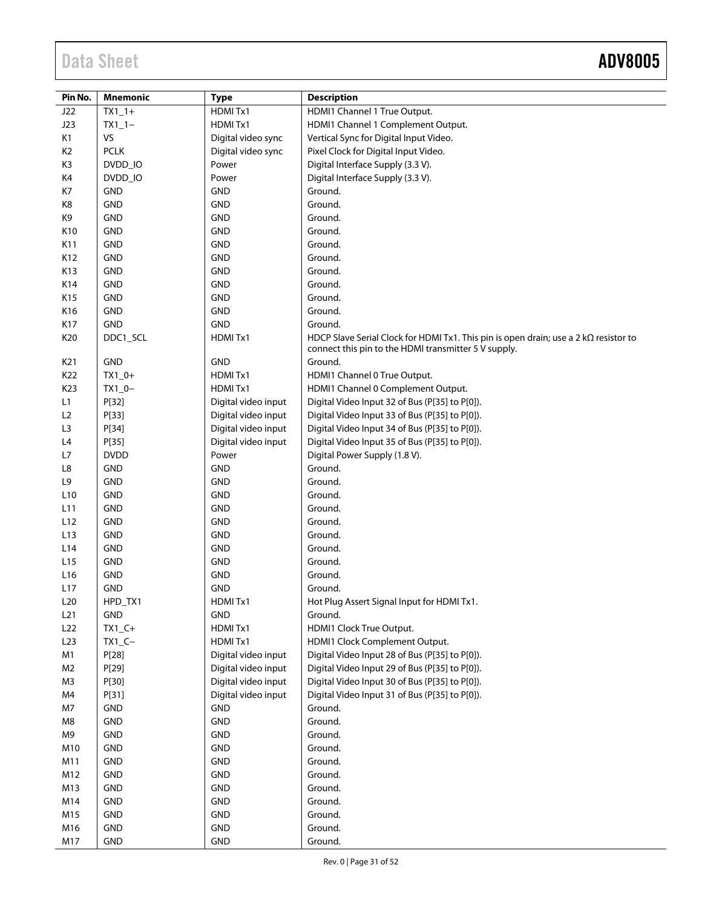| Pin No.         | <b>Mnemonic</b> | <b>Type</b>         | <b>Description</b>                                                                           |
|-----------------|-----------------|---------------------|----------------------------------------------------------------------------------------------|
| J22             | $TX1_1+$        | HDMITx1             | HDMI1 Channel 1 True Output.                                                                 |
| J23             | $TX1_1-$        | HDMITx1             | HDMI1 Channel 1 Complement Output.                                                           |
| K1              | VS              | Digital video sync  | Vertical Sync for Digital Input Video.                                                       |
| K <sub>2</sub>  | <b>PCLK</b>     | Digital video sync  | Pixel Clock for Digital Input Video.                                                         |
| K <sub>3</sub>  | DVDD IO         | Power               | Digital Interface Supply (3.3 V).                                                            |
| K4              | DVDD_IO         | Power               | Digital Interface Supply (3.3 V).                                                            |
| K7              | <b>GND</b>      | <b>GND</b>          | Ground.                                                                                      |
| K8              | <b>GND</b>      | <b>GND</b>          | Ground.                                                                                      |
| K9              | <b>GND</b>      | <b>GND</b>          | Ground.                                                                                      |
| K10             | <b>GND</b>      | <b>GND</b>          | Ground.                                                                                      |
| K11             | <b>GND</b>      | <b>GND</b>          | Ground.                                                                                      |
| K12             | <b>GND</b>      | <b>GND</b>          | Ground.                                                                                      |
| K13             | <b>GND</b>      | <b>GND</b>          | Ground.                                                                                      |
| K14             | <b>GND</b>      | <b>GND</b>          | Ground.                                                                                      |
| K15             | <b>GND</b>      | <b>GND</b>          | Ground.                                                                                      |
| K16             | <b>GND</b>      | <b>GND</b>          | Ground.                                                                                      |
| K17             | <b>GND</b>      | <b>GND</b>          | Ground.                                                                                      |
| K20             | DDC1_SCL        | HDMITx1             | HDCP Slave Serial Clock for HDMI Tx1. This pin is open drain; use a 2 k $\Omega$ resistor to |
|                 |                 |                     | connect this pin to the HDMI transmitter 5 V supply.                                         |
| K21             | <b>GND</b>      | <b>GND</b>          | Ground.                                                                                      |
| K22             | $TX1_0+$        | HDMITx1             | HDMI1 Channel 0 True Output.                                                                 |
| K23             | $TX1_0-$        | HDMITx1             | HDMI1 Channel 0 Complement Output.                                                           |
| L1              | P[32]           | Digital video input | Digital Video Input 32 of Bus (P[35] to P[0]).                                               |
| L2              | P[33]           | Digital video input | Digital Video Input 33 of Bus (P[35] to P[0]).                                               |
| L3              | P[34]           | Digital video input | Digital Video Input 34 of Bus (P[35] to P[0]).                                               |
| L4              | P[35]           | Digital video input | Digital Video Input 35 of Bus (P[35] to P[0]).                                               |
| L7              | <b>DVDD</b>     | Power               | Digital Power Supply (1.8 V).                                                                |
| L8              | <b>GND</b>      | <b>GND</b>          | Ground.                                                                                      |
| L9              | <b>GND</b>      | <b>GND</b>          | Ground.                                                                                      |
| L <sub>10</sub> | <b>GND</b>      | <b>GND</b>          | Ground.                                                                                      |
| L11             | <b>GND</b>      | <b>GND</b>          | Ground.                                                                                      |
| L12             | <b>GND</b>      | <b>GND</b>          | Ground.                                                                                      |
| L13             | <b>GND</b>      | <b>GND</b>          | Ground.                                                                                      |
| L14             | <b>GND</b>      | <b>GND</b>          | Ground.                                                                                      |
| L <sub>15</sub> | <b>GND</b>      | <b>GND</b>          | Ground.                                                                                      |
| L <sub>16</sub> | <b>GND</b>      | <b>GND</b>          | Ground.                                                                                      |
| L17             | <b>GND</b>      | <b>GND</b>          | Ground.                                                                                      |
| L20             | HPD_TX1         | HDMITx1             | Hot Plug Assert Signal Input for HDMI Tx1.                                                   |
| L21             | <b>GND</b>      | <b>GND</b>          | Ground.                                                                                      |
| L22             | $TX1_C+$        | HDMITx1             | HDMI1 Clock True Output.                                                                     |
| L23             | $TX1_C -$       | HDMITx1             | HDMI1 Clock Complement Output.                                                               |
| M1              | P[28]           | Digital video input | Digital Video Input 28 of Bus (P[35] to P[0]).                                               |
| M <sub>2</sub>  | P[29]           | Digital video input | Digital Video Input 29 of Bus (P[35] to P[0]).                                               |
| M <sub>3</sub>  | P[30]           | Digital video input | Digital Video Input 30 of Bus (P[35] to P[0]).                                               |
| M4              | P[31]           | Digital video input | Digital Video Input 31 of Bus (P[35] to P[0]).                                               |
| M7              | GND             | <b>GND</b>          | Ground.                                                                                      |
| M8              | GND             | <b>GND</b>          | Ground.                                                                                      |
| M9              | GND             | <b>GND</b>          | Ground.                                                                                      |
| M10             | <b>GND</b>      | <b>GND</b>          | Ground.                                                                                      |
| M11             | <b>GND</b>      | <b>GND</b>          | Ground.                                                                                      |
| M12             | <b>GND</b>      | <b>GND</b>          | Ground.                                                                                      |
| M13             | <b>GND</b>      | <b>GND</b>          | Ground.                                                                                      |
| M14             | <b>GND</b>      | <b>GND</b>          | Ground.                                                                                      |
| M15             | <b>GND</b>      | <b>GND</b>          | Ground.                                                                                      |
| M16             | GND             | <b>GND</b>          | Ground.                                                                                      |
| M17             | <b>GND</b>      | <b>GND</b>          | Ground.                                                                                      |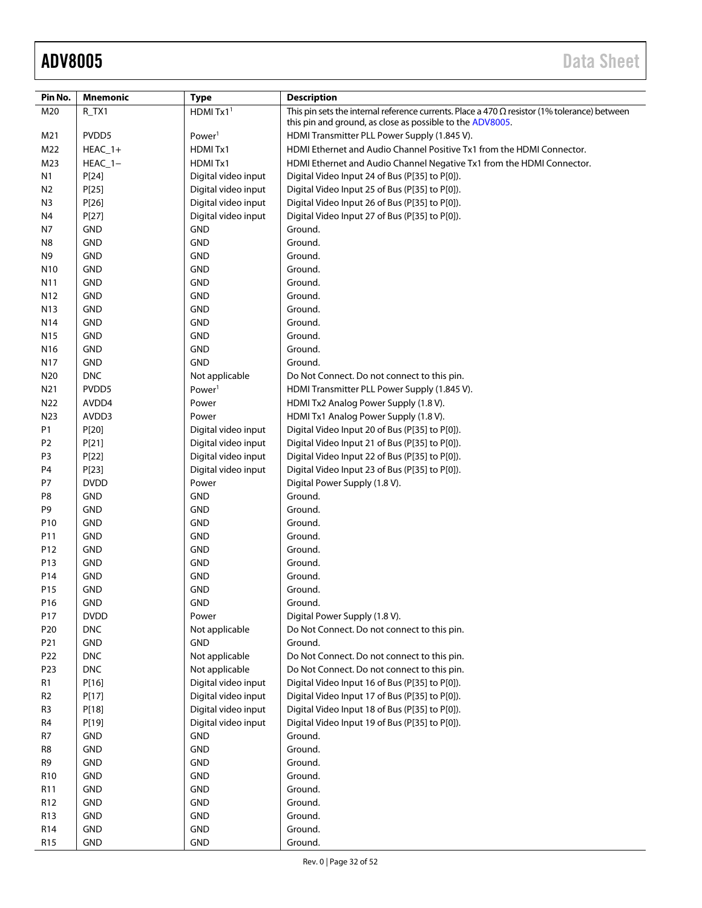| Pin No.         | Mnemonic    | <b>Type</b>         | <b>Description</b>                                                                                                                                               |
|-----------------|-------------|---------------------|------------------------------------------------------------------------------------------------------------------------------------------------------------------|
| M20             | R_TX1       | HDMI $Tx11$         | This pin sets the internal reference currents. Place a 470 $\Omega$ resistor (1% tolerance) between<br>this pin and ground, as close as possible to the ADV8005. |
| M21             | PVDD5       | Power <sup>1</sup>  | HDMI Transmitter PLL Power Supply (1.845 V).                                                                                                                     |
| M22             | $HEAC_1+$   | HDMITx1             | HDMI Ethernet and Audio Channel Positive Tx1 from the HDMI Connector.                                                                                            |
| M23             | $HEAC_1-$   | HDMITx1             | HDMI Ethernet and Audio Channel Negative Tx1 from the HDMI Connector.                                                                                            |
| N1              | P[24]       | Digital video input | Digital Video Input 24 of Bus (P[35] to P[0]).                                                                                                                   |
| N <sub>2</sub>  | P[25]       | Digital video input | Digital Video Input 25 of Bus (P[35] to P[0]).                                                                                                                   |
| N <sub>3</sub>  | P[26]       | Digital video input | Digital Video Input 26 of Bus (P[35] to P[0]).                                                                                                                   |
| N4              | P[27]       | Digital video input | Digital Video Input 27 of Bus (P[35] to P[0]).                                                                                                                   |
| N7              | <b>GND</b>  | <b>GND</b>          | Ground.                                                                                                                                                          |
| N8              | <b>GND</b>  | <b>GND</b>          | Ground.                                                                                                                                                          |
| N9              | <b>GND</b>  | <b>GND</b>          | Ground.                                                                                                                                                          |
| N <sub>10</sub> | <b>GND</b>  | <b>GND</b>          | Ground.                                                                                                                                                          |
| N11             | <b>GND</b>  | <b>GND</b>          | Ground.                                                                                                                                                          |
| N <sub>12</sub> | <b>GND</b>  | <b>GND</b>          | Ground.                                                                                                                                                          |
| N13             | <b>GND</b>  | <b>GND</b>          | Ground.                                                                                                                                                          |
| N14             | <b>GND</b>  | <b>GND</b>          | Ground.                                                                                                                                                          |
| N <sub>15</sub> | <b>GND</b>  | <b>GND</b>          | Ground.                                                                                                                                                          |
| N <sub>16</sub> | <b>GND</b>  | <b>GND</b>          | Ground.                                                                                                                                                          |
| N17             | <b>GND</b>  | <b>GND</b>          | Ground.                                                                                                                                                          |
| N20             | <b>DNC</b>  | Not applicable      | Do Not Connect. Do not connect to this pin.                                                                                                                      |
| N21             | PVDD5       | Power <sup>1</sup>  | HDMI Transmitter PLL Power Supply (1.845 V).                                                                                                                     |
| N22             | AVDD4       | Power               | HDMI Tx2 Analog Power Supply (1.8 V).                                                                                                                            |
| N23             | AVDD3       | Power               | HDMI Tx1 Analog Power Supply (1.8 V).                                                                                                                            |
| P1              | P[20]       | Digital video input | Digital Video Input 20 of Bus (P[35] to P[0]).                                                                                                                   |
| P <sub>2</sub>  | P[21]       | Digital video input | Digital Video Input 21 of Bus (P[35] to P[0]).                                                                                                                   |
| P <sub>3</sub>  | P[22]       | Digital video input | Digital Video Input 22 of Bus (P[35] to P[0]).                                                                                                                   |
| P4              | P[23]       | Digital video input | Digital Video Input 23 of Bus (P[35] to P[0]).                                                                                                                   |
| P7              | <b>DVDD</b> | Power               | Digital Power Supply (1.8 V).                                                                                                                                    |
| P8              | <b>GND</b>  | <b>GND</b>          | Ground.                                                                                                                                                          |
| P9              | <b>GND</b>  | <b>GND</b>          | Ground.                                                                                                                                                          |
| P10             | <b>GND</b>  | <b>GND</b>          | Ground.                                                                                                                                                          |
| P11             | <b>GND</b>  | <b>GND</b>          | Ground.                                                                                                                                                          |
| P12             | <b>GND</b>  | <b>GND</b>          | Ground.                                                                                                                                                          |
| P13             | <b>GND</b>  | <b>GND</b>          | Ground.                                                                                                                                                          |
| P14             | <b>GND</b>  | <b>GND</b>          | Ground.                                                                                                                                                          |
| P15             | <b>GND</b>  | <b>GND</b>          | Ground.                                                                                                                                                          |
| P <sub>16</sub> | <b>GND</b>  | <b>GND</b>          | Ground.                                                                                                                                                          |
| P17             | <b>DVDD</b> | Power               | Digital Power Supply (1.8 V).                                                                                                                                    |
| P <sub>20</sub> | <b>DNC</b>  | Not applicable      | Do Not Connect. Do not connect to this pin.                                                                                                                      |
| P21             | GND         | <b>GND</b>          | Ground.                                                                                                                                                          |
| P22             | <b>DNC</b>  | Not applicable      | Do Not Connect. Do not connect to this pin.                                                                                                                      |
| P23             | <b>DNC</b>  | Not applicable      | Do Not Connect. Do not connect to this pin.                                                                                                                      |
| R <sub>1</sub>  | P[16]       | Digital video input | Digital Video Input 16 of Bus (P[35] to P[0]).                                                                                                                   |
| R <sub>2</sub>  | P[17]       | Digital video input | Digital Video Input 17 of Bus (P[35] to P[0]).                                                                                                                   |
| R <sub>3</sub>  | P[18]       | Digital video input | Digital Video Input 18 of Bus (P[35] to P[0]).                                                                                                                   |
| R <sub>4</sub>  | P[19]       | Digital video input | Digital Video Input 19 of Bus (P[35] to P[0]).                                                                                                                   |
| R7              | GND         | <b>GND</b>          | Ground.                                                                                                                                                          |
| R8              | <b>GND</b>  | <b>GND</b>          | Ground.                                                                                                                                                          |
| R9              | <b>GND</b>  | <b>GND</b>          | Ground.                                                                                                                                                          |
| R <sub>10</sub> | <b>GND</b>  | <b>GND</b>          | Ground.                                                                                                                                                          |
| R <sub>11</sub> | <b>GND</b>  | <b>GND</b>          | Ground.                                                                                                                                                          |
| R12             | <b>GND</b>  | <b>GND</b>          | Ground.                                                                                                                                                          |
| R13             | GND         | <b>GND</b>          | Ground.                                                                                                                                                          |
| R <sub>14</sub> | GND         | GND                 | Ground.                                                                                                                                                          |
| R <sub>15</sub> | <b>GND</b>  | <b>GND</b>          | Ground.                                                                                                                                                          |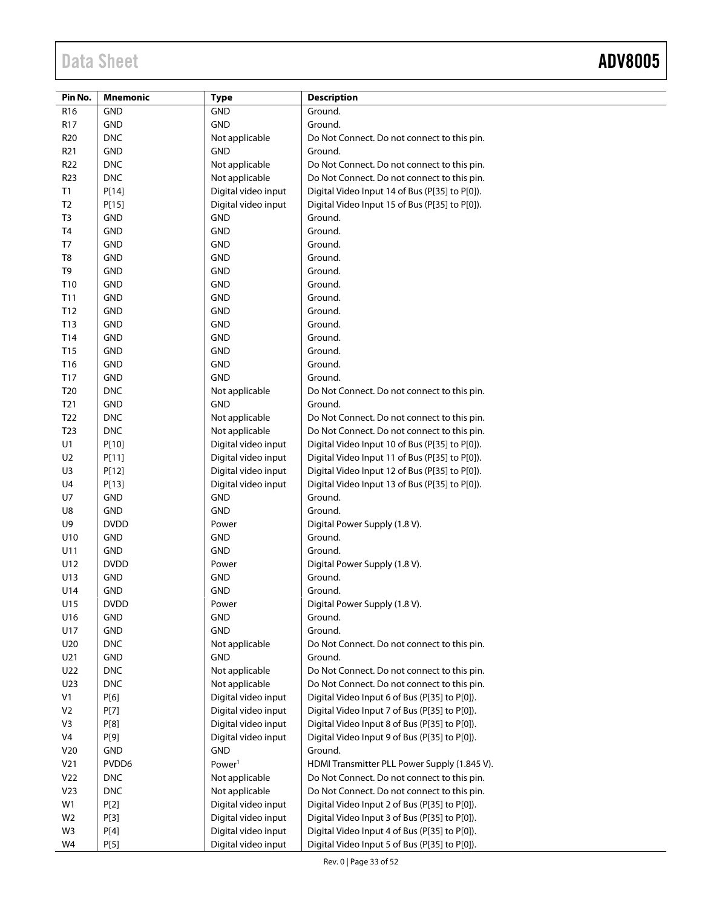—<br>—

| Pin No.         | <b>Mnemonic</b> | <b>Type</b>         | <b>Description</b>                             |
|-----------------|-----------------|---------------------|------------------------------------------------|
| R <sub>16</sub> | <b>GND</b>      | <b>GND</b>          | Ground.                                        |
| <b>R17</b>      | <b>GND</b>      | <b>GND</b>          | Ground.                                        |
| R <sub>20</sub> | <b>DNC</b>      | Not applicable      | Do Not Connect. Do not connect to this pin.    |
| R <sub>21</sub> | <b>GND</b>      | <b>GND</b>          | Ground.                                        |
| <b>R22</b>      | <b>DNC</b>      | Not applicable      | Do Not Connect. Do not connect to this pin.    |
| <b>R23</b>      | <b>DNC</b>      | Not applicable      | Do Not Connect. Do not connect to this pin.    |
| <b>T1</b>       | P[14]           | Digital video input | Digital Video Input 14 of Bus (P[35] to P[0]). |
| T <sub>2</sub>  | P[15]           | Digital video input | Digital Video Input 15 of Bus (P[35] to P[0]). |
| T <sub>3</sub>  | <b>GND</b>      | <b>GND</b>          | Ground.                                        |
| T <sub>4</sub>  | <b>GND</b>      | <b>GND</b>          | Ground.                                        |
| T7              | <b>GND</b>      | <b>GND</b>          | Ground.                                        |
| T <sub>8</sub>  | <b>GND</b>      | <b>GND</b>          | Ground.                                        |
| T <sub>9</sub>  | <b>GND</b>      | <b>GND</b>          | Ground.                                        |
| T10             | <b>GND</b>      | <b>GND</b>          | Ground.                                        |
| T11             | <b>GND</b>      | <b>GND</b>          | Ground.                                        |
| T12             | <b>GND</b>      | <b>GND</b>          | Ground.                                        |
| T13             | <b>GND</b>      | <b>GND</b>          | Ground.                                        |
| T14             | <b>GND</b>      | <b>GND</b>          | Ground.                                        |
| T <sub>15</sub> | <b>GND</b>      | <b>GND</b>          | Ground.                                        |
| T <sub>16</sub> | <b>GND</b>      | <b>GND</b>          | Ground.                                        |
| T17             | <b>GND</b>      | <b>GND</b>          | Ground.                                        |
| T <sub>20</sub> | <b>DNC</b>      | Not applicable      | Do Not Connect. Do not connect to this pin.    |
| T <sub>21</sub> | <b>GND</b>      | <b>GND</b>          | Ground.                                        |
| T <sub>22</sub> | <b>DNC</b>      | Not applicable      | Do Not Connect. Do not connect to this pin.    |
| T <sub>23</sub> | <b>DNC</b>      | Not applicable      | Do Not Connect. Do not connect to this pin.    |
| U1              | P[10]           | Digital video input | Digital Video Input 10 of Bus (P[35] to P[0]). |
| U <sub>2</sub>  | P[11]           | Digital video input | Digital Video Input 11 of Bus (P[35] to P[0]). |
| U3              | P[12]           | Digital video input | Digital Video Input 12 of Bus (P[35] to P[0]). |
| U <sub>4</sub>  | P[13]           | Digital video input | Digital Video Input 13 of Bus (P[35] to P[0]). |
| U7              | <b>GND</b>      | <b>GND</b>          | Ground.                                        |
| U8              | <b>GND</b>      | <b>GND</b>          | Ground.                                        |
| U9              | <b>DVDD</b>     | Power               | Digital Power Supply (1.8 V).                  |
| U10             | <b>GND</b>      | <b>GND</b>          | Ground.                                        |
| U11             | <b>GND</b>      | <b>GND</b>          | Ground.                                        |
| U12             | <b>DVDD</b>     | Power               | Digital Power Supply (1.8 V).                  |
| U13             | <b>GND</b>      | <b>GND</b>          | Ground.                                        |
| U14             | <b>GND</b>      | <b>GND</b>          | Ground.                                        |
| U15             | <b>DVDD</b>     | Power               | Digital Power Supply (1.8 V).                  |
| U16             | <b>GND</b>      | <b>GND</b>          | Ground.                                        |
| U17             | GND             | GND                 | Ground.                                        |
| U20             | <b>DNC</b>      | Not applicable      | Do Not Connect. Do not connect to this pin.    |
| U21             | <b>GND</b>      | GND                 | Ground.                                        |
| U22             | <b>DNC</b>      | Not applicable      | Do Not Connect. Do not connect to this pin.    |
| U23             | <b>DNC</b>      | Not applicable      | Do Not Connect. Do not connect to this pin.    |
| V1              | P[6]            | Digital video input | Digital Video Input 6 of Bus (P[35] to P[0]).  |
| V <sub>2</sub>  | P[7]            | Digital video input | Digital Video Input 7 of Bus (P[35] to P[0]).  |
| V3              | <b>P[8]</b>     | Digital video input | Digital Video Input 8 of Bus (P[35] to P[0]).  |
| V4              | P[9]            | Digital video input | Digital Video Input 9 of Bus (P[35] to P[0]).  |
| V20             | GND             | <b>GND</b>          | Ground.                                        |
| V <sub>21</sub> | PVDD6           | Power <sup>1</sup>  | HDMI Transmitter PLL Power Supply (1.845 V).   |
| V <sub>22</sub> | <b>DNC</b>      | Not applicable      | Do Not Connect. Do not connect to this pin.    |
| V <sub>23</sub> | <b>DNC</b>      | Not applicable      | Do Not Connect. Do not connect to this pin.    |
| W1              | P[2]            | Digital video input | Digital Video Input 2 of Bus (P[35] to P[0]).  |
| W <sub>2</sub>  | P[3]            | Digital video input | Digital Video Input 3 of Bus (P[35] to P[0]).  |
| W3              | P[4]            | Digital video input | Digital Video Input 4 of Bus (P[35] to P[0]).  |
| W4              | P[5]            | Digital video input | Digital Video Input 5 of Bus (P[35] to P[0]).  |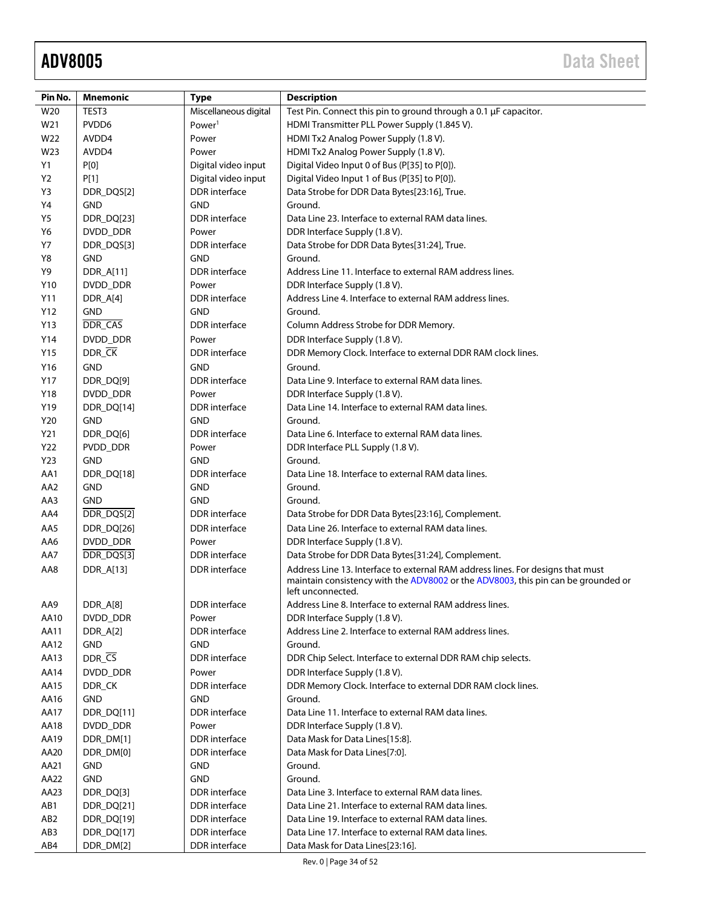| Pin No.         | <b>Mnemonic</b>  | <b>Type</b>           | <b>Description</b>                                                                                                                                                                        |
|-----------------|------------------|-----------------------|-------------------------------------------------------------------------------------------------------------------------------------------------------------------------------------------|
| W20             | TEST3            | Miscellaneous digital | Test Pin. Connect this pin to ground through a 0.1 µF capacitor.                                                                                                                          |
| W21             | PVDD6            | Power <sup>1</sup>    | HDMI Transmitter PLL Power Supply (1.845 V).                                                                                                                                              |
| W22             | AVDD4            | Power                 | HDMI Tx2 Analog Power Supply (1.8 V).                                                                                                                                                     |
| W23             | AVDD4            | Power                 | HDMI Tx2 Analog Power Supply (1.8 V).                                                                                                                                                     |
| Y1              | P[0]             | Digital video input   | Digital Video Input 0 of Bus (P[35] to P[0]).                                                                                                                                             |
| Y <sub>2</sub>  | P[1]             | Digital video input   | Digital Video Input 1 of Bus (P[35] to P[0]).                                                                                                                                             |
| Y3              | DDR_DQS[2]       | <b>DDR</b> interface  | Data Strobe for DDR Data Bytes[23:16], True.                                                                                                                                              |
| Υ4              | <b>GND</b>       | <b>GND</b>            | Ground.                                                                                                                                                                                   |
| <b>Y5</b>       | DDR_DQ[23]       | <b>DDR</b> interface  | Data Line 23. Interface to external RAM data lines.                                                                                                                                       |
| Y6              | DVDD_DDR         | Power                 | DDR Interface Supply (1.8 V).                                                                                                                                                             |
| Y7              | DDR_DQS[3]       | DDR interface         | Data Strobe for DDR Data Bytes[31:24], True.                                                                                                                                              |
| Y8              | <b>GND</b>       | <b>GND</b>            | Ground.                                                                                                                                                                                   |
| Y9              | <b>DDR_A[11]</b> | DDR interface         | Address Line 11. Interface to external RAM address lines.                                                                                                                                 |
| Y10             | DVDD_DDR         | Power                 | DDR Interface Supply (1.8 V).                                                                                                                                                             |
| Y11             | DDR_A[4]         | DDR interface         | Address Line 4. Interface to external RAM address lines.                                                                                                                                  |
| Y12             | <b>GND</b>       | <b>GND</b>            | Ground.                                                                                                                                                                                   |
| Y13             | DDR_CAS          | DDR interface         | Column Address Strobe for DDR Memory.                                                                                                                                                     |
| Y14             | DVDD DDR         | Power                 | DDR Interface Supply (1.8 V).                                                                                                                                                             |
| Y15             | DDR_CK           | <b>DDR</b> interface  | DDR Memory Clock. Interface to external DDR RAM clock lines.                                                                                                                              |
| Y16             | <b>GND</b>       | <b>GND</b>            | Ground.                                                                                                                                                                                   |
| Y17             | DDR_DQ[9]        | <b>DDR</b> interface  | Data Line 9. Interface to external RAM data lines.                                                                                                                                        |
| Y18             | DVDD_DDR         | Power                 | DDR Interface Supply (1.8 V).                                                                                                                                                             |
| Y19             | DDR_DQ[14]       | DDR interface         | Data Line 14. Interface to external RAM data lines.                                                                                                                                       |
| Y20             | <b>GND</b>       | <b>GND</b>            | Ground.                                                                                                                                                                                   |
| Y21             | DDR_DQ[6]        | <b>DDR</b> interface  | Data Line 6. Interface to external RAM data lines.                                                                                                                                        |
| Y22             | PVDD_DDR         | Power                 | DDR Interface PLL Supply (1.8 V).                                                                                                                                                         |
| Y23             | <b>GND</b>       | <b>GND</b>            | Ground.                                                                                                                                                                                   |
| AA1             | DDR_DQ[18]       | <b>DDR</b> interface  | Data Line 18. Interface to external RAM data lines.                                                                                                                                       |
| AA2             | <b>GND</b>       | <b>GND</b>            | Ground.                                                                                                                                                                                   |
| AA3             | <b>GND</b>       | <b>GND</b>            | Ground.                                                                                                                                                                                   |
| AA4             | DDR_DQS[2]       | <b>DDR</b> interface  | Data Strobe for DDR Data Bytes[23:16], Complement.                                                                                                                                        |
| AA5             | DDR_DQ[26]       | <b>DDR</b> interface  | Data Line 26. Interface to external RAM data lines.                                                                                                                                       |
| AA6             | DVDD_DDR         | Power                 | DDR Interface Supply (1.8 V).                                                                                                                                                             |
| AA7             | DDR DQS[3]       | <b>DDR</b> interface  | Data Strobe for DDR Data Bytes[31:24], Complement.                                                                                                                                        |
| AA8             | <b>DDR A[13]</b> | DDR interface         | Address Line 13. Interface to external RAM address lines. For designs that must<br>maintain consistency with the ADV8002 or the ADV8003, this pin can be grounded or<br>left unconnected. |
| AA9             | DDR_A[8]         | DDR interface         | Address Line 8. Interface to external RAM address lines.                                                                                                                                  |
| AA10            | DVDD_DDR         | Power                 | DDR Interface Supply (1.8 V).                                                                                                                                                             |
| AA11            | DDR_A[2]         | <b>DDR</b> interface  | Address Line 2. Interface to external RAM address lines.                                                                                                                                  |
| AA12            | GND              | <b>GND</b>            | Ground.                                                                                                                                                                                   |
| AA13            | DDR_CS           | <b>DDR</b> interface  | DDR Chip Select. Interface to external DDR RAM chip selects.                                                                                                                              |
| AA14            | DVDD_DDR         | Power                 | DDR Interface Supply (1.8 V).                                                                                                                                                             |
| AA15            | DDR_CK           | <b>DDR</b> interface  | DDR Memory Clock. Interface to external DDR RAM clock lines.                                                                                                                              |
| AA16            | GND              | <b>GND</b>            | Ground.                                                                                                                                                                                   |
| AA17            | DDR_DQ[11]       | <b>DDR</b> interface  | Data Line 11. Interface to external RAM data lines.                                                                                                                                       |
| AA18            | DVDD_DDR         | Power                 | DDR Interface Supply (1.8 V).                                                                                                                                                             |
| AA19            | DDR_DM[1]        | DDR interface         | Data Mask for Data Lines[15:8].                                                                                                                                                           |
| AA20            | DDR_DM[0]        | DDR interface         | Data Mask for Data Lines[7:0].                                                                                                                                                            |
| AA21            | <b>GND</b>       | <b>GND</b>            | Ground.                                                                                                                                                                                   |
| AA22            | <b>GND</b>       | <b>GND</b>            | Ground.                                                                                                                                                                                   |
| AA23            | DDR_DQ[3]        | DDR interface         | Data Line 3. Interface to external RAM data lines.                                                                                                                                        |
| AB1             | DDR_DQ[21]       | <b>DDR</b> interface  | Data Line 21. Interface to external RAM data lines.                                                                                                                                       |
| AB <sub>2</sub> | DDR_DQ[19]       | <b>DDR</b> interface  | Data Line 19. Interface to external RAM data lines.                                                                                                                                       |
| AB3             | DDR_DQ[17]       | <b>DDR</b> interface  | Data Line 17. Interface to external RAM data lines.                                                                                                                                       |
| AB4             | DDR_DM[2]        | DDR interface         | Data Mask for Data Lines[23:16].                                                                                                                                                          |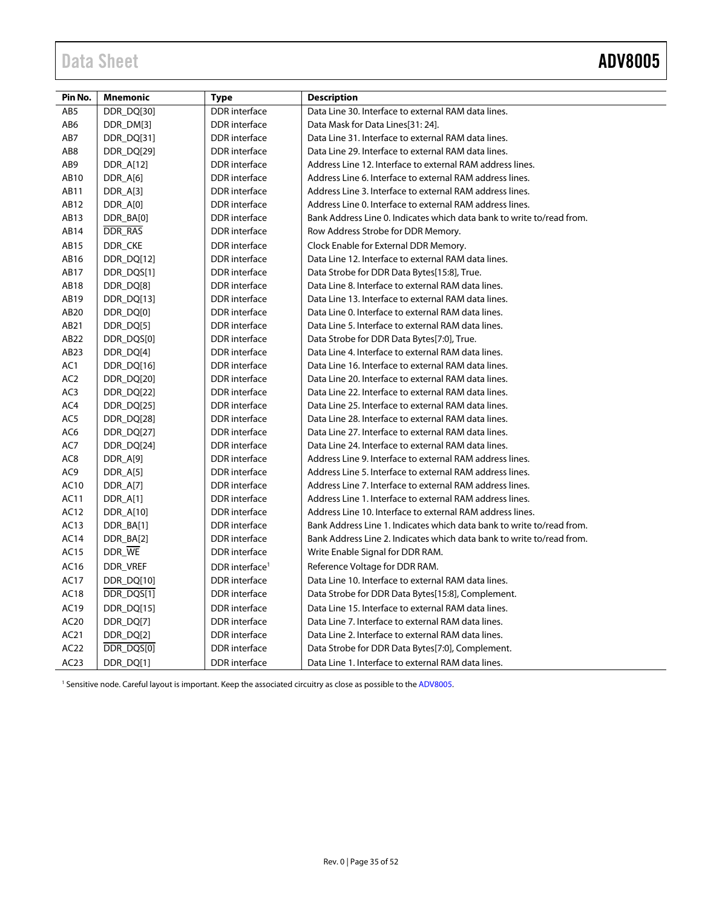<span id="page-34-0"></span>

| Pin No.          | <b>Mnemonic</b> | <b>Type</b>                | <b>Description</b>                                                    |
|------------------|-----------------|----------------------------|-----------------------------------------------------------------------|
| AB5              | DDR DQ[30]      | <b>DDR</b> interface       | Data Line 30. Interface to external RAM data lines.                   |
| AB6              | DDR_DM[3]       | <b>DDR</b> interface       | Data Mask for Data Lines[31: 24].                                     |
| AB7              | DDR_DQ[31]      | DDR interface              | Data Line 31. Interface to external RAM data lines.                   |
| AB <sub>8</sub>  | DDR_DQ[29]      | DDR interface              | Data Line 29. Interface to external RAM data lines.                   |
| AB9              | DDR_A[12]       | <b>DDR</b> interface       | Address Line 12. Interface to external RAM address lines.             |
| AB10             | DDR_A[6]        | <b>DDR</b> interface       | Address Line 6. Interface to external RAM address lines.              |
| AB11             | DDR_A[3]        | <b>DDR</b> interface       | Address Line 3. Interface to external RAM address lines.              |
| AB12             | DDR_A[0]        | <b>DDR</b> interface       | Address Line 0. Interface to external RAM address lines.              |
| AB13             | DDR_BA[0]       | DDR interface              | Bank Address Line 0. Indicates which data bank to write to/read from. |
| AB14             | DDR_RAS         | <b>DDR</b> interface       | Row Address Strobe for DDR Memory.                                    |
| AB15             | DDR_CKE         | <b>DDR</b> interface       | Clock Enable for External DDR Memory.                                 |
| AB16             | DDR_DQ[12]      | <b>DDR</b> interface       | Data Line 12. Interface to external RAM data lines.                   |
| AB17             | DDR_DQS[1]      | <b>DDR</b> interface       | Data Strobe for DDR Data Bytes[15:8], True.                           |
| AB18             | DDR_DQ[8]       | <b>DDR</b> interface       | Data Line 8. Interface to external RAM data lines.                    |
| AB19             | DDR_DQ[13]      | DDR interface              | Data Line 13. Interface to external RAM data lines.                   |
| AB20             | DDR_DQ[0]       | <b>DDR</b> interface       | Data Line 0. Interface to external RAM data lines.                    |
| AB21             | DDR_DQ[5]       | <b>DDR</b> interface       | Data Line 5. Interface to external RAM data lines.                    |
| AB22             | DDR_DQS[0]      | <b>DDR</b> interface       | Data Strobe for DDR Data Bytes[7:0], True.                            |
| AB23             | DDR_DQ[4]       | <b>DDR</b> interface       | Data Line 4. Interface to external RAM data lines.                    |
| AC1              | DDR_DQ[16]      | <b>DDR</b> interface       | Data Line 16. Interface to external RAM data lines.                   |
| AC <sub>2</sub>  | DDR_DQ[20]      | <b>DDR</b> interface       | Data Line 20. Interface to external RAM data lines.                   |
| AC3              | DDR_DQ[22]      | DDR interface              | Data Line 22. Interface to external RAM data lines.                   |
| AC4              | DDR_DQ[25]      | <b>DDR</b> interface       | Data Line 25. Interface to external RAM data lines.                   |
| AC5              | DDR_DQ[28]      | <b>DDR</b> interface       | Data Line 28. Interface to external RAM data lines.                   |
| AC6              | DDR_DQ[27]      | DDR interface              | Data Line 27, Interface to external RAM data lines.                   |
| AC7              | DDR_DQ[24]      | <b>DDR</b> interface       | Data Line 24. Interface to external RAM data lines.                   |
| AC <sub>8</sub>  | DDR_A[9]        | <b>DDR</b> interface       | Address Line 9. Interface to external RAM address lines.              |
| AC9              | DDR_A[5]        | DDR interface              | Address Line 5. Interface to external RAM address lines.              |
| AC10             | DDR_A[7]        | <b>DDR</b> interface       | Address Line 7. Interface to external RAM address lines.              |
| AC11             | DDR_A[1]        | <b>DDR</b> interface       | Address Line 1. Interface to external RAM address lines.              |
| AC12             | DDR_A[10]       | <b>DDR</b> interface       | Address Line 10. Interface to external RAM address lines.             |
| AC13             | DDR_BA[1]       | <b>DDR</b> interface       | Bank Address Line 1. Indicates which data bank to write to/read from. |
| AC14             | DDR_BA[2]       | DDR interface              | Bank Address Line 2. Indicates which data bank to write to/read from. |
| AC15             | DDR_WE          | <b>DDR</b> interface       | Write Enable Signal for DDR RAM.                                      |
| AC16             | DDR_VREF        | DDR interface <sup>1</sup> | Reference Voltage for DDR RAM.                                        |
| AC17             | DDR_DQ[10]      | <b>DDR</b> interface       | Data Line 10. Interface to external RAM data lines.                   |
| AC18             | DDR_DQS[1]      | <b>DDR</b> interface       | Data Strobe for DDR Data Bytes[15:8], Complement.                     |
| AC19             | DDR_DQ[15]      | <b>DDR</b> interface       | Data Line 15. Interface to external RAM data lines.                   |
| AC <sub>20</sub> | DDR_DQ[7]       | DDR interface              | Data Line 7. Interface to external RAM data lines.                    |
| AC21             | DDR_DQ[2]       | <b>DDR</b> interface       | Data Line 2. Interface to external RAM data lines.                    |
| AC22             | DDR_DQS[0]      | <b>DDR</b> interface       | Data Strobe for DDR Data Bytes[7:0], Complement.                      |
| AC23             | DDR_DQ[1]       | <b>DDR</b> interface       | Data Line 1. Interface to external RAM data lines.                    |

<sup>1</sup> Sensitive node. Careful layout is important. Keep the associated circuitry as close as possible to the ADV8005.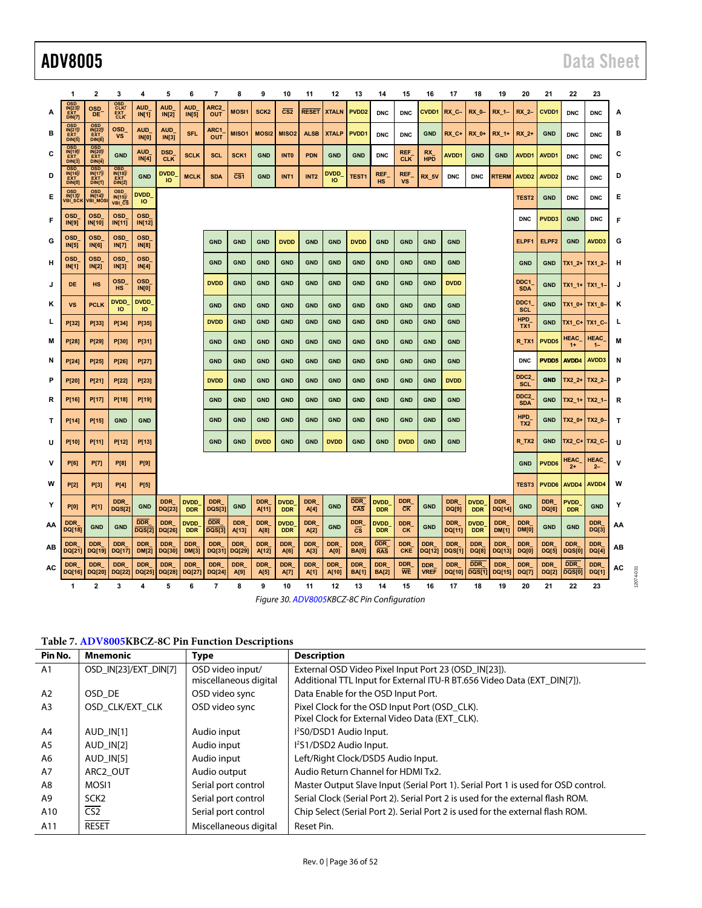|    | 1                                                                                        | 2                                                                                                        | 3                                      | 4                           | 5                        | 6                         | 7                       | 8                                                     | 9                   | 10                        | 11                 | 12                  | 13                                                | 14                         | 15                                   | 16                        | 17                          | 18                        | 19                   | 20                             | 21                  | 22                          | 23                   |    |  |
|----|------------------------------------------------------------------------------------------|----------------------------------------------------------------------------------------------------------|----------------------------------------|-----------------------------|--------------------------|---------------------------|-------------------------|-------------------------------------------------------|---------------------|---------------------------|--------------------|---------------------|---------------------------------------------------|----------------------------|--------------------------------------|---------------------------|-----------------------------|---------------------------|----------------------|--------------------------------|---------------------|-----------------------------|----------------------|----|--|
| A  | <b>OSD</b><br>IN[23]<br>DIN <sub>[7]</sub>                                               | <b>OSD</b><br>DE                                                                                         | OSD<br>CLK <sub>U</sub><br>EXT_<br>CLK | <b>AUD</b><br>IN[1]         | <b>AUD</b><br>IN[2]      | <b>AUD</b><br>IN[5]       | ARC <sub>2</sub><br>OUT | MOSI1                                                 | SCK <sub>2</sub>    | $\overline{\text{CS2}}$   | <b>RESET</b>       | <b>XTALN</b>        | PVDD <sub>2</sub>                                 | <b>DNC</b>                 | <b>DNC</b>                           | <b>CVDD1</b>              | RX_C-                       | <b>RX_0-</b>              | $RX_1$ -             | RX_2-                          | <b>CVDD1</b>        | <b>DNC</b>                  | <b>DNC</b>           | А  |  |
| в  | <b>OSD</b><br>$\begin{array}{r} \hline W[21]\bar{y} \\ \hline EXT \\ DIN[5] \end{array}$ | <b>OSD</b><br>$\begin{array}{r} \bar{N}[22] \\ \bar{E}X \bar{T} \\ \bar{D} \bar{N}[\bar{6}] \end{array}$ | <b>OSD</b><br>VS                       | <b>AUD</b><br><b>IN[0]</b>  | <b>AUD</b><br>IN[3]      | <b>SFL</b>                | ARC1<br>OUT             | MISO1                                                 | <b>MOSI2</b>        | MISO <sub>2</sub>         | <b>ALSB</b>        | <b>XTALP</b>        | PVDD1                                             | <b>DNC</b>                 | <b>DNC</b>                           | <b>GND</b>                | RX_C+                       | RX_0+                     | RX 1+                | RX 2+                          | <b>GND</b>          | <b>DNC</b>                  | <b>DNC</b>           | в  |  |
| С  | <b>OSD</b><br>IN[19]/<br>EXT<br>DIN[3]                                                   | <b>OSD</b><br><b>IN[20]</b><br>DIN[4]                                                                    | <b>GND</b>                             | AUD<br>IN[4]                | <b>DSD</b><br><b>CLK</b> | <b>SCLK</b>               | <b>SCL</b>              | SCK <sub>1</sub>                                      | <b>GND</b>          | <b>INTO</b>               | <b>PDN</b>         | <b>GND</b>          | <b>GND</b>                                        | <b>DNC</b>                 | <b>REF</b><br><b>CLK</b>             | RX<br><b>HPD</b>          | <b>AVDD1</b>                | <b>GND</b>                | <b>GND</b>           | <b>AVDD1</b>                   | AVDD1               | <b>DNC</b>                  | <b>DNC</b>           | С  |  |
| D  | <b>OSD</b><br>$\frac{IN[16]}{EXT}$<br>DIN(0)                                             | <b>OSD</b><br>IN[17]<br>DIN[1]                                                                           | <b>OSD</b><br>IN[18]<br>DIN[2]         | <b>GND</b>                  | <b>DVDD</b><br>ю         | <b>MCLK</b>               | <b>SDA</b>              | $\overline{\text{c}}\overline{\text{s}}$ <sub>1</sub> | <b>GND</b>          | INT <sub>1</sub>          | INT <sub>2</sub>   | <b>DVDD</b><br>IО   | TEST1                                             | <b>REF</b><br><b>HS</b>    | REF<br><b>VS</b>                     | RX_5V                     | <b>DNC</b>                  | <b>DNC</b>                | <b>RTERM</b>         | AVDD <sub>2</sub>              | AVDD <sub>2</sub>   | <b>DNC</b>                  | <b>DNC</b>           | D  |  |
| Е  | <b>OSD</b><br>IN[13]/<br>VBI_SCK                                                         | <b>OSD</b><br><b>IN[14]/</b><br>VBI_MOS                                                                  | <b>OSD</b><br>$IN[15]$<br>VBI_CS       | <b>DVDD</b><br><b>IO</b>    |                          |                           |                         |                                                       |                     |                           |                    |                     |                                                   |                            |                                      |                           |                             |                           |                      | <b>TEST2</b>                   | <b>GND</b>          | <b>DNC</b>                  | <b>DNC</b>           | Е  |  |
| F  | <b>OSD</b><br><b>IN[9]</b>                                                               | <b>OSD</b><br>IN[10]                                                                                     | <b>OSD</b><br>IN[11]                   | <b>OSD</b><br>IN[12]        |                          |                           |                         |                                                       |                     |                           |                    |                     |                                                   |                            |                                      |                           |                             |                           |                      | <b>DNC</b>                     | PVDD3               | <b>GND</b>                  | <b>DNC</b>           | F  |  |
| G  | <b>OSD</b><br>IN[5]                                                                      | <b>OSD</b><br><b>IN[6]</b>                                                                               | <b>OSD</b><br>IN[7]                    | <b>OSD</b><br><b>IN[8]</b>  |                          |                           | <b>GND</b>              | <b>GND</b>                                            | <b>GND</b>          | <b>DVDD</b>               | <b>GND</b>         | <b>GND</b>          | <b>DVDD</b>                                       | <b>GND</b>                 | <b>GND</b>                           | <b>GND</b>                | <b>GND</b>                  |                           |                      | ELPF1                          | ELPF <sub>2</sub>   | <b>GND</b>                  | AVDD3                | G  |  |
| н  | <b>OSD</b><br>IN[1]                                                                      | <b>OSD</b><br>IN[2]                                                                                      | <b>OSD</b><br><b>IN[3]</b>             | <b>OSD</b><br>IN[4]         |                          |                           | <b>GND</b>              | <b>GND</b>                                            | <b>GND</b>          | <b>GND</b>                | <b>GND</b>         | <b>GND</b>          | <b>GND</b>                                        | <b>GND</b>                 | <b>GND</b>                           | <b>GND</b>                | <b>GND</b>                  |                           |                      | <b>GND</b>                     | <b>GND</b>          | $TX1_2+$ TX1_2-             |                      | н  |  |
| J  | DE                                                                                       | <b>HS</b>                                                                                                | <b>OSD</b><br><b>HS</b>                | <b>OSD</b><br><b>IN[0]</b>  |                          |                           | <b>DVDD</b>             | <b>GND</b>                                            | <b>GND</b>          | <b>GND</b>                | <b>GND</b>         | <b>GND</b>          | <b>GND</b>                                        | <b>GND</b>                 | <b>GND</b>                           | <b>GND</b>                | <b>DVDD</b>                 |                           |                      | DDC1<br><b>SDA</b>             | <b>GND</b>          | TX1_1+ TX1_1-               |                      | J  |  |
| κ  | <b>VS</b>                                                                                | <b>PCLK</b>                                                                                              | <b>DVDD</b><br>ю                       | <b>DVDD</b><br>ю            |                          |                           | <b>GND</b>              | <b>GND</b>                                            | <b>GND</b>          | <b>GND</b>                | <b>GND</b>         | <b>GND</b>          | <b>GND</b>                                        | <b>GND</b>                 | <b>GND</b>                           | <b>GND</b>                | <b>GND</b>                  |                           |                      | DDC1<br><b>SCL</b>             | <b>GND</b>          | $TX1_0+$                    | TX1_0-               | κ  |  |
| L  | P[32]                                                                                    | P[33]                                                                                                    | P[34]                                  | P[35]                       |                          |                           | <b>DVDD</b>             | <b>GND</b>                                            | <b>GND</b>          | <b>GND</b>                | <b>GND</b>         | <b>GND</b>          | <b>GND</b>                                        | <b>GND</b>                 | <b>GND</b>                           | <b>GND</b>                | <b>GND</b>                  |                           |                      | <b>HPD</b><br>TX1              | <b>GND</b>          | TX1_C+ TX1_C-               |                      | L  |  |
| м  | P[28]                                                                                    | P[29]                                                                                                    | P[30]                                  | P[31]                       |                          |                           | <b>GND</b>              | <b>GND</b>                                            | <b>GND</b>          | <b>GND</b>                | <b>GND</b>         | <b>GND</b>          | <b>GND</b>                                        | <b>GND</b>                 | <b>GND</b>                           | <b>GND</b>                | <b>GND</b>                  |                           |                      | R_TX1                          | <b>PVDD5</b>        | HEAC_<br>$1+$               | HEAC_<br>$1 -$       | M  |  |
| N  | P[24]                                                                                    | P[25]                                                                                                    | P[26]                                  | P[27]                       |                          |                           | <b>GND</b>              | <b>GND</b>                                            | <b>GND</b>          | <b>GND</b>                | <b>GND</b>         | <b>GND</b>          | <b>GND</b>                                        | <b>GND</b>                 | <b>GND</b>                           | <b>GND</b>                | <b>GND</b>                  |                           |                      | <b>DNC</b>                     | PVDD5               | AVDD4                       | AVDD3                | N  |  |
| P  | P[20]                                                                                    | P[21]                                                                                                    | P[22]                                  | P[23]                       |                          |                           | <b>DVDD</b>             | <b>GND</b>                                            | <b>GND</b>          | <b>GND</b>                | <b>GND</b>         | <b>GND</b>          | <b>GND</b>                                        | <b>GND</b>                 | <b>GND</b>                           | <b>GND</b>                | <b>DVDD</b>                 |                           |                      | DDC <sub>2</sub><br><b>SCL</b> | <b>GND</b>          | $TX2_2+$                    | TX2 2-               | P  |  |
| R  | P[16]                                                                                    | P[17]                                                                                                    | P[18]                                  | P[19]                       |                          |                           | <b>GND</b>              | <b>GND</b>                                            | <b>GND</b>          | <b>GND</b>                | <b>GND</b>         | <b>GND</b>          | <b>GND</b>                                        | <b>GND</b>                 | <b>GND</b>                           | <b>GND</b>                | <b>GND</b>                  |                           |                      | DDC <sub>2</sub><br><b>SDA</b> | <b>GND</b>          | TX2_1+                      | TX2_1-               | R  |  |
| т  | P[14]                                                                                    | P[15]                                                                                                    | <b>GND</b>                             | <b>GND</b>                  |                          |                           | <b>GND</b>              | <b>GND</b>                                            | <b>GND</b>          | <b>GND</b>                | <b>GND</b>         | <b>GND</b>          | <b>GND</b>                                        | <b>GND</b>                 | <b>GND</b>                           | <b>GND</b>                | <b>GND</b>                  |                           |                      | <b>HPD</b><br>TX <sub>2</sub>  | <b>GND</b>          | $TX2_0+$                    | TX2_0-               | T  |  |
| U  | P[10]                                                                                    | P[11]                                                                                                    | P[12]                                  | P[13]                       |                          |                           | <b>GND</b>              | <b>GND</b>                                            | <b>DVDD</b>         | <b>GND</b>                | <b>GND</b>         | <b>DVDD</b>         | <b>GND</b>                                        | <b>GND</b>                 | <b>DVDD</b>                          | <b>GND</b>                | <b>GND</b>                  |                           |                      | R_TX2                          | <b>GND</b>          | TX2_C+ TX2_C-               |                      | U  |  |
| ۷  | <b>P[6]</b>                                                                              | <b>P[7]</b>                                                                                              | <b>P[8]</b>                            | <b>P[9]</b>                 |                          |                           |                         |                                                       |                     |                           |                    |                     |                                                   |                            |                                      |                           |                             |                           |                      | <b>GND</b>                     | PVDD6               | <b>HEAC</b><br>$2+$         | <b>HEAC</b><br>$2 -$ | v  |  |
| W  | <b>P[2]</b>                                                                              | <b>P[3]</b>                                                                                              | P[4]                                   | <b>P[5]</b>                 |                          |                           |                         |                                                       |                     |                           |                    |                     |                                                   |                            |                                      |                           |                             |                           |                      | <b>TEST3</b>                   | PVDD6               | AVDD4                       | AVDD4                | W  |  |
| Y  | <b>P[0]</b>                                                                              | <b>P[1]</b>                                                                                              | <b>DDR</b><br><b>DQS[2]</b>            | <b>GND</b>                  | <b>DDR</b><br>DQ[23]     | <b>DVDD</b><br><b>DDR</b> | <b>DDR</b><br>DQS[3]    | <b>GND</b>                                            | <b>DDR</b><br>A[11] | <b>DVDD</b><br><b>DDR</b> | <b>DDR</b><br>A[4] | <b>GND</b>          | <b>DDR</b><br>$\overline{CAS}$                    | <b>DVDD</b><br><b>DDR</b>  | <b>DDR</b><br>$\overline{\text{CK}}$ | <b>GND</b>                | <b>DDR</b><br>DQ[9]         | <b>DVDD</b><br><b>DDR</b> | <b>DDR</b><br>DQ[14] | <b>GND</b>                     | <b>DDR</b><br>DQ[6] | <b>PVDD</b><br><b>DDR</b>   | <b>GND</b>           | Y  |  |
| AA | <b>DDR</b><br>DQ[18]                                                                     | <b>GND</b>                                                                                               | <b>GND</b>                             | <b>DDR</b><br><b>DQS[2]</b> | <b>DDR</b><br>DQ[26]     | <b>DVDD</b><br><b>DDR</b> | <b>DDR</b><br>DQS[3]    | <b>DDR</b><br>A[13]                                   | <b>DDR</b><br>A[8]  | <b>DVDD</b><br><b>DDR</b> | <b>DDR</b><br>A[2] | <b>GND</b>          | <b>DDR</b><br>$\overline{\text{cs}}$              | <b>DVDD</b><br><b>DDR</b>  | <b>DDR</b><br><b>CK</b>              | <b>GND</b>                | <b>DDR</b><br>DQ[11]        | <b>DVDD</b><br><b>DDR</b> | <b>DDR</b><br>DM[1]  | <b>DDR</b><br><b>DM[0]</b>     | <b>GND</b>          | <b>GND</b>                  | <b>DDR</b><br>DQ[3]  | AA |  |
| AВ | <b>DDR</b><br>DQ[21]                                                                     | <b>DDR</b><br>DQ[19]                                                                                     | <b>DDR</b><br>DQ[17]                   | <b>DDR</b><br>DM[2]         | <b>DDR</b><br>DQ[30]     | <b>DDR</b><br>DM[3]       | <b>DDR</b><br>DQ[31]    | <b>DDR</b><br>DQ[29]                                  | <b>DDR</b><br>A[12] | <b>DDR</b><br>A[6]        | <b>DDR</b><br>A[3] | <b>DDR</b><br>A[0]  | <b>DDR</b><br><b>BA[0]</b>                        | <b>DDR</b><br><b>RAS</b>   | <b>DDR</b><br><b>CKE</b>             | <b>DDR</b><br>DQ[12]      | <b>DDR</b><br><b>DQS[1]</b> | <b>DDR</b><br>DQ[8]       | <b>DDR</b><br>DQ[13] | <b>DDR</b><br>DQ[0]            | <b>DDR</b><br>DQ[5] | <b>DDR</b><br>DQS[0]        | <b>DDR</b><br>DQ[4]  | AВ |  |
| AC | <b>DDR</b><br>DQ[16]                                                                     | <b>DDR</b><br>DQ[20]                                                                                     | <b>DDR</b><br>DQ[22]                   | <b>DDR</b><br>DQ[25]        | <b>DDR</b><br>DQ[28]     | <b>DDR</b><br>DQ[27]      | <b>DDR</b><br>DQ[24]    | <b>DDR</b><br>A[9]                                    | <b>DDR</b><br>A[5]  | <b>DDR</b><br>A[7]        | <b>DDR</b><br>A[1] | <b>DDR</b><br>A[10] | <b>DDR</b><br><b>BA[1]</b>                        | <b>DDR</b><br><b>BA[2]</b> | <b>DDR</b><br><b>WE</b>              | <b>DDR</b><br><b>VREF</b> | <b>DDR</b><br>DQ[10]        | <b>DDR</b><br>DQS[1]      | <b>DDR</b><br>DQ[15] | <b>DDR</b><br><b>DQ[7]</b>     | <b>DDR</b><br>DQ[2] | <b>DDR</b><br><b>DQS[0]</b> | <b>DDR</b><br>DQ[1]  | AC |  |
|    | $\mathbf{1}$                                                                             | $\overline{2}$                                                                                           | 3                                      | 4                           | 5                        | 6                         | $\overline{7}$          | 8                                                     | 9                   | 10                        | 11                 | 12                  | 13<br>Figure 30. ADV8005KBCZ-8C Pin Configuration | 14                         | 15                                   | 16                        | 17                          | 18                        | 19                   | 20                             | 21                  | 22                          | 23                   |    |  |

**Table 7[. ADV8005K](http://www.analog.com/adv8005?doc=adv8005.pdf)BCZ-8C Pin Function Descriptions** 

| Pin No.        | Mnemonic              | <b>Type</b>           | <b>Description</b>                                                                |
|----------------|-----------------------|-----------------------|-----------------------------------------------------------------------------------|
| A <sub>1</sub> | OSD IN[23]/EXT DIN[7] | OSD video input/      | External OSD Video Pixel Input Port 23 (OSD IN[23]).                              |
|                |                       | miscellaneous digital | Additional TTL Input for External ITU-R BT.656 Video Data (EXT DIN[7]).           |
| A2             | OSD DE                | OSD video sync        | Data Enable for the OSD Input Port.                                               |
| A <sub>3</sub> | OSD CLK/EXT CLK       | OSD video sync        | Pixel Clock for the OSD Input Port (OSD CLK).                                     |
|                |                       |                       | Pixel Clock for External Video Data (EXT CLK).                                    |
| A4             | AUD IN[1]             | Audio input           | l <sup>2</sup> S0/DSD1 Audio Input.                                               |
| A5             | AUD IN[2]             | Audio input           | l <sup>2</sup> S1/DSD2 Audio Input.                                               |
| A6             | AUD IN[5]             | Audio input           | Left/Right Clock/DSD5 Audio Input.                                                |
| A7             | ARC2 OUT              | Audio output          | Audio Return Channel for HDMI Tx2.                                                |
| A8             | MOSI1                 | Serial port control   | Master Output Slave Input (Serial Port 1). Serial Port 1 is used for OSD control. |
| A9             | SCK <sub>2</sub>      | Serial port control   | Serial Clock (Serial Port 2). Serial Port 2 is used for the external flash ROM.   |
| A10            | $\overline{CS2}$      | Serial port control   | Chip Select (Serial Port 2). Serial Port 2 is used for the external flash ROM.    |
| A11            | <b>RESET</b>          | Miscellaneous digital | Reset Pin.                                                                        |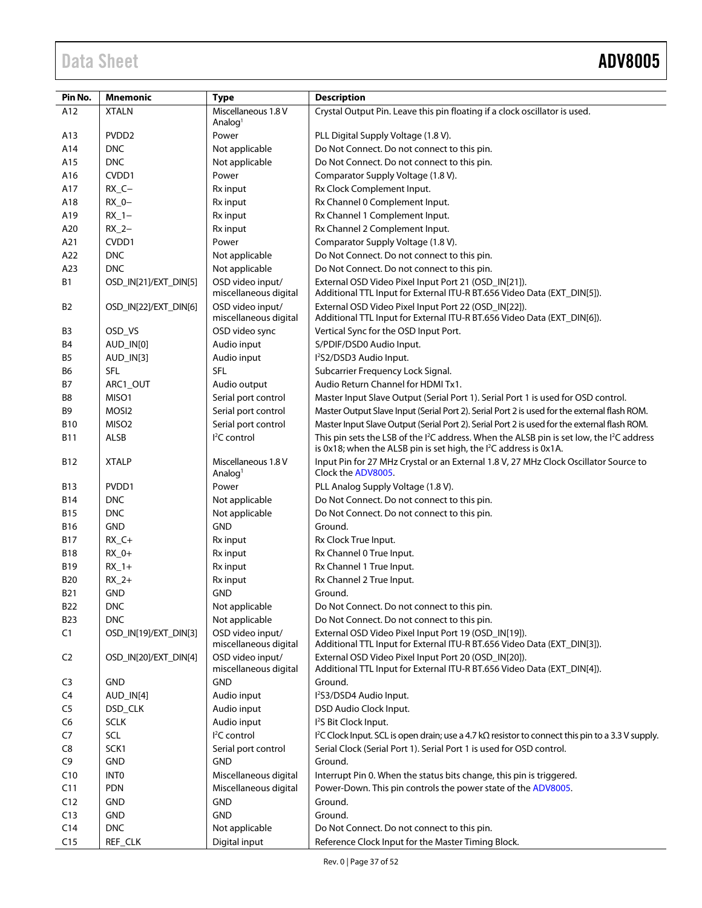| Pin No.        | <b>Mnemonic</b>       | <b>Type</b>                                | <b>Description</b>                                                                                                                                                                                 |
|----------------|-----------------------|--------------------------------------------|----------------------------------------------------------------------------------------------------------------------------------------------------------------------------------------------------|
| A12            | <b>XTALN</b>          | Miscellaneous 1.8 V                        | Crystal Output Pin. Leave this pin floating if a clock oscillator is used.                                                                                                                         |
|                |                       | Analog <sup>1</sup>                        |                                                                                                                                                                                                    |
| A13            | PVDD <sub>2</sub>     | Power                                      | PLL Digital Supply Voltage (1.8 V).                                                                                                                                                                |
| A14            | <b>DNC</b>            | Not applicable                             | Do Not Connect. Do not connect to this pin.                                                                                                                                                        |
| A15            | <b>DNC</b>            | Not applicable                             | Do Not Connect. Do not connect to this pin.                                                                                                                                                        |
| A16            | CVDD1                 | Power                                      | Comparator Supply Voltage (1.8 V).                                                                                                                                                                 |
| A17            | $RX_C -$              | Rx input                                   | Rx Clock Complement Input.                                                                                                                                                                         |
| A18            | $RX_0 -$              | Rx input                                   | Rx Channel 0 Complement Input.                                                                                                                                                                     |
| A19            | $RX_1 -$              | Rx input                                   | Rx Channel 1 Complement Input.                                                                                                                                                                     |
| A20            | $RX_2-$               | Rx input                                   | Rx Channel 2 Complement Input.                                                                                                                                                                     |
| A21            | CVDD1                 | Power                                      | Comparator Supply Voltage (1.8 V).                                                                                                                                                                 |
| A22            | <b>DNC</b>            | Not applicable                             | Do Not Connect. Do not connect to this pin.                                                                                                                                                        |
| A23            | <b>DNC</b>            | Not applicable                             | Do Not Connect. Do not connect to this pin.                                                                                                                                                        |
| <b>B1</b>      | OSD_IN[21]/EXT_DIN[5] | OSD video input/<br>miscellaneous digital  | External OSD Video Pixel Input Port 21 (OSD_IN[21]).<br>Additional TTL Input for External ITU-R BT.656 Video Data (EXT_DIN[5]).                                                                    |
| B2             | OSD_IN[22]/EXT_DIN[6] | OSD video input/<br>miscellaneous digital  | External OSD Video Pixel Input Port 22 (OSD_IN[22]).<br>Additional TTL Input for External ITU-R BT.656 Video Data (EXT_DIN[6]).                                                                    |
| B3             | OSD_VS                | OSD video sync                             | Vertical Sync for the OSD Input Port.                                                                                                                                                              |
| Β4             | AUD IN[0]             | Audio input                                | S/PDIF/DSD0 Audio Input.                                                                                                                                                                           |
| B <sub>5</sub> | AUD_IN[3]             | Audio input                                | I <sup>2</sup> S2/DSD3 Audio Input.                                                                                                                                                                |
| В6             | <b>SFL</b>            | <b>SFL</b>                                 | Subcarrier Frequency Lock Signal.                                                                                                                                                                  |
| В7             | ARC1_OUT              | Audio output                               | Audio Return Channel for HDMI Tx1.                                                                                                                                                                 |
| B8             | MISO1                 | Serial port control                        | Master Input Slave Output (Serial Port 1). Serial Port 1 is used for OSD control.                                                                                                                  |
| B9             | MOSI <sub>2</sub>     | Serial port control                        | Master Output Slave Input (Serial Port 2). Serial Port 2 is used for the external flash ROM.                                                                                                       |
| <b>B10</b>     | MISO <sub>2</sub>     | Serial port control                        | Master Input Slave Output (Serial Port 2). Serial Port 2 is used for the external flash ROM.                                                                                                       |
| B11            | ALSB                  | <sup>2</sup> C control                     | This pin sets the LSB of the I <sup>2</sup> C address. When the ALSB pin is set low, the I <sup>2</sup> C address<br>is 0x18; when the ALSB pin is set high, the I <sup>2</sup> C address is 0x1A. |
| <b>B12</b>     | <b>XTALP</b>          | Miscellaneous 1.8 V<br>Analog <sup>1</sup> | Input Pin for 27 MHz Crystal or an External 1.8 V, 27 MHz Clock Oscillator Source to<br>Clock the ADV8005.                                                                                         |
| B13            | PVDD1                 | Power                                      | PLL Analog Supply Voltage (1.8 V).                                                                                                                                                                 |
| B14            | <b>DNC</b>            | Not applicable                             | Do Not Connect. Do not connect to this pin.                                                                                                                                                        |
| <b>B15</b>     | <b>DNC</b>            | Not applicable                             | Do Not Connect. Do not connect to this pin.                                                                                                                                                        |
| B16            | <b>GND</b>            | <b>GND</b>                                 | Ground.                                                                                                                                                                                            |
| <b>B17</b>     | $RX_C +$              | Rx input                                   | Rx Clock True Input.                                                                                                                                                                               |
| B18            | $RX_0+$               | Rx input                                   | Rx Channel 0 True Input.                                                                                                                                                                           |
| B19            | $RX_1+$               | Rx input                                   | Rx Channel 1 True Input.                                                                                                                                                                           |
| B20            | $RX_2+$               | Rx input                                   | Rx Channel 2 True Input.                                                                                                                                                                           |
| <b>B21</b>     | <b>GND</b>            | <b>GND</b>                                 | Ground.                                                                                                                                                                                            |
| <b>B22</b>     | <b>DNC</b>            | Not applicable                             | Do Not Connect. Do not connect to this pin.                                                                                                                                                        |
| B23            | <b>DNC</b>            | Not applicable                             | Do Not Connect. Do not connect to this pin.                                                                                                                                                        |
| C1             | OSD_IN[19]/EXT_DIN[3] | OSD video input/<br>miscellaneous digital  | External OSD Video Pixel Input Port 19 (OSD_IN[19]).<br>Additional TTL Input for External ITU-R BT.656 Video Data (EXT_DIN[3]).                                                                    |
| C <sub>2</sub> | OSD IN[20]/EXT DIN[4] | OSD video input/<br>miscellaneous digital  | External OSD Video Pixel Input Port 20 (OSD_IN[20]).<br>Additional TTL Input for External ITU-R BT.656 Video Data (EXT_DIN[4]).                                                                    |
| C <sub>3</sub> | <b>GND</b>            | <b>GND</b>                                 | Ground.                                                                                                                                                                                            |
| C <sub>4</sub> | AUD_IN[4]             | Audio input                                | I <sup>2</sup> S3/DSD4 Audio Input.                                                                                                                                                                |
| C5             | DSD_CLK               | Audio input                                | DSD Audio Clock Input.                                                                                                                                                                             |
| C <sub>6</sub> | <b>SCLK</b>           | Audio input                                | I <sup>2</sup> S Bit Clock Input.                                                                                                                                                                  |
| C7             | SCL                   | <sup>2</sup> C control                     | I <sup>2</sup> C Clock Input. SCL is open drain; use a 4.7 k $\Omega$ resistor to connect this pin to a 3.3 V supply.                                                                              |
| C8             | SCK1                  | Serial port control                        | Serial Clock (Serial Port 1). Serial Port 1 is used for OSD control.                                                                                                                               |
| C <sub>9</sub> | <b>GND</b>            | <b>GND</b>                                 | Ground.                                                                                                                                                                                            |
| C10            | <b>INTO</b>           | Miscellaneous digital                      | Interrupt Pin 0. When the status bits change, this pin is triggered.                                                                                                                               |
| C11            | <b>PDN</b>            | Miscellaneous digital                      | Power-Down. This pin controls the power state of the ADV8005.                                                                                                                                      |
| C12            | GND                   | <b>GND</b>                                 | Ground.                                                                                                                                                                                            |
| C13            | <b>GND</b>            | <b>GND</b>                                 | Ground.                                                                                                                                                                                            |
| C14            | <b>DNC</b>            | Not applicable                             | Do Not Connect. Do not connect to this pin.                                                                                                                                                        |
| C15            | REF_CLK               | Digital input                              | Reference Clock Input for the Master Timing Block.                                                                                                                                                 |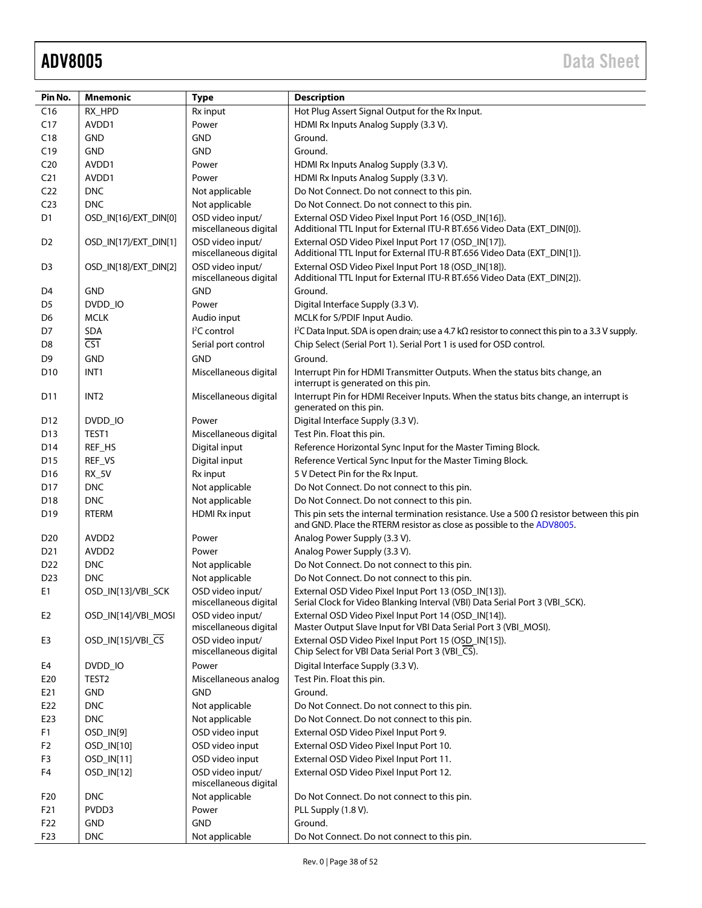| Pin No.         | <b>Mnemonic</b>       | <b>Type</b>                               | <b>Description</b>                                                                                                                                                        |
|-----------------|-----------------------|-------------------------------------------|---------------------------------------------------------------------------------------------------------------------------------------------------------------------------|
| C16             | RX_HPD                | Rx input                                  | Hot Plug Assert Signal Output for the Rx Input.                                                                                                                           |
| C17             | AVDD1                 | Power                                     | HDMI Rx Inputs Analog Supply (3.3 V).                                                                                                                                     |
| C18             | <b>GND</b>            | <b>GND</b>                                | Ground.                                                                                                                                                                   |
| C19             | <b>GND</b>            | <b>GND</b>                                | Ground.                                                                                                                                                                   |
| C <sub>20</sub> | AVDD1                 | Power                                     | HDMI Rx Inputs Analog Supply (3.3 V).                                                                                                                                     |
| C <sub>21</sub> | AVDD1                 | Power                                     | HDMI Rx Inputs Analog Supply (3.3 V).                                                                                                                                     |
| C <sub>22</sub> | <b>DNC</b>            | Not applicable                            | Do Not Connect. Do not connect to this pin.                                                                                                                               |
| C <sub>23</sub> | <b>DNC</b>            | Not applicable                            | Do Not Connect. Do not connect to this pin.                                                                                                                               |
| D1              | OSD IN[16]/EXT DIN[0] | OSD video input/<br>miscellaneous digital | External OSD Video Pixel Input Port 16 (OSD IN[16]).<br>Additional TTL Input for External ITU-R BT.656 Video Data (EXT_DIN[0]).                                           |
| D <sub>2</sub>  | OSD IN[17]/EXT DIN[1] | OSD video input/<br>miscellaneous digital | External OSD Video Pixel Input Port 17 (OSD_IN[17]).<br>Additional TTL Input for External ITU-R BT.656 Video Data (EXT_DIN[1]).                                           |
| D3              | OSD_IN[18]/EXT_DIN[2] | OSD video input/<br>miscellaneous digital | External OSD Video Pixel Input Port 18 (OSD_IN[18]).<br>Additional TTL Input for External ITU-R BT.656 Video Data (EXT_DIN[2]).                                           |
| D4              | <b>GND</b>            | <b>GND</b>                                | Ground.                                                                                                                                                                   |
| D <sub>5</sub>  | DVDD_IO               | Power                                     | Digital Interface Supply (3.3 V).                                                                                                                                         |
| D <sub>6</sub>  | <b>MCLK</b>           | Audio input                               | MCLK for S/PDIF Input Audio.                                                                                                                                              |
| D7              | <b>SDA</b>            | <sup>2</sup> C control                    | I <sup>2</sup> C Data Input. SDA is open drain; use a 4.7 k $\Omega$ resistor to connect this pin to a 3.3 V supply.                                                      |
| D <sub>8</sub>  | $\overline{CS1}$      | Serial port control                       | Chip Select (Serial Port 1). Serial Port 1 is used for OSD control.                                                                                                       |
| D <sub>9</sub>  | <b>GND</b>            | <b>GND</b>                                | Ground.                                                                                                                                                                   |
| D <sub>10</sub> | INT1                  | Miscellaneous digital                     | Interrupt Pin for HDMI Transmitter Outputs. When the status bits change, an<br>interrupt is generated on this pin.                                                        |
| D <sub>11</sub> | INT <sub>2</sub>      | Miscellaneous digital                     | Interrupt Pin for HDMI Receiver Inputs. When the status bits change, an interrupt is<br>generated on this pin.                                                            |
| D12             | DVDD_IO               | Power                                     | Digital Interface Supply (3.3 V).                                                                                                                                         |
| D <sub>13</sub> | TEST1                 | Miscellaneous digital                     | Test Pin. Float this pin.                                                                                                                                                 |
| D14             | REF_HS                | Digital input                             | Reference Horizontal Sync Input for the Master Timing Block.                                                                                                              |
| D <sub>15</sub> | REF_VS                | Digital input                             | Reference Vertical Sync Input for the Master Timing Block.                                                                                                                |
| D <sub>16</sub> | <b>RX_5V</b>          | Rx input                                  | 5 V Detect Pin for the Rx Input.                                                                                                                                          |
| D <sub>17</sub> | <b>DNC</b>            | Not applicable                            | Do Not Connect. Do not connect to this pin.                                                                                                                               |
| D <sub>18</sub> | <b>DNC</b>            | Not applicable                            | Do Not Connect. Do not connect to this pin.                                                                                                                               |
| D <sub>19</sub> | RTERM                 | <b>HDMI Rx input</b>                      | This pin sets the internal termination resistance. Use a 500 $\Omega$ resistor between this pin<br>and GND. Place the RTERM resistor as close as possible to the ADV8005. |
| D <sub>20</sub> | AVDD <sub>2</sub>     | Power                                     | Analog Power Supply (3.3 V).                                                                                                                                              |
| D <sub>21</sub> | AVDD <sub>2</sub>     | Power                                     | Analog Power Supply (3.3 V).                                                                                                                                              |
| D22             | <b>DNC</b>            | Not applicable                            | Do Not Connect. Do not connect to this pin.                                                                                                                               |
| D <sub>23</sub> | <b>DNC</b>            | Not applicable                            | Do Not Connect. Do not connect to this pin.                                                                                                                               |
| E1              | OSD IN[13]/VBI SCK    | OSD video input/<br>miscellaneous digital | External OSD Video Pixel Input Port 13 (OSD_IN[13]).<br>Serial Clock for Video Blanking Interval (VBI) Data Serial Port 3 (VBI_SCK).                                      |
| E <sub>2</sub>  | OSD_IN[14]/VBI_MOSI   | OSD video input/<br>miscellaneous digital | External OSD Video Pixel Input Port 14 (OSD_IN[14]).<br>Master Output Slave Input for VBI Data Serial Port 3 (VBI_MOSI).                                                  |
| E3              | OSD_IN[15]/VBI_CS     | OSD video input/<br>miscellaneous digital | External OSD Video Pixel Input Port 15 (OSD_IN[15]).<br>Chip Select for VBI Data Serial Port 3 (VBI_CS).                                                                  |
| E4              | DVDD_IO               | Power                                     | Digital Interface Supply (3.3 V).                                                                                                                                         |
| E20             | TEST <sub>2</sub>     | Miscellaneous analog                      | Test Pin. Float this pin.                                                                                                                                                 |
| E21             | <b>GND</b>            | <b>GND</b>                                | Ground.                                                                                                                                                                   |
| E22             | <b>DNC</b>            | Not applicable                            | Do Not Connect. Do not connect to this pin.                                                                                                                               |
| E23             | <b>DNC</b>            | Not applicable                            | Do Not Connect. Do not connect to this pin.                                                                                                                               |
| F <sub>1</sub>  | OSD_IN[9]             | OSD video input                           | External OSD Video Pixel Input Port 9.                                                                                                                                    |
| F <sub>2</sub>  | OSD_IN[10]            | OSD video input                           | External OSD Video Pixel Input Port 10.                                                                                                                                   |
| F <sub>3</sub>  | OSD_IN[11]            | OSD video input                           | External OSD Video Pixel Input Port 11.                                                                                                                                   |
| F4              | OSD_IN[12]            | OSD video input/<br>miscellaneous digital | External OSD Video Pixel Input Port 12.                                                                                                                                   |
| F20             | <b>DNC</b>            | Not applicable                            | Do Not Connect. Do not connect to this pin.                                                                                                                               |
| F21             | PVDD3                 | Power                                     | PLL Supply (1.8 V).                                                                                                                                                       |
| F <sub>22</sub> | <b>GND</b>            | <b>GND</b>                                | Ground.                                                                                                                                                                   |
| F <sub>23</sub> | <b>DNC</b>            | Not applicable                            | Do Not Connect. Do not connect to this pin.                                                                                                                               |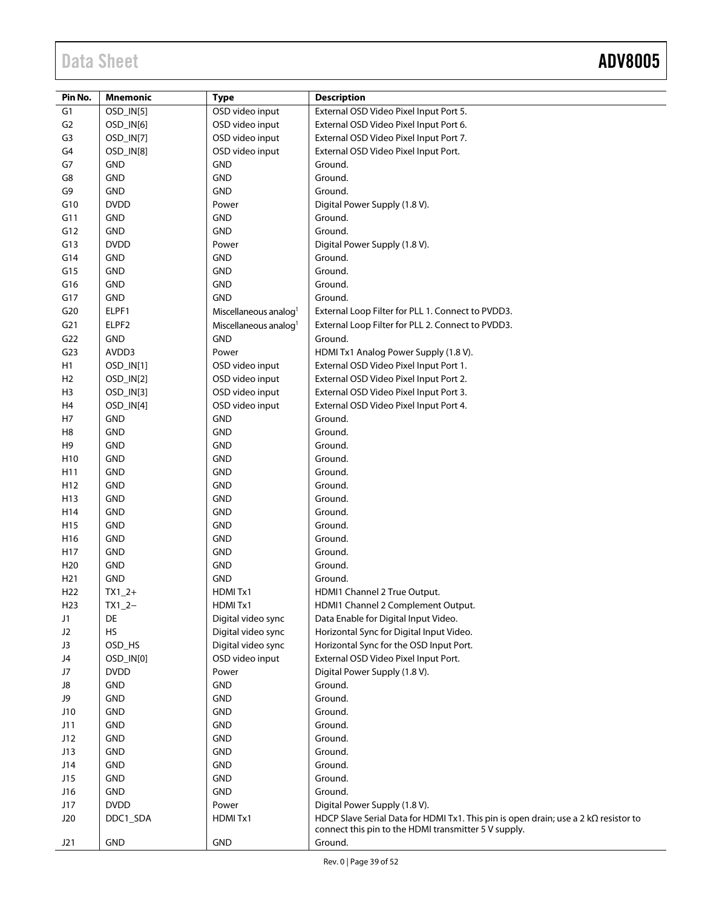| Pin No.         | Mnemonic    |                                   |                                                                                                                                                    |
|-----------------|-------------|-----------------------------------|----------------------------------------------------------------------------------------------------------------------------------------------------|
|                 |             | <b>Type</b>                       | <b>Description</b>                                                                                                                                 |
| G <sub>1</sub>  | OSD_IN[5]   | OSD video input                   | External OSD Video Pixel Input Port 5.                                                                                                             |
| G <sub>2</sub>  | OSD_IN[6]   | OSD video input                   | External OSD Video Pixel Input Port 6.                                                                                                             |
| G3              | OSD_IN[7]   | OSD video input                   | External OSD Video Pixel Input Port 7.                                                                                                             |
| G4              | OSD_IN[8]   | OSD video input                   | External OSD Video Pixel Input Port.                                                                                                               |
| G7              | <b>GND</b>  | <b>GND</b>                        | Ground.                                                                                                                                            |
| G8              | GND         | <b>GND</b>                        | Ground.                                                                                                                                            |
| G9              | GND         | <b>GND</b>                        | Ground.                                                                                                                                            |
| G10             | <b>DVDD</b> | Power                             | Digital Power Supply (1.8 V).                                                                                                                      |
| G11             | <b>GND</b>  | <b>GND</b>                        | Ground.                                                                                                                                            |
| G12             | GND         | <b>GND</b>                        | Ground.                                                                                                                                            |
| G13             | <b>DVDD</b> | Power                             | Digital Power Supply (1.8 V).                                                                                                                      |
| G14             | <b>GND</b>  | <b>GND</b>                        | Ground.                                                                                                                                            |
| G15             | <b>GND</b>  | <b>GND</b>                        | Ground.                                                                                                                                            |
| G16             | <b>GND</b>  | <b>GND</b>                        | Ground.                                                                                                                                            |
| G17             | GND         | <b>GND</b>                        | Ground.                                                                                                                                            |
| G20             | ELPF1       | Miscellaneous analog <sup>1</sup> | External Loop Filter for PLL 1. Connect to PVDD3.                                                                                                  |
| G <sub>21</sub> | ELPF2       | Miscellaneous analog <sup>1</sup> | External Loop Filter for PLL 2. Connect to PVDD3.                                                                                                  |
|                 | <b>GND</b>  | <b>GND</b>                        | Ground.                                                                                                                                            |
| G22             |             |                                   |                                                                                                                                                    |
| G <sub>23</sub> | AVDD3       | Power                             | HDMI Tx1 Analog Power Supply (1.8 V).                                                                                                              |
| H1              | OSD_IN[1]   | OSD video input                   | External OSD Video Pixel Input Port 1.                                                                                                             |
| H <sub>2</sub>  | OSD_IN[2]   | OSD video input                   | External OSD Video Pixel Input Port 2.                                                                                                             |
| H <sub>3</sub>  | OSD_IN[3]   | OSD video input                   | External OSD Video Pixel Input Port 3.                                                                                                             |
| H <sub>4</sub>  | OSD_IN[4]   | OSD video input                   | External OSD Video Pixel Input Port 4.                                                                                                             |
| H7              | <b>GND</b>  | <b>GND</b>                        | Ground.                                                                                                                                            |
| H <sub>8</sub>  | <b>GND</b>  | <b>GND</b>                        | Ground.                                                                                                                                            |
| H <sub>9</sub>  | <b>GND</b>  | <b>GND</b>                        | Ground.                                                                                                                                            |
| H <sub>10</sub> | <b>GND</b>  | <b>GND</b>                        | Ground.                                                                                                                                            |
| H11             | <b>GND</b>  | <b>GND</b>                        | Ground.                                                                                                                                            |
| H <sub>12</sub> | <b>GND</b>  | <b>GND</b>                        | Ground.                                                                                                                                            |
| H13             | <b>GND</b>  | <b>GND</b>                        | Ground.                                                                                                                                            |
| H14             | <b>GND</b>  | <b>GND</b>                        | Ground.                                                                                                                                            |
| H <sub>15</sub> | <b>GND</b>  | <b>GND</b>                        | Ground.                                                                                                                                            |
| H <sub>16</sub> | <b>GND</b>  | <b>GND</b>                        | Ground.                                                                                                                                            |
| H17             | <b>GND</b>  | <b>GND</b>                        | Ground.                                                                                                                                            |
| H <sub>20</sub> | <b>GND</b>  | <b>GND</b>                        | Ground.                                                                                                                                            |
| H <sub>21</sub> | <b>GND</b>  | <b>GND</b>                        | Ground.                                                                                                                                            |
| H <sub>22</sub> | $TX1_2+$    | HDMITx1                           | HDMI1 Channel 2 True Output.                                                                                                                       |
| H <sub>23</sub> | $TX1_2-$    | HDMITx1                           | HDMI1 Channel 2 Complement Output.                                                                                                                 |
| J1              | DE          | Digital video sync                | Data Enable for Digital Input Video.                                                                                                               |
| J2              | <b>HS</b>   | Digital video sync                | Horizontal Sync for Digital Input Video.                                                                                                           |
| J3              | OSD_HS      | Digital video sync                | Horizontal Sync for the OSD Input Port.                                                                                                            |
| J4              | OSD_IN[0]   | OSD video input                   | External OSD Video Pixel Input Port.                                                                                                               |
| J7              | <b>DVDD</b> | Power                             | Digital Power Supply (1.8 V).                                                                                                                      |
| J8              | <b>GND</b>  | <b>GND</b>                        | Ground.                                                                                                                                            |
| J9              | GND         | <b>GND</b>                        | Ground.                                                                                                                                            |
| J10             | GND         | <b>GND</b>                        | Ground.                                                                                                                                            |
| J11             | GND         | <b>GND</b>                        | Ground.                                                                                                                                            |
| J12             | GND         | <b>GND</b>                        | Ground.                                                                                                                                            |
| J13             | GND         | <b>GND</b>                        | Ground.                                                                                                                                            |
| J14             | <b>GND</b>  | <b>GND</b>                        | Ground.                                                                                                                                            |
| J15             | <b>GND</b>  | <b>GND</b>                        | Ground.                                                                                                                                            |
| J16             | GND         | <b>GND</b>                        | Ground.                                                                                                                                            |
| J17             | <b>DVDD</b> | Power                             | Digital Power Supply (1.8 V).                                                                                                                      |
|                 |             |                                   |                                                                                                                                                    |
| J20             | DDC1_SDA    | HDMITx1                           | HDCP Slave Serial Data for HDMI Tx1. This pin is open drain; use a 2 $k\Omega$ resistor to<br>connect this pin to the HDMI transmitter 5 V supply. |
| J21             | <b>GND</b>  | <b>GND</b>                        | Ground.                                                                                                                                            |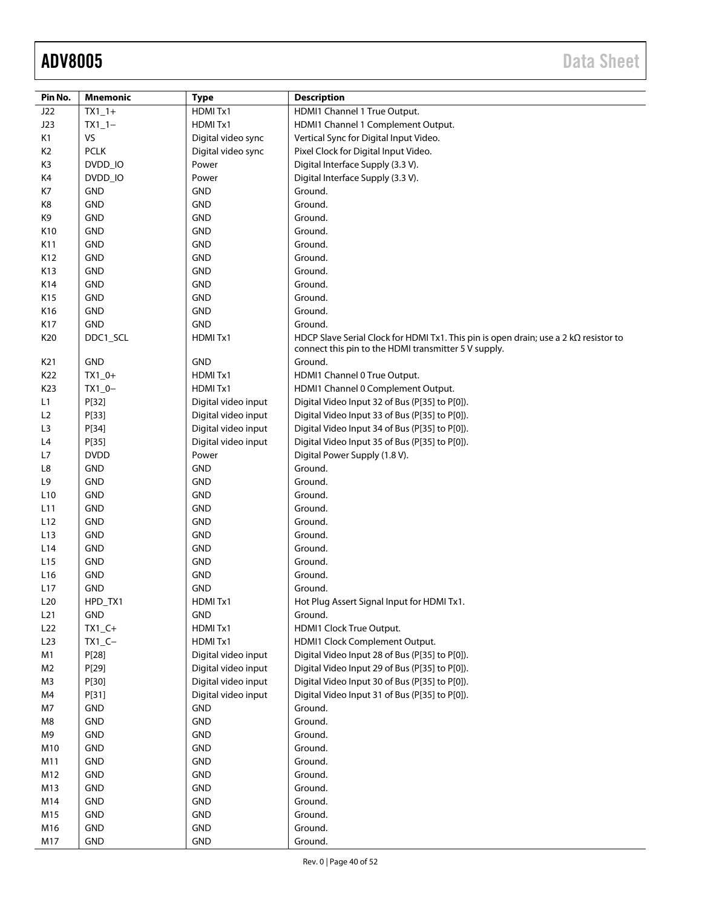| Pin No.         | <b>Mnemonic</b> | <b>Type</b>         | <b>Description</b>                                                                                                                                  |
|-----------------|-----------------|---------------------|-----------------------------------------------------------------------------------------------------------------------------------------------------|
| J22             | $TX1_1+$        | HDMITx1             | HDMI1 Channel 1 True Output.                                                                                                                        |
| J23             | $TX1_1-$        | HDMITx1             | HDMI1 Channel 1 Complement Output.                                                                                                                  |
| K1              | VS              | Digital video sync  | Vertical Sync for Digital Input Video.                                                                                                              |
| K <sub>2</sub>  | <b>PCLK</b>     | Digital video sync  | Pixel Clock for Digital Input Video.                                                                                                                |
| K3              | DVDD_IO         | Power               | Digital Interface Supply (3.3 V).                                                                                                                   |
| K4              | DVDD_IO         | Power               | Digital Interface Supply (3.3 V).                                                                                                                   |
| K7              | <b>GND</b>      | <b>GND</b>          | Ground.                                                                                                                                             |
| K8              | <b>GND</b>      | <b>GND</b>          | Ground.                                                                                                                                             |
| K9              | <b>GND</b>      | <b>GND</b>          | Ground.                                                                                                                                             |
| K10             | <b>GND</b>      | <b>GND</b>          | Ground.                                                                                                                                             |
| K11             | <b>GND</b>      | <b>GND</b>          | Ground.                                                                                                                                             |
| K12             | <b>GND</b>      | <b>GND</b>          | Ground.                                                                                                                                             |
| K13             | <b>GND</b>      | <b>GND</b>          | Ground.                                                                                                                                             |
| K14             | <b>GND</b>      | <b>GND</b>          | Ground.                                                                                                                                             |
| K15             | <b>GND</b>      | <b>GND</b>          | Ground.                                                                                                                                             |
| K16             | <b>GND</b>      | <b>GND</b>          | Ground.                                                                                                                                             |
| K17             | GND             | <b>GND</b>          | Ground.                                                                                                                                             |
| K20             | DDC1 SCL        | HDMITx1             | HDCP Slave Serial Clock for HDMI Tx1. This pin is open drain; use a 2 $k\Omega$ resistor to<br>connect this pin to the HDMI transmitter 5 V supply. |
| K21             | <b>GND</b>      | <b>GND</b>          | Ground.                                                                                                                                             |
| K22             | $TX1_0+$        | HDMITx1             | HDMI1 Channel 0 True Output.                                                                                                                        |
| K23             | $TX1_0-$        | HDMITx1             | HDMI1 Channel 0 Complement Output.                                                                                                                  |
| L1              | P[32]           | Digital video input | Digital Video Input 32 of Bus (P[35] to P[0]).                                                                                                      |
| L2              | P[33]           | Digital video input | Digital Video Input 33 of Bus (P[35] to P[0]).                                                                                                      |
| L3              | P[34]           | Digital video input | Digital Video Input 34 of Bus (P[35] to P[0]).                                                                                                      |
| L4              | P[35]           | Digital video input | Digital Video Input 35 of Bus (P[35] to P[0]).                                                                                                      |
| L7              | <b>DVDD</b>     | Power               | Digital Power Supply (1.8 V).                                                                                                                       |
| L8              | GND             | <b>GND</b>          | Ground.                                                                                                                                             |
| L9              | <b>GND</b>      | GND                 | Ground.                                                                                                                                             |
| L <sub>10</sub> | <b>GND</b>      | <b>GND</b>          | Ground.                                                                                                                                             |
| L11             | <b>GND</b>      | <b>GND</b>          | Ground.                                                                                                                                             |
| L12             | <b>GND</b>      | <b>GND</b>          | Ground.                                                                                                                                             |
| L <sub>13</sub> | <b>GND</b>      | <b>GND</b>          | Ground.                                                                                                                                             |
| L14             | <b>GND</b>      | <b>GND</b>          | Ground.                                                                                                                                             |
| L15             | <b>GND</b>      | <b>GND</b>          | Ground.                                                                                                                                             |
| L <sub>16</sub> | <b>GND</b>      | <b>GND</b>          | Ground.                                                                                                                                             |
| L17             | <b>GND</b>      | <b>GND</b>          | Ground.                                                                                                                                             |
| L <sub>20</sub> | HPD TX1         | HDMIT <sub>x1</sub> | Hot Plug Assert Signal Input for HDMI Tx1.                                                                                                          |
| L21             | <b>GND</b>      | <b>GND</b>          | Ground.                                                                                                                                             |
| L22             | $TX1_C+$        | HDMITx1             | HDMI1 Clock True Output.                                                                                                                            |
| L23             | $TX1_C -$       | HDMITx1             | HDMI1 Clock Complement Output.                                                                                                                      |
| M1              | P[28]           | Digital video input | Digital Video Input 28 of Bus (P[35] to P[0]).                                                                                                      |
| M <sub>2</sub>  | P[29]           | Digital video input | Digital Video Input 29 of Bus (P[35] to P[0]).                                                                                                      |
| M3              | P[30]           | Digital video input | Digital Video Input 30 of Bus (P[35] to P[0]).                                                                                                      |
| M4              | P[31]           | Digital video input | Digital Video Input 31 of Bus (P[35] to P[0]).                                                                                                      |
| M7              | GND             | <b>GND</b>          | Ground.                                                                                                                                             |
| M8              | GND             | GND                 | Ground.                                                                                                                                             |
| M9              | GND             | GND                 | Ground.                                                                                                                                             |
| M10             | GND             | <b>GND</b>          | Ground.                                                                                                                                             |
| M11             | <b>GND</b>      | <b>GND</b>          | Ground.                                                                                                                                             |
| M12             | GND             | <b>GND</b>          | Ground.                                                                                                                                             |
| M13             | <b>GND</b>      | GND                 | Ground.                                                                                                                                             |
| M14             | <b>GND</b>      | <b>GND</b>          | Ground.                                                                                                                                             |
| M15             | <b>GND</b>      | <b>GND</b>          | Ground.                                                                                                                                             |
| M16             | <b>GND</b>      | GND                 | Ground.                                                                                                                                             |
| M17             | <b>GND</b>      | GND                 | Ground.                                                                                                                                             |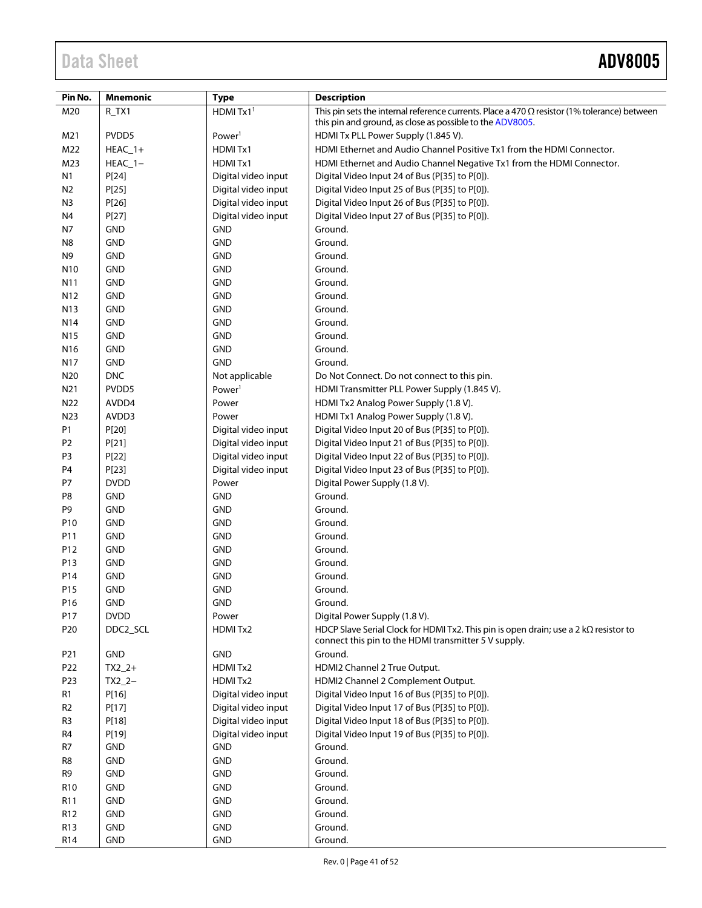| Pin No.         | <b>Mnemonic</b> | <b>Type</b>          | <b>Description</b>                                                                                                                                   |  |  |
|-----------------|-----------------|----------------------|------------------------------------------------------------------------------------------------------------------------------------------------------|--|--|
| M20             | $R_TX1$         | HDMITx1 <sup>1</sup> | This pin sets the internal reference currents. Place a 470 $\Omega$ resistor (1% tolerance) between                                                  |  |  |
|                 |                 |                      | this pin and ground, as close as possible to the ADV8005.                                                                                            |  |  |
| M21             | PVDD5           | Power <sup>1</sup>   | HDMI Tx PLL Power Supply (1.845 V).                                                                                                                  |  |  |
| M22             | $HEAC_1+$       | HDMITx1              | HDMI Ethernet and Audio Channel Positive Tx1 from the HDMI Connector.                                                                                |  |  |
| M23             | $HEAC_1-$       | HDMITx1              | HDMI Ethernet and Audio Channel Negative Tx1 from the HDMI Connector.                                                                                |  |  |
| N <sub>1</sub>  | P[24]           | Digital video input  | Digital Video Input 24 of Bus (P[35] to P[0]).                                                                                                       |  |  |
| N2              | P[25]           | Digital video input  | Digital Video Input 25 of Bus (P[35] to P[0]).                                                                                                       |  |  |
| N3              | P[26]           | Digital video input  | Digital Video Input 26 of Bus (P[35] to P[0]).                                                                                                       |  |  |
| N <sub>4</sub>  | P[27]           | Digital video input  | Digital Video Input 27 of Bus (P[35] to P[0]).                                                                                                       |  |  |
| N7              | <b>GND</b>      | <b>GND</b>           | Ground.                                                                                                                                              |  |  |
| N8              | <b>GND</b>      | <b>GND</b>           | Ground.                                                                                                                                              |  |  |
| N9              | <b>GND</b>      | <b>GND</b>           | Ground.                                                                                                                                              |  |  |
| N <sub>10</sub> | GND             | <b>GND</b>           | Ground.                                                                                                                                              |  |  |
| N11             | <b>GND</b>      | <b>GND</b>           | Ground.                                                                                                                                              |  |  |
| N <sub>12</sub> | <b>GND</b>      | <b>GND</b>           | Ground.                                                                                                                                              |  |  |
| N <sub>13</sub> | <b>GND</b>      | <b>GND</b>           | Ground.                                                                                                                                              |  |  |
| N <sub>14</sub> | <b>GND</b>      | <b>GND</b>           | Ground.                                                                                                                                              |  |  |
| N15             | <b>GND</b>      | <b>GND</b>           | Ground.                                                                                                                                              |  |  |
| N <sub>16</sub> | <b>GND</b>      | <b>GND</b>           | Ground.                                                                                                                                              |  |  |
| N <sub>17</sub> | <b>GND</b>      | <b>GND</b>           | Ground.                                                                                                                                              |  |  |
| N <sub>20</sub> | <b>DNC</b>      | Not applicable       | Do Not Connect. Do not connect to this pin.                                                                                                          |  |  |
| N21             | PVDD5           | Power <sup>1</sup>   | HDMI Transmitter PLL Power Supply (1.845 V).                                                                                                         |  |  |
| N22             | AVDD4           | Power                | HDMI Tx2 Analog Power Supply (1.8 V).                                                                                                                |  |  |
| N23             | AVDD3           | Power                | HDMI Tx1 Analog Power Supply (1.8 V).                                                                                                                |  |  |
| P1              | P[20]           | Digital video input  | Digital Video Input 20 of Bus (P[35] to P[0]).                                                                                                       |  |  |
| P <sub>2</sub>  | P[21]           | Digital video input  | Digital Video Input 21 of Bus (P[35] to P[0]).                                                                                                       |  |  |
| P3              | P[22]           | Digital video input  | Digital Video Input 22 of Bus (P[35] to P[0]).                                                                                                       |  |  |
| P <sub>4</sub>  | P[23]           | Digital video input  | Digital Video Input 23 of Bus (P[35] to P[0]).                                                                                                       |  |  |
| P7              | <b>DVDD</b>     | Power                | Digital Power Supply (1.8 V).                                                                                                                        |  |  |
| P8              | <b>GND</b>      | <b>GND</b>           | Ground.                                                                                                                                              |  |  |
| P9              | <b>GND</b>      | <b>GND</b>           | Ground.                                                                                                                                              |  |  |
| P10             | <b>GND</b>      | <b>GND</b>           | Ground.                                                                                                                                              |  |  |
| P11             | <b>GND</b>      | <b>GND</b>           | Ground.                                                                                                                                              |  |  |
| P12             | <b>GND</b>      | <b>GND</b>           | Ground.                                                                                                                                              |  |  |
| P13             | <b>GND</b>      | <b>GND</b>           | Ground.                                                                                                                                              |  |  |
| P14             | <b>GND</b>      | <b>GND</b>           | Ground.                                                                                                                                              |  |  |
| P <sub>15</sub> | <b>GND</b>      | <b>GND</b>           | Ground.                                                                                                                                              |  |  |
| P16             | GND             | GND                  | Ground.                                                                                                                                              |  |  |
| P17             | <b>DVDD</b>     | Power                | Digital Power Supply (1.8 V).                                                                                                                        |  |  |
| P20             | DDC2_SCL        | HDMITx2              | HDCP Slave Serial Clock for HDMI Tx2. This pin is open drain; use a 2 k $\Omega$ resistor to<br>connect this pin to the HDMI transmitter 5 V supply. |  |  |
| P21             | GND             | <b>GND</b>           | Ground.                                                                                                                                              |  |  |
| P22             | $TX2_2+$        | HDMI Tx2             | HDMI2 Channel 2 True Output.                                                                                                                         |  |  |
| P <sub>23</sub> | $TX2 -$         | HDMI Tx2             | HDMI2 Channel 2 Complement Output.                                                                                                                   |  |  |
| R1              | P[16]           | Digital video input  | Digital Video Input 16 of Bus (P[35] to P[0]).                                                                                                       |  |  |
| R <sub>2</sub>  | P[17]           | Digital video input  | Digital Video Input 17 of Bus (P[35] to P[0]).                                                                                                       |  |  |
| R3              | P[18]           | Digital video input  | Digital Video Input 18 of Bus (P[35] to P[0]).                                                                                                       |  |  |
| R4              | P[19]           | Digital video input  | Digital Video Input 19 of Bus (P[35] to P[0]).                                                                                                       |  |  |
| R7              | <b>GND</b>      | <b>GND</b>           | Ground.                                                                                                                                              |  |  |
| R8              | <b>GND</b>      | <b>GND</b>           | Ground.                                                                                                                                              |  |  |
| R9              | <b>GND</b>      | GND                  | Ground.                                                                                                                                              |  |  |
| R <sub>10</sub> | <b>GND</b>      | <b>GND</b>           | Ground.                                                                                                                                              |  |  |
| R11             | <b>GND</b>      | <b>GND</b>           | Ground.                                                                                                                                              |  |  |
| R12             | <b>GND</b>      | GND                  | Ground.                                                                                                                                              |  |  |
| R13             | <b>GND</b>      | <b>GND</b>           | Ground.                                                                                                                                              |  |  |
| R14             | <b>GND</b>      | <b>GND</b>           | Ground.                                                                                                                                              |  |  |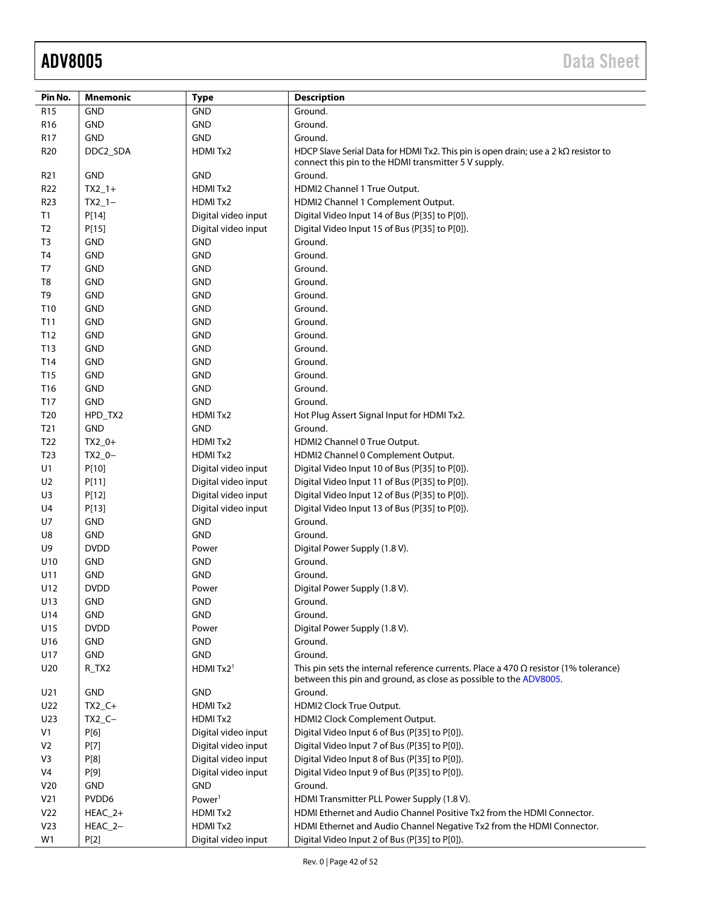| Pin No.         | <b>Mnemonic</b>           | <b>Type</b>           | <b>Description</b>                                                                                                                                               |  |  |
|-----------------|---------------------------|-----------------------|------------------------------------------------------------------------------------------------------------------------------------------------------------------|--|--|
| R <sub>15</sub> | <b>GND</b>                | <b>GND</b>            | Ground.                                                                                                                                                          |  |  |
| R <sub>16</sub> | <b>GND</b>                | <b>GND</b>            | Ground.                                                                                                                                                          |  |  |
| R17             | GND                       | <b>GND</b>            | Ground.                                                                                                                                                          |  |  |
| R <sub>20</sub> | DDC2_SDA                  | HDMITx2               | HDCP Slave Serial Data for HDMI Tx2. This pin is open drain; use a $2 k\Omega$ resistor to<br>connect this pin to the HDMI transmitter 5 V supply.               |  |  |
| R <sub>21</sub> | <b>GND</b>                | <b>GND</b>            | Ground.                                                                                                                                                          |  |  |
| R <sub>22</sub> | $TX2_1+$                  | HDMITx2               | HDMI2 Channel 1 True Output.                                                                                                                                     |  |  |
| R <sub>23</sub> | $TX2_1-$                  | HDMITx2               | HDMI2 Channel 1 Complement Output.                                                                                                                               |  |  |
| T1              | P[14]                     | Digital video input   | Digital Video Input 14 of Bus (P[35] to P[0]).                                                                                                                   |  |  |
| T <sub>2</sub>  | P[15]                     | Digital video input   | Digital Video Input 15 of Bus (P[35] to P[0]).                                                                                                                   |  |  |
| T <sub>3</sub>  | <b>GND</b>                | <b>GND</b>            | Ground.                                                                                                                                                          |  |  |
| T <sub>4</sub>  | <b>GND</b>                | <b>GND</b>            | Ground.                                                                                                                                                          |  |  |
| T7              | <b>GND</b>                | GND                   | Ground.                                                                                                                                                          |  |  |
| T8              | <b>GND</b>                | <b>GND</b>            | Ground.                                                                                                                                                          |  |  |
| T9              | <b>GND</b>                | <b>GND</b>            | Ground.                                                                                                                                                          |  |  |
| T10             | <b>GND</b>                | <b>GND</b>            | Ground.                                                                                                                                                          |  |  |
| T11             | <b>GND</b>                | <b>GND</b>            | Ground.                                                                                                                                                          |  |  |
| T12             | <b>GND</b>                | <b>GND</b>            | Ground.                                                                                                                                                          |  |  |
| T13             | <b>GND</b>                | <b>GND</b>            | Ground.                                                                                                                                                          |  |  |
| T14             | <b>GND</b>                | GND                   | Ground.                                                                                                                                                          |  |  |
| T15             | <b>GND</b>                | <b>GND</b>            | Ground.                                                                                                                                                          |  |  |
| T16             | <b>GND</b>                | <b>GND</b>            | Ground.                                                                                                                                                          |  |  |
| T17             | <b>GND</b>                | <b>GND</b>            | Ground.                                                                                                                                                          |  |  |
| T <sub>20</sub> | HPD_TX2                   | HDMI Tx2              | Hot Plug Assert Signal Input for HDMI Tx2.                                                                                                                       |  |  |
| T <sub>21</sub> | <b>GND</b>                | <b>GND</b>            | Ground.                                                                                                                                                          |  |  |
| T <sub>22</sub> | $TX2_0+$                  | HDMI Tx2              | HDMI2 Channel 0 True Output.                                                                                                                                     |  |  |
| T <sub>23</sub> | $TX2_0-$                  | HDMI Tx2              | HDMI2 Channel 0 Complement Output.                                                                                                                               |  |  |
| U1              | P[10]                     | Digital video input   | Digital Video Input 10 of Bus (P[35] to P[0]).                                                                                                                   |  |  |
| U <sub>2</sub>  | P[11]                     | Digital video input   | Digital Video Input 11 of Bus (P[35] to P[0]).                                                                                                                   |  |  |
| U3              | P[12]                     | Digital video input   | Digital Video Input 12 of Bus (P[35] to P[0]).                                                                                                                   |  |  |
| U4              | P[13]                     | Digital video input   | Digital Video Input 13 of Bus (P[35] to P[0]).                                                                                                                   |  |  |
| U7              | <b>GND</b>                | <b>GND</b>            | Ground.                                                                                                                                                          |  |  |
| U8<br>U9        | <b>GND</b><br><b>DVDD</b> | <b>GND</b>            | Ground.                                                                                                                                                          |  |  |
|                 | <b>GND</b>                | Power<br><b>GND</b>   | Digital Power Supply (1.8 V).<br>Ground.                                                                                                                         |  |  |
| U10<br>U11      | <b>GND</b>                | <b>GND</b>            | Ground.                                                                                                                                                          |  |  |
| U12             | <b>DVDD</b>               | Power                 | Digital Power Supply (1.8 V).                                                                                                                                    |  |  |
| U13             | <b>GND</b>                | <b>GND</b>            | Ground.                                                                                                                                                          |  |  |
| U14             | <b>GND</b>                | <b>GND</b>            | Ground.                                                                                                                                                          |  |  |
| U15             | <b>DVDD</b>               | Power                 | Digital Power Supply (1.8 V).                                                                                                                                    |  |  |
| U16             | <b>GND</b>                | <b>GND</b>            | Ground.                                                                                                                                                          |  |  |
| U17             | <b>GND</b>                | <b>GND</b>            | Ground.                                                                                                                                                          |  |  |
| U20             | R_TX2                     | HDMI Tx2 <sup>1</sup> | This pin sets the internal reference currents. Place a 470 $\Omega$ resistor (1% tolerance)<br>between this pin and ground, as close as possible to the ADV8005. |  |  |
| U21             | <b>GND</b>                | <b>GND</b>            | Ground.                                                                                                                                                          |  |  |
| U22             | $TX2_C+$                  | HDMITx2               | HDMI2 Clock True Output.                                                                                                                                         |  |  |
| U23             | $TX2_C -$                 | HDMIT <sub>x2</sub>   | HDMI2 Clock Complement Output.                                                                                                                                   |  |  |
| V1              | P[6]                      | Digital video input   | Digital Video Input 6 of Bus (P[35] to P[0]).                                                                                                                    |  |  |
| V <sub>2</sub>  | P[7]                      | Digital video input   | Digital Video Input 7 of Bus (P[35] to P[0]).                                                                                                                    |  |  |
| V3              | P[8]                      | Digital video input   | Digital Video Input 8 of Bus (P[35] to P[0]).                                                                                                                    |  |  |
| V4              | P[9]                      | Digital video input   | Digital Video Input 9 of Bus (P[35] to P[0]).                                                                                                                    |  |  |
| V <sub>20</sub> | <b>GND</b>                | <b>GND</b>            | Ground.                                                                                                                                                          |  |  |
| V <sub>21</sub> | PVDD6                     | Power <sup>1</sup>    | HDMI Transmitter PLL Power Supply (1.8 V).                                                                                                                       |  |  |
| V <sub>22</sub> | $HEAC_2+$                 | HDMITx2               | HDMI Ethernet and Audio Channel Positive Tx2 from the HDMI Connector.                                                                                            |  |  |
| V <sub>23</sub> | HEAC_2-                   | HDMITx2               | HDMI Ethernet and Audio Channel Negative Tx2 from the HDMI Connector.                                                                                            |  |  |
| W1              | P[2]                      | Digital video input   | Digital Video Input 2 of Bus (P[35] to P[0]).                                                                                                                    |  |  |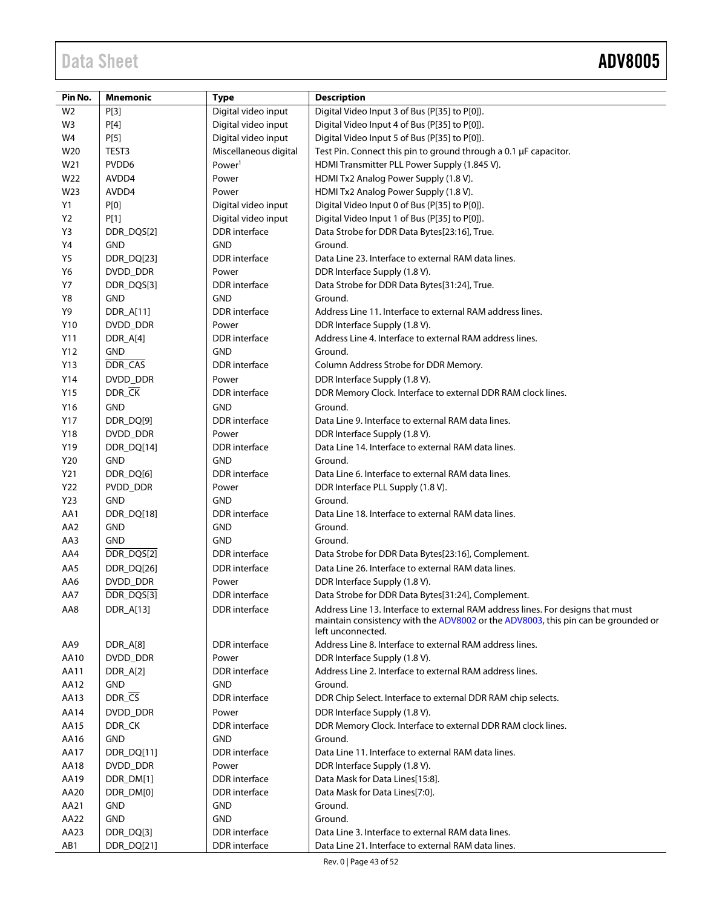| Pin No.<br><b>Mnemonic</b><br><b>Type</b> |                         |                       | <b>Description</b>                                                                                                                                                                        |  |  |  |
|-------------------------------------------|-------------------------|-----------------------|-------------------------------------------------------------------------------------------------------------------------------------------------------------------------------------------|--|--|--|
| W <sub>2</sub>                            | P[3]                    | Digital video input   | Digital Video Input 3 of Bus (P[35] to P[0]).                                                                                                                                             |  |  |  |
| W <sub>3</sub>                            | P[4]                    | Digital video input   | Digital Video Input 4 of Bus (P[35] to P[0]).                                                                                                                                             |  |  |  |
| W4                                        | P[5]                    | Digital video input   | Digital Video Input 5 of Bus (P[35] to P[0]).                                                                                                                                             |  |  |  |
| W20                                       | TEST3                   | Miscellaneous digital | Test Pin. Connect this pin to ground through a 0.1 µF capacitor.                                                                                                                          |  |  |  |
| W21                                       | PVDD6                   | Power <sup>1</sup>    | HDMI Transmitter PLL Power Supply (1.845 V).                                                                                                                                              |  |  |  |
| W22                                       | AVDD4                   | Power                 | HDMI Tx2 Analog Power Supply (1.8 V).                                                                                                                                                     |  |  |  |
| W23                                       | AVDD4                   | Power                 | HDMI Tx2 Analog Power Supply (1.8 V).                                                                                                                                                     |  |  |  |
| Y1                                        | <b>P[0]</b>             | Digital video input   | Digital Video Input 0 of Bus (P[35] to P[0]).                                                                                                                                             |  |  |  |
| Y <sub>2</sub>                            | P[1]                    | Digital video input   | Digital Video Input 1 of Bus (P[35] to P[0]).                                                                                                                                             |  |  |  |
| Y3                                        | DDR_DQS[2]              | <b>DDR</b> interface  | Data Strobe for DDR Data Bytes[23:16], True.                                                                                                                                              |  |  |  |
| Y4                                        | <b>GND</b>              | <b>GND</b>            | Ground.                                                                                                                                                                                   |  |  |  |
| Y5                                        | DDR_DQ[23]              | <b>DDR</b> interface  | Data Line 23. Interface to external RAM data lines.                                                                                                                                       |  |  |  |
| Y6                                        | DVDD_DDR                | Power                 | DDR Interface Supply (1.8 V).                                                                                                                                                             |  |  |  |
| <b>Y7</b>                                 | DDR_DQS[3]              | DDR interface         | Data Strobe for DDR Data Bytes[31:24], True.                                                                                                                                              |  |  |  |
| Y8                                        | <b>GND</b>              | <b>GND</b>            | Ground.                                                                                                                                                                                   |  |  |  |
| Y9                                        | DDR_A[11]               | <b>DDR</b> interface  | Address Line 11. Interface to external RAM address lines.                                                                                                                                 |  |  |  |
| Y10                                       | DVDD_DDR                | Power                 | DDR Interface Supply (1.8 V).                                                                                                                                                             |  |  |  |
| Y11                                       | DDR_A[4]                | DDR interface         | Address Line 4. Interface to external RAM address lines.                                                                                                                                  |  |  |  |
| Y12                                       | <b>GND</b>              | <b>GND</b>            | Ground.                                                                                                                                                                                   |  |  |  |
| Y13                                       | DDR_CAS                 | <b>DDR</b> interface  | Column Address Strobe for DDR Memory.                                                                                                                                                     |  |  |  |
| Y14                                       | DVDD_DDR                | Power                 | DDR Interface Supply (1.8 V).                                                                                                                                                             |  |  |  |
| Y15                                       | $DDR$ <sub>_</sub> $CK$ | <b>DDR</b> interface  | DDR Memory Clock. Interface to external DDR RAM clock lines.                                                                                                                              |  |  |  |
| Y16                                       | <b>GND</b>              | <b>GND</b>            | Ground.                                                                                                                                                                                   |  |  |  |
| Y17                                       | DDR_DQ[9]               | <b>DDR</b> interface  | Data Line 9. Interface to external RAM data lines.                                                                                                                                        |  |  |  |
| Y18                                       | DVDD_DDR                | Power                 | DDR Interface Supply (1.8 V).                                                                                                                                                             |  |  |  |
| Y19                                       | DDR_DQ[14]              | <b>DDR</b> interface  | Data Line 14. Interface to external RAM data lines.                                                                                                                                       |  |  |  |
| Y20                                       | <b>GND</b>              | <b>GND</b>            | Ground.                                                                                                                                                                                   |  |  |  |
| Y21                                       | DDR_DQ[6]               | <b>DDR</b> interface  | Data Line 6. Interface to external RAM data lines.                                                                                                                                        |  |  |  |
| Y22                                       | PVDD_DDR                | Power                 | DDR Interface PLL Supply (1.8 V).                                                                                                                                                         |  |  |  |
| Y23                                       | <b>GND</b>              | <b>GND</b>            | Ground.                                                                                                                                                                                   |  |  |  |
| AA1                                       | DDR_DQ[18]              | <b>DDR</b> interface  | Data Line 18. Interface to external RAM data lines.                                                                                                                                       |  |  |  |
| AA <sub>2</sub>                           | <b>GND</b>              | <b>GND</b>            | Ground.                                                                                                                                                                                   |  |  |  |
| AA3                                       | <b>GND</b>              | <b>GND</b>            | Ground.                                                                                                                                                                                   |  |  |  |
| AA4                                       | DDR_DQS[2]              | <b>DDR</b> interface  | Data Strobe for DDR Data Bytes[23:16], Complement.                                                                                                                                        |  |  |  |
| AA5                                       | DDR_DQ[26]              | <b>DDR</b> interface  | Data Line 26. Interface to external RAM data lines.                                                                                                                                       |  |  |  |
| AA6                                       | DVDD_DDR                | Power                 | DDR Interface Supply (1.8 V).                                                                                                                                                             |  |  |  |
| AA7                                       | DDR_DQS[3]              | DDR interface         | Data Strobe for DDR Data Bytes[31:24], Complement.                                                                                                                                        |  |  |  |
| AA8                                       | DDR_A[13]               | <b>DDR</b> interface  | Address Line 13. Interface to external RAM address lines. For designs that must<br>maintain consistency with the ADV8002 or the ADV8003, this pin can be grounded or<br>left unconnected. |  |  |  |
| AA9                                       | DDR_A[8]                | DDR interface         | Address Line 8. Interface to external RAM address lines.                                                                                                                                  |  |  |  |
| AA10                                      | DVDD_DDR                | Power                 | DDR Interface Supply (1.8 V).                                                                                                                                                             |  |  |  |
| AA11                                      | DDR_A[2]                | DDR interface         | Address Line 2. Interface to external RAM address lines.                                                                                                                                  |  |  |  |
| AA12                                      | GND                     | <b>GND</b>            | Ground.                                                                                                                                                                                   |  |  |  |
| AA13                                      | DDR_CS                  | DDR interface         | DDR Chip Select. Interface to external DDR RAM chip selects.                                                                                                                              |  |  |  |
| AA14                                      | DVDD_DDR                | Power                 | DDR Interface Supply (1.8 V).                                                                                                                                                             |  |  |  |
| AA15                                      | DDR_CK                  | <b>DDR</b> interface  | DDR Memory Clock. Interface to external DDR RAM clock lines.                                                                                                                              |  |  |  |
| AA16                                      | GND                     | <b>GND</b>            | Ground.                                                                                                                                                                                   |  |  |  |
| AA17                                      | DDR_DQ[11]              | DDR interface         | Data Line 11. Interface to external RAM data lines.                                                                                                                                       |  |  |  |
| AA18                                      | DVDD_DDR                | Power                 | DDR Interface Supply (1.8 V).                                                                                                                                                             |  |  |  |
| AA19                                      | DDR_DM[1]               | <b>DDR</b> interface  | Data Mask for Data Lines[15:8].                                                                                                                                                           |  |  |  |
| AA20                                      | DDR_DM[0]               | DDR interface         | Data Mask for Data Lines[7:0].                                                                                                                                                            |  |  |  |
| AA21                                      | <b>GND</b>              | <b>GND</b>            | Ground.                                                                                                                                                                                   |  |  |  |
| AA22                                      | GND                     | <b>GND</b>            | Ground.                                                                                                                                                                                   |  |  |  |
| AA23                                      | DDR_DQ[3]               | DDR interface         | Data Line 3. Interface to external RAM data lines.                                                                                                                                        |  |  |  |
| AB1                                       | DDR_DQ[21]              | DDR interface         | Data Line 21. Interface to external RAM data lines.                                                                                                                                       |  |  |  |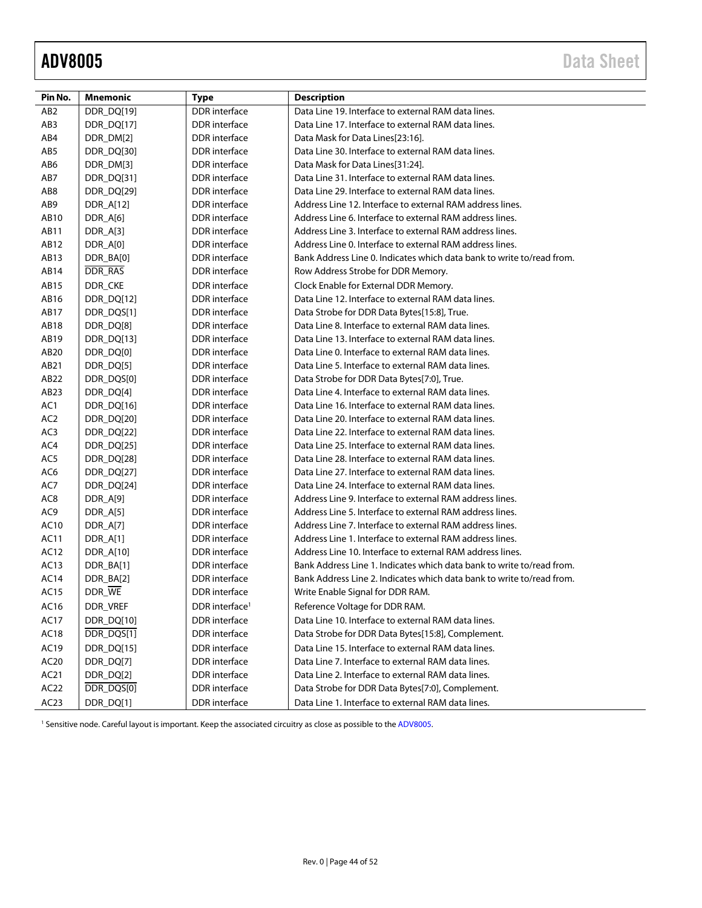<span id="page-43-0"></span>

| <b>DDR</b> interface<br>AB <sub>2</sub><br>DDR_DQ[19]<br>Data Line 19. Interface to external RAM data lines.<br><b>DDR</b> interface<br>Data Line 17. Interface to external RAM data lines.<br>AB <sub>3</sub><br>DDR_DQ[17]<br>AB4<br>DDR_DM[2]<br><b>DDR</b> interface<br>Data Mask for Data Lines[23:16].<br>AB5<br>DDR_DQ[30]<br><b>DDR</b> interface<br>Data Line 30. Interface to external RAM data lines.<br>AB6<br>DDR_DM[3]<br>DDR interface<br>Data Mask for Data Lines[31:24].<br>DDR interface<br>AB7<br>DDR_DQ[31]<br>Data Line 31. Interface to external RAM data lines.<br>Data Line 29. Interface to external RAM data lines.<br>AB8<br>DDR_DQ[29]<br><b>DDR</b> interface<br>Address Line 12. Interface to external RAM address lines.<br>AB9<br>DDR_A[12]<br><b>DDR</b> interface<br>DDR_A[6]<br><b>DDR</b> interface<br>AB10<br>Address Line 6. Interface to external RAM address lines.<br><b>DDR</b> interface<br>Address Line 3. Interface to external RAM address lines.<br>AB11<br>DDR_A[3]<br>AB12<br>DDR_A[0]<br><b>DDR</b> interface<br>Address Line 0. Interface to external RAM address lines.<br>AB13<br>DDR_BA[0]<br><b>DDR</b> interface<br>Bank Address Line 0. Indicates which data bank to write to/read from.<br>DDR_RAS<br><b>DDR</b> interface<br>AB14<br>Row Address Strobe for DDR Memory.<br>DDR_CKE<br><b>DDR</b> interface<br>AB15<br>Clock Enable for External DDR Memory.<br><b>DDR</b> interface<br>Data Line 12. Interface to external RAM data lines.<br>AB16<br>DDR_DQ[12]<br><b>DDR</b> interface<br>AB17<br>DDR_DQS[1]<br>Data Strobe for DDR Data Bytes[15:8], True.<br>Data Line 8. Interface to external RAM data lines.<br>AB18<br>DDR_DQ[8]<br><b>DDR</b> interface<br>Data Line 13. Interface to external RAM data lines.<br>AB19<br>DDR_DQ[13]<br><b>DDR</b> interface<br><b>DDR</b> interface<br>Data Line 0. Interface to external RAM data lines.<br>AB20<br>DDR_DQ[0]<br><b>DDR</b> interface<br>Data Line 5. Interface to external RAM data lines.<br>AB21<br>DDR_DQ[5]<br><b>DDR</b> interface<br>AB22<br>DDR_DQS[0]<br>Data Strobe for DDR Data Bytes[7:0], True.<br>AB <sub>23</sub><br>DDR_DQ[4]<br><b>DDR</b> interface<br>Data Line 4. Interface to external RAM data lines.<br>AC1<br>DDR interface<br>Data Line 16. Interface to external RAM data lines.<br>DDR_DQ[16]<br>AC <sub>2</sub><br><b>DDR</b> interface<br>DDR_DQ[20]<br>Data Line 20. Interface to external RAM data lines.<br>AC3<br>DDR_DQ[22]<br><b>DDR</b> interface<br>Data Line 22. Interface to external RAM data lines.<br>Data Line 25. Interface to external RAM data lines.<br>AC4<br>DDR_DQ[25]<br><b>DDR</b> interface<br>Data Line 28. Interface to external RAM data lines.<br>AC5<br>DDR_DQ[28]<br><b>DDR</b> interface<br>Data Line 27. Interface to external RAM data lines.<br>AC6<br>DDR_DQ[27]<br><b>DDR</b> interface<br>AC7<br>DDR_DQ[24]<br><b>DDR</b> interface<br>Data Line 24. Interface to external RAM data lines.<br>AC <sub>8</sub><br>DDR_A[9]<br><b>DDR</b> interface<br>Address Line 9. Interface to external RAM address lines.<br>AC9<br>Address Line 5. Interface to external RAM address lines.<br>DDR_A[5]<br><b>DDR</b> interface<br><b>DDR</b> interface<br>Address Line 7. Interface to external RAM address lines.<br>AC10<br>DDR_A[7]<br>Address Line 1. Interface to external RAM address lines.<br>AC11<br>DDR_A[1]<br><b>DDR</b> interface<br>Address Line 10. Interface to external RAM address lines.<br>AC12<br>DDR_A[10]<br><b>DDR</b> interface<br><b>DDR</b> interface<br>AC13<br>DDR_BA[1]<br>Bank Address Line 1. Indicates which data bank to write to/read from. |
|--------------------------------------------------------------------------------------------------------------------------------------------------------------------------------------------------------------------------------------------------------------------------------------------------------------------------------------------------------------------------------------------------------------------------------------------------------------------------------------------------------------------------------------------------------------------------------------------------------------------------------------------------------------------------------------------------------------------------------------------------------------------------------------------------------------------------------------------------------------------------------------------------------------------------------------------------------------------------------------------------------------------------------------------------------------------------------------------------------------------------------------------------------------------------------------------------------------------------------------------------------------------------------------------------------------------------------------------------------------------------------------------------------------------------------------------------------------------------------------------------------------------------------------------------------------------------------------------------------------------------------------------------------------------------------------------------------------------------------------------------------------------------------------------------------------------------------------------------------------------------------------------------------------------------------------------------------------------------------------------------------------------------------------------------------------------------------------------------------------------------------------------------------------------------------------------------------------------------------------------------------------------------------------------------------------------------------------------------------------------------------------------------------------------------------------------------------------------------------------------------------------------------------------------------------------------------------------------------------------------------------------------------------------------------------------------------------------------------------------------------------------------------------------------------------------------------------------------------------------------------------------------------------------------------------------------------------------------------------------------------------------------------------------------------------------------------------------------------------------------------------------------------------------------------------------------------------------------------------------------------------------------------------------------------------------------------------------------------------------------------------------------------------------------------------------------------------------------------------------------------------------------------------------------------------------------------------------------------------------------------------------------------------------|
|                                                                                                                                                                                                                                                                                                                                                                                                                                                                                                                                                                                                                                                                                                                                                                                                                                                                                                                                                                                                                                                                                                                                                                                                                                                                                                                                                                                                                                                                                                                                                                                                                                                                                                                                                                                                                                                                                                                                                                                                                                                                                                                                                                                                                                                                                                                                                                                                                                                                                                                                                                                                                                                                                                                                                                                                                                                                                                                                                                                                                                                                                                                                                                                                                                                                                                                                                                                                                                                                                                                                                                                                                                                              |
|                                                                                                                                                                                                                                                                                                                                                                                                                                                                                                                                                                                                                                                                                                                                                                                                                                                                                                                                                                                                                                                                                                                                                                                                                                                                                                                                                                                                                                                                                                                                                                                                                                                                                                                                                                                                                                                                                                                                                                                                                                                                                                                                                                                                                                                                                                                                                                                                                                                                                                                                                                                                                                                                                                                                                                                                                                                                                                                                                                                                                                                                                                                                                                                                                                                                                                                                                                                                                                                                                                                                                                                                                                                              |
|                                                                                                                                                                                                                                                                                                                                                                                                                                                                                                                                                                                                                                                                                                                                                                                                                                                                                                                                                                                                                                                                                                                                                                                                                                                                                                                                                                                                                                                                                                                                                                                                                                                                                                                                                                                                                                                                                                                                                                                                                                                                                                                                                                                                                                                                                                                                                                                                                                                                                                                                                                                                                                                                                                                                                                                                                                                                                                                                                                                                                                                                                                                                                                                                                                                                                                                                                                                                                                                                                                                                                                                                                                                              |
|                                                                                                                                                                                                                                                                                                                                                                                                                                                                                                                                                                                                                                                                                                                                                                                                                                                                                                                                                                                                                                                                                                                                                                                                                                                                                                                                                                                                                                                                                                                                                                                                                                                                                                                                                                                                                                                                                                                                                                                                                                                                                                                                                                                                                                                                                                                                                                                                                                                                                                                                                                                                                                                                                                                                                                                                                                                                                                                                                                                                                                                                                                                                                                                                                                                                                                                                                                                                                                                                                                                                                                                                                                                              |
|                                                                                                                                                                                                                                                                                                                                                                                                                                                                                                                                                                                                                                                                                                                                                                                                                                                                                                                                                                                                                                                                                                                                                                                                                                                                                                                                                                                                                                                                                                                                                                                                                                                                                                                                                                                                                                                                                                                                                                                                                                                                                                                                                                                                                                                                                                                                                                                                                                                                                                                                                                                                                                                                                                                                                                                                                                                                                                                                                                                                                                                                                                                                                                                                                                                                                                                                                                                                                                                                                                                                                                                                                                                              |
|                                                                                                                                                                                                                                                                                                                                                                                                                                                                                                                                                                                                                                                                                                                                                                                                                                                                                                                                                                                                                                                                                                                                                                                                                                                                                                                                                                                                                                                                                                                                                                                                                                                                                                                                                                                                                                                                                                                                                                                                                                                                                                                                                                                                                                                                                                                                                                                                                                                                                                                                                                                                                                                                                                                                                                                                                                                                                                                                                                                                                                                                                                                                                                                                                                                                                                                                                                                                                                                                                                                                                                                                                                                              |
|                                                                                                                                                                                                                                                                                                                                                                                                                                                                                                                                                                                                                                                                                                                                                                                                                                                                                                                                                                                                                                                                                                                                                                                                                                                                                                                                                                                                                                                                                                                                                                                                                                                                                                                                                                                                                                                                                                                                                                                                                                                                                                                                                                                                                                                                                                                                                                                                                                                                                                                                                                                                                                                                                                                                                                                                                                                                                                                                                                                                                                                                                                                                                                                                                                                                                                                                                                                                                                                                                                                                                                                                                                                              |
|                                                                                                                                                                                                                                                                                                                                                                                                                                                                                                                                                                                                                                                                                                                                                                                                                                                                                                                                                                                                                                                                                                                                                                                                                                                                                                                                                                                                                                                                                                                                                                                                                                                                                                                                                                                                                                                                                                                                                                                                                                                                                                                                                                                                                                                                                                                                                                                                                                                                                                                                                                                                                                                                                                                                                                                                                                                                                                                                                                                                                                                                                                                                                                                                                                                                                                                                                                                                                                                                                                                                                                                                                                                              |
|                                                                                                                                                                                                                                                                                                                                                                                                                                                                                                                                                                                                                                                                                                                                                                                                                                                                                                                                                                                                                                                                                                                                                                                                                                                                                                                                                                                                                                                                                                                                                                                                                                                                                                                                                                                                                                                                                                                                                                                                                                                                                                                                                                                                                                                                                                                                                                                                                                                                                                                                                                                                                                                                                                                                                                                                                                                                                                                                                                                                                                                                                                                                                                                                                                                                                                                                                                                                                                                                                                                                                                                                                                                              |
|                                                                                                                                                                                                                                                                                                                                                                                                                                                                                                                                                                                                                                                                                                                                                                                                                                                                                                                                                                                                                                                                                                                                                                                                                                                                                                                                                                                                                                                                                                                                                                                                                                                                                                                                                                                                                                                                                                                                                                                                                                                                                                                                                                                                                                                                                                                                                                                                                                                                                                                                                                                                                                                                                                                                                                                                                                                                                                                                                                                                                                                                                                                                                                                                                                                                                                                                                                                                                                                                                                                                                                                                                                                              |
|                                                                                                                                                                                                                                                                                                                                                                                                                                                                                                                                                                                                                                                                                                                                                                                                                                                                                                                                                                                                                                                                                                                                                                                                                                                                                                                                                                                                                                                                                                                                                                                                                                                                                                                                                                                                                                                                                                                                                                                                                                                                                                                                                                                                                                                                                                                                                                                                                                                                                                                                                                                                                                                                                                                                                                                                                                                                                                                                                                                                                                                                                                                                                                                                                                                                                                                                                                                                                                                                                                                                                                                                                                                              |
|                                                                                                                                                                                                                                                                                                                                                                                                                                                                                                                                                                                                                                                                                                                                                                                                                                                                                                                                                                                                                                                                                                                                                                                                                                                                                                                                                                                                                                                                                                                                                                                                                                                                                                                                                                                                                                                                                                                                                                                                                                                                                                                                                                                                                                                                                                                                                                                                                                                                                                                                                                                                                                                                                                                                                                                                                                                                                                                                                                                                                                                                                                                                                                                                                                                                                                                                                                                                                                                                                                                                                                                                                                                              |
|                                                                                                                                                                                                                                                                                                                                                                                                                                                                                                                                                                                                                                                                                                                                                                                                                                                                                                                                                                                                                                                                                                                                                                                                                                                                                                                                                                                                                                                                                                                                                                                                                                                                                                                                                                                                                                                                                                                                                                                                                                                                                                                                                                                                                                                                                                                                                                                                                                                                                                                                                                                                                                                                                                                                                                                                                                                                                                                                                                                                                                                                                                                                                                                                                                                                                                                                                                                                                                                                                                                                                                                                                                                              |
|                                                                                                                                                                                                                                                                                                                                                                                                                                                                                                                                                                                                                                                                                                                                                                                                                                                                                                                                                                                                                                                                                                                                                                                                                                                                                                                                                                                                                                                                                                                                                                                                                                                                                                                                                                                                                                                                                                                                                                                                                                                                                                                                                                                                                                                                                                                                                                                                                                                                                                                                                                                                                                                                                                                                                                                                                                                                                                                                                                                                                                                                                                                                                                                                                                                                                                                                                                                                                                                                                                                                                                                                                                                              |
|                                                                                                                                                                                                                                                                                                                                                                                                                                                                                                                                                                                                                                                                                                                                                                                                                                                                                                                                                                                                                                                                                                                                                                                                                                                                                                                                                                                                                                                                                                                                                                                                                                                                                                                                                                                                                                                                                                                                                                                                                                                                                                                                                                                                                                                                                                                                                                                                                                                                                                                                                                                                                                                                                                                                                                                                                                                                                                                                                                                                                                                                                                                                                                                                                                                                                                                                                                                                                                                                                                                                                                                                                                                              |
|                                                                                                                                                                                                                                                                                                                                                                                                                                                                                                                                                                                                                                                                                                                                                                                                                                                                                                                                                                                                                                                                                                                                                                                                                                                                                                                                                                                                                                                                                                                                                                                                                                                                                                                                                                                                                                                                                                                                                                                                                                                                                                                                                                                                                                                                                                                                                                                                                                                                                                                                                                                                                                                                                                                                                                                                                                                                                                                                                                                                                                                                                                                                                                                                                                                                                                                                                                                                                                                                                                                                                                                                                                                              |
|                                                                                                                                                                                                                                                                                                                                                                                                                                                                                                                                                                                                                                                                                                                                                                                                                                                                                                                                                                                                                                                                                                                                                                                                                                                                                                                                                                                                                                                                                                                                                                                                                                                                                                                                                                                                                                                                                                                                                                                                                                                                                                                                                                                                                                                                                                                                                                                                                                                                                                                                                                                                                                                                                                                                                                                                                                                                                                                                                                                                                                                                                                                                                                                                                                                                                                                                                                                                                                                                                                                                                                                                                                                              |
|                                                                                                                                                                                                                                                                                                                                                                                                                                                                                                                                                                                                                                                                                                                                                                                                                                                                                                                                                                                                                                                                                                                                                                                                                                                                                                                                                                                                                                                                                                                                                                                                                                                                                                                                                                                                                                                                                                                                                                                                                                                                                                                                                                                                                                                                                                                                                                                                                                                                                                                                                                                                                                                                                                                                                                                                                                                                                                                                                                                                                                                                                                                                                                                                                                                                                                                                                                                                                                                                                                                                                                                                                                                              |
|                                                                                                                                                                                                                                                                                                                                                                                                                                                                                                                                                                                                                                                                                                                                                                                                                                                                                                                                                                                                                                                                                                                                                                                                                                                                                                                                                                                                                                                                                                                                                                                                                                                                                                                                                                                                                                                                                                                                                                                                                                                                                                                                                                                                                                                                                                                                                                                                                                                                                                                                                                                                                                                                                                                                                                                                                                                                                                                                                                                                                                                                                                                                                                                                                                                                                                                                                                                                                                                                                                                                                                                                                                                              |
|                                                                                                                                                                                                                                                                                                                                                                                                                                                                                                                                                                                                                                                                                                                                                                                                                                                                                                                                                                                                                                                                                                                                                                                                                                                                                                                                                                                                                                                                                                                                                                                                                                                                                                                                                                                                                                                                                                                                                                                                                                                                                                                                                                                                                                                                                                                                                                                                                                                                                                                                                                                                                                                                                                                                                                                                                                                                                                                                                                                                                                                                                                                                                                                                                                                                                                                                                                                                                                                                                                                                                                                                                                                              |
|                                                                                                                                                                                                                                                                                                                                                                                                                                                                                                                                                                                                                                                                                                                                                                                                                                                                                                                                                                                                                                                                                                                                                                                                                                                                                                                                                                                                                                                                                                                                                                                                                                                                                                                                                                                                                                                                                                                                                                                                                                                                                                                                                                                                                                                                                                                                                                                                                                                                                                                                                                                                                                                                                                                                                                                                                                                                                                                                                                                                                                                                                                                                                                                                                                                                                                                                                                                                                                                                                                                                                                                                                                                              |
|                                                                                                                                                                                                                                                                                                                                                                                                                                                                                                                                                                                                                                                                                                                                                                                                                                                                                                                                                                                                                                                                                                                                                                                                                                                                                                                                                                                                                                                                                                                                                                                                                                                                                                                                                                                                                                                                                                                                                                                                                                                                                                                                                                                                                                                                                                                                                                                                                                                                                                                                                                                                                                                                                                                                                                                                                                                                                                                                                                                                                                                                                                                                                                                                                                                                                                                                                                                                                                                                                                                                                                                                                                                              |
|                                                                                                                                                                                                                                                                                                                                                                                                                                                                                                                                                                                                                                                                                                                                                                                                                                                                                                                                                                                                                                                                                                                                                                                                                                                                                                                                                                                                                                                                                                                                                                                                                                                                                                                                                                                                                                                                                                                                                                                                                                                                                                                                                                                                                                                                                                                                                                                                                                                                                                                                                                                                                                                                                                                                                                                                                                                                                                                                                                                                                                                                                                                                                                                                                                                                                                                                                                                                                                                                                                                                                                                                                                                              |
|                                                                                                                                                                                                                                                                                                                                                                                                                                                                                                                                                                                                                                                                                                                                                                                                                                                                                                                                                                                                                                                                                                                                                                                                                                                                                                                                                                                                                                                                                                                                                                                                                                                                                                                                                                                                                                                                                                                                                                                                                                                                                                                                                                                                                                                                                                                                                                                                                                                                                                                                                                                                                                                                                                                                                                                                                                                                                                                                                                                                                                                                                                                                                                                                                                                                                                                                                                                                                                                                                                                                                                                                                                                              |
|                                                                                                                                                                                                                                                                                                                                                                                                                                                                                                                                                                                                                                                                                                                                                                                                                                                                                                                                                                                                                                                                                                                                                                                                                                                                                                                                                                                                                                                                                                                                                                                                                                                                                                                                                                                                                                                                                                                                                                                                                                                                                                                                                                                                                                                                                                                                                                                                                                                                                                                                                                                                                                                                                                                                                                                                                                                                                                                                                                                                                                                                                                                                                                                                                                                                                                                                                                                                                                                                                                                                                                                                                                                              |
|                                                                                                                                                                                                                                                                                                                                                                                                                                                                                                                                                                                                                                                                                                                                                                                                                                                                                                                                                                                                                                                                                                                                                                                                                                                                                                                                                                                                                                                                                                                                                                                                                                                                                                                                                                                                                                                                                                                                                                                                                                                                                                                                                                                                                                                                                                                                                                                                                                                                                                                                                                                                                                                                                                                                                                                                                                                                                                                                                                                                                                                                                                                                                                                                                                                                                                                                                                                                                                                                                                                                                                                                                                                              |
|                                                                                                                                                                                                                                                                                                                                                                                                                                                                                                                                                                                                                                                                                                                                                                                                                                                                                                                                                                                                                                                                                                                                                                                                                                                                                                                                                                                                                                                                                                                                                                                                                                                                                                                                                                                                                                                                                                                                                                                                                                                                                                                                                                                                                                                                                                                                                                                                                                                                                                                                                                                                                                                                                                                                                                                                                                                                                                                                                                                                                                                                                                                                                                                                                                                                                                                                                                                                                                                                                                                                                                                                                                                              |
|                                                                                                                                                                                                                                                                                                                                                                                                                                                                                                                                                                                                                                                                                                                                                                                                                                                                                                                                                                                                                                                                                                                                                                                                                                                                                                                                                                                                                                                                                                                                                                                                                                                                                                                                                                                                                                                                                                                                                                                                                                                                                                                                                                                                                                                                                                                                                                                                                                                                                                                                                                                                                                                                                                                                                                                                                                                                                                                                                                                                                                                                                                                                                                                                                                                                                                                                                                                                                                                                                                                                                                                                                                                              |
|                                                                                                                                                                                                                                                                                                                                                                                                                                                                                                                                                                                                                                                                                                                                                                                                                                                                                                                                                                                                                                                                                                                                                                                                                                                                                                                                                                                                                                                                                                                                                                                                                                                                                                                                                                                                                                                                                                                                                                                                                                                                                                                                                                                                                                                                                                                                                                                                                                                                                                                                                                                                                                                                                                                                                                                                                                                                                                                                                                                                                                                                                                                                                                                                                                                                                                                                                                                                                                                                                                                                                                                                                                                              |
|                                                                                                                                                                                                                                                                                                                                                                                                                                                                                                                                                                                                                                                                                                                                                                                                                                                                                                                                                                                                                                                                                                                                                                                                                                                                                                                                                                                                                                                                                                                                                                                                                                                                                                                                                                                                                                                                                                                                                                                                                                                                                                                                                                                                                                                                                                                                                                                                                                                                                                                                                                                                                                                                                                                                                                                                                                                                                                                                                                                                                                                                                                                                                                                                                                                                                                                                                                                                                                                                                                                                                                                                                                                              |
|                                                                                                                                                                                                                                                                                                                                                                                                                                                                                                                                                                                                                                                                                                                                                                                                                                                                                                                                                                                                                                                                                                                                                                                                                                                                                                                                                                                                                                                                                                                                                                                                                                                                                                                                                                                                                                                                                                                                                                                                                                                                                                                                                                                                                                                                                                                                                                                                                                                                                                                                                                                                                                                                                                                                                                                                                                                                                                                                                                                                                                                                                                                                                                                                                                                                                                                                                                                                                                                                                                                                                                                                                                                              |
|                                                                                                                                                                                                                                                                                                                                                                                                                                                                                                                                                                                                                                                                                                                                                                                                                                                                                                                                                                                                                                                                                                                                                                                                                                                                                                                                                                                                                                                                                                                                                                                                                                                                                                                                                                                                                                                                                                                                                                                                                                                                                                                                                                                                                                                                                                                                                                                                                                                                                                                                                                                                                                                                                                                                                                                                                                                                                                                                                                                                                                                                                                                                                                                                                                                                                                                                                                                                                                                                                                                                                                                                                                                              |
|                                                                                                                                                                                                                                                                                                                                                                                                                                                                                                                                                                                                                                                                                                                                                                                                                                                                                                                                                                                                                                                                                                                                                                                                                                                                                                                                                                                                                                                                                                                                                                                                                                                                                                                                                                                                                                                                                                                                                                                                                                                                                                                                                                                                                                                                                                                                                                                                                                                                                                                                                                                                                                                                                                                                                                                                                                                                                                                                                                                                                                                                                                                                                                                                                                                                                                                                                                                                                                                                                                                                                                                                                                                              |
|                                                                                                                                                                                                                                                                                                                                                                                                                                                                                                                                                                                                                                                                                                                                                                                                                                                                                                                                                                                                                                                                                                                                                                                                                                                                                                                                                                                                                                                                                                                                                                                                                                                                                                                                                                                                                                                                                                                                                                                                                                                                                                                                                                                                                                                                                                                                                                                                                                                                                                                                                                                                                                                                                                                                                                                                                                                                                                                                                                                                                                                                                                                                                                                                                                                                                                                                                                                                                                                                                                                                                                                                                                                              |
|                                                                                                                                                                                                                                                                                                                                                                                                                                                                                                                                                                                                                                                                                                                                                                                                                                                                                                                                                                                                                                                                                                                                                                                                                                                                                                                                                                                                                                                                                                                                                                                                                                                                                                                                                                                                                                                                                                                                                                                                                                                                                                                                                                                                                                                                                                                                                                                                                                                                                                                                                                                                                                                                                                                                                                                                                                                                                                                                                                                                                                                                                                                                                                                                                                                                                                                                                                                                                                                                                                                                                                                                                                                              |
| <b>DDR</b> interface<br>Bank Address Line 2. Indicates which data bank to write to/read from.<br>AC14<br>DDR_BA[2]                                                                                                                                                                                                                                                                                                                                                                                                                                                                                                                                                                                                                                                                                                                                                                                                                                                                                                                                                                                                                                                                                                                                                                                                                                                                                                                                                                                                                                                                                                                                                                                                                                                                                                                                                                                                                                                                                                                                                                                                                                                                                                                                                                                                                                                                                                                                                                                                                                                                                                                                                                                                                                                                                                                                                                                                                                                                                                                                                                                                                                                                                                                                                                                                                                                                                                                                                                                                                                                                                                                                           |
| DDR_WE<br>AC15<br><b>DDR</b> interface<br>Write Enable Signal for DDR RAM.                                                                                                                                                                                                                                                                                                                                                                                                                                                                                                                                                                                                                                                                                                                                                                                                                                                                                                                                                                                                                                                                                                                                                                                                                                                                                                                                                                                                                                                                                                                                                                                                                                                                                                                                                                                                                                                                                                                                                                                                                                                                                                                                                                                                                                                                                                                                                                                                                                                                                                                                                                                                                                                                                                                                                                                                                                                                                                                                                                                                                                                                                                                                                                                                                                                                                                                                                                                                                                                                                                                                                                                   |
| AC16<br>DDR_VREF<br>DDR interface <sup>1</sup><br>Reference Voltage for DDR RAM.                                                                                                                                                                                                                                                                                                                                                                                                                                                                                                                                                                                                                                                                                                                                                                                                                                                                                                                                                                                                                                                                                                                                                                                                                                                                                                                                                                                                                                                                                                                                                                                                                                                                                                                                                                                                                                                                                                                                                                                                                                                                                                                                                                                                                                                                                                                                                                                                                                                                                                                                                                                                                                                                                                                                                                                                                                                                                                                                                                                                                                                                                                                                                                                                                                                                                                                                                                                                                                                                                                                                                                             |
| AC17<br>DDR_DQ[10]<br>DDR interface<br>Data Line 10. Interface to external RAM data lines.                                                                                                                                                                                                                                                                                                                                                                                                                                                                                                                                                                                                                                                                                                                                                                                                                                                                                                                                                                                                                                                                                                                                                                                                                                                                                                                                                                                                                                                                                                                                                                                                                                                                                                                                                                                                                                                                                                                                                                                                                                                                                                                                                                                                                                                                                                                                                                                                                                                                                                                                                                                                                                                                                                                                                                                                                                                                                                                                                                                                                                                                                                                                                                                                                                                                                                                                                                                                                                                                                                                                                                   |
| AC18<br>DDR_DQS[1]<br>DDR interface<br>Data Strobe for DDR Data Bytes[15:8], Complement.                                                                                                                                                                                                                                                                                                                                                                                                                                                                                                                                                                                                                                                                                                                                                                                                                                                                                                                                                                                                                                                                                                                                                                                                                                                                                                                                                                                                                                                                                                                                                                                                                                                                                                                                                                                                                                                                                                                                                                                                                                                                                                                                                                                                                                                                                                                                                                                                                                                                                                                                                                                                                                                                                                                                                                                                                                                                                                                                                                                                                                                                                                                                                                                                                                                                                                                                                                                                                                                                                                                                                                     |
| <b>DDR</b> interface<br>Data Line 15. Interface to external RAM data lines.<br>AC19<br>DDR_DQ[15]                                                                                                                                                                                                                                                                                                                                                                                                                                                                                                                                                                                                                                                                                                                                                                                                                                                                                                                                                                                                                                                                                                                                                                                                                                                                                                                                                                                                                                                                                                                                                                                                                                                                                                                                                                                                                                                                                                                                                                                                                                                                                                                                                                                                                                                                                                                                                                                                                                                                                                                                                                                                                                                                                                                                                                                                                                                                                                                                                                                                                                                                                                                                                                                                                                                                                                                                                                                                                                                                                                                                                            |
| <b>DDR</b> interface<br>Data Line 7. Interface to external RAM data lines.<br>AC20<br>DDR_DQ[7]                                                                                                                                                                                                                                                                                                                                                                                                                                                                                                                                                                                                                                                                                                                                                                                                                                                                                                                                                                                                                                                                                                                                                                                                                                                                                                                                                                                                                                                                                                                                                                                                                                                                                                                                                                                                                                                                                                                                                                                                                                                                                                                                                                                                                                                                                                                                                                                                                                                                                                                                                                                                                                                                                                                                                                                                                                                                                                                                                                                                                                                                                                                                                                                                                                                                                                                                                                                                                                                                                                                                                              |
| DDR interface<br>AC <sub>21</sub><br>DDR_DQ[2]<br>Data Line 2. Interface to external RAM data lines.                                                                                                                                                                                                                                                                                                                                                                                                                                                                                                                                                                                                                                                                                                                                                                                                                                                                                                                                                                                                                                                                                                                                                                                                                                                                                                                                                                                                                                                                                                                                                                                                                                                                                                                                                                                                                                                                                                                                                                                                                                                                                                                                                                                                                                                                                                                                                                                                                                                                                                                                                                                                                                                                                                                                                                                                                                                                                                                                                                                                                                                                                                                                                                                                                                                                                                                                                                                                                                                                                                                                                         |
| DDR_DQS[0]<br>AC <sub>22</sub><br>DDR interface<br>Data Strobe for DDR Data Bytes[7:0], Complement.                                                                                                                                                                                                                                                                                                                                                                                                                                                                                                                                                                                                                                                                                                                                                                                                                                                                                                                                                                                                                                                                                                                                                                                                                                                                                                                                                                                                                                                                                                                                                                                                                                                                                                                                                                                                                                                                                                                                                                                                                                                                                                                                                                                                                                                                                                                                                                                                                                                                                                                                                                                                                                                                                                                                                                                                                                                                                                                                                                                                                                                                                                                                                                                                                                                                                                                                                                                                                                                                                                                                                          |
| AC <sub>23</sub><br>DDR_DQ[1]<br><b>DDR</b> interface<br>Data Line 1. Interface to external RAM data lines.                                                                                                                                                                                                                                                                                                                                                                                                                                                                                                                                                                                                                                                                                                                                                                                                                                                                                                                                                                                                                                                                                                                                                                                                                                                                                                                                                                                                                                                                                                                                                                                                                                                                                                                                                                                                                                                                                                                                                                                                                                                                                                                                                                                                                                                                                                                                                                                                                                                                                                                                                                                                                                                                                                                                                                                                                                                                                                                                                                                                                                                                                                                                                                                                                                                                                                                                                                                                                                                                                                                                                  |

<sup>1</sup> Sensitive node. Careful layout is important. Keep the associated circuitry as close as possible to the ADV8005.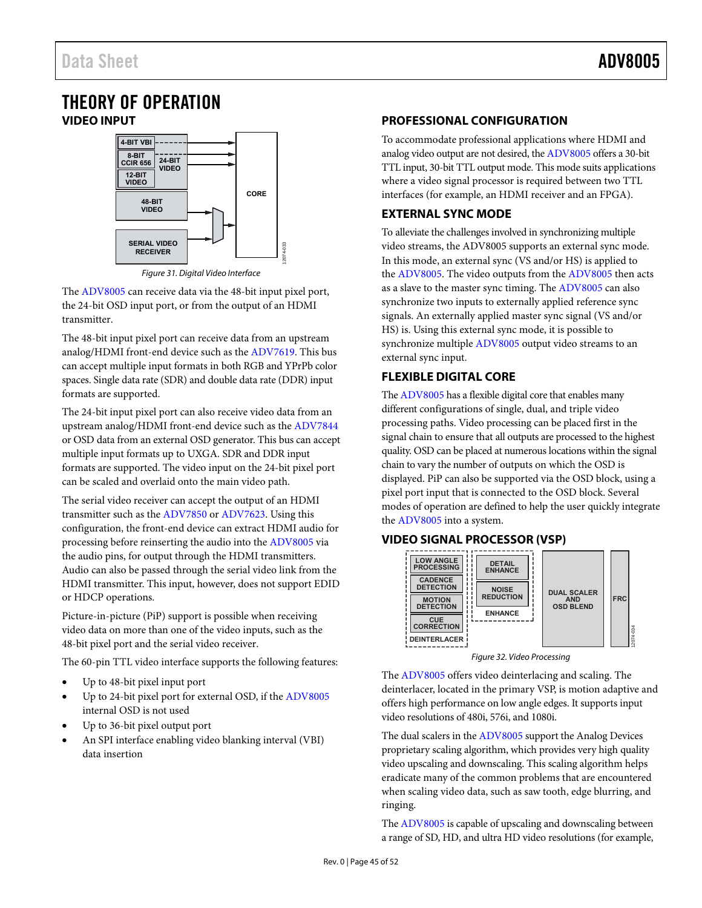## <span id="page-44-1"></span><span id="page-44-0"></span>THEORY OF OPERATION **VIDEO INPUT**



Figure 31. Digital Video Interface

12074-033

The [ADV8005 c](http://www.analog.com/adv8005?doc=adv8005.pdf)an receive data via the 48-bit input pixel port, the 24-bit OSD input port, or from the output of an HDMI transmitter.

The 48-bit input pixel port can receive data from an upstream analog/HDMI front-end device such as the [ADV7619.](http://www.analog.com/ADV7619?doc=adv8005.pdf) This bus can accept multiple input formats in both RGB and YPrPb color spaces. Single data rate (SDR) and double data rate (DDR) input formats are supported.

The 24-bit input pixel port can also receive video data from an upstream analog/HDMI front-end device such as th[e ADV7844](http://www.analog.com/ADV7844?doc=adv8005.pdf) or OSD data from an external OSD generator. This bus can accept multiple input formats up to UXGA. SDR and DDR input formats are supported. The video input on the 24-bit pixel port can be scaled and overlaid onto the main video path.

The serial video receiver can accept the output of an HDMI transmitter such as th[e ADV7850 o](http://www.analog.com/ADV7850?doc=adv8005.pdf)[r ADV7623.](http://www.analog.com/ADV7623?doc=adv8005.pdf) Using this configuration, the front-end device can extract HDMI audio for processing before reinserting the audio into th[e ADV8005 v](http://www.analog.com/adv8005?doc=adv8005.pdf)ia the audio pins, for output through the HDMI transmitters. Audio can also be passed through the serial video link from the HDMI transmitter. This input, however, does not support EDID or HDCP operations.

Picture-in-picture (PiP) support is possible when receiving video data on more than one of the video inputs, such as the 48-bit pixel port and the serial video receiver.

The 60-pin TTL video interface supports the following features:

- Up to 48-bit pixel input port
- Up to 24-bit pixel port for external OSD, if th[e ADV8005](http://www.analog.com/adv8005?doc=adv8005.pdf) internal OSD is not used
- Up to 36-bit pixel output port
- An SPI interface enabling video blanking interval (VBI) data insertion

### <span id="page-44-2"></span>**PROFESSIONAL CONFIGURATION**

To accommodate professional applications where HDMI and analog video output are not desired, th[e ADV8005 o](http://www.analog.com/adv8005?doc=adv8005.pdf)ffers a 30-bit TTL input, 30-bit TTL output mode. This mode suits applications where a video signal processor is required between two TTL interfaces (for example, an HDMI receiver and an FPGA).

### <span id="page-44-3"></span>**EXTERNAL SYNC MODE**

To alleviate the challenges involved in synchronizing multiple video streams, the ADV8005 supports an external sync mode. In this mode, an external sync (VS and/or HS) is applied to the [ADV8005.](http://www.analog.com/adv8005?doc=adv8005.pdf) The video outputs from the [ADV8005](http://www.analog.com/adv8005?doc=adv8005.pdf) then acts as a slave to the master sync timing. Th[e ADV8005 c](http://www.analog.com/adv8005?doc=adv8005.pdf)an also synchronize two inputs to externally applied reference sync signals. An externally applied master sync signal (VS and/or HS) is. Using this external sync mode, it is possible to synchronize multiple [ADV8005 o](http://www.analog.com/adv8005?doc=adv8005.pdf)utput video streams to an external sync input.

### <span id="page-44-4"></span>**FLEXIBLE DIGITAL CORE**

Th[e ADV8005 h](http://www.analog.com/adv8005?doc=adv8005.pdf)as a flexible digital core that enables many different configurations of single, dual, and triple video processing paths. Video processing can be placed first in the signal chain to ensure that all outputs are processed to the highest quality. OSD can be placed at numerous locations within the signal chain to vary the number of outputs on which the OSD is displayed. PiP can also be supported via the OSD block, using a pixel port input that is connected to the OSD block. Several modes of operation are defined to help the user quickly integrate the [ADV8005 i](http://www.analog.com/adv8005?doc=adv8005.pdf)nto a system.

### <span id="page-44-5"></span>**VIDEO SIGNAL PROCESSOR (VSP)**



Figure 32. Video Processing

The [ADV8005 o](http://www.analog.com/adv8005?doc=adv8005.pdf)ffers video deinterlacing and scaling. The deinterlacer, located in the primary VSP, is motion adaptive and offers high performance on low angle edges. It supports input video resolutions of 480i, 576i, and 1080i.

The dual scalers in the [ADV8005](http://www.analog.com/adv8005?doc=adv8005.pdf) support the Analog Devices proprietary scaling algorithm, which provides very high quality video upscaling and downscaling. This scaling algorithm helps eradicate many of the common problems that are encountered when scaling video data, such as saw tooth, edge blurring, and ringing.

Th[e ADV8005](http://www.analog.com/adv8005?doc=adv8005.pdf) is capable of upscaling and downscaling between a range of SD, HD, and ultra HD video resolutions (for example,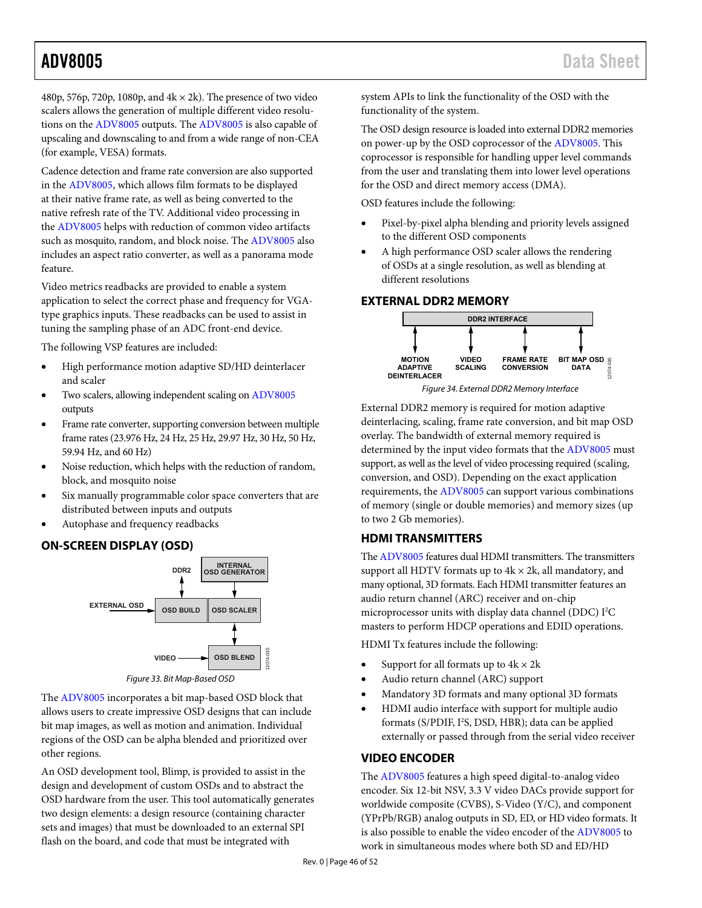480p, 576p, 720p, 1080p, and  $4k \times 2k$ ). The presence of two video scalers allows the generation of multiple different video resolutions on th[e ADV8005 o](http://www.analog.com/adv8005?doc=adv8005.pdf)utputs. The [ADV8005](http://www.analog.com/adv8005?doc=adv8005.pdf) is also capable of upscaling and downscaling to and from a wide range of non-CEA (for example, VESA) formats.

Cadence detection and frame rate conversion are also supported in the [ADV8005,](http://www.analog.com/adv8005?doc=adv8005.pdf) which allows film formats to be displayed at their native frame rate, as well as being converted to the native refresh rate of the TV. Additional video processing in the [ADV8005 h](http://www.analog.com/adv8005?doc=adv8005.pdf)elps with reduction of common video artifacts such as mosquito, random, and block noise. The [ADV8005](http://www.analog.com/adv8005?doc=adv8005.pdf) also includes an aspect ratio converter, as well as a panorama mode feature.

Video metrics readbacks are provided to enable a system application to select the correct phase and frequency for VGAtype graphics inputs. These readbacks can be used to assist in tuning the sampling phase of an ADC front-end device.

The following VSP features are included:

- High performance motion adaptive SD/HD deinterlacer and scaler
- Two scalers, allowing independent scaling o[n ADV8005](http://www.analog.com/adv8005?doc=adv8005.pdf) outputs
- Frame rate converter, supporting conversion between multiple frame rates (23.976 Hz, 24 Hz, 25 Hz, 29.97 Hz, 30 Hz, 50 Hz, 59.94 Hz, and 60 Hz)
- Noise reduction, which helps with the reduction of random, block, and mosquito noise
- Six manually programmable color space converters that are distributed between inputs and outputs
- Autophase and frequency readbacks

### <span id="page-45-0"></span>**ON-SCREEN DISPLAY (OSD)**



Figure 33. Bit Map-Based OSD

The [ADV8005 i](http://www.analog.com/adv8005?doc=adv8005.pdf)ncorporates a bit map-based OSD block that allows users to create impressive OSD designs that can include bit map images, as well as motion and animation. Individual regions of the OSD can be alpha blended and prioritized over other regions.

An OSD development tool, Blimp, is provided to assist in the design and development of custom OSDs and to abstract the OSD hardware from the user. This tool automatically generates two design elements: a design resource (containing character sets and images) that must be downloaded to an external SPI flash on the board, and code that must be integrated with

system APIs to link the functionality of the OSD with the functionality of the system.

The OSD design resource is loaded into external DDR2 memories on power-up by the OSD coprocessor of th[e ADV8005.](http://www.analog.com/adv8005?doc=adv8005.pdf) This coprocessor is responsible for handling upper level commands from the user and translating them into lower level operations for the OSD and direct memory access (DMA).

OSD features include the following:

- Pixel-by-pixel alpha blending and priority levels assigned to the different OSD components
- A high performance OSD scaler allows the rendering of OSDs at a single resolution, as well as blending at different resolutions

### <span id="page-45-1"></span>**EXTERNAL DDR2 MEMORY**



External DDR2 memory is required for motion adaptive deinterlacing, scaling, frame rate conversion, and bit map OSD overlay. The bandwidth of external memory required is determined by the input video formats that th[e ADV8005](http://www.analog.com/adv8005?doc=adv8005.pdf) must support, as well as the level of video processing required (scaling, conversion, and OSD). Depending on the exact application requirements, the [ADV8005](http://www.analog.com/adv8005?doc=adv8005.pdf) can support various combinations of memory (single or double memories) and memory sizes (up to two 2 Gb memories).

### <span id="page-45-2"></span>**HDMI TRANSMITTERS**

Th[e ADV8005 f](http://www.analog.com/adv8005?doc=adv8005.pdf)eatures dual HDMI transmitters. The transmitters support all HDTV formats up to  $4k \times 2k$ , all mandatory, and many optional, 3D formats. Each HDMI transmitter features an audio return channel (ARC) receiver and on-chip microprocessor units with display data channel (DDC) I<sup>2</sup>C masters to perform HDCP operations and EDID operations.

HDMI Tx features include the following:

- Support for all formats up to  $4k \times 2k$
- Audio return channel (ARC) support
- Mandatory 3D formats and many optional 3D formats
- HDMI audio interface with support for multiple audio formats (S/PDIF, I<sup>2</sup>S, DSD, HBR); data can be applied externally or passed through from the serial video receiver

### <span id="page-45-3"></span>**VIDEO ENCODER**

The [ADV8005 f](http://www.analog.com/adv8005?doc=adv8005.pdf)eatures a high speed digital-to-analog video encoder. Six 12-bit NSV, 3.3 V video DACs provide support for worldwide composite (CVBS), S-Video (Y/C), and component (YPrPb/RGB) analog outputs in SD, ED, or HD video formats. It is also possible to enable the video encoder of th[e ADV8005 t](http://www.analog.com/adv8005?doc=adv8005.pdf)o work in simultaneous modes where both SD and ED/HD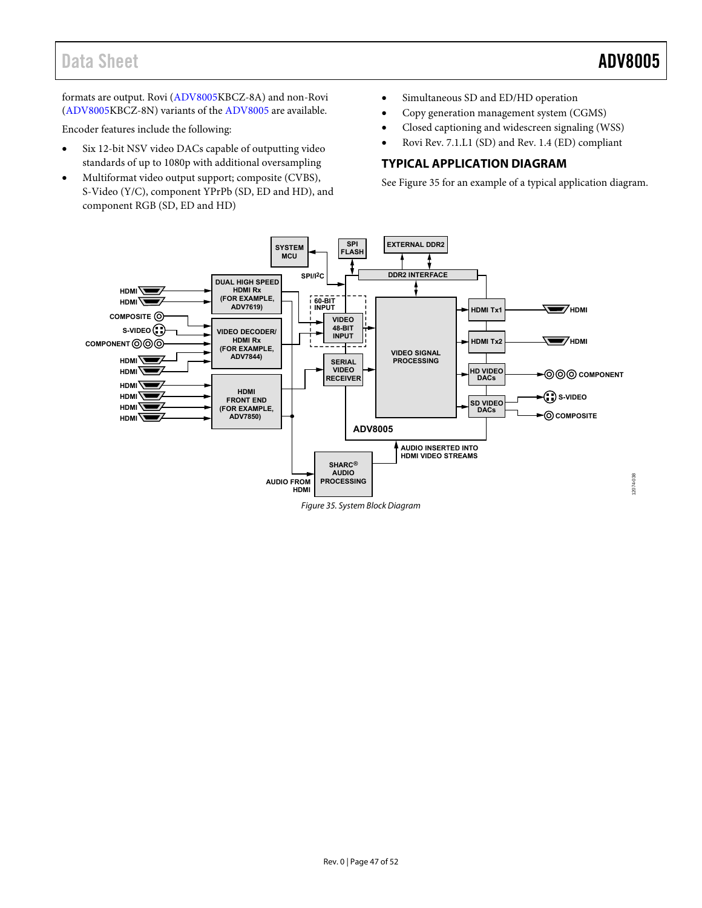formats are output. Rovi [\(ADV8005K](http://www.analog.com/adv8005?doc=adv8005.pdf)BCZ-8A) and non-Rovi [\(ADV8005K](http://www.analog.com/adv8005?doc=adv8005.pdf)BCZ-8N) variants of th[e ADV8005 a](http://www.analog.com/adv8005?doc=adv8005.pdf)re available.

Encoder features include the following:

- Six 12-bit NSV video DACs capable of outputting video standards of up to 1080p with additional oversampling
- Multiformat video output support; composite (CVBS), S-Video (Y/C), component YPrPb (SD, ED and HD), and component RGB (SD, ED and HD)
- Simultaneous SD and ED/HD operation
- Copy generation management system (CGMS)
- Closed captioning and widescreen signaling (WSS)
- Rovi Rev. 7.1.L1 (SD) and Rev. 1.4 (ED) compliant

### <span id="page-46-0"></span>**TYPICAL APPLICATION DIAGRAM**

See [Figure 35 f](#page-46-1)or an example of a typical application diagram.

<span id="page-46-1"></span>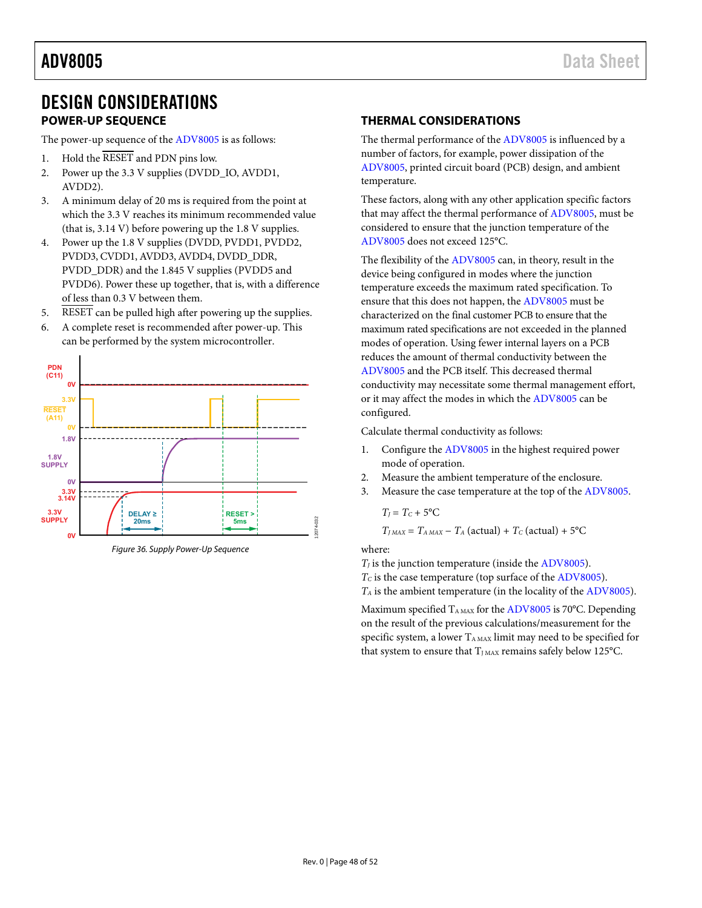## <span id="page-47-0"></span>DESIGN CONSIDERATIONS **POWER-UP SEQUENCE**

<span id="page-47-1"></span>The power-up sequence of the [ADV8005 i](http://www.analog.com/adv8005?doc=adv8005.pdf)s as follows:

- 1. Hold the RESET and PDN pins low.
- 2. Power up the 3.3 V supplies (DVDD\_IO, AVDD1, AVDD2).
- 3. A minimum delay of 20 ms is required from the point at which the 3.3 V reaches its minimum recommended value (that is, 3.14 V) before powering up the 1.8 V supplies.
- 4. Power up the 1.8 V supplies (DVDD, PVDD1, PVDD2, PVDD3, CVDD1, AVDD3, AVDD4, DVDD\_DDR, PVDD\_DDR) and the 1.845 V supplies (PVDD5 and PVDD6). Power these up together, that is, with a difference of less than 0.3 V between them.
- 5. RESET can be pulled high after powering up the supplies.
- 6. A complete reset is recommended after power-up. This can be performed by the system microcontroller.



Figure 36. Supply Power-Up Sequence

### <span id="page-47-2"></span>**THERMAL CONSIDERATIONS**

The thermal performance of the [ADV8005 i](http://www.analog.com/adv8005?doc=adv8005.pdf)s influenced by a number of factors, for example, power dissipation of the [ADV8005,](http://www.analog.com/adv8005?doc=adv8005.pdf) printed circuit board (PCB) design, and ambient temperature.

These factors, along with any other application specific factors that may affect the thermal performance of [ADV8005,](http://www.analog.com/adv8005?doc=adv8005.pdf) must be considered to ensure that the junction temperature of the [ADV8005 d](http://www.analog.com/adv8005?doc=adv8005.pdf)oes not exceed 125°C.

The flexibility of the [ADV8005](http://www.analog.com/adv8005?doc=adv8005.pdf) can, in theory, result in the device being configured in modes where the junction temperature exceeds the maximum rated specification. To ensure that this does not happen, th[e ADV8005](http://www.analog.com/adv8005?doc=adv8005.pdf) must be characterized on the final customer PCB to ensure that the maximum rated specifications are not exceeded in the planned modes of operation. Using fewer internal layers on a PCB reduces the amount of thermal conductivity between the [ADV8005 a](http://www.analog.com/adv8005?doc=adv8005.pdf)nd the PCB itself. This decreased thermal conductivity may necessitate some thermal management effort, or it may affect the modes in which the [ADV8005 c](http://www.analog.com/adv8005?doc=adv8005.pdf)an be configured.

Calculate thermal conductivity as follows:

- 1. Configure the [ADV8005 i](http://www.analog.com/adv8005?doc=adv8005.pdf)n the highest required power mode of operation.
- 2. Measure the ambient temperature of the enclosure.
- 3. Measure the case temperature at the top of the [ADV8005.](http://www.analog.com/adv8005?doc=adv8005.pdf)

 $T_I = T_C + 5$ <sup>o</sup>C

 $T_{JMAX} = T_{A MAX} - T_A$  (actual) +  $T_C$  (actual) + 5°C

where:

 $T_I$  is the junction temperature (inside the [ADV8005\)](http://www.analog.com/adv8005?doc=adv8005.pdf).

*T<sub>C</sub>* is the case temperature (top surface of th[e ADV8005\)](http://www.analog.com/adv8005?doc=adv8005.pdf).

*TA* is the ambient temperature (in the locality of th[e ADV8005\)](http://www.analog.com/adv8005?doc=adv8005.pdf).

Maximum specified  $T_{A MAX}$  for th[e ADV8005 i](http://www.analog.com/adv8005?doc=adv8005.pdf)s 70°C. Depending on the result of the previous calculations/measurement for the specific system, a lower TAMAX limit may need to be specified for that system to ensure that  $T_{JMAX}$  remains safely below 125°C.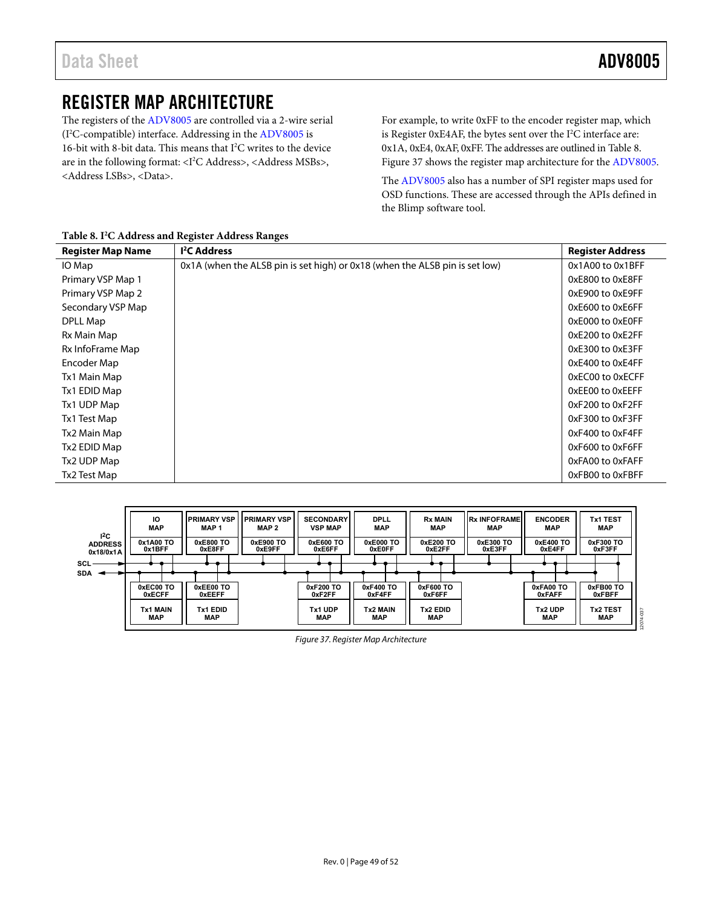## <span id="page-48-0"></span>REGISTER MAP ARCHITECTURE

The registers of the [ADV8005](http://www.analog.com/adv8005?doc=adv8005.pdf) are controlled via a 2-wire serial (I2 C-compatible) interface. Addressing in th[e ADV8005](http://www.analog.com/adv8005?doc=adv8005.pdf) is 16-bit with 8-bit data. This means that I<sup>2</sup>C writes to the device are in the following format: <I<sup>2</sup>C Address>, <Address MSBs>, <Address LSBs>, <Data>.

For example, to write 0xFF to the encoder register map, which is Register  $0xE4AF$ , the bytes sent over the  $I<sup>2</sup>C$  interface are: 0x1A, 0xE4, 0xAF, 0xFF. The addresses are outlined i[n Table 8.](#page-48-1)  [Figure 37 s](#page-48-2)hows the register map architecture for th[e ADV8005.](http://www.analog.com/adv8005?doc=adv8005.pdf) 

The [ADV8005 a](http://www.analog.com/adv8005?doc=adv8005.pdf)lso has a number of SPI register maps used for OSD functions. These are accessed through the APIs defined in the Blimp software tool.

| <b>Register Map Name</b> | <sup>2</sup> C Address                                                      | <b>Register Address</b> |
|--------------------------|-----------------------------------------------------------------------------|-------------------------|
| IO Map                   | 0x1A (when the ALSB pin is set high) or 0x18 (when the ALSB pin is set low) | 0x1A00 to 0x1BFF        |
| Primary VSP Map 1        |                                                                             | 0xE800 to 0xE8FF        |
| Primary VSP Map 2        |                                                                             | 0xE900 to 0xE9FF        |
| Secondary VSP Map        |                                                                             | 0xE600 to 0xE6FF        |
| DPLL Map                 |                                                                             | 0xE000 to 0xE0FF        |
| Rx Main Map              |                                                                             | 0xE200 to 0xE2FF        |
| Rx InfoFrame Map         |                                                                             | 0xE300 to 0xE3FF        |
| Encoder Map              |                                                                             | 0xE400 to 0xE4FF        |
| Tx1 Main Map             |                                                                             | 0xEC00 to 0xECFF        |
| Tx1 EDID Map             |                                                                             | 0xEE00 to 0xEEFF        |
| Tx1 UDP Map              |                                                                             | 0xF200 to 0xF2FF        |
| Tx1 Test Map             |                                                                             | 0xF300 to 0xF3FF        |
| Tx2 Main Map             |                                                                             | 0xF400 to 0xF4FF        |
| Tx2 EDID Map             |                                                                             | 0xF600 to 0xF6FF        |
| Tx2 UDP Map              |                                                                             | 0xFA00 to 0xFAFF        |
| Tx2 Test Map             |                                                                             | 0xFB00 to 0xFBFF        |

### <span id="page-48-1"></span>**Table 8. I2 C Address and Register Address Ranges**

<span id="page-48-2"></span>

Figure 37. Register Map Architecture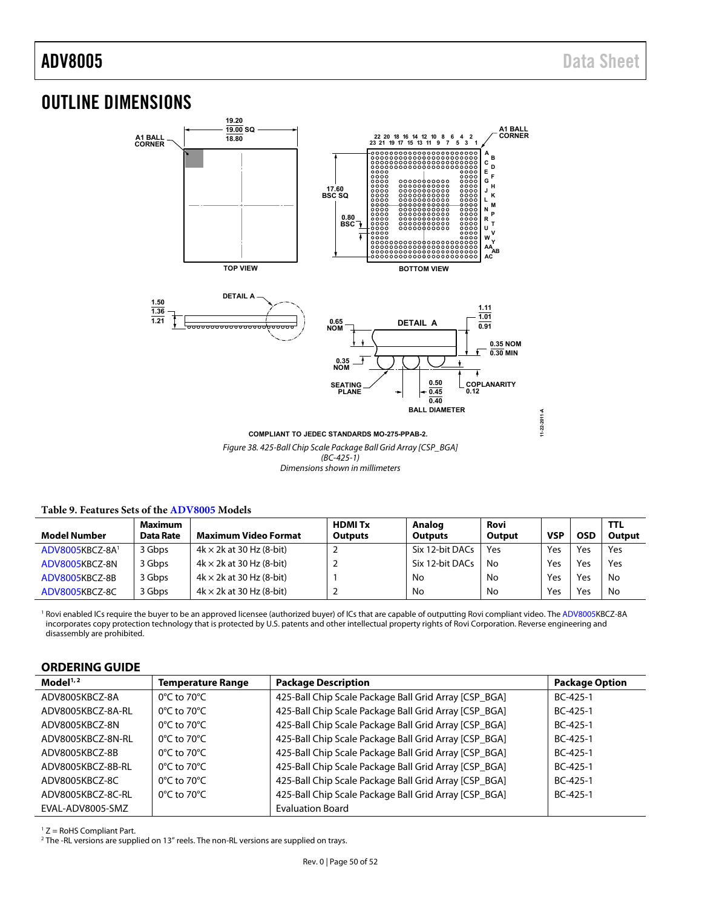## <span id="page-49-0"></span>OUTLINE DIMENSIONS



Figure 38. 425-Ball Chip Scale Package Ball Grid Array [CSP\_BGA]  $(BC-425-1)$ Dimensions shown in millimeters

| Model Number    | <b>Maximum</b><br>Data Rate | Maximum Video Format            | <b>HDMITX</b><br><b>Outputs</b> | Analog<br><b>Outputs</b> | Rovi<br>Output | <b>VSP</b> | OSD | <b>TTL</b><br>Output |
|-----------------|-----------------------------|---------------------------------|---------------------------------|--------------------------|----------------|------------|-----|----------------------|
| ADV8005KBCZ-8A1 | 3 Gbps                      | $4k \times 2k$ at 30 Hz (8-bit) |                                 | Six 12-bit DACs          | Yes            | Yes        | Yes | Yes                  |
| ADV8005KBCZ-8N  | 3 Gbps                      | $4k \times 2k$ at 30 Hz (8-bit) |                                 | Six 12-bit DACs          | No             | Yes        | Yes | Yes                  |
| ADV8005KBCZ-8B  | 3 Gbps                      | $4k \times 2k$ at 30 Hz (8-bit) |                                 | No                       | No             | Yes        | Yes | No                   |
| ADV8005KBCZ-8C  | 3 Gbps                      | $4k \times 2k$ at 30 Hz (8-bit) |                                 | No                       | No             | Yes        | Yes | No                   |

### <span id="page-49-2"></span>**Table 9. Features Sets of th[e ADV8005](http://www.analog.com/adv8005?doc=adv8005.pdf) Models**

<sup>1</sup> Rovi enabled ICs require the buyer to be an approved licensee (authorized buyer) of ICs that are capable of outputting Rovi compliant video. Th[e ADV8005K](http://www.analog.com/adv8005?doc=adv8005.pdf)BCZ-8A incorporates copy protection technology that is protected by U.S. patents and other intellectual property rights of Rovi Corporation. Reverse engineering and disassembly are prohibited.

### <span id="page-49-1"></span>**ORDERING GUIDE**

| Model <sup>1,2</sup> | <b>Temperature Range</b>         | <b>Package Description</b>                            | <b>Package Option</b> |
|----------------------|----------------------------------|-------------------------------------------------------|-----------------------|
| ADV8005KBCZ-8A       | $0^{\circ}$ C to 70 $^{\circ}$ C | 425-Ball Chip Scale Package Ball Grid Array [CSP_BGA] | $BC-425-1$            |
| ADV8005KBCZ-8A-RL    | $0^{\circ}$ C to 70 $^{\circ}$ C | 425-Ball Chip Scale Package Ball Grid Array [CSP_BGA] | $BC-425-1$            |
| ADV8005KBCZ-8N       | $0^{\circ}$ C to 70 $^{\circ}$ C | 425-Ball Chip Scale Package Ball Grid Array [CSP_BGA] | $BC-425-1$            |
| ADV8005KBCZ-8N-RL    | $0^{\circ}$ C to 70 $^{\circ}$ C | 425-Ball Chip Scale Package Ball Grid Array [CSP_BGA] | $BC-425-1$            |
| ADV8005KBCZ-8B       | $0^{\circ}$ C to 70 $^{\circ}$ C | 425-Ball Chip Scale Package Ball Grid Array [CSP_BGA] | $BC-425-1$            |
| ADV8005KBCZ-8B-RL    | $0^{\circ}$ C to 70 $^{\circ}$ C | 425-Ball Chip Scale Package Ball Grid Array [CSP_BGA] | $BC-425-1$            |
| ADV8005KBCZ-8C       | $0^{\circ}$ C to 70 $^{\circ}$ C | 425-Ball Chip Scale Package Ball Grid Array [CSP_BGA] | $BC-425-1$            |
| ADV8005KBCZ-8C-RL    | $0^{\circ}$ C to 70 $^{\circ}$ C | 425-Ball Chip Scale Package Ball Grid Array [CSP_BGA] | $BC-425-1$            |
| EVAL-ADV8005-SMZ     |                                  | <b>Evaluation Board</b>                               |                       |

 $1 Z =$  RoHS Compliant Part.

<sup>2</sup> The -RL versions are supplied on 13" reels. The non-RL versions are supplied on trays.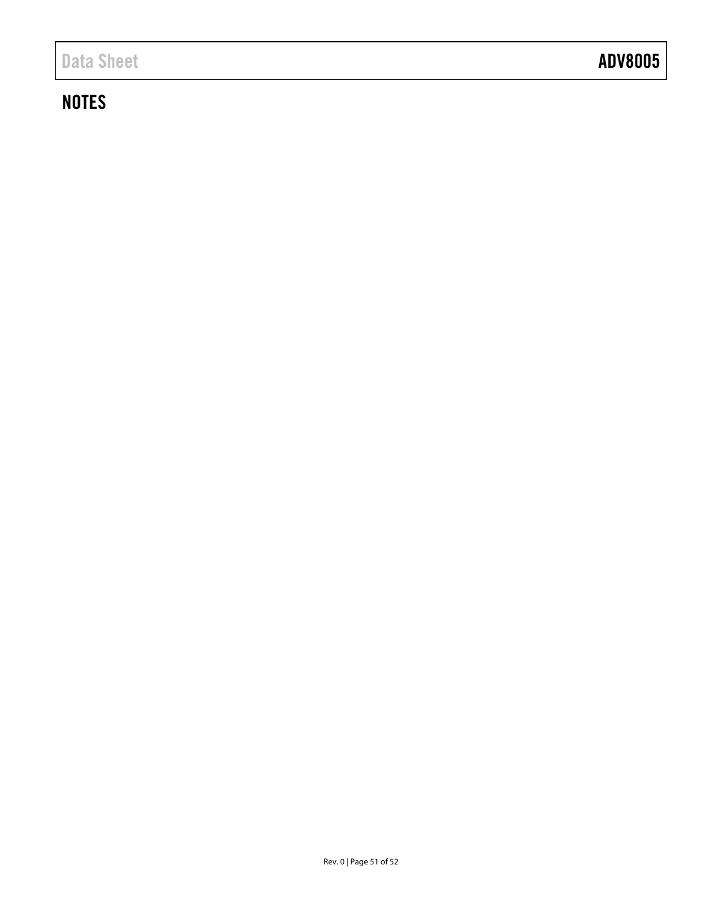## **NOTES**